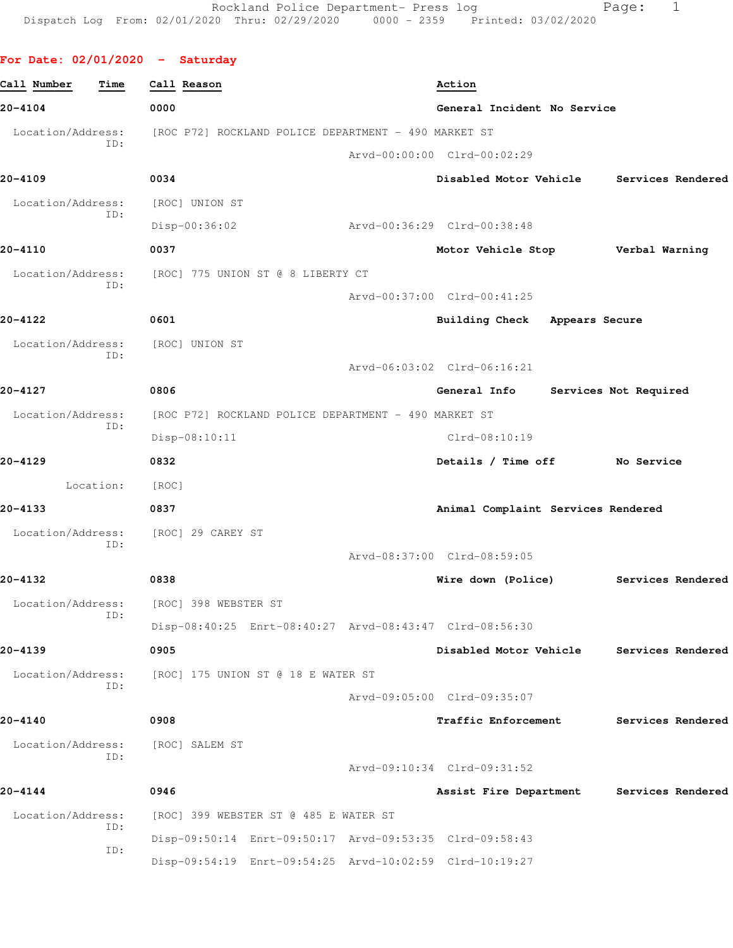|  |  |  | For Date: 02/01/2020 |  | Saturday |
|--|--|--|----------------------|--|----------|
|--|--|--|----------------------|--|----------|

| Call Number       | Time      | Call Reason                                             | Action                                   |                       |  |
|-------------------|-----------|---------------------------------------------------------|------------------------------------------|-----------------------|--|
| 20-4104           |           | 0000                                                    | General Incident No Service              |                       |  |
| Location/Address: | ID:       | [ROC P72] ROCKLAND POLICE DEPARTMENT - 490 MARKET ST    |                                          |                       |  |
|                   |           |                                                         | Arvd-00:00:00 Clrd-00:02:29              |                       |  |
| 20-4109           |           | 0034                                                    | Disabled Motor Vehicle Services Rendered |                       |  |
| Location/Address: | ID:       | [ROC] UNION ST                                          |                                          |                       |  |
|                   |           | $Disp-00:36:02$                                         | Arvd-00:36:29 Clrd-00:38:48              |                       |  |
| 20-4110           |           | 0037                                                    | Motor Vehicle Stop Verbal Warning        |                       |  |
| Location/Address: | ID:       | [ROC] 775 UNION ST @ 8 LIBERTY CT                       |                                          |                       |  |
|                   |           |                                                         | Arvd-00:37:00 Clrd-00:41:25              |                       |  |
| 20-4122           |           | 0601                                                    | Building Check Appears Secure            |                       |  |
| Location/Address: | TD:       | [ROC] UNION ST                                          |                                          |                       |  |
|                   |           |                                                         | Arvd-06:03:02 Clrd-06:16:21              |                       |  |
| 20-4127           |           | 0806                                                    | <b>General Info</b>                      | Services Not Required |  |
| Location/Address: | ID:       | [ROC P72] ROCKLAND POLICE DEPARTMENT - 490 MARKET ST    |                                          |                       |  |
|                   |           | Disp-08:10:11                                           | $C1rd-08:10:19$                          |                       |  |
| 20-4129           |           | 0832                                                    | Details / Time off No Service            |                       |  |
|                   | Location: | [ROC]                                                   |                                          |                       |  |
| 20-4133           |           | 0837                                                    | Animal Complaint Services Rendered       |                       |  |
| Location/Address: | ID:       | [ROC] 29 CAREY ST                                       |                                          |                       |  |
|                   |           |                                                         | Arvd-08:37:00 Clrd-08:59:05              |                       |  |
| 20-4132           |           | 0838                                                    | Wire down (Police) Services Rendered     |                       |  |
| Location/Address: |           | [ROC] 398 WEBSTER ST                                    |                                          |                       |  |
|                   |           | Disp-08:40:25 Enrt-08:40:27 Arvd-08:43:47 Clrd-08:56:30 |                                          |                       |  |
| 20-4139           |           | 0905                                                    | Disabled Motor Vehicle                   | Services Rendered     |  |
| Location/Address: | ID:       | [ROC] 175 UNION ST @ 18 E WATER ST                      |                                          |                       |  |
|                   |           |                                                         | Arvd-09:05:00 Clrd-09:35:07              |                       |  |
| 20-4140           |           | 0908                                                    | Traffic Enforcement                      | Services Rendered     |  |
| Location/Address: | ID:       | [ROC] SALEM ST                                          |                                          |                       |  |
|                   |           |                                                         | Arvd-09:10:34 Clrd-09:31:52              |                       |  |
| 20-4144           |           | 0946                                                    | Assist Fire Department                   | Services Rendered     |  |
| Location/Address: | ID:       | [ROC] 399 WEBSTER ST @ 485 E WATER ST                   |                                          |                       |  |
|                   | ID:       | Disp-09:50:14 Enrt-09:50:17 Arvd-09:53:35 Clrd-09:58:43 |                                          |                       |  |
|                   |           | Disp-09:54:19 Enrt-09:54:25 Arvd-10:02:59 Clrd-10:19:27 |                                          |                       |  |
|                   |           |                                                         |                                          |                       |  |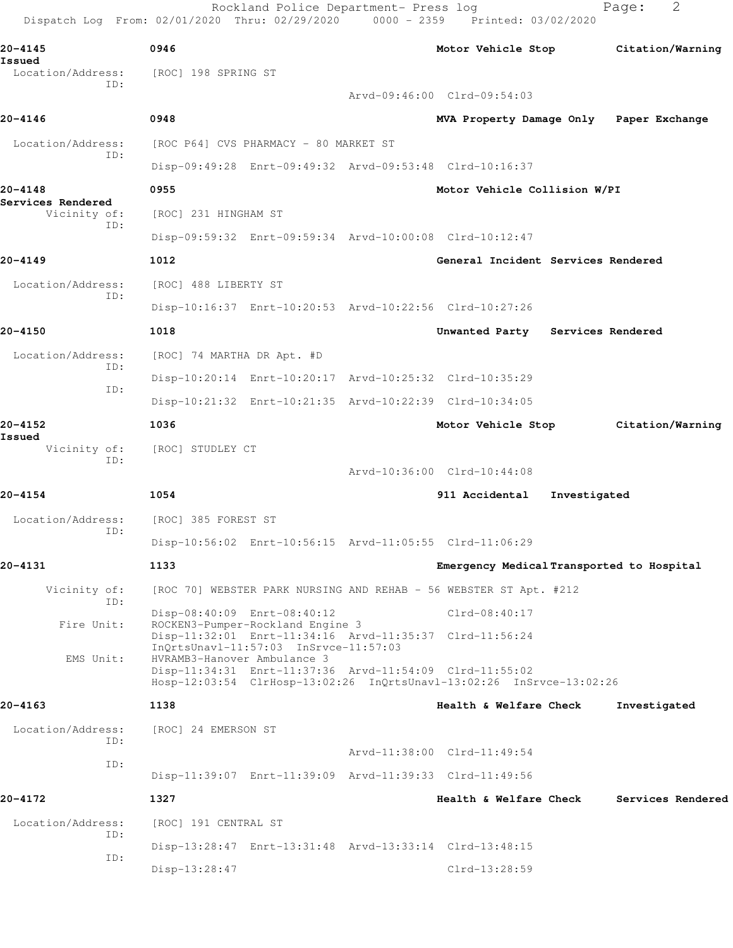| 20-4145                           | 0946                                                    |  |                                                                      |              | Motor Vehicle Stop Citation/Warning |
|-----------------------------------|---------------------------------------------------------|--|----------------------------------------------------------------------|--------------|-------------------------------------|
| Issued<br>Location/Address:       | [ROC] 198 SPRING ST                                     |  |                                                                      |              |                                     |
| ID:                               |                                                         |  | Arvd-09:46:00 Clrd-09:54:03                                          |              |                                     |
| 20-4146                           | 0948                                                    |  | MVA Property Damage Only Paper Exchange                              |              |                                     |
| Location/Address:                 | [ROC P64] CVS PHARMACY - 80 MARKET ST                   |  |                                                                      |              |                                     |
| ID:                               |                                                         |  | Disp-09:49:28 Enrt-09:49:32 Arvd-09:53:48 Clrd-10:16:37              |              |                                     |
| 20-4148                           | 0955                                                    |  | Motor Vehicle Collision W/PI                                         |              |                                     |
| Services Rendered<br>Vicinity of: | [ROC] 231 HINGHAM ST                                    |  |                                                                      |              |                                     |
| ID:                               |                                                         |  | Disp-09:59:32 Enrt-09:59:34 Arvd-10:00:08 Clrd-10:12:47              |              |                                     |
| 20-4149                           | 1012                                                    |  | General Incident Services Rendered                                   |              |                                     |
| Location/Address:                 | [ROC] 488 LIBERTY ST                                    |  |                                                                      |              |                                     |
| ID:                               |                                                         |  | Disp-10:16:37 Enrt-10:20:53 Arvd-10:22:56 Clrd-10:27:26              |              |                                     |
| $20 - 4150$                       | 1018                                                    |  | Unwanted Party Services Rendered                                     |              |                                     |
| Location/Address:                 | [ROC] 74 MARTHA DR Apt. #D                              |  |                                                                      |              |                                     |
| ID:                               |                                                         |  | Disp-10:20:14 Enrt-10:20:17 Arvd-10:25:32 Clrd-10:35:29              |              |                                     |
| ID:                               |                                                         |  | Disp-10:21:32 Enrt-10:21:35 Arvd-10:22:39 Clrd-10:34:05              |              |                                     |
| 20-4152                           | 1036                                                    |  | Motor Vehicle Stop                                                   |              | Citation/Warning                    |
| Issued<br>Vicinity of:            | [ROC] STUDLEY CT                                        |  |                                                                      |              |                                     |
| ID:                               |                                                         |  | Arvd-10:36:00 Clrd-10:44:08                                          |              |                                     |
| 20-4154                           | 1054                                                    |  | 911 Accidental                                                       | Investigated |                                     |
| Location/Address:                 | [ROC] 385 FOREST ST                                     |  |                                                                      |              |                                     |
| ID:                               |                                                         |  | Disp-10:56:02 Enrt-10:56:15 Arvd-11:05:55 Clrd-11:06:29              |              |                                     |
| 20-4131                           | 1133                                                    |  | Emergency Medical Transported to Hospital                            |              |                                     |
| Vicinity of:                      |                                                         |  | [ROC 70] WEBSTER PARK NURSING AND REHAB - 56 WEBSTER ST Apt. #212    |              |                                     |
| ID:                               | Disp-08:40:09 Enrt-08:40:12                             |  | $Clrd-08:40:17$                                                      |              |                                     |
| Fire Unit:                        | ROCKEN3-Pumper-Rockland Engine 3                        |  | Disp-11:32:01 Enrt-11:34:16 Arvd-11:35:37 Clrd-11:56:24              |              |                                     |
| EMS Unit:                         | HVRAMB3-Hanover Ambulance 3                             |  | Disp-11:34:31 Enrt-11:37:36 Arvd-11:54:09 Clrd-11:55:02              |              |                                     |
|                                   |                                                         |  | Hosp-12:03:54 ClrHosp-13:02:26 InQrtsUnavl-13:02:26 InSrvce-13:02:26 |              |                                     |
| 20-4163                           | 1138                                                    |  | Health & Welfare Check                                               |              | Investigated                        |
| Location/Address:                 | [ROC] 24 EMERSON ST                                     |  |                                                                      |              |                                     |
| ID:                               |                                                         |  | Arvd-11:38:00 Clrd-11:49:54                                          |              |                                     |
| ID:                               |                                                         |  | Disp-11:39:07 Enrt-11:39:09 Arvd-11:39:33 Clrd-11:49:56              |              |                                     |
| 20-4172                           | 1327                                                    |  | Health & Welfare Check                                               |              | Services Rendered                   |
| Location/Address:                 | [ROC] 191 CENTRAL ST                                    |  |                                                                      |              |                                     |
| ID:                               |                                                         |  |                                                                      |              |                                     |
| ID:                               | Disp-13:28:47 Enrt-13:31:48 Arvd-13:33:14 Clrd-13:48:15 |  |                                                                      |              |                                     |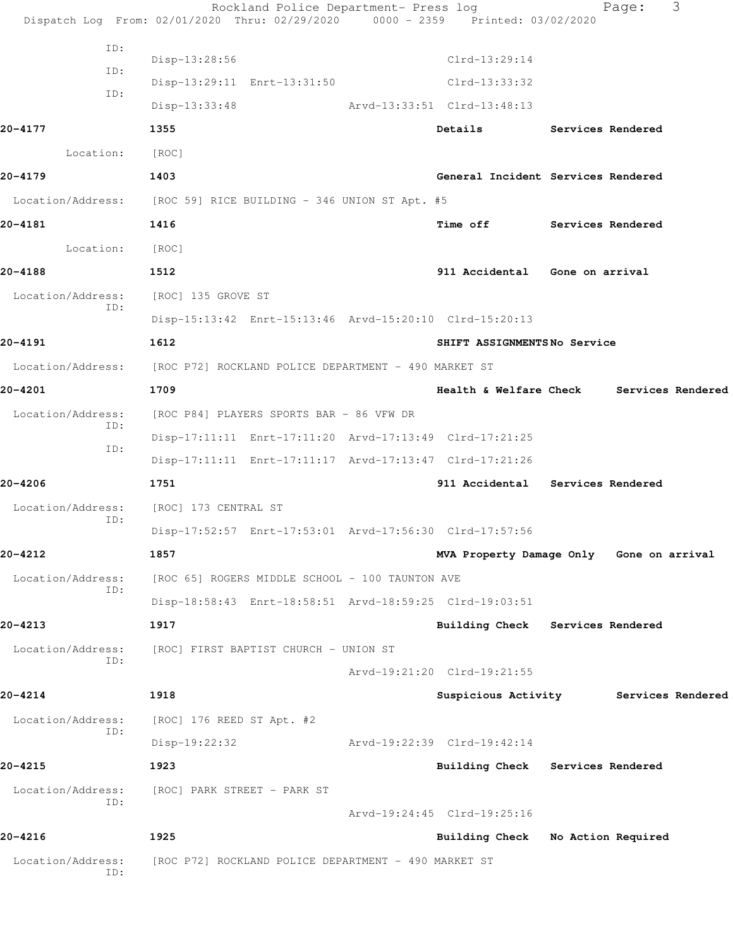|                          | Rockland Police Department- Press log<br>Dispatch Log From: 02/01/2020 Thru: 02/29/2020 0000 - 2359 Printed: 03/02/2020 |                                          | Page:                    | 3 |
|--------------------------|-------------------------------------------------------------------------------------------------------------------------|------------------------------------------|--------------------------|---|
| ID:                      |                                                                                                                         |                                          |                          |   |
| ID:                      | Disp-13:28:56                                                                                                           | $Clrd-13:29:14$                          |                          |   |
| ID:                      | Disp-13:29:11 Enrt-13:31:50                                                                                             | Clrd-13:33:32                            |                          |   |
|                          | $Disp-13:33:48$                                                                                                         | Arvd-13:33:51 Clrd-13:48:13              |                          |   |
| 20-4177                  | 1355                                                                                                                    | Details                                  | <b>Services Rendered</b> |   |
| Location:                | [ROC]                                                                                                                   |                                          |                          |   |
| 20-4179                  | 1403                                                                                                                    | General Incident Services Rendered       |                          |   |
|                          | Location/Address: [ROC 59] RICE BUILDING - 346 UNION ST Apt. #5                                                         |                                          |                          |   |
| 20-4181                  | 1416                                                                                                                    | Time off                                 | Services Rendered        |   |
| Location:                | [ROC]                                                                                                                   |                                          |                          |   |
| 20-4188                  | 1512                                                                                                                    | 911 Accidental Gone on arrival           |                          |   |
| Location/Address:<br>ID: | [ROC] 135 GROVE ST                                                                                                      |                                          |                          |   |
|                          | Disp-15:13:42 Enrt-15:13:46 Arvd-15:20:10 Clrd-15:20:13                                                                 |                                          |                          |   |
| 20-4191                  | 1612                                                                                                                    | SHIFT ASSIGNMENTSNo Service              |                          |   |
| Location/Address:        | [ROC P72] ROCKLAND POLICE DEPARTMENT - 490 MARKET ST                                                                    |                                          |                          |   |
| 20-4201                  | 1709                                                                                                                    | Health & Welfare Check Services Rendered |                          |   |
| Location/Address:<br>ID: | [ROC P84] PLAYERS SPORTS BAR - 86 VFW DR                                                                                |                                          |                          |   |
| ID:                      | Disp-17:11:11 Enrt-17:11:20 Arvd-17:13:49 Clrd-17:21:25                                                                 |                                          |                          |   |
|                          | Disp-17:11:11 Enrt-17:11:17 Arvd-17:13:47 Clrd-17:21:26                                                                 |                                          |                          |   |
| 20-4206                  | 1751                                                                                                                    | 911 Accidental Services Rendered         |                          |   |
| Location/Address:<br>ID: | [ROC] 173 CENTRAL ST                                                                                                    |                                          |                          |   |
|                          | Disp-17:52:57 Enrt-17:53:01 Arvd-17:56:30 Clrd-17:57:56                                                                 |                                          |                          |   |
| 20-4212                  | 1857                                                                                                                    | MVA Property Damage Only Gone on arrival |                          |   |
| Location/Address:<br>ID: | [ROC 65] ROGERS MIDDLE SCHOOL - 100 TAUNTON AVE                                                                         |                                          |                          |   |
|                          | Disp-18:58:43 Enrt-18:58:51 Arvd-18:59:25 Clrd-19:03:51                                                                 |                                          |                          |   |
| 20-4213                  | 1917                                                                                                                    | Building Check Services Rendered         |                          |   |
| Location/Address:<br>ID: | [ROC] FIRST BAPTIST CHURCH – UNION ST                                                                                   |                                          |                          |   |
|                          |                                                                                                                         | Arvd-19:21:20 Clrd-19:21:55              |                          |   |
| 20-4214                  | 1918                                                                                                                    | Suspicious Activity Services Rendered    |                          |   |
| Location/Address:<br>ID: | [ROC] 176 REED ST Apt. #2                                                                                               |                                          |                          |   |
|                          | $Disp-19:22:32$                                                                                                         | Arvd-19:22:39 Clrd-19:42:14              |                          |   |
| 20-4215                  | 1923                                                                                                                    | Building Check Services Rendered         |                          |   |
| Location/Address:<br>ID: | [ROC] PARK STREET – PARK ST                                                                                             |                                          |                          |   |
|                          |                                                                                                                         | Arvd-19:24:45 Clrd-19:25:16              |                          |   |
| 20-4216                  | 1925                                                                                                                    | <b>Building Check</b>                    | No Action Required       |   |
| Location/Address:<br>ID: | [ROC P72] ROCKLAND POLICE DEPARTMENT - 490 MARKET ST                                                                    |                                          |                          |   |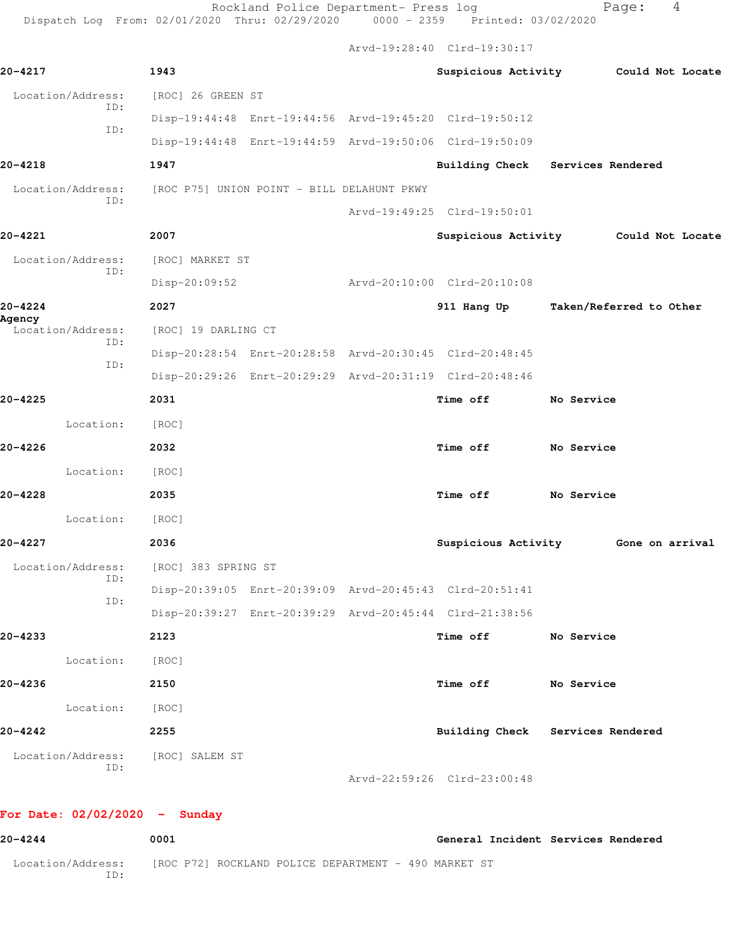Rockland Police Department- Press log extending Page: 4 Dispatch Log From: 02/01/2020 Thru: 02/29/2020 0000 - 2359 Printed: 03/02/2020

Arvd-19:28:40 Clrd-19:30:17

| 20-4217                                                      | 1943                |  |                                                         | Suspicious Activity Could Not Locate |
|--------------------------------------------------------------|---------------------|--|---------------------------------------------------------|--------------------------------------|
| Location/Address:                                            | [ROC] 26 GREEN ST   |  |                                                         |                                      |
| ID:                                                          |                     |  | Disp-19:44:48 Enrt-19:44:56 Arvd-19:45:20 Clrd-19:50:12 |                                      |
| ID:                                                          |                     |  | Disp-19:44:48 Enrt-19:44:59 Arvd-19:50:06 Clrd-19:50:09 |                                      |
| $20 - 4218$                                                  | 1947                |  |                                                         | Building Check Services Rendered     |
| Location/Address: [ROC P75] UNION POINT - BILL DELAHUNT PKWY |                     |  |                                                         |                                      |
| ID:                                                          |                     |  | Arvd-19:49:25 Clrd-19:50:01                             |                                      |
| 20-4221                                                      | 2007                |  |                                                         | Suspicious Activity Could Not Locate |
| Location/Address: [ROC] MARKET ST                            |                     |  |                                                         |                                      |
| ID:                                                          | Disp-20:09:52       |  | Arvd-20:10:00 Clrd-20:10:08                             |                                      |
| $20 - 4224$                                                  | 2027                |  |                                                         | 911 Hang Up Taken/Referred to Other  |
| Agency<br>Location/Address:                                  | [ROC] 19 DARLING CT |  |                                                         |                                      |
| ID:                                                          |                     |  | Disp-20:28:54 Enrt-20:28:58 Arvd-20:30:45 Clrd-20:48:45 |                                      |
| ID:                                                          |                     |  | Disp-20:29:26 Enrt-20:29:29 Arvd-20:31:19 Clrd-20:48:46 |                                      |
| $20 - 4225$                                                  | 2031                |  | Time off                                                | No Service                           |
| Location:                                                    | [ROC]               |  |                                                         |                                      |
| 20-4226                                                      | 2032                |  | Time off No Service                                     |                                      |
| Location:                                                    | [ROC]               |  |                                                         |                                      |
| $20 - 4228$                                                  | 2035                |  | Time off                                                | No Service                           |
| Location:                                                    | [ROC]               |  |                                                         |                                      |
| $20 - 4227$                                                  | 2036                |  |                                                         | Suspicious Activity 6one on arrival  |
| Location/Address:                                            | [ROC] 383 SPRING ST |  |                                                         |                                      |
| ID:                                                          |                     |  | Disp-20:39:05 Enrt-20:39:09 Arvd-20:45:43 Clrd-20:51:41 |                                      |
| ID:                                                          |                     |  | Disp-20:39:27 Enrt-20:39:29 Arvd-20:45:44 Clrd-21:38:56 |                                      |
| 20-4233                                                      | 2123                |  | Time off                                                | No Service                           |
| Location:                                                    | [ROC]               |  |                                                         |                                      |
| 20-4236                                                      | 2150                |  | Time off                                                | No Service                           |
| Location: [ROC]                                              |                     |  |                                                         |                                      |
| $20 - 4242$                                                  | 2255                |  |                                                         | Building Check Services Rendered     |
| Location/Address: [ROC] SALEM ST                             |                     |  |                                                         |                                      |
| ID:                                                          |                     |  | Arvd-22:59:26 Clrd-23:00:48                             |                                      |
|                                                              |                     |  |                                                         |                                      |

**For Date: 02/02/2020 - Sunday**

| $20 - 4244$              | 0001                                                 | General Incident Services Rendered |
|--------------------------|------------------------------------------------------|------------------------------------|
| Location/Address:<br>TD: | [ROC P72] ROCKLAND POLICE DEPARTMENT - 490 MARKET ST |                                    |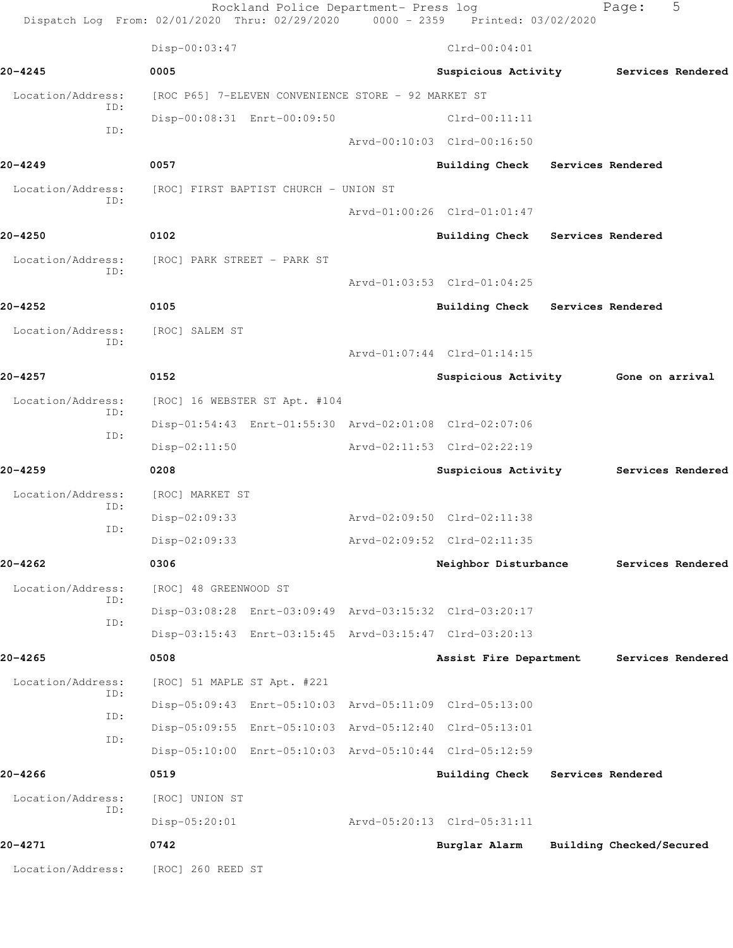Rockland Police Department- Press log Fage: 5 Dispatch Log From: 02/01/2020 Thru: 02/29/2020 0000 - 2359 Printed: 03/02/2020 Disp-00:03:47 Clrd-00:04:01 **20-4245 0005 Suspicious Activity Services Rendered** Location/Address: [ROC P65] 7-ELEVEN CONVENIENCE STORE - 92 MARKET ST ID: Disp-00:08:31 Enrt-00:09:50 Clrd-00:11:11 ID: Arvd-00:10:03 Clrd-00:16:50 **20-4249 0057 Building Check Services Rendered** Location/Address: [ROC] FIRST BAPTIST CHURCH - UNION ST ID: Arvd-01:00:26 Clrd-01:01:47 **20-4250 0102 Building Check Services Rendered** Location/Address: [ROC] PARK STREET - PARK ST ID: Arvd-01:03:53 Clrd-01:04:25 **20-4252 0105 Building Check Services Rendered** Location/Address: [ROC] SALEM ST ID: Arvd-01:07:44 Clrd-01:14:15 **20-4257 0152 Suspicious Activity Gone on arrival** Location/Address: [ROC] 16 WEBSTER ST Apt. #104 ID: Disp-01:54:43 Enrt-01:55:30 Arvd-02:01:08 Clrd-02:07:06 ID: Disp-02:11:50 Arvd-02:11:53 Clrd-02:22:19 **20-4259 0208 Suspicious Activity Services Rendered** Location/Address: [ROC] MARKET ST ID: Disp-02:09:33 Arvd-02:09:50 Clrd-02:11:38 ID: Disp-02:09:33 Arvd-02:09:52 Clrd-02:11:35 **20-4262 0306 Neighbor Disturbance Services Rendered** Location/Address: [ROC] 48 GREENWOOD ST ID: Disp-03:08:28 Enrt-03:09:49 Arvd-03:15:32 Clrd-03:20:17 ID: Disp-03:15:43 Enrt-03:15:45 Arvd-03:15:47 Clrd-03:20:13 **20-4265 0508 Assist Fire Department Services Rendered** Location/Address: [ROC] 51 MAPLE ST Apt. #221 ID: Disp-05:09:43 Enrt-05:10:03 Arvd-05:11:09 Clrd-05:13:00 ID: Disp-05:09:55 Enrt-05:10:03 Arvd-05:12:40 Clrd-05:13:01 ID: Disp-05:10:00 Enrt-05:10:03 Arvd-05:10:44 Clrd-05:12:59 **20-4266 0519 Building Check Services Rendered** Location/Address: [ROC] UNION ST ID: Disp-05:20:01 Arvd-05:20:13 Clrd-05:31:11 **20-4271 0742 Burglar Alarm Building Checked/Secured** Location/Address: [ROC] 260 REED ST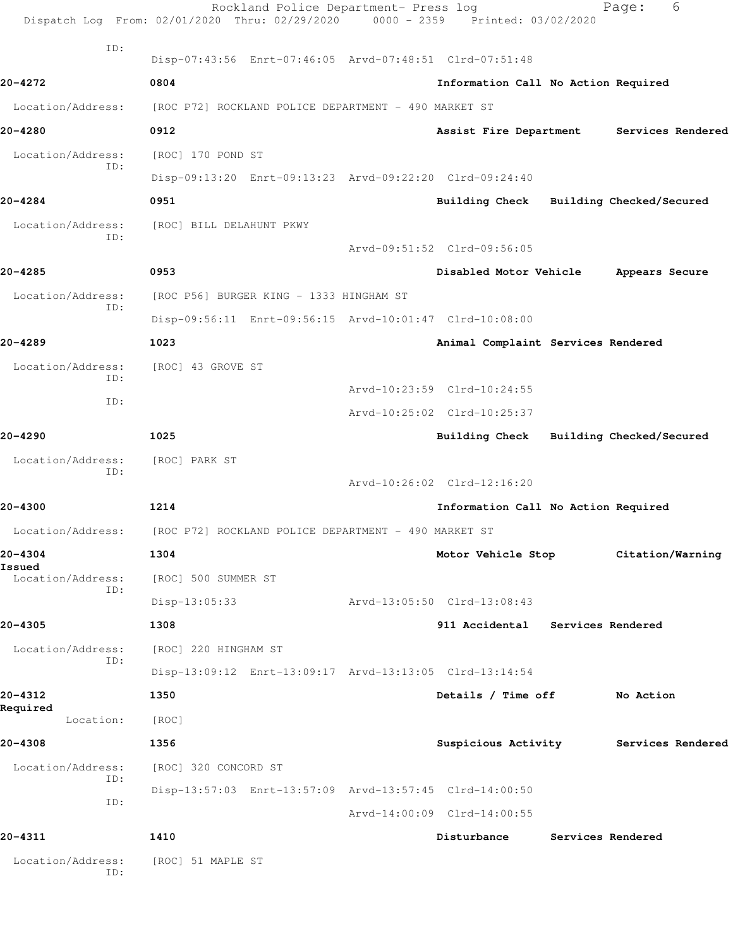|                             | Rockland Police Department- Press log<br>Dispatch Log From: 02/01/2020 Thru: 02/29/2020 0000 - 2359 Printed: 03/02/2020 |                                          | 6<br>Page:        |  |
|-----------------------------|-------------------------------------------------------------------------------------------------------------------------|------------------------------------------|-------------------|--|
| ID:                         | Disp-07:43:56 Enrt-07:46:05 Arvd-07:48:51 Clrd-07:51:48                                                                 |                                          |                   |  |
| 20-4272                     | 0804                                                                                                                    | Information Call No Action Required      |                   |  |
| Location/Address:           | [ROC P72] ROCKLAND POLICE DEPARTMENT - 490 MARKET ST                                                                    |                                          |                   |  |
| 20-4280                     | 0912                                                                                                                    | Assist Fire Department Services Rendered |                   |  |
|                             | [ROC] 170 POND ST                                                                                                       |                                          |                   |  |
| Location/Address:<br>ID:    |                                                                                                                         |                                          |                   |  |
| 20-4284                     | Disp-09:13:20 Enrt-09:13:23 Arvd-09:22:20 Clrd-09:24:40                                                                 |                                          |                   |  |
|                             | 0951                                                                                                                    | Building Check Building Checked/Secured  |                   |  |
| Location/Address:<br>ID:    | [ROC] BILL DELAHUNT PKWY                                                                                                |                                          |                   |  |
|                             |                                                                                                                         | Arvd-09:51:52 Clrd-09:56:05              |                   |  |
| 20-4285                     | 0953                                                                                                                    | Disabled Motor Vehicle Appears Secure    |                   |  |
| Location/Address:<br>ID:    | [ROC P56] BURGER KING - 1333 HINGHAM ST                                                                                 |                                          |                   |  |
|                             | Disp-09:56:11 Enrt-09:56:15 Arvd-10:01:47 Clrd-10:08:00                                                                 |                                          |                   |  |
| 20-4289                     | 1023                                                                                                                    | Animal Complaint Services Rendered       |                   |  |
| Location/Address:<br>ID:    | [ROC] 43 GROVE ST                                                                                                       |                                          |                   |  |
| ID:                         |                                                                                                                         | Arvd-10:23:59 Clrd-10:24:55              |                   |  |
|                             |                                                                                                                         | Arvd-10:25:02 Clrd-10:25:37              |                   |  |
| 20-4290                     | 1025                                                                                                                    | Building Check Building Checked/Secured  |                   |  |
| Location/Address:           | [ROC] PARK ST                                                                                                           |                                          |                   |  |
| ID:                         |                                                                                                                         | Arvd-10:26:02 Clrd-12:16:20              |                   |  |
| 20-4300                     | 1214                                                                                                                    | Information Call No Action Required      |                   |  |
| Location/Address:           | [ROC P72] ROCKLAND POLICE DEPARTMENT - 490 MARKET ST                                                                    |                                          |                   |  |
| 20-4304                     | 1304                                                                                                                    | Motor Vehicle Stop                       | Citation/Warning  |  |
| Issued<br>Location/Address: | [ROC] 500 SUMMER ST                                                                                                     |                                          |                   |  |
| ID:                         | $Disp-13:05:33$                                                                                                         | Arvd-13:05:50 Clrd-13:08:43              |                   |  |
| 20-4305                     | 1308                                                                                                                    | 911 Accidental Services Rendered         |                   |  |
| Location/Address:           | [ROC] 220 HINGHAM ST                                                                                                    |                                          |                   |  |
| ID:                         | Disp-13:09:12 Enrt-13:09:17 Arvd-13:13:05 Clrd-13:14:54                                                                 |                                          |                   |  |
| 20-4312                     | 1350                                                                                                                    | Details / Time off                       | No Action         |  |
| Required<br>Location:       | [ROC]                                                                                                                   |                                          |                   |  |
| 20-4308                     | 1356                                                                                                                    | Suspicious Activity Services Rendered    |                   |  |
| Location/Address:           | [ROC] 320 CONCORD ST                                                                                                    |                                          |                   |  |
| ID:                         |                                                                                                                         |                                          |                   |  |
| ID:                         | Disp-13:57:03 Enrt-13:57:09 Arvd-13:57:45 Clrd-14:00:50                                                                 |                                          |                   |  |
|                             |                                                                                                                         | Arvd-14:00:09 Clrd-14:00:55              |                   |  |
| 20-4311                     | 1410                                                                                                                    | Disturbance                              | Services Rendered |  |
| Location/Address:<br>ID:    | [ROC] 51 MAPLE ST                                                                                                       |                                          |                   |  |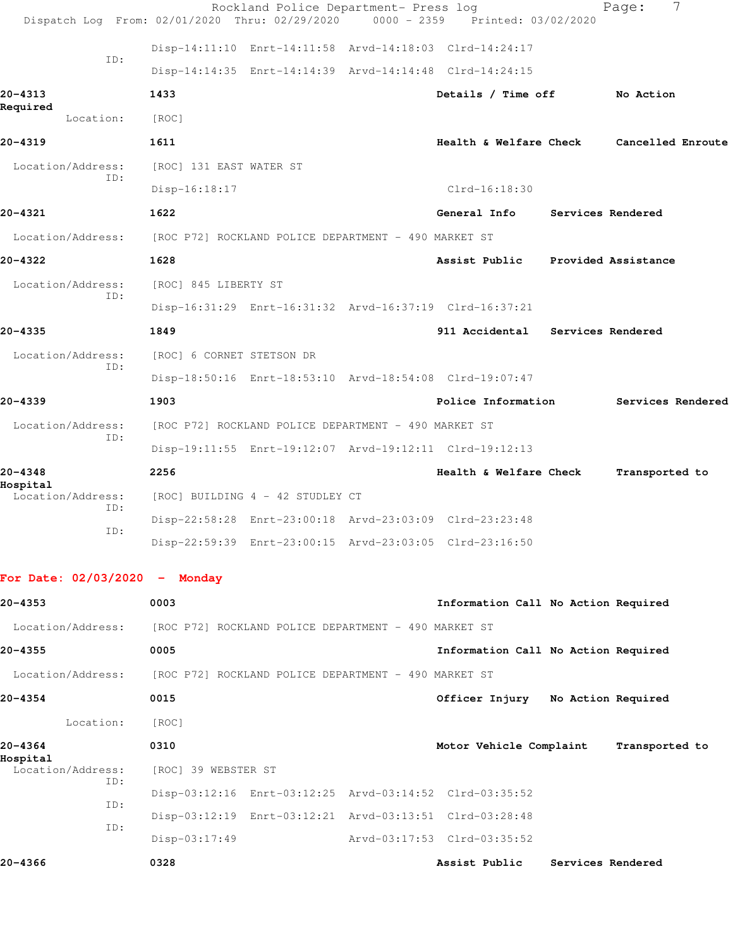|                                 | Rockland Police Department- Press log<br>Dispatch Log From: 02/01/2020 Thru: 02/29/2020<br>$0000 - 2359$ | Printed: 03/02/2020                 | 7<br>Page:          |
|---------------------------------|----------------------------------------------------------------------------------------------------------|-------------------------------------|---------------------|
|                                 |                                                                                                          |                                     |                     |
| ID:                             | Disp-14:11:10 Enrt-14:11:58 Arvd-14:18:03 Clrd-14:24:17                                                  |                                     |                     |
|                                 | Disp-14:14:35 Enrt-14:14:39 Arvd-14:14:48 Clrd-14:24:15                                                  |                                     |                     |
| 20-4313<br>Required             | 1433                                                                                                     | Details / Time off                  | No Action           |
| Location:                       | [ROC]                                                                                                    |                                     |                     |
| 20-4319                         | 1611                                                                                                     | Health & Welfare Check              | Cancelled Enroute   |
| Location/Address:<br>ID:        | [ROC] 131 EAST WATER ST                                                                                  |                                     |                     |
|                                 | $Disp-16:18:17$                                                                                          | $Clrd-16:18:30$                     |                     |
| 20-4321                         | 1622                                                                                                     | General Info                        | Services Rendered   |
| Location/Address:               | [ROC P72] ROCKLAND POLICE DEPARTMENT - 490 MARKET ST                                                     |                                     |                     |
| 20-4322                         | 1628                                                                                                     | Assist Public                       | Provided Assistance |
| Location/Address:<br>ID:        | [ROC] 845 LIBERTY ST                                                                                     |                                     |                     |
|                                 | Disp-16:31:29 Enrt-16:31:32 Arvd-16:37:19 Clrd-16:37:21                                                  |                                     |                     |
| 20-4335                         | 1849                                                                                                     | 911 Accidental Services Rendered    |                     |
| Location/Address:               | [ROC] 6 CORNET STETSON DR                                                                                |                                     |                     |
| ID:                             | Disp-18:50:16 Enrt-18:53:10 Arvd-18:54:08 Clrd-19:07:47                                                  |                                     |                     |
| 20-4339                         | 1903                                                                                                     | Police Information                  | Services Rendered   |
| Location/Address:               | [ROC P72] ROCKLAND POLICE DEPARTMENT - 490 MARKET ST                                                     |                                     |                     |
| ID:                             | Disp-19:11:55 Enrt-19:12:07 Arvd-19:12:11 Clrd-19:12:13                                                  |                                     |                     |
| 20-4348                         | 2256                                                                                                     | Health & Welfare Check              | Transported to      |
| Hospital<br>Location/Address:   | [ROC] BUILDING 4 - 42 STUDLEY CT                                                                         |                                     |                     |
| ID:                             | Disp-22:58:28 Enrt-23:00:18 Arvd-23:03:09 Clrd-23:23:48                                                  |                                     |                     |
| ID:                             | Disp-22:59:39 Enrt-23:00:15 Arvd-23:03:05 Clrd-23:16:50                                                  |                                     |                     |
|                                 |                                                                                                          |                                     |                     |
| For Date: $02/03/2020 -$ Monday |                                                                                                          |                                     |                     |
| 20-4353                         | 0003                                                                                                     | Information Call No Action Required |                     |
| Location/Address:               | [ROC P72] ROCKLAND POLICE DEPARTMENT - 490 MARKET ST                                                     |                                     |                     |
| 20-4355                         | 0005                                                                                                     | Information Call No Action Required |                     |
| Location/Address:               | [ROC P72] ROCKLAND POLICE DEPARTMENT - 490 MARKET ST                                                     |                                     |                     |
| 20-4354                         | 0015                                                                                                     | Officer Injury No Action Required   |                     |
| Location:                       | [ROC]                                                                                                    |                                     |                     |
| 20-4364                         | 0310                                                                                                     | Motor Vehicle Complaint             | Transported to      |

**Hospital**  Location/Address: [ROC] 39 WEBSTER ST ID: Disp-03:12:16 Enrt-03:12:25 Arvd-03:14:52 Clrd-03:35:52 ID: Disp-03:12:19 Enrt-03:12:21 Arvd-03:13:51 Clrd-03:28:48 ID: Disp-03:17:49 Arvd-03:17:53 Clrd-03:35:52

**20-4366 0328 Assist Public Services Rendered**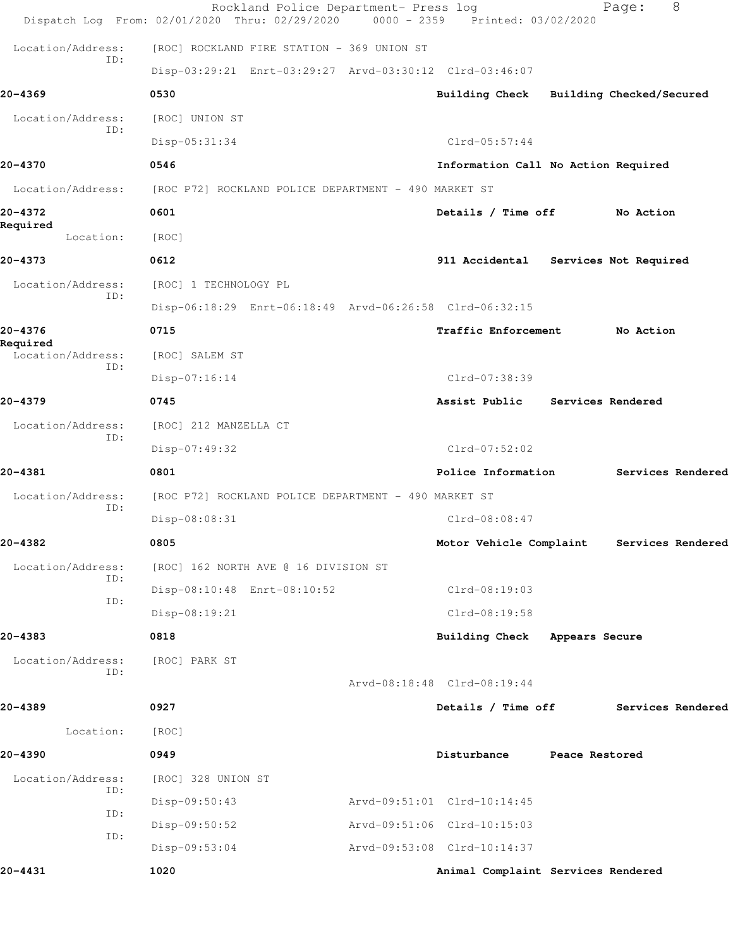|                               | Rockland Police Department- Press log<br>Dispatch Log From: 02/01/2020 Thru: 02/29/2020 | $0000 - 2359$ | Printed: 03/02/2020                 |                          | 8<br>Page:               |  |
|-------------------------------|-----------------------------------------------------------------------------------------|---------------|-------------------------------------|--------------------------|--------------------------|--|
| Location/Address:             | [ROC] ROCKLAND FIRE STATION - 369 UNION ST                                              |               |                                     |                          |                          |  |
| ID:                           | Disp-03:29:21 Enrt-03:29:27 Arvd-03:30:12 Clrd-03:46:07                                 |               |                                     |                          |                          |  |
| 20-4369                       | 0530                                                                                    |               | <b>Building Check</b>               |                          | Building Checked/Secured |  |
| Location/Address:             | [ROC] UNION ST                                                                          |               |                                     |                          |                          |  |
| ID:                           | Disp-05:31:34                                                                           |               | $Clrd-05:57:44$                     |                          |                          |  |
| 20-4370                       | 0546                                                                                    |               | Information Call No Action Required |                          |                          |  |
| Location/Address:             | [ROC P72] ROCKLAND POLICE DEPARTMENT - 490 MARKET ST                                    |               |                                     |                          |                          |  |
| 20-4372                       | 0601                                                                                    |               | Details / Time off                  |                          | No Action                |  |
| Required<br>Location:         | [ROC]                                                                                   |               |                                     |                          |                          |  |
| 20-4373                       | 0612                                                                                    |               | 911 Accidental                      |                          | Services Not Required    |  |
| Location/Address:             | [ROC] 1 TECHNOLOGY PL                                                                   |               |                                     |                          |                          |  |
| ID:                           | Disp-06:18:29 Enrt-06:18:49 Arvd-06:26:58 Clrd-06:32:15                                 |               |                                     |                          |                          |  |
| 20-4376                       | 0715                                                                                    |               | Traffic Enforcement                 |                          | No Action                |  |
| Required<br>Location/Address: | [ROC] SALEM ST                                                                          |               |                                     |                          |                          |  |
| ID:                           | $Disp-07:16:14$                                                                         |               | Clrd-07:38:39                       |                          |                          |  |
| 20-4379                       | 0745                                                                                    |               | Assist Public                       | <b>Services Rendered</b> |                          |  |
| Location/Address:             | [ROC] 212 MANZELLA CT                                                                   |               |                                     |                          |                          |  |
| ID:                           | Disp-07:49:32                                                                           |               | $Clrd-07:52:02$                     |                          |                          |  |
| 20-4381                       | 0801                                                                                    |               | Police Information                  |                          | Services Rendered        |  |
| Location/Address:             | [ROC P72] ROCKLAND POLICE DEPARTMENT - 490 MARKET ST                                    |               |                                     |                          |                          |  |
| ID:                           | Disp-08:08:31                                                                           |               | $Clrd-08:08:47$                     |                          |                          |  |
| 20-4382                       | 0805                                                                                    |               | Motor Vehicle Complaint             |                          | Services Rendered        |  |
| Location/Address:<br>ID:      | [ROC] 162 NORTH AVE @ 16 DIVISION ST                                                    |               |                                     |                          |                          |  |
| ID:                           | Disp-08:10:48 Enrt-08:10:52                                                             |               | Clrd-08:19:03                       |                          |                          |  |
|                               | Disp-08:19:21                                                                           |               | $Clrd-08:19:58$                     |                          |                          |  |
| 20-4383                       | 0818                                                                                    |               | Building Check                      | Appears Secure           |                          |  |
| Location/Address:<br>ID:      | [ROC] PARK ST                                                                           |               |                                     |                          |                          |  |
|                               |                                                                                         |               | Arvd-08:18:48 Clrd-08:19:44         |                          |                          |  |
| 20-4389                       | 0927                                                                                    |               | Details / Time off                  |                          | Services Rendered        |  |
| Location:                     | [ROC]                                                                                   |               |                                     |                          |                          |  |
| 20-4390                       | 0949                                                                                    |               | Disturbance                         | Peace Restored           |                          |  |
| Location/Address:<br>ID:      | [ROC] 328 UNION ST                                                                      |               |                                     |                          |                          |  |
| ID:                           | Disp-09:50:43                                                                           |               | Arvd-09:51:01 Clrd-10:14:45         |                          |                          |  |
| ID:                           | Disp-09:50:52                                                                           |               | Arvd-09:51:06 Clrd-10:15:03         |                          |                          |  |
|                               | $Disp-09:53:04$                                                                         |               | Arvd-09:53:08 Clrd-10:14:37         |                          |                          |  |
| 20-4431                       | 1020                                                                                    |               | Animal Complaint Services Rendered  |                          |                          |  |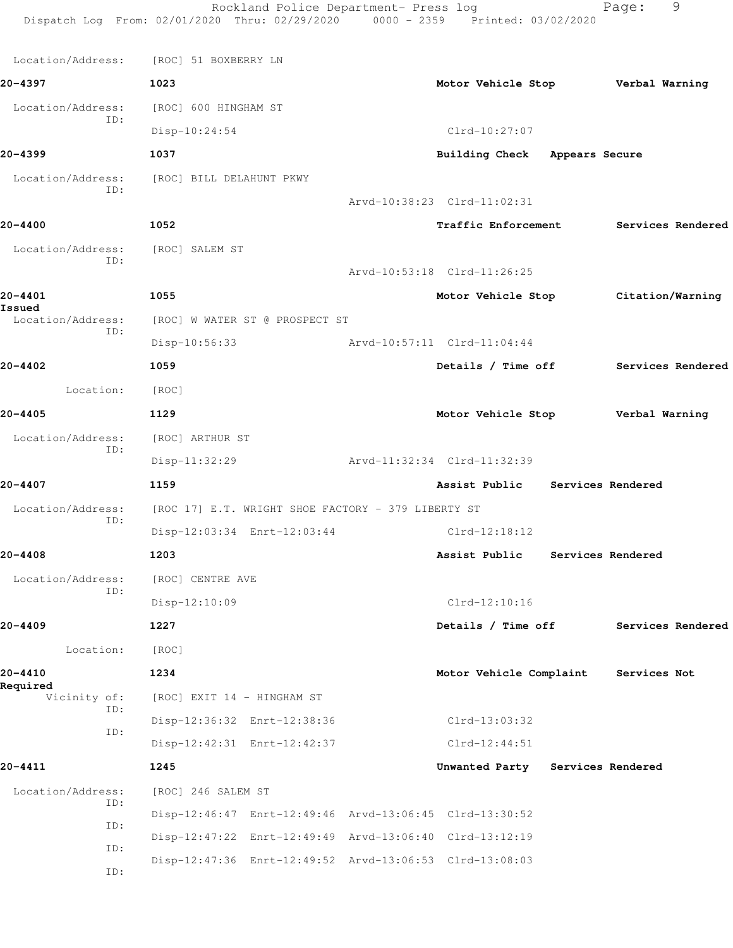|                             | Rockland Police Department- Press log<br>Dispatch Log From: 02/01/2020 Thru: 02/29/2020 0000 - 2359 Printed: 03/02/2020 |                                      | Page:             | 9                 |
|-----------------------------|-------------------------------------------------------------------------------------------------------------------------|--------------------------------------|-------------------|-------------------|
| Location/Address:           | [ROC] 51 BOXBERRY LN                                                                                                    |                                      |                   |                   |
| 20-4397                     | 1023                                                                                                                    | Motor Vehicle Stop Verbal Warning    |                   |                   |
| Location/Address:           | [ROC] 600 HINGHAM ST                                                                                                    |                                      |                   |                   |
| ID:                         | Disp-10:24:54                                                                                                           | $Clrd-10:27:07$                      |                   |                   |
| 20-4399                     | 1037                                                                                                                    | Building Check Appears Secure        |                   |                   |
| Location/Address:           | [ROC] BILL DELAHUNT PKWY                                                                                                |                                      |                   |                   |
| ID:                         |                                                                                                                         | Arvd-10:38:23 Clrd-11:02:31          |                   |                   |
| 20-4400                     | 1052                                                                                                                    | <b>Traffic Enforcement</b>           |                   | Services Rendered |
| Location/Address:           | [ROC] SALEM ST                                                                                                          |                                      |                   |                   |
| ID:                         |                                                                                                                         | Arvd-10:53:18 Clrd-11:26:25          |                   |                   |
| 20-4401                     | 1055                                                                                                                    | Motor Vehicle Stop                   | Citation/Warning  |                   |
| Issued<br>Location/Address: | [ROC] W WATER ST @ PROSPECT ST                                                                                          |                                      |                   |                   |
| ID:                         | Disp-10:56:33                                                                                                           | Arvd-10:57:11 Clrd-11:04:44          |                   |                   |
| 20-4402                     | 1059                                                                                                                    | Details / Time off Services Rendered |                   |                   |
| Location:                   | [ROC]                                                                                                                   |                                      |                   |                   |
| 20-4405                     | 1129                                                                                                                    | Motor Vehicle Stop Verbal Warning    |                   |                   |
| Location/Address:           | [ROC] ARTHUR ST                                                                                                         |                                      |                   |                   |
| ID:                         | Disp-11:32:29                                                                                                           | Arvd-11:32:34 Clrd-11:32:39          |                   |                   |
| 20-4407                     | 1159                                                                                                                    | Assist Public Services Rendered      |                   |                   |
| Location/Address:<br>ID:    | [ROC 17] E.T. WRIGHT SHOE FACTORY - 379 LIBERTY ST                                                                      |                                      |                   |                   |
|                             | Disp-12:03:34 Enrt-12:03:44                                                                                             | $Clrd-12:18:12$                      |                   |                   |
| 20-4408                     | 1203                                                                                                                    | Assist Public                        | Services Rendered |                   |
| Location/Address:<br>ID:    | [ROC] CENTRE AVE                                                                                                        |                                      |                   |                   |
|                             | Disp-12:10:09                                                                                                           | $Clrd-12:10:16$                      |                   |                   |
| 20-4409                     | 1227                                                                                                                    | Details / Time off                   |                   | Services Rendered |
| Location:                   | [ROC]                                                                                                                   |                                      |                   |                   |
| 20-4410<br>Required         | 1234                                                                                                                    | Motor Vehicle Complaint              | Services Not      |                   |
| Vicinity of:<br>ID:         | [ROC] EXIT 14 - HINGHAM ST                                                                                              |                                      |                   |                   |
| ID:                         | Disp-12:36:32 Enrt-12:38:36                                                                                             | Clrd-13:03:32                        |                   |                   |
|                             | Disp-12:42:31 Enrt-12:42:37                                                                                             | $Clrd-12:44:51$                      |                   |                   |
| 20-4411                     | 1245                                                                                                                    | Unwanted Party Services Rendered     |                   |                   |
| Location/Address:<br>ID:    | [ROC] 246 SALEM ST                                                                                                      |                                      |                   |                   |
| ID:                         | Disp-12:46:47 Enrt-12:49:46 Arvd-13:06:45 Clrd-13:30:52                                                                 |                                      |                   |                   |
| ID:                         | Disp-12:47:22 Enrt-12:49:49 Arvd-13:06:40 Clrd-13:12:19                                                                 |                                      |                   |                   |
| ID:                         | Disp-12:47:36 Enrt-12:49:52 Arvd-13:06:53 Clrd-13:08:03                                                                 |                                      |                   |                   |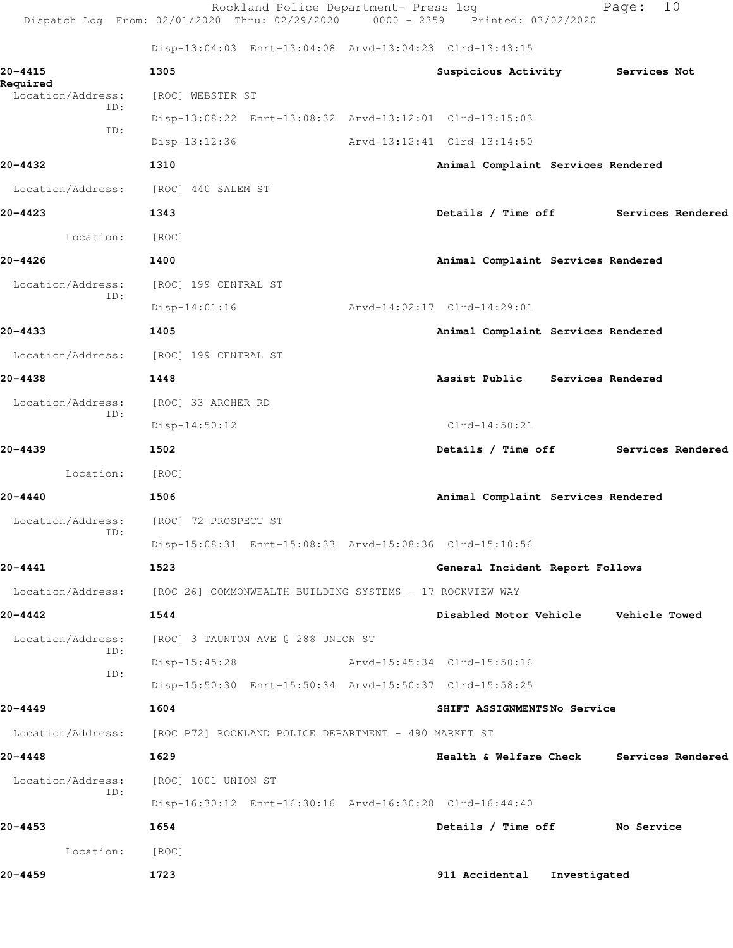|                               | Rockland Police Department- Press log<br>Dispatch Log From: 02/01/2020 Thru: 02/29/2020 0000 - 2359 Printed: 03/02/2020 |                                          |              | Page:        | 10                |
|-------------------------------|-------------------------------------------------------------------------------------------------------------------------|------------------------------------------|--------------|--------------|-------------------|
|                               | Disp-13:04:03 Enrt-13:04:08 Arvd-13:04:23 Clrd-13:43:15                                                                 |                                          |              |              |                   |
| 20-4415                       | 1305                                                                                                                    | Suspicious Activity                      |              | Services Not |                   |
| Required<br>Location/Address: | [ROC] WEBSTER ST                                                                                                        |                                          |              |              |                   |
| ID:                           | Disp-13:08:22 Enrt-13:08:32 Arvd-13:12:01 Clrd-13:15:03                                                                 |                                          |              |              |                   |
| ID:                           | Disp-13:12:36                                                                                                           | Arvd-13:12:41 Clrd-13:14:50              |              |              |                   |
| 20-4432                       | 1310                                                                                                                    | Animal Complaint Services Rendered       |              |              |                   |
| Location/Address:             | [ROC] 440 SALEM ST                                                                                                      |                                          |              |              |                   |
| 20-4423                       | 1343                                                                                                                    | Details / Time off                       |              |              | Services Rendered |
| Location:                     | [ROC]                                                                                                                   |                                          |              |              |                   |
| 20-4426                       | 1400                                                                                                                    | Animal Complaint Services Rendered       |              |              |                   |
| Location/Address:             | [ROC] 199 CENTRAL ST                                                                                                    |                                          |              |              |                   |
| ID:                           | $Disp-14:01:16$                                                                                                         | Arvd-14:02:17 Clrd-14:29:01              |              |              |                   |
| 20-4433                       | 1405                                                                                                                    | Animal Complaint Services Rendered       |              |              |                   |
| Location/Address:             | [ROC] 199 CENTRAL ST                                                                                                    |                                          |              |              |                   |
| 20-4438                       | 1448                                                                                                                    | Assist Public Services Rendered          |              |              |                   |
| Location/Address:             | [ROC] 33 ARCHER RD                                                                                                      |                                          |              |              |                   |
| ID:                           | $Disp-14:50:12$                                                                                                         | $Clrd-14:50:21$                          |              |              |                   |
| 20-4439                       | 1502                                                                                                                    | Details / Time off                       |              |              | Services Rendered |
| Location:                     | [ROC]                                                                                                                   |                                          |              |              |                   |
| $20 - 4440$                   | 1506                                                                                                                    | Animal Complaint Services Rendered       |              |              |                   |
| Location/Address:             | [ROC] 72 PROSPECT ST                                                                                                    |                                          |              |              |                   |
| ID:                           | Disp-15:08:31 Enrt-15:08:33 Arvd-15:08:36 Clrd-15:10:56                                                                 |                                          |              |              |                   |
| 20-4441                       | 1523                                                                                                                    | General Incident Report Follows          |              |              |                   |
|                               | Location/Address: [ROC 26] COMMONWEALTH BUILDING SYSTEMS - 17 ROCKVIEW WAY                                              |                                          |              |              |                   |
| 20-4442                       | 1544                                                                                                                    | Disabled Motor Vehicle Vehicle Towed     |              |              |                   |
| Location/Address:<br>ID:      | [ROC] 3 TAUNTON AVE @ 288 UNION ST                                                                                      |                                          |              |              |                   |
| ID:                           | $Disp-15:45:28$                                                                                                         | Arvd-15:45:34 Clrd-15:50:16              |              |              |                   |
|                               | Disp-15:50:30 Enrt-15:50:34 Arvd-15:50:37 Clrd-15:58:25                                                                 |                                          |              |              |                   |
| 20-4449                       | 1604                                                                                                                    | SHIFT ASSIGNMENTSNo Service              |              |              |                   |
| Location/Address:             | [ROC P72] ROCKLAND POLICE DEPARTMENT - 490 MARKET ST                                                                    |                                          |              |              |                   |
| 20-4448                       | 1629                                                                                                                    | Health & Welfare Check Services Rendered |              |              |                   |
| Location/Address:<br>ID:      | [ROC] 1001 UNION ST                                                                                                     |                                          |              |              |                   |
|                               | Disp-16:30:12 Enrt-16:30:16 Arvd-16:30:28 Clrd-16:44:40                                                                 |                                          |              |              |                   |
| $20 - 4453$                   | 1654                                                                                                                    | Details / Time off                       |              | No Service   |                   |
| Location:                     | [ROC]                                                                                                                   |                                          |              |              |                   |
| 20-4459                       | 1723                                                                                                                    | 911 Accidental                           | Investigated |              |                   |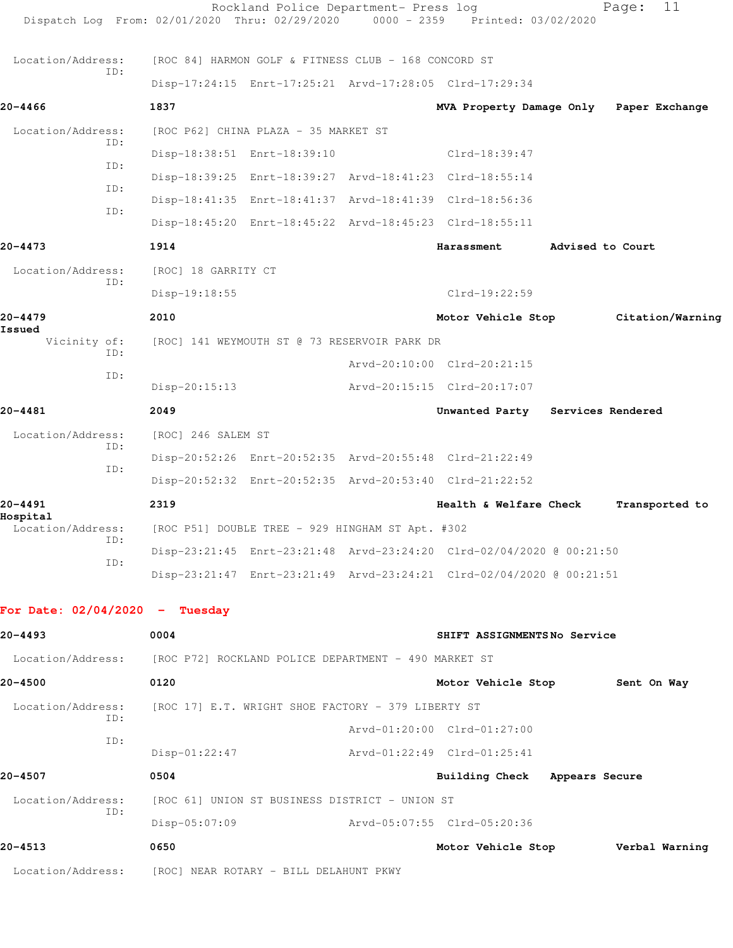|                                  |            |                     | Rockland Police Department- Press log                                  | Dispatch Log From: 02/01/2020 Thru: 02/29/2020 0000 - 2359 Printed: 03/02/2020 |                  | 11<br>Page:      |
|----------------------------------|------------|---------------------|------------------------------------------------------------------------|--------------------------------------------------------------------------------|------------------|------------------|
| Location/Address:                |            |                     | [ROC 84] HARMON GOLF & FITNESS CLUB - 168 CONCORD ST                   |                                                                                |                  |                  |
|                                  | ID:        |                     |                                                                        | Disp-17:24:15 Enrt-17:25:21 Arvd-17:28:05 Clrd-17:29:34                        |                  |                  |
| 20-4466                          |            | 1837                |                                                                        | MVA Property Damage Only                                                       |                  | Paper Exchange   |
| Location/Address:                |            |                     | [ROC P62] CHINA PLAZA - 35 MARKET ST                                   |                                                                                |                  |                  |
|                                  | ID:        |                     | Disp-18:38:51 Enrt-18:39:10                                            | Clrd-18:39:47                                                                  |                  |                  |
|                                  | ID:        |                     |                                                                        | Disp-18:39:25 Enrt-18:39:27 Arvd-18:41:23 Clrd-18:55:14                        |                  |                  |
|                                  | ID:<br>ID: |                     |                                                                        | Disp-18:41:35 Enrt-18:41:37 Arvd-18:41:39 Clrd-18:56:36                        |                  |                  |
|                                  |            |                     |                                                                        | Disp-18:45:20 Enrt-18:45:22 Arvd-18:45:23 Clrd-18:55:11                        |                  |                  |
| 20-4473                          |            | 1914                |                                                                        | Harassment                                                                     | Advised to Court |                  |
| Location/Address:                | ID:        | [ROC] 18 GARRITY CT |                                                                        |                                                                                |                  |                  |
|                                  |            | Disp-19:18:55       |                                                                        | $Clrd-19:22:59$                                                                |                  |                  |
| $20 - 4479$<br>Issued            |            | 2010                |                                                                        | Motor Vehicle Stop                                                             |                  | Citation/Warning |
| Vicinity of:                     | TD:        |                     | [ROC] 141 WEYMOUTH ST @ 73 RESERVOIR PARK DR                           |                                                                                |                  |                  |
|                                  | ID:        |                     |                                                                        | Arvd-20:10:00 Clrd-20:21:15                                                    |                  |                  |
|                                  |            | Disp-20:15:13       |                                                                        | Arvd-20:15:15 Clrd-20:17:07                                                    |                  |                  |
| $20 - 4481$                      |            | 2049                |                                                                        | Unwanted Party Services Rendered                                               |                  |                  |
| Location/Address:                | ID:        | [ROC] 246 SALEM ST  |                                                                        |                                                                                |                  |                  |
|                                  | ID:        |                     |                                                                        | Disp-20:52:26 Enrt-20:52:35 Arvd-20:55:48 Clrd-21:22:49                        |                  |                  |
|                                  |            |                     |                                                                        | Disp-20:52:32 Enrt-20:52:35 Arvd-20:53:40 Clrd-21:22:52                        |                  |                  |
| 20-4491<br>Hospital              |            | 2319                |                                                                        | Health & Welfare Check                                                         |                  | Transported to   |
|                                  | ID:        |                     | Location/Address: [ROC P51] DOUBLE TREE - 929 HINGHAM ST Apt. #302     |                                                                                |                  |                  |
|                                  | ID:        |                     |                                                                        | Disp-23:21:45 Enrt-23:21:48 Arvd-23:24:20 Clrd-02/04/2020 @ 00:21:50           |                  |                  |
|                                  |            |                     |                                                                        | Disp-23:21:47 Enrt-23:21:49 Arvd-23:24:21 Clrd-02/04/2020 @ 00:21:51           |                  |                  |
| For Date: $02/04/2020 -$ Tuesday |            |                     |                                                                        |                                                                                |                  |                  |
| 20-4493                          |            | 0004                |                                                                        | SHIFT ASSIGNMENTSNo Service                                                    |                  |                  |
|                                  |            |                     | Location/Address: [ROC P72] ROCKLAND POLICE DEPARTMENT - 490 MARKET ST |                                                                                |                  |                  |
| 20-4500                          |            | 0120                |                                                                        | Motor Vehicle Stop                                                             |                  | Sent On Way      |
| Location/Address:                |            |                     | [ROC 17] E.T. WRIGHT SHOE FACTORY - 379 LIBERTY ST                     |                                                                                |                  |                  |
|                                  | ID:<br>ID: |                     |                                                                        | Arvd-01:20:00 Clrd-01:27:00                                                    |                  |                  |
|                                  |            | $Disp-01:22:47$     |                                                                        | Arvd-01:22:49 Clrd-01:25:41                                                    |                  |                  |
| 20-4507                          |            | 0504                |                                                                        | Building Check Appears Secure                                                  |                  |                  |
| Location/Address:                | ID:        |                     | [ROC 61] UNION ST BUSINESS DISTRICT - UNION ST                         |                                                                                |                  |                  |
|                                  |            | Disp-05:07:09       |                                                                        | Arvd-05:07:55 Clrd-05:20:36                                                    |                  |                  |
| 20-4513                          |            | 0650                |                                                                        | Motor Vehicle Stop                                                             |                  | Verbal Warning   |
|                                  |            |                     | Location/Address: [ROC] NEAR ROTARY - BILL DELAHUNT PKWY               |                                                                                |                  |                  |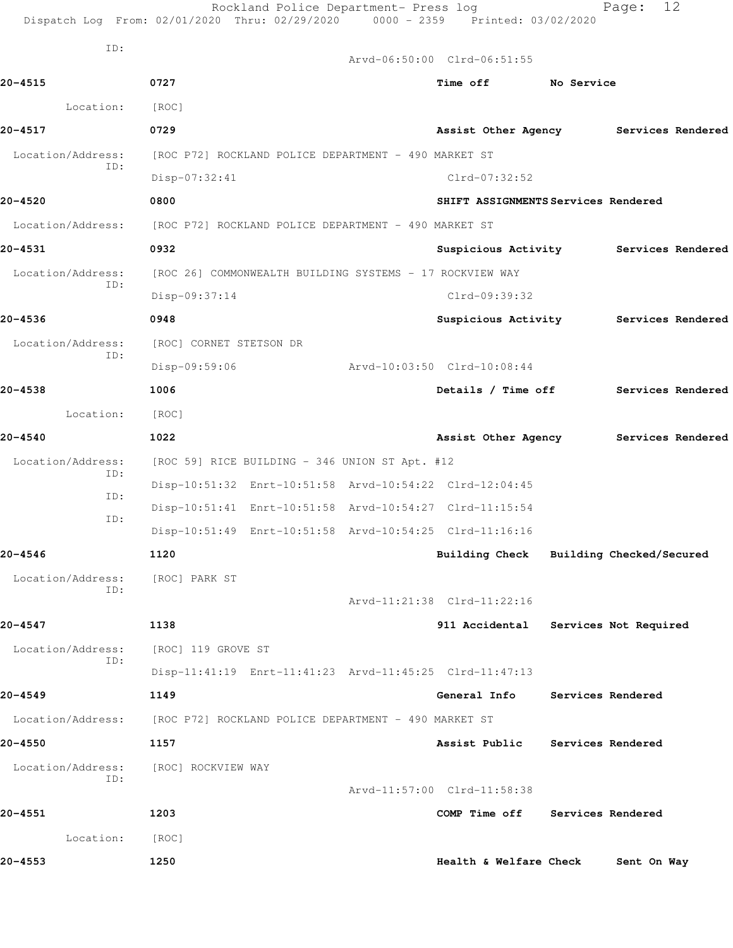|                          | Rockland Police Department- Press log<br>Dispatch Log From: 02/01/2020 Thru: 02/29/2020 0000 - 2359 Printed: 03/02/2020 |                             | 12<br>Page:                             |
|--------------------------|-------------------------------------------------------------------------------------------------------------------------|-----------------------------|-----------------------------------------|
| ID:                      |                                                                                                                         |                             |                                         |
|                          |                                                                                                                         | Arvd-06:50:00 Clrd-06:51:55 |                                         |
| $20 - 4515$              | 0727                                                                                                                    | Time off No Service         |                                         |
| Location:                | [ROC]                                                                                                                   |                             |                                         |
| 20-4517                  | 0729                                                                                                                    |                             | Assist Other Agency Services Rendered   |
| Location/Address:<br>ID: | [ROC P72] ROCKLAND POLICE DEPARTMENT - 490 MARKET ST                                                                    |                             |                                         |
|                          | $Disp-07:32:41$                                                                                                         | Clrd-07:32:52               |                                         |
| 20-4520                  | 0800                                                                                                                    |                             | SHIFT ASSIGNMENTS Services Rendered     |
| Location/Address:        | [ROC P72] ROCKLAND POLICE DEPARTMENT - 490 MARKET ST                                                                    |                             |                                         |
| 20-4531                  | 0932                                                                                                                    |                             | Suspicious Activity Services Rendered   |
| Location/Address:<br>ID: | [ROC 26] COMMONWEALTH BUILDING SYSTEMS - 17 ROCKVIEW WAY                                                                |                             |                                         |
|                          | Disp-09:37:14                                                                                                           | Clrd-09:39:32               |                                         |
| 20-4536                  | 0948                                                                                                                    |                             | Suspicious Activity Services Rendered   |
| Location/Address:<br>ID: | [ROC] CORNET STETSON DR                                                                                                 |                             |                                         |
|                          | Disp-09:59:06                                                                                                           | Arvd-10:03:50 Clrd-10:08:44 |                                         |
| 20-4538                  | 1006                                                                                                                    |                             | Details / Time off Services Rendered    |
| Location:                | [ROC]                                                                                                                   |                             |                                         |
| 20-4540                  | 1022                                                                                                                    |                             | Assist Other Agency Services Rendered   |
| Location/Address:<br>ID: | [ROC 59] RICE BUILDING - 346 UNION ST Apt. #12                                                                          |                             |                                         |
| ID:                      | Disp-10:51:32 Enrt-10:51:58 Arvd-10:54:22 Clrd-12:04:45                                                                 |                             |                                         |
| ID:                      | Disp-10:51:41 Enrt-10:51:58 Arvd-10:54:27 Clrd-11:15:54                                                                 |                             |                                         |
|                          | Disp-10:51:49 Enrt-10:51:58 Arvd-10:54:25 Clrd-11:16:16                                                                 |                             |                                         |
| 20-4546                  | 1120                                                                                                                    |                             | Building Check Building Checked/Secured |
| Location/Address:<br>ID: | [ROC] PARK ST                                                                                                           |                             |                                         |
|                          |                                                                                                                         | Arvd-11:21:38 Clrd-11:22:16 |                                         |
| $20 - 4547$              | 1138                                                                                                                    | 911 Accidental              | Services Not Required                   |
| Location/Address:<br>ID: | [ROC] 119 GROVE ST                                                                                                      |                             |                                         |
|                          | Disp-11:41:19 Enrt-11:41:23 Arvd-11:45:25 Clrd-11:47:13                                                                 |                             |                                         |
| 20-4549                  | 1149                                                                                                                    | General Info                | Services Rendered                       |
| Location/Address:        | [ROC P72] ROCKLAND POLICE DEPARTMENT - 490 MARKET ST                                                                    |                             |                                         |
| 20-4550                  | 1157                                                                                                                    | Assist Public               | Services Rendered                       |
| Location/Address:        | [ROC] ROCKVIEW WAY                                                                                                      |                             |                                         |
| ID:                      |                                                                                                                         | Arvd-11:57:00 Clrd-11:58:38 |                                         |
| 20-4551                  | 1203                                                                                                                    | COMP Time off               | Services Rendered                       |
| Location:                | [ROC]                                                                                                                   |                             |                                         |
| 20-4553                  | 1250                                                                                                                    | Health & Welfare Check      | Sent On Way                             |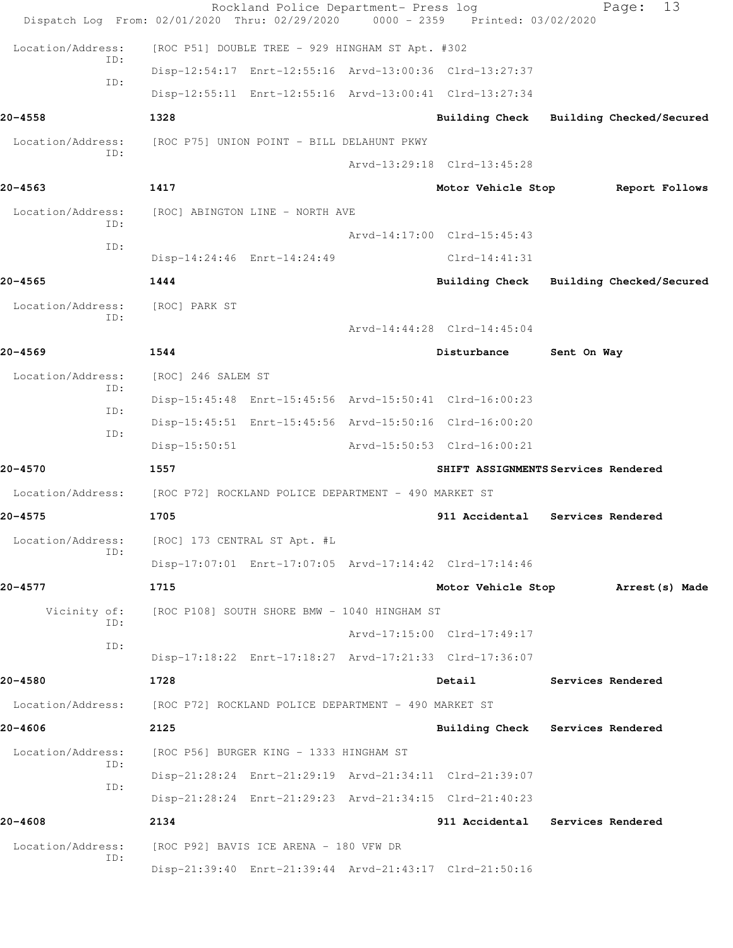| Dispatch Log From: 02/01/2020 Thru: 02/29/2020 0000 - 2359 Printed: 03/02/2020 |                    | Rockland Police Department- Press log                |                                                                           | 13<br>Page:                         |
|--------------------------------------------------------------------------------|--------------------|------------------------------------------------------|---------------------------------------------------------------------------|-------------------------------------|
| Location/Address:                                                              |                    | [ROC P51] DOUBLE TREE - 929 HINGHAM ST Apt. #302     |                                                                           |                                     |
| ID:                                                                            |                    |                                                      | Disp-12:54:17 Enrt-12:55:16 Arvd-13:00:36 Clrd-13:27:37                   |                                     |
| ID:                                                                            |                    |                                                      | Disp-12:55:11 Enrt-12:55:16 Arvd-13:00:41 Clrd-13:27:34                   |                                     |
| 20-4558                                                                        | 1328               |                                                      | <b>Building Check</b>                                                     | Building Checked/Secured            |
| Location/Address:                                                              |                    | [ROC P75] UNION POINT - BILL DELAHUNT PKWY           |                                                                           |                                     |
| ID:                                                                            |                    |                                                      | Arvd-13:29:18 Clrd-13:45:28                                               |                                     |
| $20 - 4563$                                                                    | 1417               |                                                      | Motor Vehicle Stop                                                        | Report Follows                      |
| Location/Address:<br>ID:                                                       |                    | [ROC] ABINGTON LINE - NORTH AVE                      |                                                                           |                                     |
| ID:                                                                            |                    |                                                      | Arvd-14:17:00 Clrd-15:45:43                                               |                                     |
|                                                                                |                    | Disp-14:24:46 Enrt-14:24:49                          | $Clrd-14:41:31$                                                           |                                     |
| $20 - 4565$                                                                    | 1444               |                                                      | Building Check                                                            | Building Checked/Secured            |
| Location/Address:<br>ID:                                                       | [ROC] PARK ST      |                                                      |                                                                           |                                     |
|                                                                                |                    |                                                      | Arvd-14:44:28 Clrd-14:45:04                                               |                                     |
| $20 - 4569$                                                                    | 1544               |                                                      | Disturbance                                                               | Sent On Way                         |
| Location/Address:<br>ID:                                                       | [ROC] 246 SALEM ST |                                                      |                                                                           |                                     |
| ID:                                                                            |                    |                                                      | Disp-15:45:48 Enrt-15:45:56 Arvd-15:50:41 Clrd-16:00:23                   |                                     |
| ID:                                                                            |                    |                                                      | Disp-15:45:51 Enrt-15:45:56 Arvd-15:50:16 Clrd-16:00:20                   |                                     |
|                                                                                | $Disp-15:50:51$    |                                                      | Arvd-15:50:53 Clrd-16:00:21                                               |                                     |
| $20 - 4570$                                                                    | 1557               |                                                      |                                                                           | SHIFT ASSIGNMENTS Services Rendered |
| Location/Address:                                                              |                    | [ROC P72] ROCKLAND POLICE DEPARTMENT - 490 MARKET ST |                                                                           |                                     |
| 20-4575                                                                        | 1705               |                                                      | 911 Accidental                                                            | Services Rendered                   |
| Location/Address:<br>ID:                                                       |                    | [ROC] 173 CENTRAL ST Apt. #L                         |                                                                           |                                     |
|                                                                                |                    |                                                      | Disp-17:07:01 Enrt-17:07:05 Arvd-17:14:42 Clrd-17:14:46                   |                                     |
| 20-4577                                                                        | 1715               |                                                      | Motor Vehicle Stop                                                        | Arrest(s) Made                      |
| Vicinity of:<br>ID:                                                            |                    | [ROC P108] SOUTH SHORE BMW - 1040 HINGHAM ST         |                                                                           |                                     |
| ID:                                                                            |                    |                                                      | Arvd-17:15:00 Clrd-17:49:17                                               |                                     |
|                                                                                |                    |                                                      | Disp-17:18:22 Enrt-17:18:27 Arvd-17:21:33 Clrd-17:36:07                   |                                     |
| 20-4580                                                                        | 1728               |                                                      | Detail                                                                    | Services Rendered                   |
| Location/Address:                                                              |                    | [ROC P72] ROCKLAND POLICE DEPARTMENT - 490 MARKET ST |                                                                           |                                     |
| 20-4606                                                                        | 2125               |                                                      | <b>Building Check</b>                                                     | Services Rendered                   |
| Location/Address:<br>ID:                                                       |                    | [ROC P56] BURGER KING - 1333 HINGHAM ST              |                                                                           |                                     |
| ID:                                                                            |                    |                                                      | Disp-21:28:24 Enrt-21:29:19 Arvd-21:34:11 Clrd-21:39:07                   |                                     |
| $20 - 4608$                                                                    | 2134               |                                                      | Disp-21:28:24 Enrt-21:29:23 Arvd-21:34:15 Clrd-21:40:23<br>911 Accidental | Services Rendered                   |
| Location/Address:                                                              |                    | [ROC P92] BAVIS ICE ARENA - 180 VFW DR               |                                                                           |                                     |
| ID:                                                                            |                    |                                                      | Disp-21:39:40 Enrt-21:39:44 Arvd-21:43:17 Clrd-21:50:16                   |                                     |
|                                                                                |                    |                                                      |                                                                           |                                     |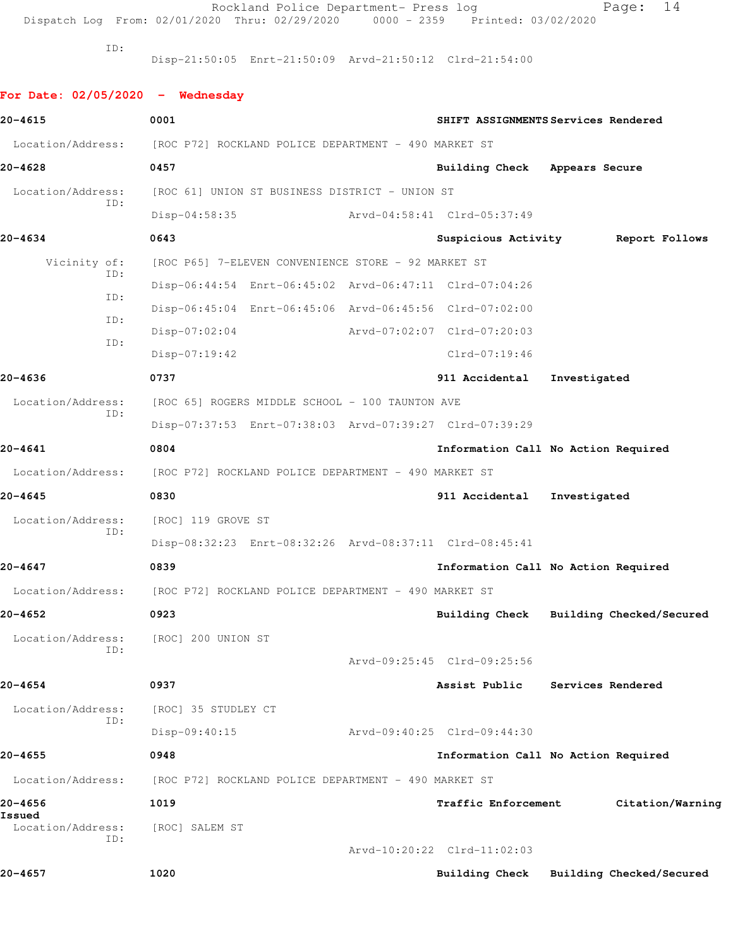Rockland Police Department- Press log Fage: 14

Dispatch Log From: 02/01/2020 Thru: 02/29/2020 0000 - 2359 Printed: 03/02/2020

ID:

Disp-21:50:05 Enrt-21:50:09 Arvd-21:50:12 Clrd-21:54:00

**For Date: 02/05/2020 - Wednesday 20-4615 0001 SHIFT ASSIGNMENTS Services Rendered** Location/Address: [ROC P72] ROCKLAND POLICE DEPARTMENT - 490 MARKET ST **20-4628 0457 Building Check Appears Secure** Location/Address: [ROC 61] UNION ST BUSINESS DISTRICT - UNION ST ID: Disp-04:58:35 Arvd-04:58:41 Clrd-05:37:49 **20-4634 0643 Suspicious Activity Report Follows** Vicinity of: [ROC P65] 7-ELEVEN CONVENIENCE STORE - 92 MARKET ST ID: Disp-06:44:54 Enrt-06:45:02 Arvd-06:47:11 Clrd-07:04:26 ID: Disp-06:45:04 Enrt-06:45:06 Arvd-06:45:56 Clrd-07:02:00 ID: Disp-07:02:04 Arvd-07:02:07 Clrd-07:20:03 ID: Disp-07:19:42 Clrd-07:19:46 **20-4636 0737 911 Accidental Investigated** Location/Address: [ROC 65] ROGERS MIDDLE SCHOOL - 100 TAUNTON AVE ID: Disp-07:37:53 Enrt-07:38:03 Arvd-07:39:27 Clrd-07:39:29 **20-4641 0804 Information Call No Action Required** Location/Address: [ROC P72] ROCKLAND POLICE DEPARTMENT - 490 MARKET ST **20-4645 0830 911 Accidental Investigated** Location/Address: [ROC] 119 GROVE ST ID: Disp-08:32:23 Enrt-08:32:26 Arvd-08:37:11 Clrd-08:45:41 **20-4647 0839 Information Call No Action Required** Location/Address: [ROC P72] ROCKLAND POLICE DEPARTMENT - 490 MARKET ST **20-4652 0923 Building Check Building Checked/Secured** Location/Address: [ROC] 200 UNION ST ID: Arvd-09:25:45 Clrd-09:25:56 **20-4654 0937 Assist Public Services Rendered** Location/Address: [ROC] 35 STUDLEY CT ID: Disp-09:40:15 Arvd-09:40:25 Clrd-09:44:30 **20-4655 0948 Information Call No Action Required** Location/Address: [ROC P72] ROCKLAND POLICE DEPARTMENT - 490 MARKET ST **20-4656 1019 Traffic Enforcement Citation/Warning Issued**  Location/Address: [ROC] SALEM ST ID: Arvd-10:20:22 Clrd-11:02:03 **20-4657 1020 Building Check Building Checked/Secured**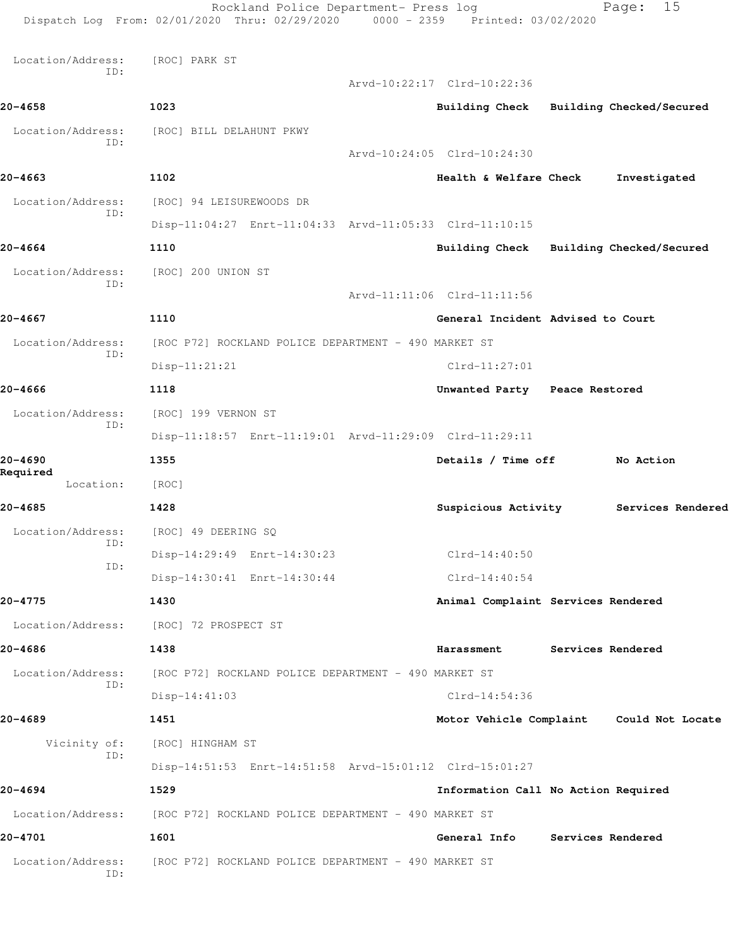Rockland Police Department- Press log Fage: 15 Dispatch Log From: 02/01/2020 Thru: 02/29/2020 0000 - 2359 Printed: 03/02/2020 Location/Address: [ROC] PARK ST ID: Arvd-10:22:17 Clrd-10:22:36 **20-4658 1023 Building Check Building Checked/Secured** Location/Address: [ROC] BILL DELAHUNT PKWY ID: Arvd-10:24:05 Clrd-10:24:30 **20-4663 1102 Health & Welfare Check Investigated** Location/Address: [ROC] 94 LEISUREWOODS DR ID: Disp-11:04:27 Enrt-11:04:33 Arvd-11:05:33 Clrd-11:10:15 **20-4664 1110 Building Check Building Checked/Secured** Location/Address: [ROC] 200 UNION ST ID: Arvd-11:11:06 Clrd-11:11:56 **20-4667 1110 General Incident Advised to Court** Location/Address: [ROC P72] ROCKLAND POLICE DEPARTMENT - 490 MARKET ST ID: Disp-11:21:21 Clrd-11:27:01 **20-4666 1118 Unwanted Party Peace Restored** Location/Address: [ROC] 199 VERNON ST ID: Disp-11:18:57 Enrt-11:19:01 Arvd-11:29:09 Clrd-11:29:11 **20-4690 1355 Details / Time off No Action Required**  Location: [ROC] **20-4685 1428 Suspicious Activity Services Rendered** Location/Address: [ROC] 49 DEERING SQ ID: Disp-14:29:49 Enrt-14:30:23 Clrd-14:40:50 ID: Disp-14:30:41 Enrt-14:30:44 Clrd-14:40:54 **20-4775 1430 Animal Complaint Services Rendered** Location/Address: [ROC] 72 PROSPECT ST **20-4686 1438 Harassment Services Rendered** Location/Address: [ROC P72] ROCKLAND POLICE DEPARTMENT - 490 MARKET ST ID: Disp-14:41:03 Clrd-14:54:36 **20-4689 1451 Motor Vehicle Complaint Could Not Locate** Vicinity of: [ROC] HINGHAM ST ID: Disp-14:51:53 Enrt-14:51:58 Arvd-15:01:12 Clrd-15:01:27 **20-4694 1529 Information Call No Action Required** Location/Address: [ROC P72] ROCKLAND POLICE DEPARTMENT - 490 MARKET ST **20-4701 1601 General Info Services Rendered** Location/Address: [ROC P72] ROCKLAND POLICE DEPARTMENT - 490 MARKET ST ID: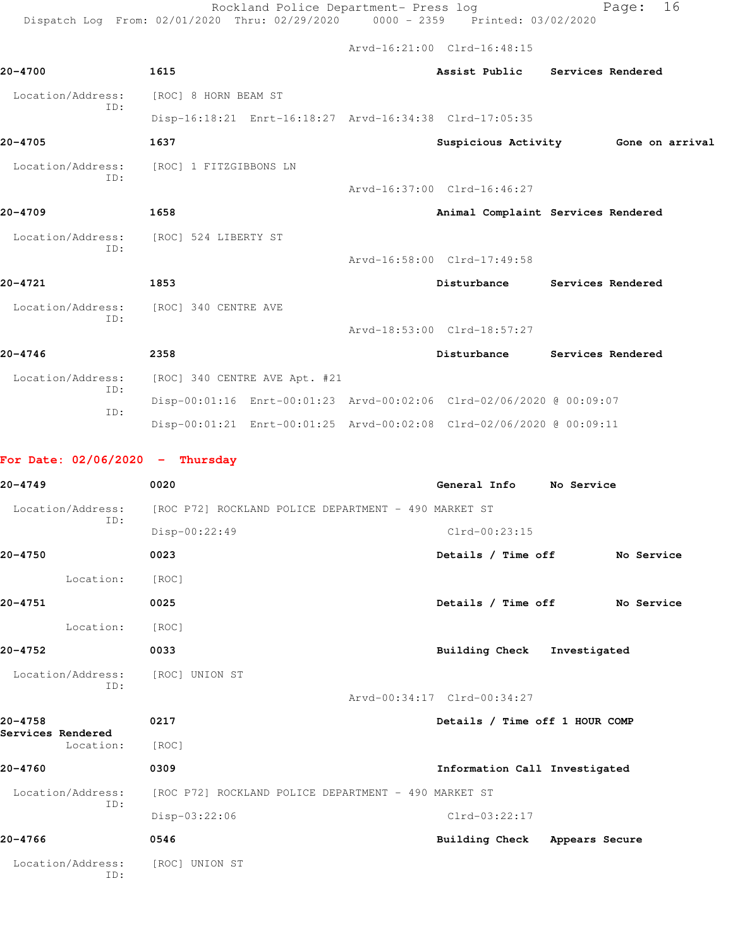Rockland Police Department- Press log entitled Page: 16 Dispatch Log From: 02/01/2020 Thru: 02/29/2020 0000 - 2359 Printed: 03/02/2020

Arvd-16:21:00 Clrd-16:48:15

| 20-4700                           | 1615                                                                 | Assist Public                  | Services Rendered                   |
|-----------------------------------|----------------------------------------------------------------------|--------------------------------|-------------------------------------|
| Location/Address:                 | [ROC] 8 HORN BEAM ST                                                 |                                |                                     |
| ID:                               | Disp-16:18:21 Enrt-16:18:27 Arvd-16:34:38 Clrd-17:05:35              |                                |                                     |
| 20-4705                           | 1637                                                                 |                                | Suspicious Activity 6one on arrival |
| Location/Address:                 | [ROC] 1 FITZGIBBONS LN                                               |                                |                                     |
| ID:                               |                                                                      | Arvd-16:37:00 Clrd-16:46:27    |                                     |
| 20-4709                           | 1658                                                                 |                                | Animal Complaint Services Rendered  |
| Location/Address:                 | [ROC] 524 LIBERTY ST                                                 |                                |                                     |
| ID:                               |                                                                      | Arvd-16:58:00 Clrd-17:49:58    |                                     |
| 20-4721                           | 1853                                                                 | Disturbance                    | Services Rendered                   |
| Location/Address:                 | [ROC] 340 CENTRE AVE                                                 |                                |                                     |
| ID:                               |                                                                      | Arvd-18:53:00 Clrd-18:57:27    |                                     |
| 20-4746                           | 2358                                                                 | Disturbance                    | Services Rendered                   |
| Location/Address:                 | [ROC] 340 CENTRE AVE Apt. #21                                        |                                |                                     |
| ID:                               | Disp-00:01:16 Enrt-00:01:23 Arvd-00:02:06 Clrd-02/06/2020 @ 00:09:07 |                                |                                     |
| ID:                               | Disp-00:01:21 Enrt-00:01:25 Arvd-00:02:08 Clrd-02/06/2020 @ 00:09:11 |                                |                                     |
|                                   |                                                                      |                                |                                     |
| For Date: $02/06/2020 -$ Thursday |                                                                      |                                |                                     |
| 20-4749                           | 0020                                                                 | General Info                   | No Service                          |
| Location/Address:<br>ID:          | [ROC P72] ROCKLAND POLICE DEPARTMENT - 490 MARKET ST                 |                                |                                     |
|                                   | Disp-00:22:49                                                        | $Clrd-00:23:15$                |                                     |
| 20-4750                           | 0023                                                                 | Details / Time off             | No Service                          |
| Location:                         | [ROC]                                                                |                                |                                     |
| 20-4751                           | 0025                                                                 | Details / Time off             | No Service                          |
| Location:                         | [ROC]                                                                |                                |                                     |
| 20-4752                           | 0033                                                                 | <b>Building Check</b>          | Investigated                        |
| Location/Address:<br>ID:          | [ROC] UNION ST                                                       |                                |                                     |
|                                   |                                                                      | Arvd-00:34:17 Clrd-00:34:27    |                                     |
| 20-4758<br>Services Rendered      | 0217                                                                 | Details / Time off 1 HOUR COMP |                                     |
| Location:                         | [ROC]                                                                |                                |                                     |
| 20-4760                           | 0309                                                                 | Information Call Investigated  |                                     |
| Location/Address:<br>ID:          | [ROC P72] ROCKLAND POLICE DEPARTMENT - 490 MARKET ST                 |                                |                                     |
|                                   | Disp-03:22:06                                                        | Clrd-03:22:17                  |                                     |
| 20-4766                           | 0546                                                                 | Building Check Appears Secure  |                                     |
| Location/Address:<br>ID:          | [ROC] UNION ST                                                       |                                |                                     |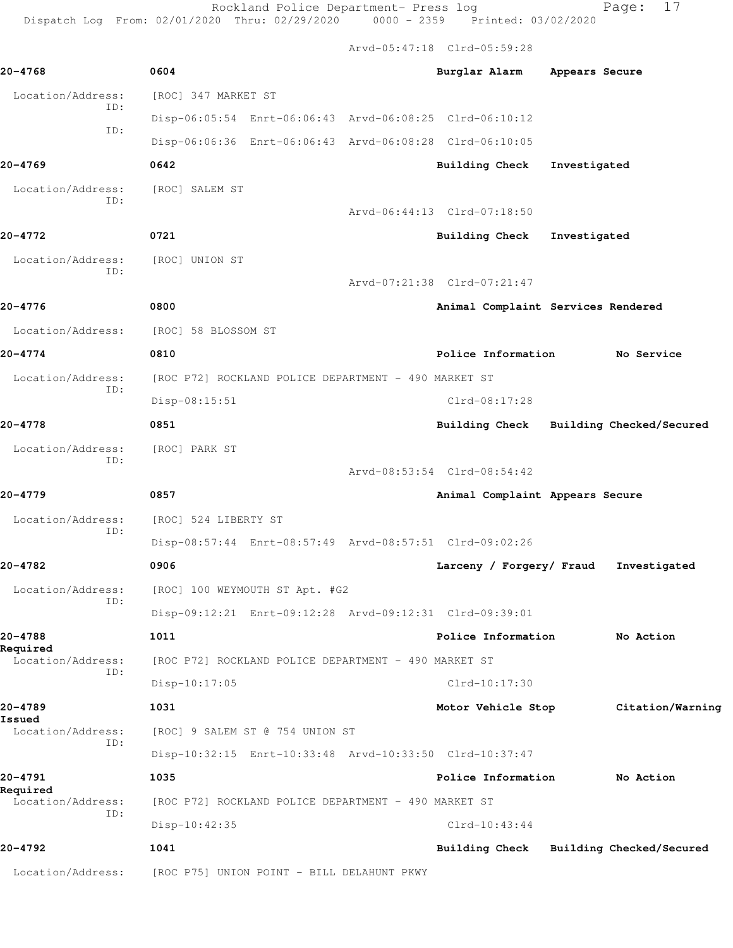Rockland Police Department- Press log entitled Page: 17 Dispatch Log From: 02/01/2020 Thru: 02/29/2020 0000 - 2359 Printed: 03/02/2020

Arvd-05:47:18 Clrd-05:59:28

| $20 - 4768$                   | 0604                                                    | Burglar Alarm Appears Secure            |              |                          |
|-------------------------------|---------------------------------------------------------|-----------------------------------------|--------------|--------------------------|
| Location/Address:             | [ROC] 347 MARKET ST                                     |                                         |              |                          |
| ID:                           | Disp-06:05:54 Enrt-06:06:43 Arvd-06:08:25 Clrd-06:10:12 |                                         |              |                          |
| ID:                           | Disp-06:06:36 Enrt-06:06:43 Arvd-06:08:28 Clrd-06:10:05 |                                         |              |                          |
| 20-4769                       | 0642                                                    | <b>Building Check</b>                   | Investigated |                          |
| Location/Address:             | [ROC] SALEM ST                                          |                                         |              |                          |
| ID:                           |                                                         | Arvd-06:44:13 Clrd-07:18:50             |              |                          |
| 20-4772                       | 0721                                                    | <b>Building Check</b>                   | Investigated |                          |
| Location/Address:             | [ROC] UNION ST                                          |                                         |              |                          |
| TD:                           |                                                         | Arvd-07:21:38 Clrd-07:21:47             |              |                          |
| 20-4776                       | 0800                                                    | Animal Complaint Services Rendered      |              |                          |
| Location/Address:             | [ROC] 58 BLOSSOM ST                                     |                                         |              |                          |
| $20 - 4774$                   | 0810                                                    | Police Information                      |              | No Service               |
| Location/Address:             | [ROC P72] ROCKLAND POLICE DEPARTMENT - 490 MARKET ST    |                                         |              |                          |
| ID:                           | Disp-08:15:51                                           | Clrd-08:17:28                           |              |                          |
| $20 - 4778$                   | 0851                                                    | Building Check Building Checked/Secured |              |                          |
| Location/Address:             | [ROC] PARK ST                                           |                                         |              |                          |
| ID:                           |                                                         | Arvd-08:53:54 Clrd-08:54:42             |              |                          |
| 20-4779                       | 0857                                                    | Animal Complaint Appears Secure         |              |                          |
| Location/Address:             | [ROC] 524 LIBERTY ST                                    |                                         |              |                          |
| ID:                           | Disp-08:57:44 Enrt-08:57:49 Arvd-08:57:51 Clrd-09:02:26 |                                         |              |                          |
| 20-4782                       | 0906                                                    | Larceny / Forgery/ Fraud                |              | Investigated             |
| Location/Address:             | [ROC] 100 WEYMOUTH ST Apt. #G2                          |                                         |              |                          |
| ID:                           | Disp-09:12:21 Enrt-09:12:28 Arvd-09:12:31 Clrd-09:39:01 |                                         |              |                          |
| 20-4788                       | 1011                                                    | Police Information                      |              | No Action                |
| Required<br>Location/Address: | [ROC P72] ROCKLAND POLICE DEPARTMENT - 490 MARKET ST    |                                         |              |                          |
| ID:                           | Disp-10:17:05                                           | Clrd-10:17:30                           |              |                          |
| 20-4789                       | 1031                                                    | Motor Vehicle Stop                      |              | Citation/Warning         |
| Issued<br>Location/Address:   | [ROC] 9 SALEM ST @ 754 UNION ST                         |                                         |              |                          |
| ID:                           | Disp-10:32:15 Enrt-10:33:48 Arvd-10:33:50 Clrd-10:37:47 |                                         |              |                          |
| 20-4791                       | 1035                                                    | Police Information                      |              | No Action                |
| Required<br>Location/Address: | [ROC P72] ROCKLAND POLICE DEPARTMENT - 490 MARKET ST    |                                         |              |                          |
| ID:                           | Disp-10:42:35                                           | $Clrd-10:43:44$                         |              |                          |
| 20-4792                       | 1041                                                    | <b>Building Check</b>                   |              | Building Checked/Secured |
| Location/Address:             | [ROC P75] UNION POINT - BILL DELAHUNT PKWY              |                                         |              |                          |
|                               |                                                         |                                         |              |                          |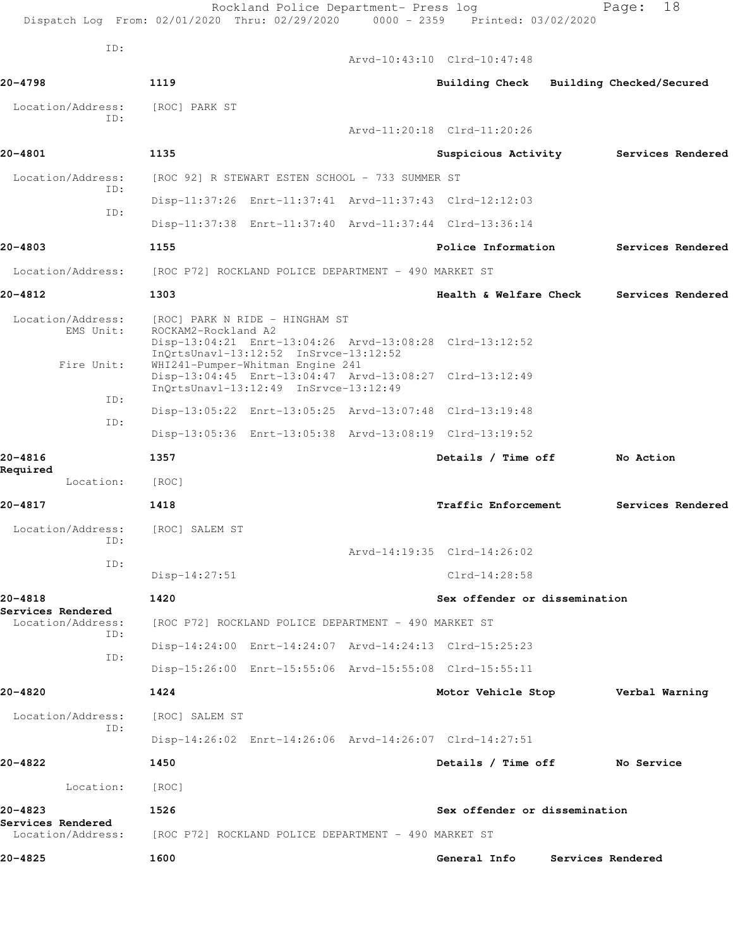|                                                   | Rockland Police Department- Press log<br>Dispatch Log From: 02/01/2020 Thru: 02/29/2020 0000 - 2359 Printed: 03/02/2020                                                                       |                               | 18<br>Page:                             |
|---------------------------------------------------|-----------------------------------------------------------------------------------------------------------------------------------------------------------------------------------------------|-------------------------------|-----------------------------------------|
| ID:                                               |                                                                                                                                                                                               | Arvd-10:43:10 Clrd-10:47:48   |                                         |
| 20-4798                                           | 1119                                                                                                                                                                                          |                               | Building Check Building Checked/Secured |
| Location/Address:                                 | [ROC] PARK ST                                                                                                                                                                                 |                               |                                         |
| ID:                                               |                                                                                                                                                                                               | Arvd-11:20:18 Clrd-11:20:26   |                                         |
| 20-4801                                           | 1135                                                                                                                                                                                          | Suspicious Activity           | Services Rendered                       |
| Location/Address:                                 | [ROC 92] R STEWART ESTEN SCHOOL - 733 SUMMER ST                                                                                                                                               |                               |                                         |
| ID:                                               | Disp-11:37:26 Enrt-11:37:41 Arvd-11:37:43 Clrd-12:12:03                                                                                                                                       |                               |                                         |
| ID:                                               | Disp-11:37:38 Enrt-11:37:40 Arvd-11:37:44 Clrd-13:36:14                                                                                                                                       |                               |                                         |
| 20-4803                                           | 1155                                                                                                                                                                                          | Police Information            | Services Rendered                       |
| Location/Address:                                 | [ROC P72] ROCKLAND POLICE DEPARTMENT - 490 MARKET ST                                                                                                                                          |                               |                                         |
| 20-4812                                           | 1303                                                                                                                                                                                          | Health & Welfare Check        | Services Rendered                       |
| Location/Address:<br>EMS Unit:<br>Fire Unit:      | [ROC] PARK N RIDE - HINGHAM ST<br>ROCKAM2-Rockland A2<br>Disp-13:04:21 Enrt-13:04:26 Arvd-13:08:28 Clrd-13:12:52<br>InQrtsUnavl-13:12:52 InSrvce-13:12:52<br>WHI241-Pumper-Whitman Engine 241 |                               |                                         |
| ID:                                               | Disp-13:04:45 Enrt-13:04:47 Arvd-13:08:27 Clrd-13:12:49<br>InQrtsUnavl-13:12:49 InSrvce-13:12:49                                                                                              |                               |                                         |
| ID:                                               | Disp-13:05:22 Enrt-13:05:25 Arvd-13:07:48 Clrd-13:19:48                                                                                                                                       |                               |                                         |
|                                                   | Disp-13:05:36 Enrt-13:05:38 Arvd-13:08:19 Clrd-13:19:52                                                                                                                                       |                               |                                         |
| 20-4816<br>Required                               | 1357                                                                                                                                                                                          | Details / Time off            | No Action                               |
| Location:                                         | [ROC]                                                                                                                                                                                         |                               |                                         |
| 20-4817                                           | 1418                                                                                                                                                                                          | Traffic Enforcement           | Services Rendered                       |
| Location/Address:<br>ID:                          | [ROC] SALEM ST                                                                                                                                                                                |                               |                                         |
| ID:                                               |                                                                                                                                                                                               | Arvd-14:19:35 Clrd-14:26:02   |                                         |
|                                                   | $Disp-14:27:51$                                                                                                                                                                               | Clrd-14:28:58                 |                                         |
| 20-4818<br>Services Rendered                      | 1420                                                                                                                                                                                          | Sex offender or dissemination |                                         |
| Location/Address:<br>ID:                          | [ROC P72] ROCKLAND POLICE DEPARTMENT - 490 MARKET ST                                                                                                                                          |                               |                                         |
| ID:                                               | Disp-14:24:00 Enrt-14:24:07 Arvd-14:24:13 Clrd-15:25:23                                                                                                                                       |                               |                                         |
|                                                   | Disp-15:26:00 Enrt-15:55:06 Arvd-15:55:08 Clrd-15:55:11                                                                                                                                       |                               |                                         |
| 20-4820                                           | 1424                                                                                                                                                                                          | Motor Vehicle Stop            | Verbal Warning                          |
| Location/Address:<br>ID:                          | [ROC] SALEM ST                                                                                                                                                                                |                               |                                         |
|                                                   | Disp-14:26:02 Enrt-14:26:06 Arvd-14:26:07 Clrd-14:27:51                                                                                                                                       |                               |                                         |
| 20-4822                                           | 1450                                                                                                                                                                                          | Details / Time off            | No Service                              |
| Location:                                         | [ROC]                                                                                                                                                                                         |                               |                                         |
| 20-4823<br>Services Rendered<br>Location/Address: | 1526<br>[ROC P72] ROCKLAND POLICE DEPARTMENT - 490 MARKET ST                                                                                                                                  | Sex offender or dissemination |                                         |
| 20-4825                                           | 1600                                                                                                                                                                                          | General Info                  | Services Rendered                       |
|                                                   |                                                                                                                                                                                               |                               |                                         |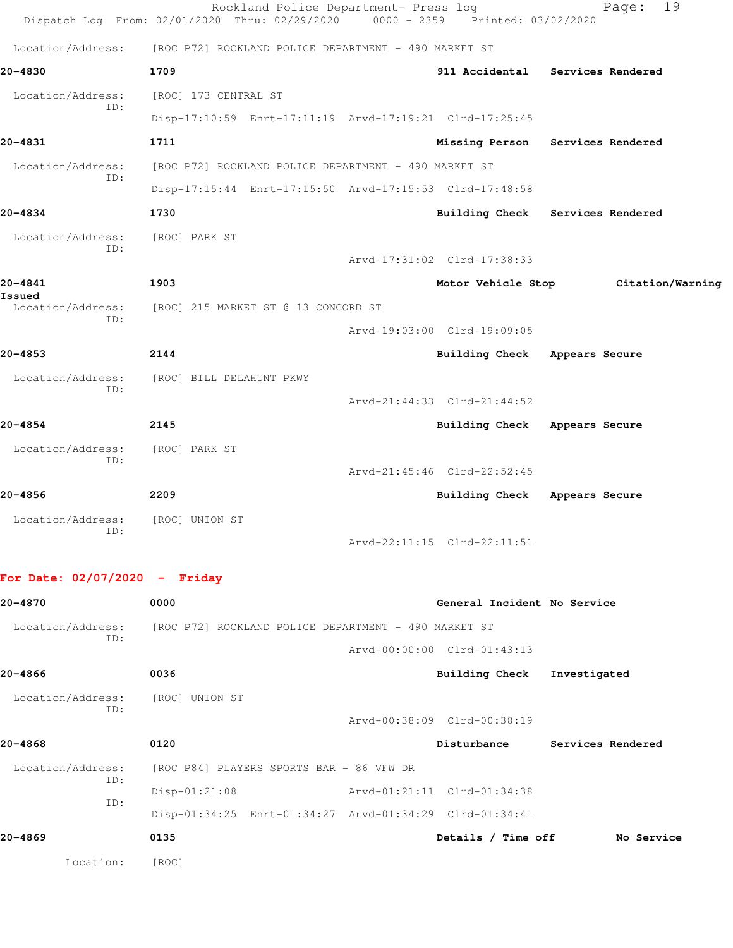|                                 | Rockland Police Department- Press log<br>Dispatch Log From: 02/01/2020 Thru: 02/29/2020 | 0000 - 2359 Printed: 03/02/2020 | 19<br>Page:                      |
|---------------------------------|-----------------------------------------------------------------------------------------|---------------------------------|----------------------------------|
| Location/Address:               | [ROC P72] ROCKLAND POLICE DEPARTMENT - 490 MARKET ST                                    |                                 |                                  |
| 20-4830                         | 1709                                                                                    |                                 | 911 Accidental Services Rendered |
| Location/Address:               | [ROC] 173 CENTRAL ST                                                                    |                                 |                                  |
| ID:                             | Disp-17:10:59 Enrt-17:11:19 Arvd-17:19:21 Clrd-17:25:45                                 |                                 |                                  |
| 20-4831                         | 1711                                                                                    |                                 | Missing Person Services Rendered |
| Location/Address:               | [ROC P72] ROCKLAND POLICE DEPARTMENT - 490 MARKET ST                                    |                                 |                                  |
| ID:                             | Disp-17:15:44 Enrt-17:15:50 Arvd-17:15:53 Clrd-17:48:58                                 |                                 |                                  |
| $20 - 4834$                     | 1730                                                                                    |                                 | Building Check Services Rendered |
| Location/Address:               | [ROC] PARK ST                                                                           |                                 |                                  |
| TD:                             |                                                                                         | Arvd-17:31:02 Clrd-17:38:33     |                                  |
| $20 - 4841$<br>Issued           | 1903                                                                                    | Motor Vehicle Stop              | Citation/Warning                 |
| Location/Address:<br>TD:        | [ROC] 215 MARKET ST @ 13 CONCORD ST                                                     |                                 |                                  |
|                                 |                                                                                         | Arvd-19:03:00 Clrd-19:09:05     |                                  |
| $20 - 4853$                     | 2144                                                                                    | Building Check Appears Secure   |                                  |
| Location/Address:               | [ROC] BILL DELAHUNT PKWY                                                                |                                 |                                  |
| ID:                             |                                                                                         | Arvd-21:44:33 Clrd-21:44:52     |                                  |
| $20 - 4854$                     | 2145                                                                                    | Building Check Appears Secure   |                                  |
| Location/Address:               | [ROC] PARK ST                                                                           |                                 |                                  |
| TD:                             |                                                                                         | Arvd-21:45:46 Clrd-22:52:45     |                                  |
| $20 - 4856$                     | 2209                                                                                    | Building Check                  | Appears Secure                   |
| Location/Address:               | [ROC] UNION ST                                                                          |                                 |                                  |
| ID:                             |                                                                                         | Arvd-22:11:15 Clrd-22:11:51     |                                  |
| For Date: $02/07/2020 -$ Friday |                                                                                         |                                 |                                  |

| 20-4870                  | 0000                                                    | General Incident No Service |                   |
|--------------------------|---------------------------------------------------------|-----------------------------|-------------------|
| Location/Address:<br>TD: | [ROC P72] ROCKLAND POLICE DEPARTMENT - 490 MARKET ST    |                             |                   |
|                          |                                                         | Arvd-00:00:00 Clrd-01:43:13 |                   |
| 20-4866                  | 0036                                                    | Building Check              | Investigated      |
| Location/Address:<br>ID: | [ROC] UNION ST                                          |                             |                   |
|                          |                                                         | Arvd-00:38:09 Clrd-00:38:19 |                   |
| 20-4868                  | 0120                                                    | Disturbance                 | Services Rendered |
| Location/Address:        | [ROC P84] PLAYERS SPORTS BAR - 86 VFW DR                |                             |                   |
| ID:<br>ID:               | $Disp-01:21:08$                                         | Arvd-01:21:11 Clrd-01:34:38 |                   |
|                          | Disp-01:34:25 Enrt-01:34:27 Arvd-01:34:29 Clrd-01:34:41 |                             |                   |
| 20-4869                  | 0135                                                    | Details / Time off          | No Service        |
| Location:                | [ROC]                                                   |                             |                   |
|                          |                                                         |                             |                   |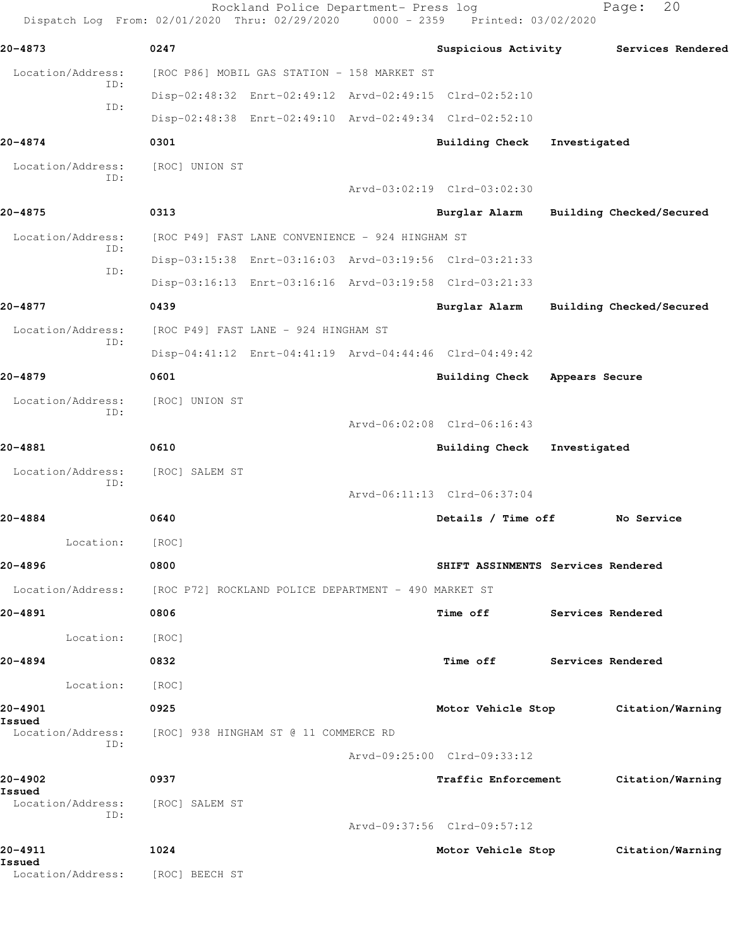|                                            | Rockland Police Department- Press log<br>Dispatch Log From: 02/01/2020 Thru: 02/29/2020 0000 - 2359 Printed: 03/02/2020 |                                    |                   | 20<br>Page:                           |
|--------------------------------------------|-------------------------------------------------------------------------------------------------------------------------|------------------------------------|-------------------|---------------------------------------|
| 20-4873                                    | 0247                                                                                                                    |                                    |                   | Suspicious Activity Services Rendered |
| Location/Address:                          | [ROC P86] MOBIL GAS STATION - 158 MARKET ST                                                                             |                                    |                   |                                       |
| ID:<br>ID:                                 | Disp-02:48:32 Enrt-02:49:12 Arvd-02:49:15 Clrd-02:52:10                                                                 |                                    |                   |                                       |
|                                            | Disp-02:48:38 Enrt-02:49:10 Arvd-02:49:34 Clrd-02:52:10                                                                 |                                    |                   |                                       |
| 20-4874                                    | 0301                                                                                                                    | <b>Building Check</b>              | Investigated      |                                       |
| Location/Address:<br>TD:                   | [ROC] UNION ST                                                                                                          |                                    |                   |                                       |
|                                            |                                                                                                                         | Arvd-03:02:19 Clrd-03:02:30        |                   |                                       |
| 20-4875                                    | 0313                                                                                                                    | Burglar Alarm                      |                   | Building Checked/Secured              |
| Location/Address:<br>ID:                   | [ROC P49] FAST LANE CONVENIENCE - 924 HINGHAM ST                                                                        |                                    |                   |                                       |
| ID:                                        | Disp-03:15:38 Enrt-03:16:03 Arvd-03:19:56 Clrd-03:21:33                                                                 |                                    |                   |                                       |
|                                            | Disp-03:16:13 Enrt-03:16:16 Arvd-03:19:58 Clrd-03:21:33                                                                 |                                    |                   |                                       |
| 20-4877                                    | 0439                                                                                                                    | Burglar Alarm                      |                   | Building Checked/Secured              |
| Location/Address:<br>ID:                   | [ROC P49] FAST LANE - 924 HINGHAM ST                                                                                    |                                    |                   |                                       |
|                                            | Disp-04:41:12 Enrt-04:41:19 Arvd-04:44:46 Clrd-04:49:42                                                                 |                                    |                   |                                       |
| 20-4879                                    | 0601                                                                                                                    | <b>Building Check</b>              | Appears Secure    |                                       |
| Location/Address:<br>ID:                   | [ROC] UNION ST                                                                                                          |                                    |                   |                                       |
|                                            |                                                                                                                         | Arvd-06:02:08 Clrd-06:16:43        |                   |                                       |
| 20-4881                                    | 0610                                                                                                                    | <b>Building Check</b>              | Investigated      |                                       |
| Location/Address:<br>ID:                   | [ROC] SALEM ST                                                                                                          |                                    |                   |                                       |
|                                            |                                                                                                                         | Arvd-06:11:13 Clrd-06:37:04        |                   |                                       |
| 20-4884                                    | 0640                                                                                                                    | Details / Time off                 |                   | No Service                            |
| Location:                                  | [ROC]                                                                                                                   |                                    |                   |                                       |
| 20-4896                                    | 0800                                                                                                                    | SHIFT ASSINMENTS Services Rendered |                   |                                       |
|                                            | Location/Address: [ROC P72] ROCKLAND POLICE DEPARTMENT - 490 MARKET ST                                                  |                                    |                   |                                       |
| 20-4891                                    | 0806                                                                                                                    | Time off                           | Services Rendered |                                       |
| Location:                                  | [ROC]                                                                                                                   |                                    |                   |                                       |
| 20-4894                                    | 0832                                                                                                                    | <b>Time off</b>                    | Services Rendered |                                       |
| Location:                                  | [ROC]                                                                                                                   |                                    |                   |                                       |
| 20-4901                                    | 0925                                                                                                                    | Motor Vehicle Stop                 |                   | Citation/Warning                      |
| Issued                                     | Location/Address: [ROC] 938 HINGHAM ST @ 11 COMMERCE RD                                                                 |                                    |                   |                                       |
| ID:                                        |                                                                                                                         | Arvd-09:25:00 Clrd-09:33:12        |                   |                                       |
| 20-4902                                    | 0937                                                                                                                    | <b>Traffic Enforcement</b>         |                   | Citation/Warning                      |
| Issued<br>Location/Address: [ROC] SALEM ST |                                                                                                                         |                                    |                   |                                       |
| ID:                                        |                                                                                                                         | Arvd-09:37:56 Clrd-09:57:12        |                   |                                       |
| 20-4911                                    | 1024                                                                                                                    | Motor Vehicle Stop                 |                   | Citation/Warning                      |
| Issued<br>Location/Address:                | [ROC] BEECH ST                                                                                                          |                                    |                   |                                       |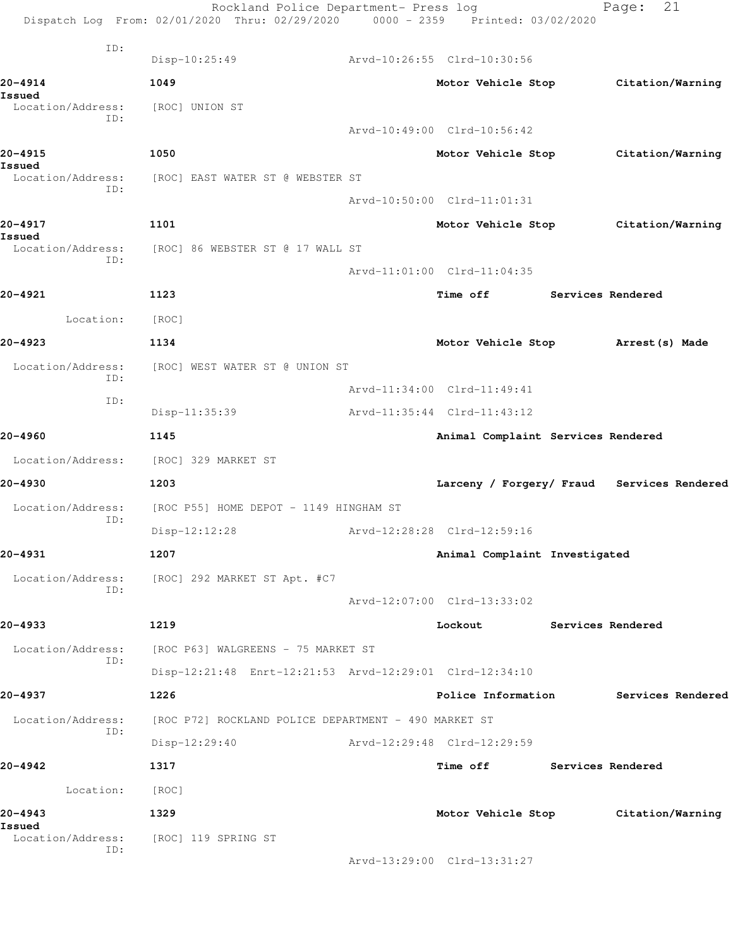|                             | Rockland Police Department- Press log<br>Dispatch Log From: 02/01/2020 Thru: 02/29/2020 0000 - 2359 Printed: 03/02/2020 |                                            |                          | 21<br>Page:       |  |
|-----------------------------|-------------------------------------------------------------------------------------------------------------------------|--------------------------------------------|--------------------------|-------------------|--|
| ID:                         |                                                                                                                         |                                            |                          |                   |  |
|                             | Disp-10:25:49                                                                                                           | Arvd-10:26:55 Clrd-10:30:56                |                          |                   |  |
| 20-4914<br>Issued           | 1049                                                                                                                    | Motor Vehicle Stop                         |                          | Citation/Warning  |  |
| Location/Address:<br>ID:    | [ROC] UNION ST                                                                                                          |                                            |                          |                   |  |
|                             |                                                                                                                         | Arvd-10:49:00 Clrd-10:56:42                |                          |                   |  |
| 20-4915                     | 1050                                                                                                                    | Motor Vehicle Stop                         |                          | Citation/Warning  |  |
| Issued<br>Location/Address: | [ROC] EAST WATER ST @ WEBSTER ST                                                                                        |                                            |                          |                   |  |
| ID:                         |                                                                                                                         | Arvd-10:50:00 Clrd-11:01:31                |                          |                   |  |
| 20-4917                     | 1101                                                                                                                    | Motor Vehicle Stop Citation/Warning        |                          |                   |  |
| Issued<br>Location/Address: | [ROC] 86 WEBSTER ST @ 17 WALL ST                                                                                        |                                            |                          |                   |  |
| ID:                         |                                                                                                                         | Arvd-11:01:00 Clrd-11:04:35                |                          |                   |  |
| 20-4921                     | 1123                                                                                                                    | Time off                                   | <b>Services Rendered</b> |                   |  |
| Location:                   | [ROC]                                                                                                                   |                                            |                          |                   |  |
|                             |                                                                                                                         |                                            |                          |                   |  |
| 20-4923                     | 1134                                                                                                                    | Motor Vehicle Stop Arrest (s) Made         |                          |                   |  |
| Location/Address:<br>ID:    | [ROC] WEST WATER ST @ UNION ST                                                                                          |                                            |                          |                   |  |
| ID:                         |                                                                                                                         | Arvd-11:34:00 Clrd-11:49:41                |                          |                   |  |
|                             | Disp-11:35:39                                                                                                           | Arvd-11:35:44 Clrd-11:43:12                |                          |                   |  |
| 20-4960                     | 1145                                                                                                                    | Animal Complaint Services Rendered         |                          |                   |  |
|                             | Location/Address: [ROC] 329 MARKET ST                                                                                   |                                            |                          |                   |  |
| 20-4930                     | 1203                                                                                                                    | Larceny / Forgery/ Fraud Services Rendered |                          |                   |  |
| Location/Address:<br>ID:    | [ROC P55] HOME DEPOT - 1149 HINGHAM ST                                                                                  |                                            |                          |                   |  |
|                             | Disp-12:12:28                                                                                                           | Arvd-12:28:28 Clrd-12:59:16                |                          |                   |  |
| 20-4931                     | 1207                                                                                                                    | Animal Complaint Investigated              |                          |                   |  |
| Location/Address:           | [ROC] 292 MARKET ST Apt. #C7                                                                                            |                                            |                          |                   |  |
| ID:                         |                                                                                                                         | Arvd-12:07:00 Clrd-13:33:02                |                          |                   |  |
| 20-4933                     | 1219                                                                                                                    | Lockout                                    | Services Rendered        |                   |  |
| Location/Address:           | [ROC P63] WALGREENS - 75 MARKET ST                                                                                      |                                            |                          |                   |  |
| ID:                         | Disp-12:21:48 Enrt-12:21:53 Arvd-12:29:01 Clrd-12:34:10                                                                 |                                            |                          |                   |  |
| 20-4937                     | 1226                                                                                                                    | Police Information                         |                          | Services Rendered |  |
| Location/Address:           | [ROC P72] ROCKLAND POLICE DEPARTMENT - 490 MARKET ST                                                                    |                                            |                          |                   |  |
| ID:                         | Disp-12:29:40                                                                                                           | Arvd-12:29:48 Clrd-12:29:59                |                          |                   |  |
| 20-4942                     | 1317                                                                                                                    | Time off Services Rendered                 |                          |                   |  |
| Location:                   | [ROC]                                                                                                                   |                                            |                          |                   |  |
| 20-4943                     | 1329                                                                                                                    | Motor Vehicle Stop Citation/Warning        |                          |                   |  |
| Issued<br>Location/Address: | [ROC] 119 SPRING ST                                                                                                     |                                            |                          |                   |  |
| ID:                         |                                                                                                                         | Arvd-13:29:00 Clrd-13:31:27                |                          |                   |  |
|                             |                                                                                                                         |                                            |                          |                   |  |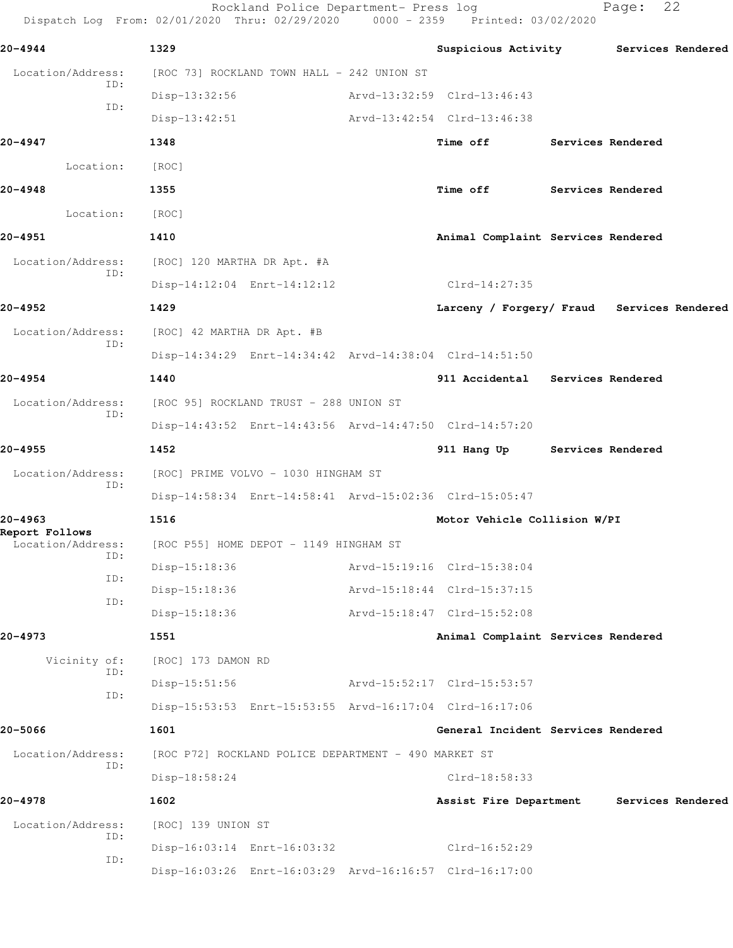Dispatch Log From: 02/01/2020 Thru: 02/29/2020 0000 - 2359 Printed: 03/02/2020 **20-4944 1329 Suspicious Activity Services Rendered** Location/Address: [ROC 73] ROCKLAND TOWN HALL - 242 UNION ST ID: Disp-13:32:56 Arvd-13:32:59 Clrd-13:46:43 ID: Disp-13:42:51 Arvd-13:42:54 Clrd-13:46:38 **20-4947 1348 Time off Services Rendered** Location: [ROC] **20-4948 1355 Time off Services Rendered** Location: [ROC] **20-4951 1410 Animal Complaint Services Rendered** Location/Address: [ROC] 120 MARTHA DR Apt. #A ID: Disp-14:12:04 Enrt-14:12:12 Clrd-14:27:35 **20-4952 1429 Larceny / Forgery/ Fraud Services Rendered** Location/Address: [ROC] 42 MARTHA DR Apt. #B ID: Disp-14:34:29 Enrt-14:34:42 Arvd-14:38:04 Clrd-14:51:50 **20-4954 1440 911 Accidental Services Rendered** Location/Address: [ROC 95] ROCKLAND TRUST - 288 UNION ST ID: Disp-14:43:52 Enrt-14:43:56 Arvd-14:47:50 Clrd-14:57:20 **20-4955 1452 911 Hang Up Services Rendered** Location/Address: [ROC] PRIME VOLVO - 1030 HINGHAM ST ID: Disp-14:58:34 Enrt-14:58:41 Arvd-15:02:36 Clrd-15:05:47 **20-4963 1516 Motor Vehicle Collision W/PI Report Follows**  Location/Address: [ROC P55] HOME DEPOT - 1149 HINGHAM ST ID: Disp-15:18:36 Arvd-15:19:16 Clrd-15:38:04 ID: Disp-15:18:36 Arvd-15:18:44 Clrd-15:37:15 ID: Disp-15:18:36 Arvd-15:18:47 Clrd-15:52:08 **20-4973 1551 Animal Complaint Services Rendered** Vicinity of: [ROC] 173 DAMON RD ID: Disp-15:51:56 Arvd-15:52:17 Clrd-15:53:57 ID: Disp-15:53:53 Enrt-15:53:55 Arvd-16:17:04 Clrd-16:17:06 **20-5066 1601 General Incident Services Rendered** Location/Address: [ROC P72] ROCKLAND POLICE DEPARTMENT - 490 MARKET ST ID: Disp-18:58:24 Clrd-18:58:33 **20-4978 1602 Assist Fire Department Services Rendered** Location/Address: [ROC] 139 UNION ST ID: Disp-16:03:14 Enrt-16:03:32 Clrd-16:52:29 ID: Disp-16:03:26 Enrt-16:03:29 Arvd-16:16:57 Clrd-16:17:00

Rockland Police Department- Press log Fage: 22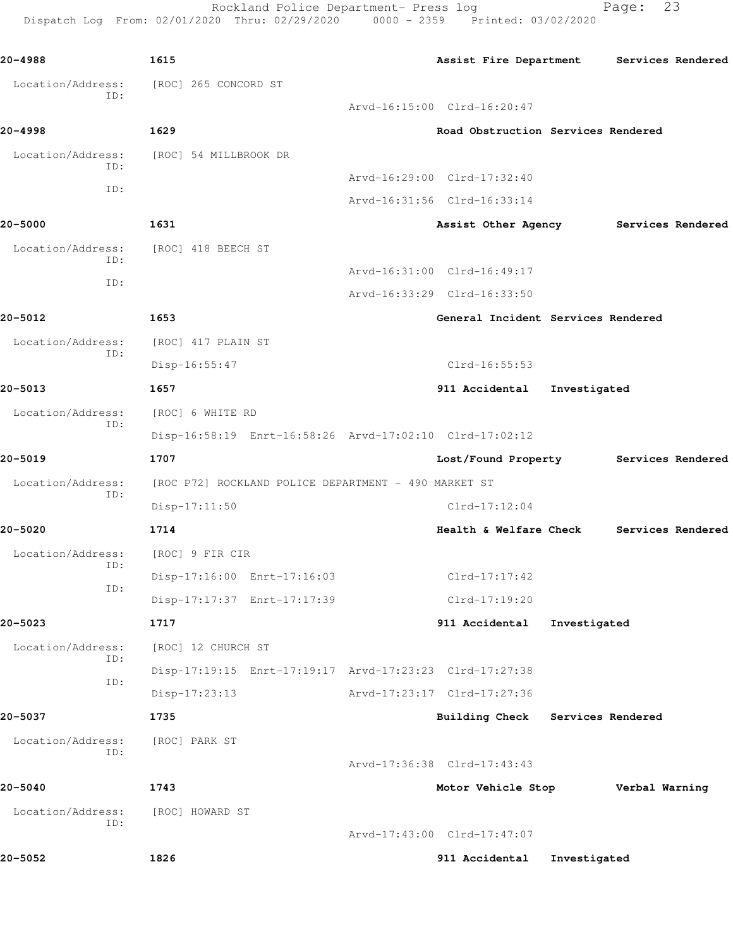Rockland Police Department- Press log Fage: 23 Dispatch Log From: 02/01/2020 Thru: 02/29/2020 0000 - 2359 Printed: 03/02/2020

**20-4988 1615 Assist Fire Department Services Rendered** Location/Address: [ROC] 265 CONCORD ST ID: Arvd-16:15:00 Clrd-16:20:47 **20-4998 1629 Road Obstruction Services Rendered** Location/Address: [ROC] 54 MILLBROOK DR ID: Arvd-16:29:00 Clrd-17:32:40 ID: Arvd-16:31:56 Clrd-16:33:14 **20-5000 1631 Assist Other Agency Services Rendered** Location/Address: [ROC] 418 BEECH ST ID: Arvd-16:31:00 Clrd-16:49:17 ID: Arvd-16:33:29 Clrd-16:33:50 **20-5012 1653 General Incident Services Rendered** Location/Address: [ROC] 417 PLAIN ST ID: Disp-16:55:47 Clrd-16:55:53 **20-5013 1657 911 Accidental Investigated** Location/Address: [ROC] 6 WHITE RD ID: Disp-16:58:19 Enrt-16:58:26 Arvd-17:02:10 Clrd-17:02:12 **20-5019 1707 Lost/Found Property Services Rendered** Location/Address: [ROC P72] ROCKLAND POLICE DEPARTMENT - 490 MARKET ST ID: Disp-17:11:50 Clrd-17:12:04 **20-5020 1714 Health & Welfare Check Services Rendered** Location/Address: [ROC] 9 FIR CIR ID: Disp-17:16:00 Enrt-17:16:03 Clrd-17:17:42 ID: Disp-17:17:37 Enrt-17:17:39 Clrd-17:19:20 **20-5023 1717 911 Accidental Investigated** Location/Address: [ROC] 12 CHURCH ST ID: Disp-17:19:15 Enrt-17:19:17 Arvd-17:23:23 Clrd-17:27:38 ID: Disp-17:23:13 Arvd-17:23:17 Clrd-17:27:36 **20-5037 1735 Building Check Services Rendered** Location/Address: [ROC] PARK ST ID: Arvd-17:36:38 Clrd-17:43:43 **20-5040 1743 Motor Vehicle Stop Verbal Warning** Location/Address: [ROC] HOWARD ST ID: Arvd-17:43:00 Clrd-17:47:07 **20-5052 1826 911 Accidental Investigated**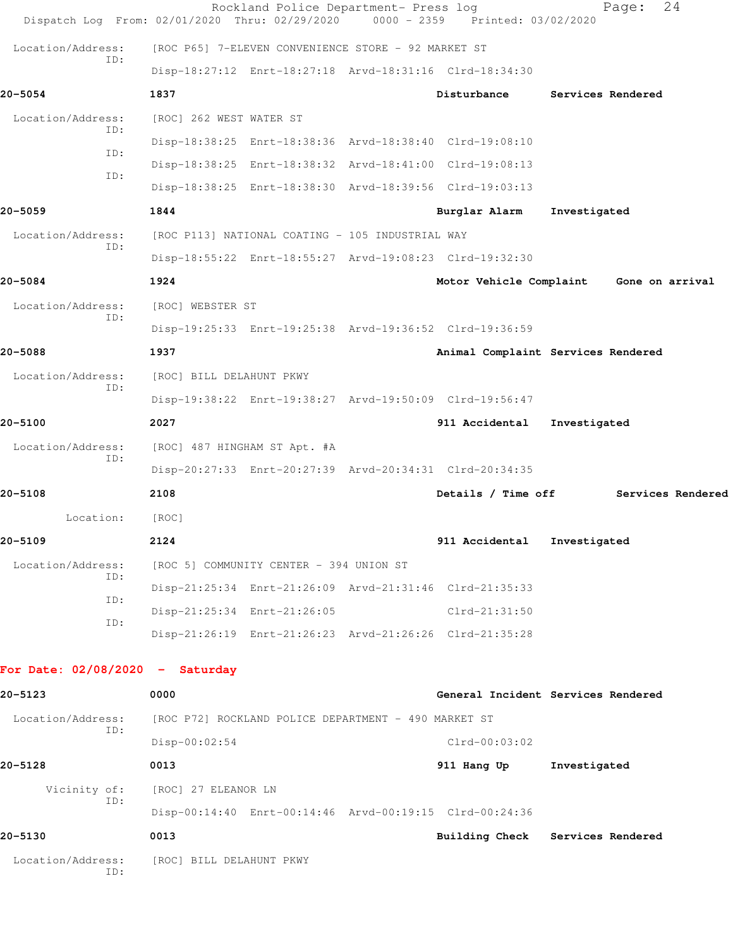| Dispatch Log From: 02/01/2020 Thru: 02/29/2020 |                                                         | Rockland Police Department- Press log | 0000 - 2359 Printed: 03/02/2020    | Page:             | 24                |
|------------------------------------------------|---------------------------------------------------------|---------------------------------------|------------------------------------|-------------------|-------------------|
| Location/Address:                              | [ROC P65] 7-ELEVEN CONVENIENCE STORE - 92 MARKET ST     |                                       |                                    |                   |                   |
| ID:                                            | Disp-18:27:12 Enrt-18:27:18 Arvd-18:31:16 Clrd-18:34:30 |                                       |                                    |                   |                   |
| 20-5054                                        | 1837                                                    |                                       | Disturbance                        | Services Rendered |                   |
| Location/Address:                              | [ROC] 262 WEST WATER ST                                 |                                       |                                    |                   |                   |
| ID:<br>ID:                                     | Disp-18:38:25 Enrt-18:38:36 Arvd-18:38:40 Clrd-19:08:10 |                                       |                                    |                   |                   |
| ID:                                            | Disp-18:38:25 Enrt-18:38:32 Arvd-18:41:00 Clrd-19:08:13 |                                       |                                    |                   |                   |
|                                                | Disp-18:38:25 Enrt-18:38:30 Arvd-18:39:56 Clrd-19:03:13 |                                       |                                    |                   |                   |
| 20-5059                                        | 1844                                                    |                                       | Burglar Alarm                      | Investigated      |                   |
| Location/Address:<br>ID:                       | [ROC P113] NATIONAL COATING - 105 INDUSTRIAL WAY        |                                       |                                    |                   |                   |
|                                                | Disp-18:55:22 Enrt-18:55:27 Arvd-19:08:23 Clrd-19:32:30 |                                       |                                    |                   |                   |
| 20-5084                                        | 1924                                                    |                                       | Motor Vehicle Complaint            |                   | Gone on arrival   |
| Location/Address:<br>ID:                       | [ROC] WEBSTER ST                                        |                                       |                                    |                   |                   |
|                                                | Disp-19:25:33 Enrt-19:25:38 Arvd-19:36:52 Clrd-19:36:59 |                                       |                                    |                   |                   |
| 20-5088                                        | 1937                                                    |                                       | Animal Complaint Services Rendered |                   |                   |
| Location/Address:<br>ID:                       | [ROC] BILL DELAHUNT PKWY                                |                                       |                                    |                   |                   |
|                                                | Disp-19:38:22 Enrt-19:38:27 Arvd-19:50:09 Clrd-19:56:47 |                                       |                                    |                   |                   |
| 20-5100                                        | 2027                                                    |                                       | 911 Accidental                     | Investigated      |                   |
| Location/Address:<br>ID:                       | [ROC] 487 HINGHAM ST Apt. #A                            |                                       |                                    |                   |                   |
|                                                | Disp-20:27:33 Enrt-20:27:39 Arvd-20:34:31 Clrd-20:34:35 |                                       |                                    |                   |                   |
| 20-5108                                        | 2108                                                    |                                       | Details / Time off                 |                   | Services Rendered |
| Location:                                      | [ROC]                                                   |                                       |                                    |                   |                   |
| 20-5109                                        | 2124                                                    |                                       | 911 Accidental                     | Investigated      |                   |
| Location/Address:<br>ID:                       | [ROC 5] COMMUNITY CENTER - 394 UNION ST                 |                                       |                                    |                   |                   |
| ID:                                            | Disp-21:25:34 Enrt-21:26:09 Arvd-21:31:46 Clrd-21:35:33 |                                       |                                    |                   |                   |
| ID:                                            | Disp-21:25:34 Enrt-21:26:05                             |                                       | Clrd-21:31:50                      |                   |                   |
|                                                | Disp-21:26:19 Enrt-21:26:23 Arvd-21:26:26 Clrd-21:35:28 |                                       |                                    |                   |                   |
| For Date: $02/08/2020 -$ Saturday              |                                                         |                                       |                                    |                   |                   |
| 20-5123                                        | 0000                                                    |                                       | General Incident Services Rendered |                   |                   |
| Location/Address:                              | [ROC P72] ROCKLAND POLICE DEPARTMENT - 490 MARKET ST    |                                       |                                    |                   |                   |
| ID:                                            | $Disp-00:02:54$                                         |                                       | $Clrd-00:03:02$                    |                   |                   |
| 20-5128                                        | 0013                                                    |                                       | 911 Hang Up                        | Investigated      |                   |
| Vicinity of:                                   | [ROC] 27 ELEANOR LN                                     |                                       |                                    |                   |                   |
| ID:                                            | Disp-00:14:40 Enrt-00:14:46 Arvd-00:19:15 Clrd-00:24:36 |                                       |                                    |                   |                   |
| 20-5130                                        | 0013                                                    |                                       | Building Check Services Rendered   |                   |                   |
| Location/Address:<br>ID:                       | [ROC] BILL DELAHUNT PKWY                                |                                       |                                    |                   |                   |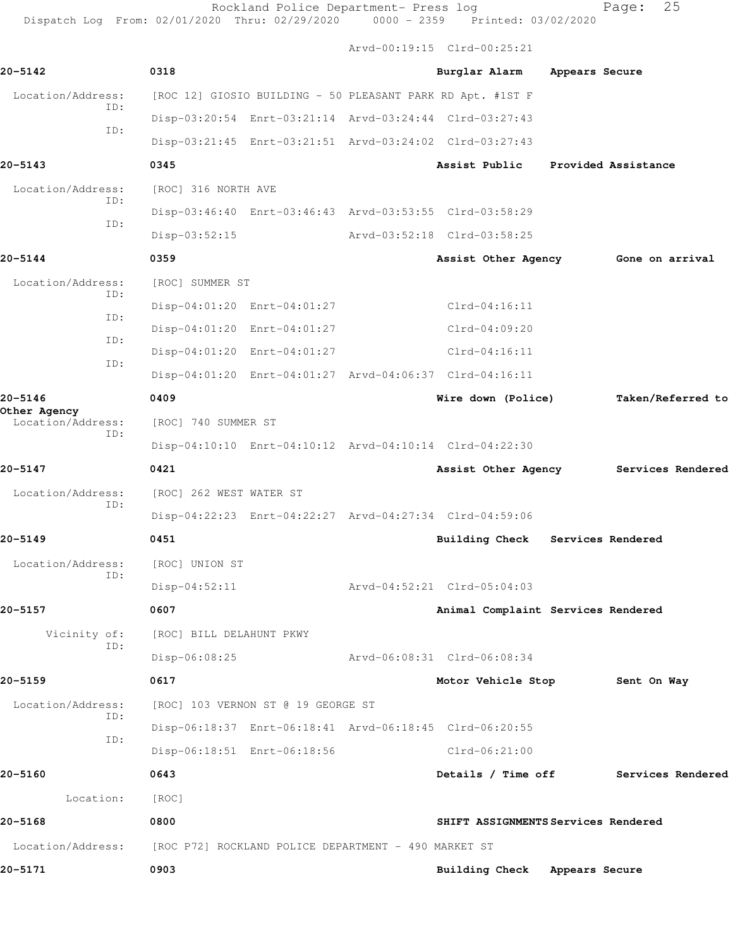Rockland Police Department- Press log Fage: 25 Dispatch Log From: 02/01/2020 Thru: 02/29/2020 0000 - 2359 Printed: 03/02/2020 Arvd-00:19:15 Clrd-00:25:21 **20-5142 0318 Burglar Alarm Appears Secure** Location/Address: [ROC 12] GIOSIO BUILDING - 50 PLEASANT PARK RD Apt. #1ST F ID: Disp-03:20:54 Enrt-03:21:14 Arvd-03:24:44 Clrd-03:27:43 ID: Disp-03:21:45 Enrt-03:21:51 Arvd-03:24:02 Clrd-03:27:43 **20-5143 0345 Assist Public Provided Assistance** Location/Address: [ROC] 316 NORTH AVE ID: Disp-03:46:40 Enrt-03:46:43 Arvd-03:53:55 Clrd-03:58:29 ID: Disp-03:52:15 Arvd-03:52:18 Clrd-03:58:25 **20-5144 0359 Assist Other Agency Gone on arrival** Location/Address: [ROC] SUMMER ST ID: Disp-04:01:20 Enrt-04:01:27 Clrd-04:16:11 ID: Disp-04:01:20 Enrt-04:01:27 Clrd-04:09:20 ID: Disp-04:01:20 Enrt-04:01:27 Clrd-04:16:11 ID: Disp-04:01:20 Enrt-04:01:27 Arvd-04:06:37 Clrd-04:16:11 **20-5146 0409 Wire down (Police) Taken/Referred to Other Agency**  Location/Address: [ROC] 740 SUMMER ST ID: Disp-04:10:10 Enrt-04:10:12 Arvd-04:10:14 Clrd-04:22:30 **20-5147 0421 Assist Other Agency Services Rendered** Location/Address: [ROC] 262 WEST WATER ST ID: Disp-04:22:23 Enrt-04:22:27 Arvd-04:27:34 Clrd-04:59:06 **20-5149 0451 Building Check Services Rendered** Location/Address: [ROC] UNION ST ID: Disp-04:52:11 Arvd-04:52:21 Clrd-05:04:03 **20-5157 0607 Animal Complaint Services Rendered** Vicinity of: [ROC] BILL DELAHUNT PKWY ID: Disp-06:08:25 Arvd-06:08:31 Clrd-06:08:34 **20-5159 0617 Motor Vehicle Stop Sent On Way** Location/Address: [ROC] 103 VERNON ST @ 19 GEORGE ST ID: Disp-06:18:37 Enrt-06:18:41 Arvd-06:18:45 Clrd-06:20:55 ID: Disp-06:18:51 Enrt-06:18:56 Clrd-06:21:00 **20-5160 0643 Details / Time off Services Rendered** Location: [ROC]

**20-5168 0800 SHIFT ASSIGNMENTS Services Rendered**

Location/Address: [ROC P72] ROCKLAND POLICE DEPARTMENT - 490 MARKET ST

**20-5171 0903 Building Check Appears Secure**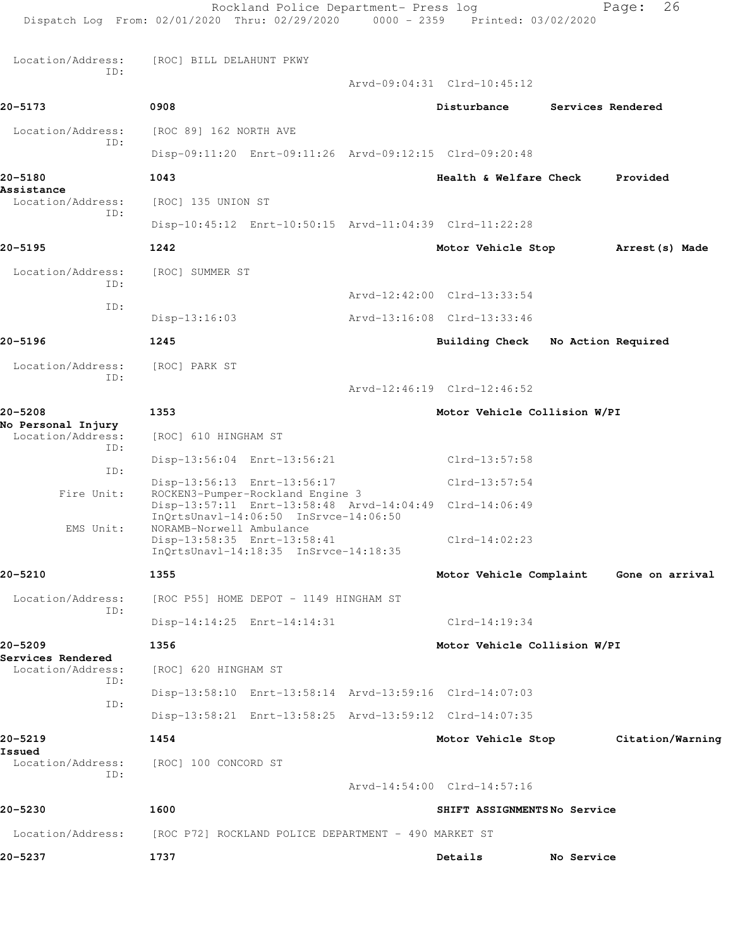| Dispatch Log From: 02/01/2020 Thru: 02/29/2020 0000 - 2359 Printed: 03/02/2020 |                             | Rockland Police Department- Press log                |                                                         |                    | 26<br>Page:      |
|--------------------------------------------------------------------------------|-----------------------------|------------------------------------------------------|---------------------------------------------------------|--------------------|------------------|
| Location/Address:                                                              | [ROC] BILL DELAHUNT PKWY    |                                                      |                                                         |                    |                  |
| ID:                                                                            |                             |                                                      | Arvd-09:04:31 Clrd-10:45:12                             |                    |                  |
| 20-5173                                                                        | 0908                        |                                                      | Disturbance                                             | Services Rendered  |                  |
| Location/Address:                                                              | [ROC 89] 162 NORTH AVE      |                                                      |                                                         |                    |                  |
| ID:                                                                            |                             |                                                      | Disp-09:11:20 Enrt-09:11:26 Arvd-09:12:15 Clrd-09:20:48 |                    |                  |
| 20-5180                                                                        | 1043                        |                                                      | Health & Welfare Check                                  |                    | Provided         |
| Assistance<br>Location/Address:                                                | [ROC] 135 UNION ST          |                                                      |                                                         |                    |                  |
| ID:                                                                            |                             |                                                      | Disp-10:45:12 Enrt-10:50:15 Arvd-11:04:39 Clrd-11:22:28 |                    |                  |
| 20-5195                                                                        | 1242                        |                                                      | Motor Vehicle Stop                                      |                    | Arrest (s) Made  |
| Location/Address:                                                              | [ROC] SUMMER ST             |                                                      |                                                         |                    |                  |
| ID:                                                                            |                             |                                                      | Arvd-12:42:00 Clrd-13:33:54                             |                    |                  |
| ID:                                                                            | $Disp-13:16:03$             |                                                      | Arvd-13:16:08 Clrd-13:33:46                             |                    |                  |
| 20-5196                                                                        | 1245                        |                                                      | Building Check                                          | No Action Required |                  |
| Location/Address:                                                              | [ROC] PARK ST               |                                                      |                                                         |                    |                  |
| ID:                                                                            |                             |                                                      | Arvd-12:46:19 Clrd-12:46:52                             |                    |                  |
| 20-5208                                                                        | 1353                        |                                                      | Motor Vehicle Collision W/PI                            |                    |                  |
| No Personal Injury<br>Location/Address:                                        | [ROC] 610 HINGHAM ST        |                                                      |                                                         |                    |                  |
| ID:                                                                            |                             | Disp-13:56:04 Enrt-13:56:21                          | Clrd-13:57:58                                           |                    |                  |
| ID:                                                                            | Disp-13:56:13 Enrt-13:56:17 |                                                      | $Clrd-13:57:54$                                         |                    |                  |
| Fire Unit:                                                                     |                             | ROCKEN3-Pumper-Rockland Engine 3                     | Disp-13:57:11 Enrt-13:58:48 Arvd-14:04:49 Clrd-14:06:49 |                    |                  |
| EMS Unit:                                                                      | NORAMB-Norwell Ambulance    | InQrtsUnavl-14:06:50 InSrvce-14:06:50                |                                                         |                    |                  |
|                                                                                | Disp-13:58:35 Enrt-13:58:41 | InOrtsUnavl-14:18:35 InSrvce-14:18:35                | $Clrd-14:02:23$                                         |                    |                  |
| 20-5210                                                                        | 1355                        |                                                      | Motor Vehicle Complaint                                 |                    | Gone on arrival  |
| Location/Address:                                                              |                             | [ROC P55] HOME DEPOT - 1149 HINGHAM ST               |                                                         |                    |                  |
| ID:                                                                            | Disp-14:14:25 Enrt-14:14:31 |                                                      | $Clrd-14:19:34$                                         |                    |                  |
| 20-5209                                                                        | 1356                        |                                                      | Motor Vehicle Collision W/PI                            |                    |                  |
| Services Rendered<br>Location/Address:                                         | [ROC] 620 HINGHAM ST        |                                                      |                                                         |                    |                  |
| ID:                                                                            |                             |                                                      | Disp-13:58:10 Enrt-13:58:14 Arvd-13:59:16 Clrd-14:07:03 |                    |                  |
| ID:                                                                            |                             |                                                      | Disp-13:58:21 Enrt-13:58:25 Arvd-13:59:12 Clrd-14:07:35 |                    |                  |
| 20-5219                                                                        | 1454                        |                                                      | Motor Vehicle Stop                                      |                    | Citation/Warning |
| Issued<br>Location/Address:                                                    | [ROC] 100 CONCORD ST        |                                                      |                                                         |                    |                  |
| ID:                                                                            |                             |                                                      | Arvd-14:54:00 Clrd-14:57:16                             |                    |                  |
| 20-5230                                                                        | 1600                        |                                                      | SHIFT ASSIGNMENTSNo Service                             |                    |                  |
| Location/Address:                                                              |                             | [ROC P72] ROCKLAND POLICE DEPARTMENT - 490 MARKET ST |                                                         |                    |                  |
| 20-5237                                                                        | 1737                        |                                                      | Details                                                 | No Service         |                  |
|                                                                                |                             |                                                      |                                                         |                    |                  |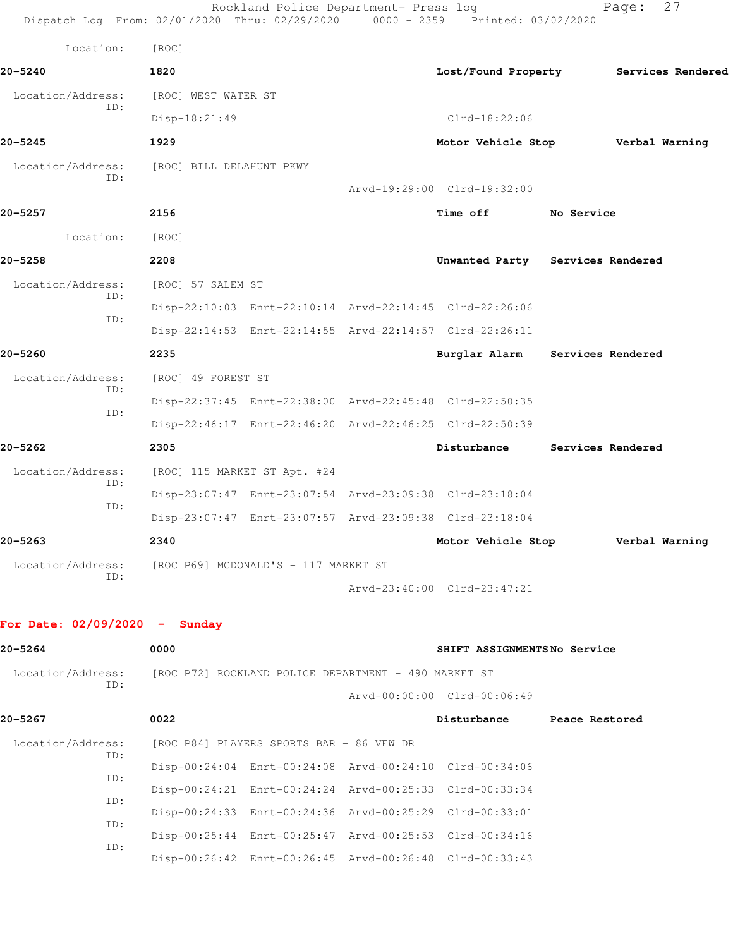| Dispatch Log From: 02/01/2020 Thru: 02/29/2020 0000 - 2359 Printed: 03/02/2020 |                                                      | Rockland Police Department- Press log                                                                              |                                                         |                   | 27<br>Page:                           |
|--------------------------------------------------------------------------------|------------------------------------------------------|--------------------------------------------------------------------------------------------------------------------|---------------------------------------------------------|-------------------|---------------------------------------|
| Location:                                                                      | [ROC]                                                |                                                                                                                    |                                                         |                   |                                       |
| 20-5240                                                                        | 1820                                                 |                                                                                                                    |                                                         |                   | Lost/Found Property Services Rendered |
| Location/Address:                                                              | [ROC] WEST WATER ST                                  |                                                                                                                    |                                                         |                   |                                       |
| ID:                                                                            | Disp-18:21:49                                        |                                                                                                                    | $Clrd-18:22:06$                                         |                   |                                       |
| 20-5245                                                                        | 1929                                                 |                                                                                                                    | Motor Vehicle Stop                                      |                   | Verbal Warning                        |
| Location/Address:                                                              | [ROC] BILL DELAHUNT PKWY                             |                                                                                                                    |                                                         |                   |                                       |
| ID:                                                                            |                                                      |                                                                                                                    | Arvd-19:29:00 Clrd-19:32:00                             |                   |                                       |
| 20–5257                                                                        | 2156                                                 |                                                                                                                    | <b>Time off</b>                                         | No Service        |                                       |
| Location:                                                                      | [ROC]                                                |                                                                                                                    |                                                         |                   |                                       |
| 20-5258                                                                        | 2208                                                 |                                                                                                                    | Unwanted Party Services Rendered                        |                   |                                       |
| Location/Address:                                                              | [ROC] 57 SALEM ST                                    |                                                                                                                    |                                                         |                   |                                       |
| ID:                                                                            |                                                      | Disp-22:10:03 Enrt-22:10:14 Arvd-22:14:45 Clrd-22:26:06                                                            |                                                         |                   |                                       |
| ID:                                                                            |                                                      | Disp-22:14:53 Enrt-22:14:55 Arvd-22:14:57 Clrd-22:26:11                                                            |                                                         |                   |                                       |
| 20-5260                                                                        | 2235                                                 |                                                                                                                    | Burglar Alarm                                           | Services Rendered |                                       |
| Location/Address:                                                              | [ROC] 49 FOREST ST                                   |                                                                                                                    |                                                         |                   |                                       |
| ID:                                                                            |                                                      | Disp-22:37:45 Enrt-22:38:00 Arvd-22:45:48 Clrd-22:50:35                                                            |                                                         |                   |                                       |
| ID:                                                                            |                                                      | Disp-22:46:17 Enrt-22:46:20 Arvd-22:46:25 Clrd-22:50:39                                                            |                                                         |                   |                                       |
| 20-5262                                                                        | 2305                                                 |                                                                                                                    | Disturbance                                             |                   | Services Rendered                     |
| Location/Address:                                                              |                                                      | [ROC] 115 MARKET ST Apt. #24                                                                                       |                                                         |                   |                                       |
| ID:<br>ID:                                                                     |                                                      | Disp-23:07:47 Enrt-23:07:54 Arvd-23:09:38 Clrd-23:18:04                                                            |                                                         |                   |                                       |
|                                                                                |                                                      | Disp-23:07:47 Enrt-23:07:57 Arvd-23:09:38 Clrd-23:18:04                                                            |                                                         |                   |                                       |
| 20–5263                                                                        | 2340                                                 |                                                                                                                    | Motor Vehicle Stop                                      |                   | Verbal Warning                        |
| Location/Address:<br>ID:                                                       | [ROC P69] MCDONALD'S - 117 MARKET ST                 |                                                                                                                    |                                                         |                   |                                       |
|                                                                                |                                                      |                                                                                                                    | Arvd-23:40:00 Clrd-23:47:21                             |                   |                                       |
| For Date: $02/09/2020 -$ Sunday                                                |                                                      |                                                                                                                    |                                                         |                   |                                       |
| 20-5264                                                                        | 0000                                                 |                                                                                                                    | SHIFT ASSIGNMENTSNo Service                             |                   |                                       |
| Location/Address:                                                              | [ROC P72] ROCKLAND POLICE DEPARTMENT - 490 MARKET ST |                                                                                                                    |                                                         |                   |                                       |
| ID:                                                                            |                                                      |                                                                                                                    | Arvd-00:00:00 Clrd-00:06:49                             |                   |                                       |
| 20-5267                                                                        | 0022                                                 |                                                                                                                    | Disturbance                                             | Peace Restored    |                                       |
| Location/Address:                                                              |                                                      | [ROC P84] PLAYERS SPORTS BAR - 86 VFW DR                                                                           |                                                         |                   |                                       |
| ID:                                                                            |                                                      |                                                                                                                    |                                                         |                   |                                       |
| ID:                                                                            |                                                      | Disp-00:24:04 Enrt-00:24:08 Arvd-00:24:10 Clrd-00:34:06<br>Disp-00:24:21 Enrt-00:24:24 Arvd-00:25:33 Clrd-00:33:34 |                                                         |                   |                                       |
| ID:                                                                            |                                                      | Disp-00:24:33 Enrt-00:24:36 Arvd-00:25:29 Clrd-00:33:01                                                            |                                                         |                   |                                       |
| ID:                                                                            |                                                      | Disp-00:25:44 Enrt-00:25:47 Arvd-00:25:53 Clrd-00:34:16                                                            |                                                         |                   |                                       |
| ID:                                                                            |                                                      |                                                                                                                    | Disp-00:26:42 Enrt-00:26:45 Arvd-00:26:48 Clrd-00:33:43 |                   |                                       |
|                                                                                |                                                      |                                                                                                                    |                                                         |                   |                                       |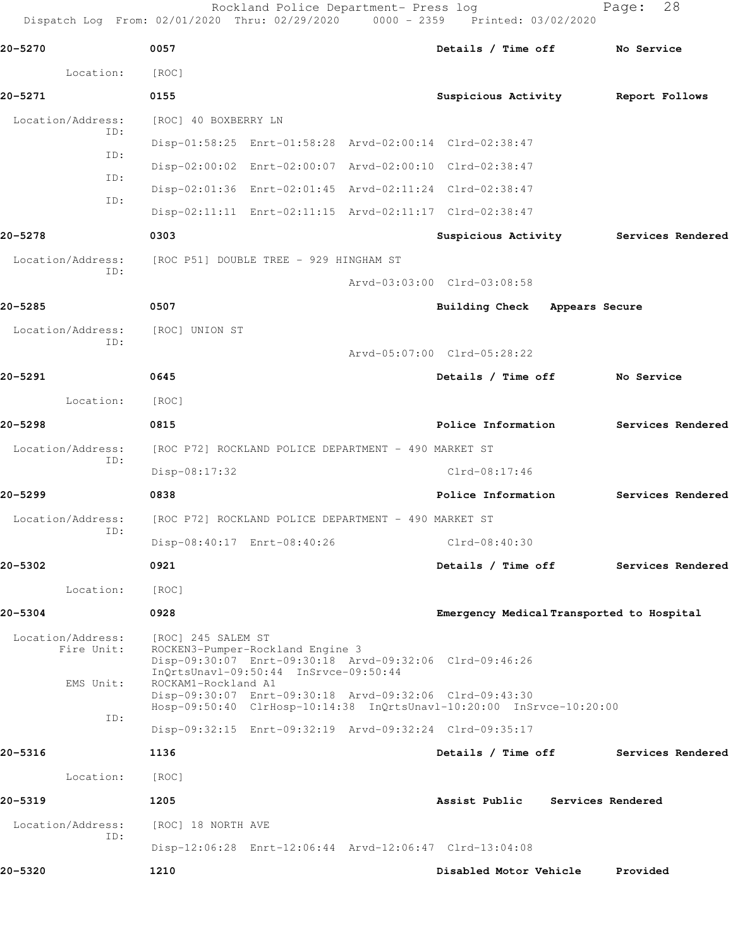Rockland Police Department- Press log Fage: 28 Dispatch Log From: 02/01/2020 Thru: 02/29/2020 0000 - 2359 Printed: 03/02/2020

**20-5270 0057 Details / Time off No Service** Location: [ROC] **20-5271 0155 Suspicious Activity Report Follows** Location/Address: [ROC] 40 BOXBERRY LN ID: Disp-01:58:25 Enrt-01:58:28 Arvd-02:00:14 Clrd-02:38:47 ID: Disp-02:00:02 Enrt-02:00:07 Arvd-02:00:10 Clrd-02:38:47 ID: Disp-02:01:36 Enrt-02:01:45 Arvd-02:11:24 Clrd-02:38:47 ID: Disp-02:11:11 Enrt-02:11:15 Arvd-02:11:17 Clrd-02:38:47 **20-5278 0303 Suspicious Activity Services Rendered** Location/Address: [ROC P51] DOUBLE TREE - 929 HINGHAM ST ID: Arvd-03:03:00 Clrd-03:08:58 **20-5285 0507 Building Check Appears Secure** Location/Address: [ROC] UNION ST ID: Arvd-05:07:00 Clrd-05:28:22 **20-5291 0645 Details / Time off No Service** Location: [ROC] **20-5298 0815 Police Information Services Rendered** Location/Address: [ROC P72] ROCKLAND POLICE DEPARTMENT - 490 MARKET ST ID: Disp-08:17:32 Clrd-08:17:46 **20-5299 0838 Police Information Services Rendered** Location/Address: [ROC P72] ROCKLAND POLICE DEPARTMENT - 490 MARKET ST ID: Disp-08:40:17 Enrt-08:40:26 Clrd-08:40:30 **20-5302 0921 Details / Time off Services Rendered** Location: [ROC] **20-5304 0928 Emergency Medical Transported to Hospital** Location/Address: [ROC] 245 SALEM ST Fire Unit: ROCKEN3-Pumper-Rockland Engine 3 Disp-09:30:07 Enrt-09:30:18 Arvd-09:32:06 Clrd-09:46:26 InQrtsUnavl-09:50:44 InSrvce-09:50:44 EMS Unit: ROCKAM1-Rockland A1 Disp-09:30:07 Enrt-09:30:18 Arvd-09:32:06 Clrd-09:43:30 Hosp-09:50:40 ClrHosp-10:14:38 InQrtsUnavl-10:20:00 InSrvce-10:20:00 ID: Disp-09:32:15 Enrt-09:32:19 Arvd-09:32:24 Clrd-09:35:17 **20-5316 1136 Details / Time off Services Rendered** Location: [ROC] **20-5319 1205 Assist Public Services Rendered** Location/Address: [ROC] 18 NORTH AVE ID: Disp-12:06:28 Enrt-12:06:44 Arvd-12:06:47 Clrd-13:04:08 **20-5320 1210 Disabled Motor Vehicle Provided**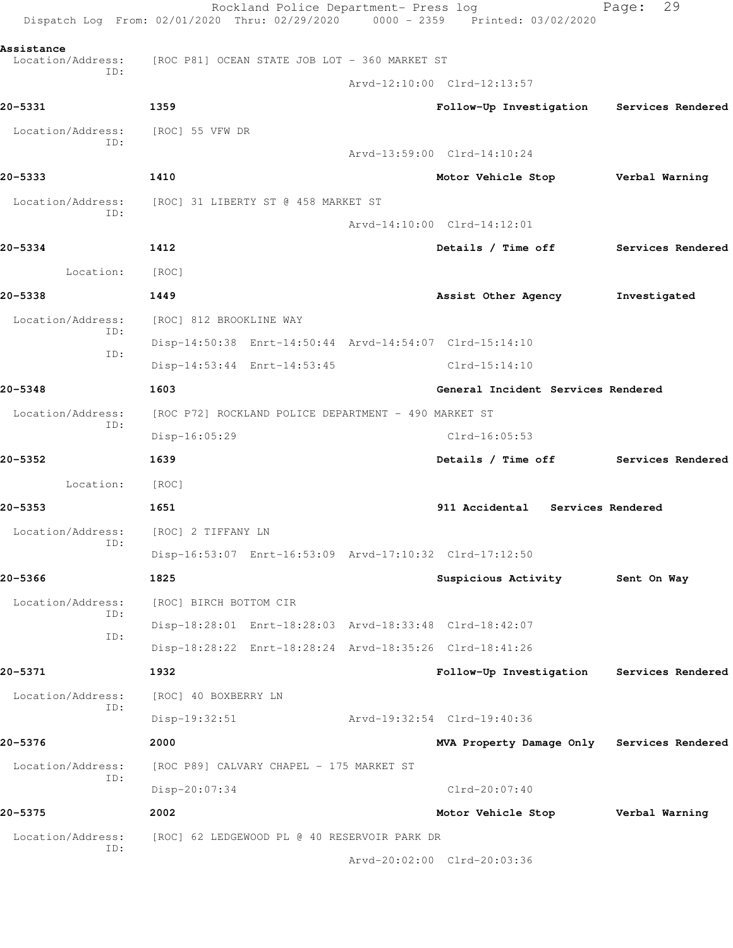| Dispatch Log From: 02/01/2020 Thru: 02/29/2020 0000 - 2359 Printed: 03/02/2020 |                                     | Rockland Police Department- Press log                |                                                         | Page:          | 29                |
|--------------------------------------------------------------------------------|-------------------------------------|------------------------------------------------------|---------------------------------------------------------|----------------|-------------------|
| Assistance                                                                     |                                     |                                                      |                                                         |                |                   |
| Location/Address: [ROC P81] OCEAN STATE JOB LOT - 360 MARKET ST<br>ID:         |                                     |                                                      |                                                         |                |                   |
|                                                                                |                                     |                                                      | Arvd-12:10:00 Clrd-12:13:57                             |                |                   |
| 20-5331                                                                        | 1359                                |                                                      | Follow-Up Investigation                                 |                | Services Rendered |
| Location/Address:<br>ID:                                                       | [ROC] 55 VFW DR                     |                                                      |                                                         |                |                   |
|                                                                                |                                     |                                                      | Arvd-13:59:00 Clrd-14:10:24                             |                |                   |
| 20-5333                                                                        | 1410                                |                                                      | Motor Vehicle Stop                                      | Verbal Warning |                   |
| Location/Address:<br>ID:                                                       | [ROC] 31 LIBERTY ST @ 458 MARKET ST |                                                      |                                                         |                |                   |
|                                                                                |                                     |                                                      | Arvd-14:10:00 Clrd-14:12:01                             |                |                   |
| 20-5334                                                                        | 1412                                |                                                      | Details / Time off Services Rendered                    |                |                   |
| Location:                                                                      | [ROC]                               |                                                      |                                                         |                |                   |
| 20-5338                                                                        | 1449                                |                                                      | Assist Other Agency                                     | Investigated   |                   |
| Location/Address:                                                              | [ROC] 812 BROOKLINE WAY             |                                                      |                                                         |                |                   |
| ID:                                                                            |                                     |                                                      | Disp-14:50:38 Enrt-14:50:44 Arvd-14:54:07 Clrd-15:14:10 |                |                   |
| ID:                                                                            |                                     | Disp-14:53:44 Enrt-14:53:45                          | $Clrd-15:14:10$                                         |                |                   |
| 20-5348                                                                        | 1603                                |                                                      | General Incident Services Rendered                      |                |                   |
| Location/Address:                                                              |                                     | [ROC P72] ROCKLAND POLICE DEPARTMENT - 490 MARKET ST |                                                         |                |                   |
| ID:                                                                            | Disp-16:05:29                       |                                                      | $Clrd-16:05:53$                                         |                |                   |
| 20–5352                                                                        | 1639                                |                                                      | Details / Time off                                      |                | Services Rendered |
| Location:                                                                      | [ROC]                               |                                                      |                                                         |                |                   |
| 20-5353                                                                        | 1651                                |                                                      | 911 Accidental Services Rendered                        |                |                   |
| Location/Address: [ROC] 2 TIFFANY LN                                           |                                     |                                                      |                                                         |                |                   |
| ID:                                                                            |                                     |                                                      | Disp-16:53:07 Enrt-16:53:09 Arvd-17:10:32 Clrd-17:12:50 |                |                   |
| 20-5366                                                                        | 1825                                |                                                      | Suspicious Activity                                     | Sent On Way    |                   |
| Location/Address:                                                              | [ROC] BIRCH BOTTOM CIR              |                                                      |                                                         |                |                   |
| ID:                                                                            |                                     |                                                      | Disp-18:28:01 Enrt-18:28:03 Arvd-18:33:48 Clrd-18:42:07 |                |                   |
| ID:                                                                            |                                     |                                                      | Disp-18:28:22 Enrt-18:28:24 Arvd-18:35:26 Clrd-18:41:26 |                |                   |
| 20-5371                                                                        | 1932                                |                                                      | Follow-Up Investigation                                 |                | Services Rendered |
| Location/Address:                                                              | [ROC] 40 BOXBERRY LN                |                                                      |                                                         |                |                   |
| ID:                                                                            | $Disp-19:32:51$                     |                                                      | Arvd-19:32:54 Clrd-19:40:36                             |                |                   |
| 20-5376                                                                        | 2000                                |                                                      | MVA Property Damage Only Services Rendered              |                |                   |
| Location/Address:                                                              |                                     | [ROC P89] CALVARY CHAPEL - 175 MARKET ST             |                                                         |                |                   |
| ID:                                                                            | Disp-20:07:34                       |                                                      | $Clrd-20:07:40$                                         |                |                   |
| 20-5375                                                                        | 2002                                |                                                      | Motor Vehicle Stop                                      |                | Verbal Warning    |
| Location/Address:                                                              |                                     | [ROC] 62 LEDGEWOOD PL @ 40 RESERVOIR PARK DR         |                                                         |                |                   |
| ID:                                                                            |                                     |                                                      | Arvd-20:02:00 Clrd-20:03:36                             |                |                   |
|                                                                                |                                     |                                                      |                                                         |                |                   |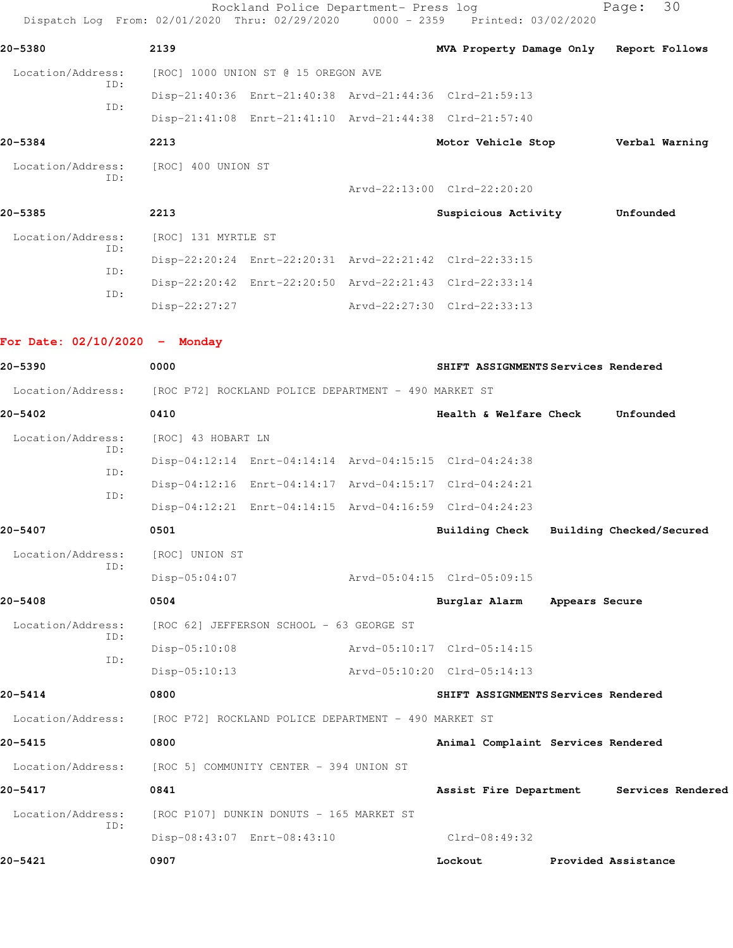Rockland Police Department- Press log Fage: 30 Dispatch Log From: 02/01/2020 Thru: 02/29/2020 0000 - 2359 Printed: 03/02/2020 **20-5380 2139 MVA Property Damage Only Report Follows** Location/Address: [ROC] 1000 UNION ST @ 15 OREGON AVE ID: Disp-21:40:36 Enrt-21:40:38 Arvd-21:44:36 Clrd-21:59:13 ID: Disp-21:41:08 Enrt-21:41:10 Arvd-21:44:38 Clrd-21:57:40 **20-5384 2213 Motor Vehicle Stop Verbal Warning** Location/Address: [ROC] 400 UNION ST ID: Arvd-22:13:00 Clrd-22:20:20 **20-5385 2213 Suspicious Activity Unfounded** Location/Address: [ROC] 131 MYRTLE ST ID: Disp-22:20:24 Enrt-22:20:31 Arvd-22:21:42 Clrd-22:33:15 ID: Disp-22:20:42 Enrt-22:20:50 Arvd-22:21:43 Clrd-22:33:14 ID: Disp-22:27:27 Arvd-22:27:30 Clrd-22:33:13 **For Date: 02/10/2020 - Monday**

**20-5390 0000 SHIFT ASSIGNMENTS Services Rendered** Location/Address: [ROC P72] ROCKLAND POLICE DEPARTMENT - 490 MARKET ST **20-5402 0410 Health & Welfare Check Unfounded** Location/Address: [ROC] 43 HOBART LN ID: Disp-04:12:14 Enrt-04:14:14 Arvd-04:15:15 Clrd-04:24:38 ID: Disp-04:12:16 Enrt-04:14:17 Arvd-04:15:17 Clrd-04:24:21 ID: Disp-04:12:21 Enrt-04:14:15 Arvd-04:16:59 Clrd-04:24:23 **20-5407 0501 Building Check Building Checked/Secured** Location/Address: [ROC] UNION ST ID: Disp-05:04:07 Arvd-05:04:15 Clrd-05:09:15 **20-5408 0504 Burglar Alarm Appears Secure** Location/Address: [ROC 62] JEFFERSON SCHOOL - 63 GEORGE ST ID: Disp-05:10:08 Arvd-05:10:17 Clrd-05:14:15 ID: Disp-05:10:13 Arvd-05:10:20 Clrd-05:14:13 **20-5414 0800 SHIFT ASSIGNMENTS Services Rendered** Location/Address: [ROC P72] ROCKLAND POLICE DEPARTMENT - 490 MARKET ST **20-5415 0800 Animal Complaint Services Rendered** Location/Address: [ROC 5] COMMUNITY CENTER - 394 UNION ST **20-5417 0841 Assist Fire Department Services Rendered** Location/Address: [ROC P107] DUNKIN DONUTS - 165 MARKET ST ID: Disp-08:43:07 Enrt-08:43:10 Clrd-08:49:32 **20-5421 0907 Lockout Provided Assistance**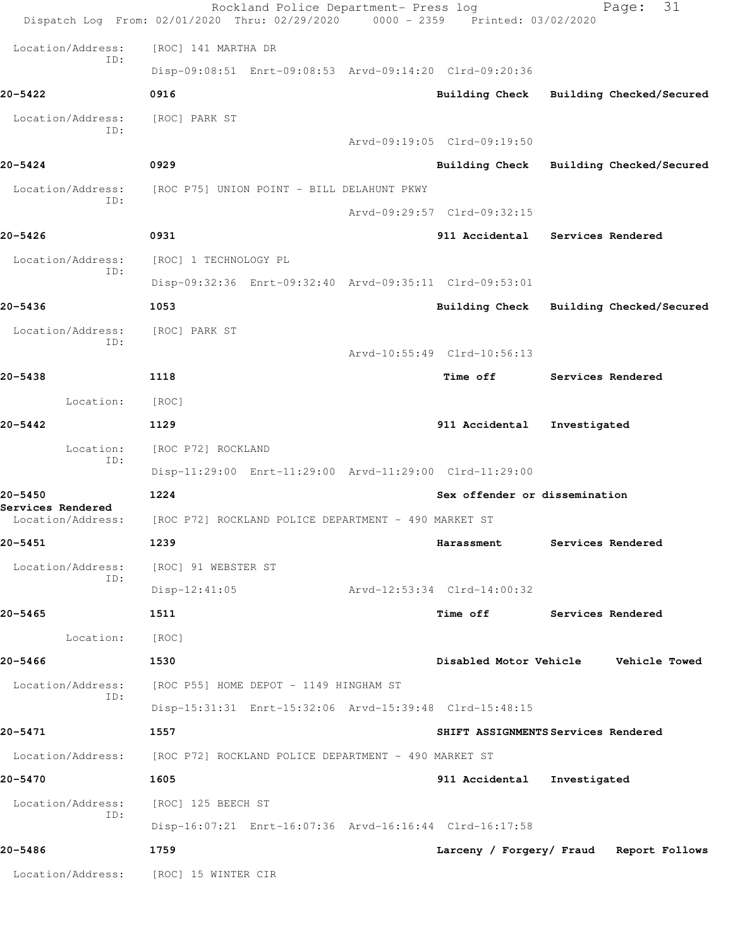|                              | Rockland Police Department- Press log<br>Dispatch Log From: 02/01/2020 Thru: 02/29/2020 0000 - 2359 Printed: 03/02/2020 |                               | 31<br>Page:                             |
|------------------------------|-------------------------------------------------------------------------------------------------------------------------|-------------------------------|-----------------------------------------|
| Location/Address:            | [ROC] 141 MARTHA DR                                                                                                     |                               |                                         |
| ID:                          | Disp-09:08:51 Enrt-09:08:53 Arvd-09:14:20 Clrd-09:20:36                                                                 |                               |                                         |
| 20-5422                      | 0916                                                                                                                    | Building Check                | Building Checked/Secured                |
| Location/Address:            | [ROC] PARK ST                                                                                                           |                               |                                         |
| ID:                          |                                                                                                                         | Arvd-09:19:05 Clrd-09:19:50   |                                         |
| $20 - 5424$                  | 0929                                                                                                                    | <b>Building Check</b>         | Building Checked/Secured                |
| Location/Address:<br>ID:     | [ROC P75] UNION POINT - BILL DELAHUNT PKWY                                                                              |                               |                                         |
|                              |                                                                                                                         | Arvd-09:29:57 Clrd-09:32:15   |                                         |
| 20-5426                      | 0931                                                                                                                    | 911 Accidental                | Services Rendered                       |
| Location/Address:<br>ID:     | [ROC] 1 TECHNOLOGY PL                                                                                                   |                               |                                         |
|                              | Disp-09:32:36 Enrt-09:32:40 Arvd-09:35:11 Clrd-09:53:01                                                                 |                               |                                         |
| 20-5436                      | 1053                                                                                                                    | Building Check                | Building Checked/Secured                |
| Location/Address:<br>ID:     | [ROC] PARK ST                                                                                                           |                               |                                         |
|                              |                                                                                                                         | Arvd-10:55:49 Clrd-10:56:13   |                                         |
| 20-5438                      | 1118                                                                                                                    | Time off                      | Services Rendered                       |
| Location:                    | [ROC]                                                                                                                   |                               |                                         |
| 20-5442                      | 1129                                                                                                                    | 911 Accidental                | Investigated                            |
| Location:<br>ID:             | [ROC P72] ROCKLAND                                                                                                      |                               |                                         |
|                              | Disp-11:29:00 Enrt-11:29:00 Arvd-11:29:00 Clrd-11:29:00                                                                 |                               |                                         |
| 20-5450<br>Services Rendered | 1224                                                                                                                    | Sex offender or dissemination |                                         |
| Location/Address:            | [ROC P72] ROCKLAND POLICE DEPARTMENT - 490 MARKET ST                                                                    |                               |                                         |
| $20 - 5451$                  | 1239                                                                                                                    | Harassment                    | Services Rendered                       |
| Location/Address:<br>ID:     | [ROC] 91 WEBSTER ST                                                                                                     |                               |                                         |
|                              | $Disp-12:41:05$                                                                                                         | Arvd-12:53:34 Clrd-14:00:32   |                                         |
| 20-5465                      | 1511                                                                                                                    | <b>Time off</b>               | Services Rendered                       |
| Location:                    | [ROC]                                                                                                                   |                               |                                         |
| 20-5466                      | 1530                                                                                                                    |                               | Disabled Motor Vehicle Vehicle Towed    |
| Location/Address:<br>ID:     | [ROC P55] HOME DEPOT - 1149 HINGHAM ST                                                                                  |                               |                                         |
|                              | Disp-15:31:31 Enrt-15:32:06 Arvd-15:39:48 Clrd-15:48:15                                                                 |                               |                                         |
| 20-5471                      | 1557                                                                                                                    |                               | SHIFT ASSIGNMENTS Services Rendered     |
| Location/Address:            | [ROC P72] ROCKLAND POLICE DEPARTMENT - 490 MARKET ST                                                                    |                               |                                         |
| 20-5470                      | 1605                                                                                                                    | 911 Accidental                | Investigated                            |
| Location/Address:<br>ID:     | [ROC] 125 BEECH ST                                                                                                      |                               |                                         |
|                              | Disp-16:07:21 Enrt-16:07:36 Arvd-16:16:44 Clrd-16:17:58                                                                 |                               |                                         |
| 20-5486                      | 1759                                                                                                                    |                               | Larceny / Forgery/ Fraud Report Follows |
| Location/Address:            | [ROC] 15 WINTER CIR                                                                                                     |                               |                                         |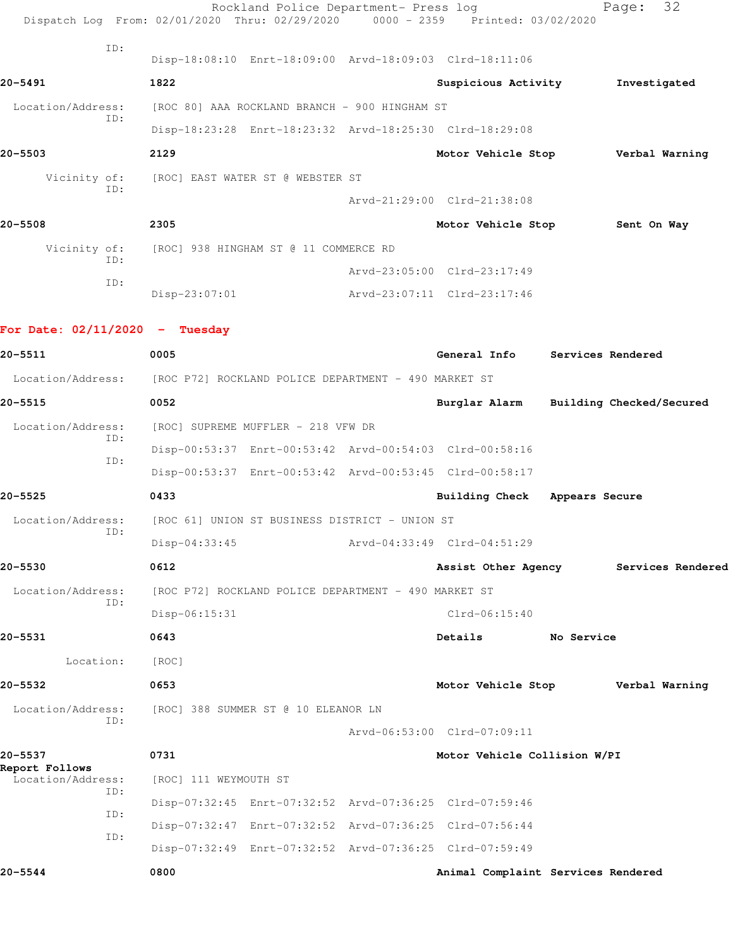| Dispatch Log From: 02/01/2020 Thru: 02/29/2020 0000 - 2359 Printed: 03/02/2020 |                                                    | Rockland Police Department- Press log                |  |                                                         |            | 32<br>Page:                            |
|--------------------------------------------------------------------------------|----------------------------------------------------|------------------------------------------------------|--|---------------------------------------------------------|------------|----------------------------------------|
| ID:                                                                            |                                                    |                                                      |  |                                                         |            |                                        |
|                                                                                |                                                    |                                                      |  | Disp-18:08:10 Enrt-18:09:00 Arvd-18:09:03 Clrd-18:11:06 |            |                                        |
| 20-5491                                                                        | 1822                                               |                                                      |  | Suspicious Activity                                     |            | Investigated                           |
| Location/Address:<br>ID:                                                       | [ROC 80] AAA ROCKLAND BRANCH - 900 HINGHAM ST      |                                                      |  |                                                         |            |                                        |
|                                                                                |                                                    |                                                      |  | Disp-18:23:28 Enrt-18:23:32 Arvd-18:25:30 Clrd-18:29:08 |            |                                        |
| $20 - 5503$                                                                    | 2129                                               |                                                      |  |                                                         |            | Motor Vehicle Stop Verbal Warning      |
| TD:                                                                            |                                                    | Vicinity of: [ROC] EAST WATER ST @ WEBSTER ST        |  |                                                         |            |                                        |
|                                                                                |                                                    |                                                      |  | Arvd-21:29:00 Clrd-21:38:08                             |            |                                        |
| $20 - 5508$                                                                    | 2305                                               |                                                      |  | Motor Vehicle Stop Sent On Way                          |            |                                        |
| ID:                                                                            | Vicinity of: [ROC] 938 HINGHAM ST @ 11 COMMERCE RD |                                                      |  |                                                         |            |                                        |
|                                                                                |                                                    |                                                      |  | Arvd-23:05:00 Clrd-23:17:49                             |            |                                        |
| ID:                                                                            | $Disp-23:07:01$                                    |                                                      |  | Arvd-23:07:11 Clrd-23:17:46                             |            |                                        |
| For Date: $02/11/2020 -$ Tuesday                                               |                                                    |                                                      |  |                                                         |            |                                        |
| 20-5511                                                                        | 0005                                               |                                                      |  | General Info Services Rendered                          |            |                                        |
| Location/Address: [ROC P72] ROCKLAND POLICE DEPARTMENT - 490 MARKET ST         |                                                    |                                                      |  |                                                         |            |                                        |
| 20-5515                                                                        | 0052                                               |                                                      |  |                                                         |            | Burglar Alarm Building Checked/Secured |
| Location/Address:                                                              | [ROC] SUPREME MUFFLER - 218 VFW DR                 |                                                      |  |                                                         |            |                                        |
| ID:                                                                            |                                                    |                                                      |  | Disp-00:53:37 Enrt-00:53:42 Arvd-00:54:03 Clrd-00:58:16 |            |                                        |
| ID:                                                                            |                                                    |                                                      |  | Disp-00:53:37 Enrt-00:53:42 Arvd-00:53:45 Clrd-00:58:17 |            |                                        |
| 20-5525                                                                        | 0433                                               |                                                      |  | Building Check Appears Secure                           |            |                                        |
| Location/Address: [ROC 61] UNION ST BUSINESS DISTRICT - UNION ST               |                                                    |                                                      |  |                                                         |            |                                        |
| ID:                                                                            | $Disp-04:33:45$                                    |                                                      |  | Arvd-04:33:49 Clrd-04:51:29                             |            |                                        |
| 20-5530                                                                        | 0612                                               |                                                      |  | Assist Other Agency                                     |            | Services Rendered                      |
| Location/Address:                                                              |                                                    | [ROC P72] ROCKLAND POLICE DEPARTMENT - 490 MARKET ST |  |                                                         |            |                                        |
| ID:                                                                            | $Disp-06:15:31$                                    |                                                      |  | $Clrd-06:15:40$                                         |            |                                        |
| 20-5531                                                                        | 0643                                               |                                                      |  | Details                                                 | No Service |                                        |
| Location:                                                                      | [ROC]                                              |                                                      |  |                                                         |            |                                        |
| 20-5532                                                                        | 0653                                               |                                                      |  |                                                         |            | Motor Vehicle Stop Verbal Warning      |
| Location/Address:<br>ID:                                                       | [ROC] 388 SUMMER ST @ 10 ELEANOR LN                |                                                      |  |                                                         |            |                                        |
|                                                                                |                                                    |                                                      |  | Arvd-06:53:00 Clrd-07:09:11                             |            |                                        |
| 20-5537<br>Report Follows                                                      | 0731                                               |                                                      |  | Motor Vehicle Collision W/PI                            |            |                                        |
| Location/Address:<br>ID:                                                       | [ROC] 111 WEYMOUTH ST                              |                                                      |  |                                                         |            |                                        |
| ID:                                                                            |                                                    |                                                      |  | Disp-07:32:45 Enrt-07:32:52 Arvd-07:36:25 Clrd-07:59:46 |            |                                        |
| ID:                                                                            |                                                    |                                                      |  | Disp-07:32:47 Enrt-07:32:52 Arvd-07:36:25 Clrd-07:56:44 |            |                                        |
|                                                                                |                                                    |                                                      |  | Disp-07:32:49 Enrt-07:32:52 Arvd-07:36:25 Clrd-07:59:49 |            |                                        |

**20-5544 0800 Animal Complaint Services Rendered**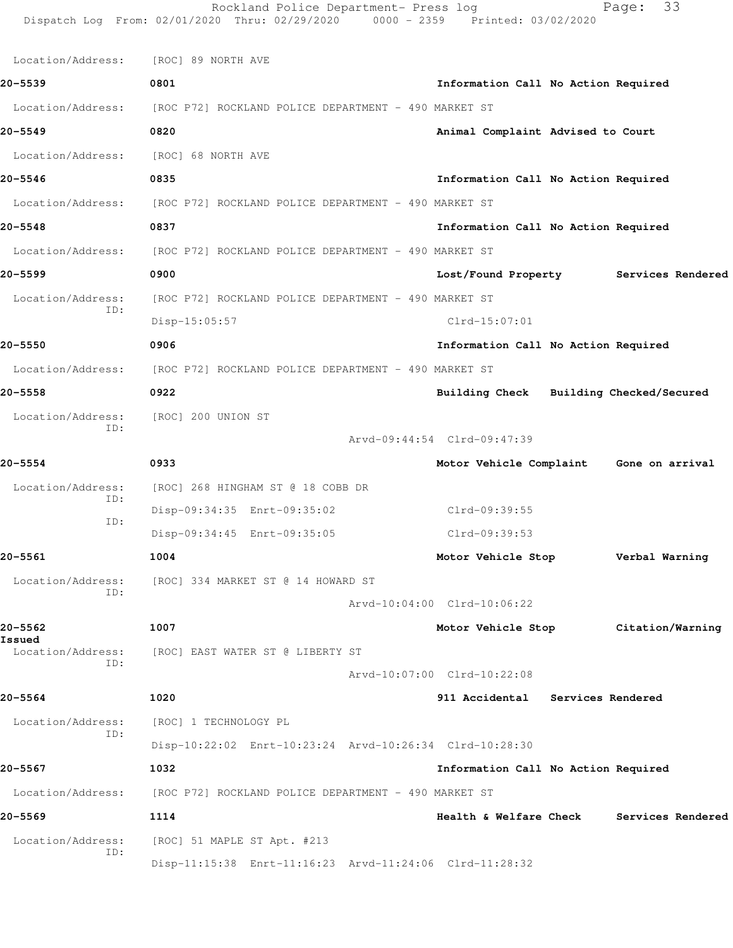|                             | Rockland Police Department- Press log<br>Dispatch Log From: 02/01/2020 Thru: 02/29/2020 0000 - 2359 Printed: 03/02/2020 |                                         | Page:          | 33                |
|-----------------------------|-------------------------------------------------------------------------------------------------------------------------|-----------------------------------------|----------------|-------------------|
| Location/Address:           | [ROC] 89 NORTH AVE                                                                                                      |                                         |                |                   |
| 20-5539                     | 0801                                                                                                                    | Information Call No Action Required     |                |                   |
| Location/Address:           | [ROC P72] ROCKLAND POLICE DEPARTMENT - 490 MARKET ST                                                                    |                                         |                |                   |
| 20-5549                     | 0820                                                                                                                    | Animal Complaint Advised to Court       |                |                   |
| Location/Address:           | [ROC] 68 NORTH AVE                                                                                                      |                                         |                |                   |
| 20-5546                     | 0835                                                                                                                    | Information Call No Action Required     |                |                   |
| Location/Address:           | [ROC P72] ROCKLAND POLICE DEPARTMENT - 490 MARKET ST                                                                    |                                         |                |                   |
| 20-5548                     | 0837                                                                                                                    | Information Call No Action Required     |                |                   |
| Location/Address:           | [ROC P72] ROCKLAND POLICE DEPARTMENT - 490 MARKET ST                                                                    |                                         |                |                   |
| 20–5599                     | 0900                                                                                                                    | Lost/Found Property Services Rendered   |                |                   |
| Location/Address:           | [ROC P72] ROCKLAND POLICE DEPARTMENT - 490 MARKET ST                                                                    |                                         |                |                   |
| ID:                         | $Disp-15:05:57$                                                                                                         | $Clrd-15:07:01$                         |                |                   |
| 20-5550                     | 0906                                                                                                                    | Information Call No Action Required     |                |                   |
| Location/Address:           | [ROC P72] ROCKLAND POLICE DEPARTMENT - 490 MARKET ST                                                                    |                                         |                |                   |
| 20-5558                     | 0922                                                                                                                    | Building Check Building Checked/Secured |                |                   |
| Location/Address:<br>ID:    | [ROC] 200 UNION ST                                                                                                      | Arvd-09:44:54 Clrd-09:47:39             |                |                   |
| $20 - 5554$                 | 0933                                                                                                                    | Motor Vehicle Complaint Gone on arrival |                |                   |
| Location/Address:           | [ROC] 268 HINGHAM ST @ 18 COBB DR                                                                                       |                                         |                |                   |
| ID:                         | Disp-09:34:35 Enrt-09:35:02                                                                                             | Clrd-09:39:55                           |                |                   |
| ID:                         | Disp-09:34:45 Enrt-09:35:05                                                                                             | Clrd-09:39:53                           |                |                   |
| 20-5561                     | 1004                                                                                                                    | Motor Vehicle Stop                      | Verbal Warning |                   |
| Location/Address:           | [ROC] 334 MARKET ST @ 14 HOWARD ST                                                                                      |                                         |                |                   |
| ID:                         |                                                                                                                         | Arvd-10:04:00 Clrd-10:06:22             |                |                   |
| 20–5562                     | 1007                                                                                                                    | Motor Vehicle Stop                      |                | Citation/Warning  |
| Issued<br>Location/Address: | [ROC] EAST WATER ST @ LIBERTY ST                                                                                        |                                         |                |                   |
| ID:                         |                                                                                                                         | Arvd-10:07:00 Clrd-10:22:08             |                |                   |
| 20–5564                     | 1020                                                                                                                    | 911 Accidental Services Rendered        |                |                   |
| Location/Address:           | [ROC] 1 TECHNOLOGY PL                                                                                                   |                                         |                |                   |
| ID:                         | Disp-10:22:02 Enrt-10:23:24 Arvd-10:26:34 Clrd-10:28:30                                                                 |                                         |                |                   |
| 20-5567                     | 1032                                                                                                                    | Information Call No Action Required     |                |                   |
| Location/Address:           | [ROC P72] ROCKLAND POLICE DEPARTMENT - 490 MARKET ST                                                                    |                                         |                |                   |
| 20–5569                     | 1114                                                                                                                    | Health & Welfare Check                  |                | Services Rendered |
| Location/Address:           | [ROC] 51 MAPLE ST Apt. #213                                                                                             |                                         |                |                   |
| ID:                         | Disp-11:15:38 Enrt-11:16:23 Arvd-11:24:06 Clrd-11:28:32                                                                 |                                         |                |                   |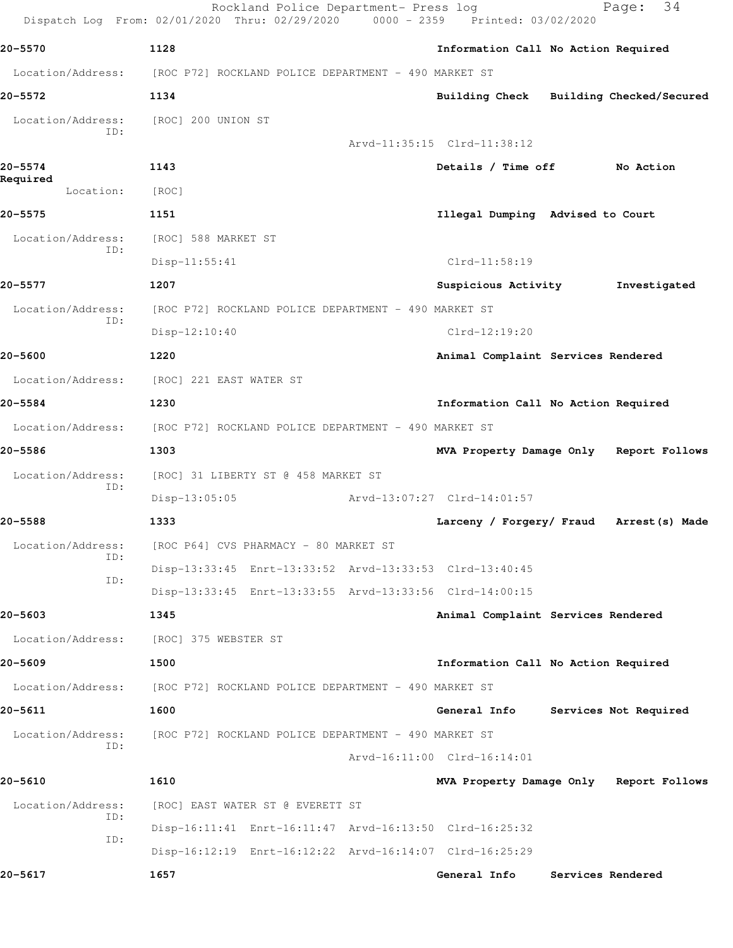|                          | Rockland Police Department- Press log<br>Dispatch Log From: 02/01/2020 Thru: 02/29/2020 0000 - 2359 Printed: 03/02/2020 |                                          |                   | 34<br>Page:           |
|--------------------------|-------------------------------------------------------------------------------------------------------------------------|------------------------------------------|-------------------|-----------------------|
| 20-5570                  | 1128                                                                                                                    | Information Call No Action Required      |                   |                       |
| Location/Address:        | [ROC P72] ROCKLAND POLICE DEPARTMENT - 490 MARKET ST                                                                    |                                          |                   |                       |
| 20–5572                  | 1134                                                                                                                    | Building Check Building Checked/Secured  |                   |                       |
| Location/Address:        | [ROC] 200 UNION ST                                                                                                      |                                          |                   |                       |
| ID:                      |                                                                                                                         | Arvd-11:35:15 Clrd-11:38:12              |                   |                       |
| 20-5574                  | 1143                                                                                                                    | Details / Time off                       |                   | No Action             |
| Required<br>Location:    | [ROC]                                                                                                                   |                                          |                   |                       |
| 20-5575                  | 1151                                                                                                                    | Illegal Dumping Advised to Court         |                   |                       |
| Location/Address:        | [ROC] 588 MARKET ST                                                                                                     |                                          |                   |                       |
| ID:                      | $Disp-11:55:41$                                                                                                         | $Clrd-11:58:19$                          |                   |                       |
| 20-5577                  | 1207                                                                                                                    | Suspicious Activity                      |                   | Investigated          |
| Location/Address:        | [ROC P72] ROCKLAND POLICE DEPARTMENT - 490 MARKET ST                                                                    |                                          |                   |                       |
| ID:                      | $Disp-12:10:40$                                                                                                         | $Clrd-12:19:20$                          |                   |                       |
| 20-5600                  | 1220                                                                                                                    | Animal Complaint Services Rendered       |                   |                       |
| Location/Address:        | [ROC] 221 EAST WATER ST                                                                                                 |                                          |                   |                       |
| 20-5584                  | 1230                                                                                                                    | Information Call No Action Required      |                   |                       |
| Location/Address:        | [ROC P72] ROCKLAND POLICE DEPARTMENT - 490 MARKET ST                                                                    |                                          |                   |                       |
| 20-5586                  | 1303                                                                                                                    | MVA Property Damage Only Report Follows  |                   |                       |
| Location/Address:        | [ROC] 31 LIBERTY ST @ 458 MARKET ST                                                                                     |                                          |                   |                       |
| ID:                      | $Disp-13:05:05$                                                                                                         | Arvd-13:07:27 Clrd-14:01:57              |                   |                       |
| 20-5588                  | 1333                                                                                                                    | Larceny / Forgery/ Fraud Arrest (s) Made |                   |                       |
| Location/Address:<br>ID: | [ROC P64] CVS PHARMACY - 80 MARKET ST                                                                                   |                                          |                   |                       |
| ID:                      | Disp-13:33:45 Enrt-13:33:52 Arvd-13:33:53 Clrd-13:40:45                                                                 |                                          |                   |                       |
|                          | Disp-13:33:45 Enrt-13:33:55 Arvd-13:33:56 Clrd-14:00:15                                                                 |                                          |                   |                       |
| 20-5603                  | 1345                                                                                                                    | Animal Complaint Services Rendered       |                   |                       |
| Location/Address:        | [ROC] 375 WEBSTER ST                                                                                                    |                                          |                   |                       |
| 20-5609                  | 1500                                                                                                                    | Information Call No Action Required      |                   |                       |
| Location/Address:        | [ROC P72] ROCKLAND POLICE DEPARTMENT - 490 MARKET ST                                                                    |                                          |                   |                       |
| 20-5611                  | 1600                                                                                                                    | General Info                             |                   | Services Not Required |
| Location/Address:<br>TD: | [ROC P72] ROCKLAND POLICE DEPARTMENT - 490 MARKET ST                                                                    |                                          |                   |                       |
|                          |                                                                                                                         | Arvd-16:11:00 Clrd-16:14:01              |                   |                       |
| 20-5610                  | 1610                                                                                                                    | MVA Property Damage Only Report Follows  |                   |                       |
| Location/Address:<br>ID: | [ROC] EAST WATER ST @ EVERETT ST                                                                                        |                                          |                   |                       |
| ID:                      | Disp-16:11:41 Enrt-16:11:47 Arvd-16:13:50 Clrd-16:25:32                                                                 |                                          |                   |                       |
|                          | Disp-16:12:19 Enrt-16:12:22 Arvd-16:14:07 Clrd-16:25:29                                                                 |                                          |                   |                       |
| 20-5617                  | 1657                                                                                                                    | General Info                             | Services Rendered |                       |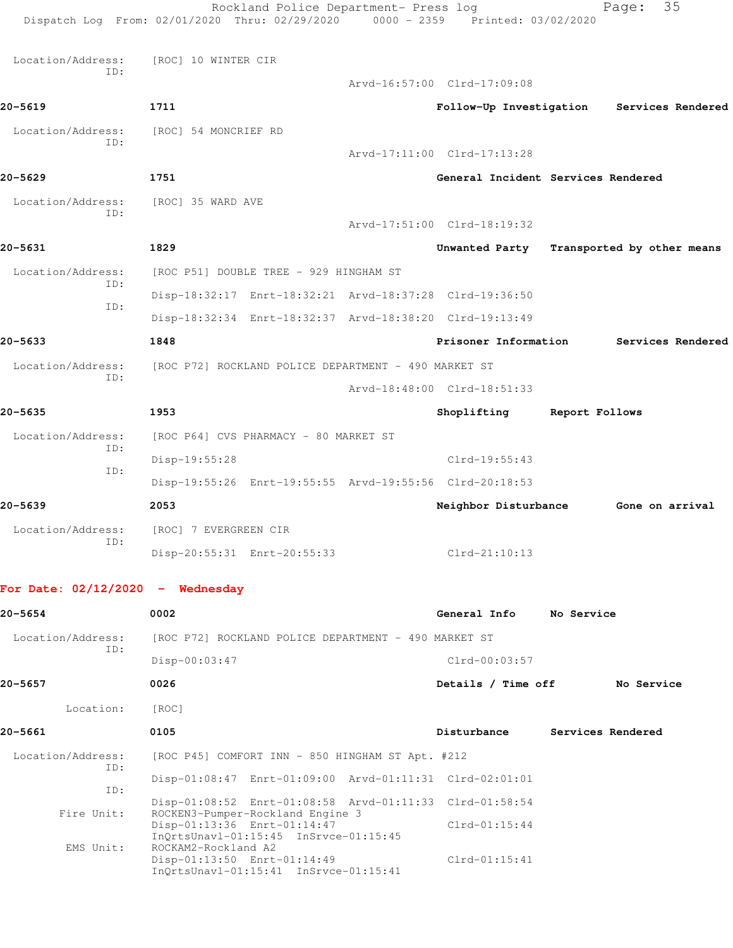|                                    | Rockland Police Department- Press log<br>Dispatch Log From: 02/01/2020 Thru: 02/29/2020 0000 - 2359 Printed: 03/02/2020 |  |                                    |                   | 35<br>Page:                               |
|------------------------------------|-------------------------------------------------------------------------------------------------------------------------|--|------------------------------------|-------------------|-------------------------------------------|
| Location/Address:                  | [ROC] 10 WINTER CIR                                                                                                     |  |                                    |                   |                                           |
| ID:                                |                                                                                                                         |  | Arvd-16:57:00 Clrd-17:09:08        |                   |                                           |
| 20-5619                            | 1711                                                                                                                    |  |                                    |                   | Follow-Up Investigation Services Rendered |
| Location/Address:                  | [ROC] 54 MONCRIEF RD                                                                                                    |  |                                    |                   |                                           |
| ID:                                |                                                                                                                         |  | Arvd-17:11:00 Clrd-17:13:28        |                   |                                           |
| 20-5629                            | 1751                                                                                                                    |  | General Incident Services Rendered |                   |                                           |
| Location/Address:                  | [ROC] 35 WARD AVE                                                                                                       |  |                                    |                   |                                           |
| ID:                                |                                                                                                                         |  | Arvd-17:51:00 Clrd-18:19:32        |                   |                                           |
| 20-5631                            | 1829                                                                                                                    |  |                                    |                   | Unwanted Party Transported by other means |
| Location/Address:                  | [ROC P51] DOUBLE TREE - 929 HINGHAM ST                                                                                  |  |                                    |                   |                                           |
| ID:                                | Disp-18:32:17 Enrt-18:32:21 Arvd-18:37:28 Clrd-19:36:50                                                                 |  |                                    |                   |                                           |
| ID:                                | Disp-18:32:34 Enrt-18:32:37 Arvd-18:38:20 Clrd-19:13:49                                                                 |  |                                    |                   |                                           |
| 20-5633                            | 1848                                                                                                                    |  | Prisoner Information               |                   | Services Rendered                         |
| Location/Address:                  | [ROC P72] ROCKLAND POLICE DEPARTMENT - 490 MARKET ST                                                                    |  |                                    |                   |                                           |
| TD:                                |                                                                                                                         |  | Arvd-18:48:00 Clrd-18:51:33        |                   |                                           |
| 20-5635                            | 1953                                                                                                                    |  | Shoplifting                        | Report Follows    |                                           |
| Location/Address:                  | [ROC P64] CVS PHARMACY - 80 MARKET ST                                                                                   |  |                                    |                   |                                           |
| ID:                                | Disp-19:55:28                                                                                                           |  | $Clrd-19:55:43$                    |                   |                                           |
| ID:                                | Disp-19:55:26 Enrt-19:55:55 Arvd-19:55:56 Clrd-20:18:53                                                                 |  |                                    |                   |                                           |
| 20-5639                            | 2053                                                                                                                    |  | Neighbor Disturbance               |                   | Gone on arrival                           |
| Location/Address:                  | [ROC] 7 EVERGREEN CIR                                                                                                   |  |                                    |                   |                                           |
| ID:                                | Disp-20:55:31 Enrt-20:55:33                                                                                             |  | Clrd-21:10:13                      |                   |                                           |
| For Date: $02/12/2020 -$ Wednesday |                                                                                                                         |  |                                    |                   |                                           |
| $20 - 5654$                        | 0002                                                                                                                    |  | General Info                       | No Service        |                                           |
| Location/Address:                  | [ROC P72] ROCKLAND POLICE DEPARTMENT - 490 MARKET ST                                                                    |  |                                    |                   |                                           |
| ID:                                | Disp-00:03:47                                                                                                           |  | $Clrd-00:03:57$                    |                   |                                           |
| 20–5657                            | 0026                                                                                                                    |  | Details / Time off                 |                   | No Service                                |
| Location:                          | [ROC]                                                                                                                   |  |                                    |                   |                                           |
| 20-5661                            | 0105                                                                                                                    |  | Disturbance                        | Services Rendered |                                           |
| Location/Address:                  | [ROC P45] COMFORT INN - 850 HINGHAM ST Apt. #212                                                                        |  |                                    |                   |                                           |
| ID:                                | Disp-01:08:47 Enrt-01:09:00 Arvd-01:11:31 Clrd-02:01:01                                                                 |  |                                    |                   |                                           |
| ID:                                | Disp-01:08:52 Enrt-01:08:58 Arvd-01:11:33 Clrd-01:58:54                                                                 |  |                                    |                   |                                           |
| Fire Unit:                         | ROCKEN3-Pumper-Rockland Engine 3<br>Disp-01:13:36 Enrt-01:14:47<br>InQrtsUnavl-01:15:45 InSrvce-01:15:45                |  | $Clrd-01:15:44$                    |                   |                                           |
| EMS Unit:                          | ROCKAM2-Rockland A2<br>Disp-01:13:50 Enrt-01:14:49<br>InQrtsUnavl-01:15:41 InSrvce-01:15:41                             |  | $Clrd-01:15:41$                    |                   |                                           |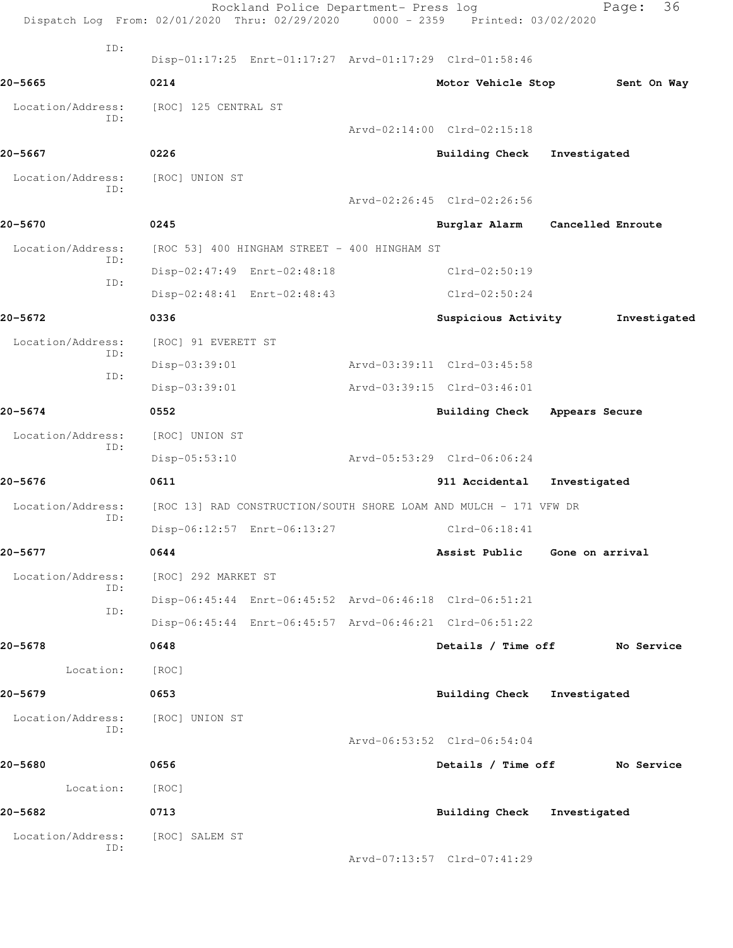|                   | Dispatch Log From: 02/01/2020 Thru: 02/29/2020 0000 - 2359 Printed: 03/02/2020 | Rockland Police Department- Press log                             |                             | Page:                           | 36           |
|-------------------|--------------------------------------------------------------------------------|-------------------------------------------------------------------|-----------------------------|---------------------------------|--------------|
| ID:               |                                                                                | Disp-01:17:25 Enrt-01:17:27 Arvd-01:17:29 Clrd-01:58:46           |                             |                                 |              |
| $20 - 5665$       | 0214                                                                           |                                                                   | Motor Vehicle Stop          |                                 | Sent On Way  |
| Location/Address: | [ROC] 125 CENTRAL ST                                                           |                                                                   |                             |                                 |              |
| ID:               |                                                                                |                                                                   | Arvd-02:14:00 Clrd-02:15:18 |                                 |              |
| 20-5667           | 0226                                                                           |                                                                   | Building Check              | Investigated                    |              |
| Location/Address: | [ROC] UNION ST                                                                 |                                                                   |                             |                                 |              |
| ID:               |                                                                                |                                                                   | Arvd-02:26:45 Clrd-02:26:56 |                                 |              |
| 20-5670           | 0245                                                                           |                                                                   |                             | Burglar Alarm Cancelled Enroute |              |
| Location/Address: |                                                                                | [ROC 53] 400 HINGHAM STREET - 400 HINGHAM ST                      |                             |                                 |              |
| ID:               |                                                                                | Disp-02:47:49 Enrt-02:48:18                                       | Clrd-02:50:19               |                                 |              |
| ID:               |                                                                                | Disp-02:48:41 Enrt-02:48:43                                       | $Clrd-02:50:24$             |                                 |              |
| $20 - 5672$       | 0336                                                                           |                                                                   | Suspicious Activity         |                                 | Investigated |
| Location/Address: | [ROC] 91 EVERETT ST                                                            |                                                                   |                             |                                 |              |
| ID:               | Disp-03:39:01                                                                  |                                                                   | Arvd-03:39:11 Clrd-03:45:58 |                                 |              |
| ID:               | Disp-03:39:01                                                                  |                                                                   | Arvd-03:39:15 Clrd-03:46:01 |                                 |              |
| $20 - 5674$       | 0552                                                                           |                                                                   |                             | Building Check Appears Secure   |              |
| Location/Address: | [ROC] UNION ST                                                                 |                                                                   |                             |                                 |              |
| ID:               | Disp-05:53:10                                                                  |                                                                   | Arvd-05:53:29 Clrd-06:06:24 |                                 |              |
| $20 - 5676$       | 0611                                                                           |                                                                   | 911 Accidental              | Investigated                    |              |
| Location/Address: |                                                                                | [ROC 13] RAD CONSTRUCTION/SOUTH SHORE LOAM AND MULCH - 171 VFW DR |                             |                                 |              |
| ID:               |                                                                                | Disp-06:12:57 Enrt-06:13:27                                       | $Clrd-06:18:41$             |                                 |              |
| 20-5677           | 0644                                                                           |                                                                   |                             | Assist Public Gone on arrival   |              |
| Location/Address: | [ROC] 292 MARKET ST                                                            |                                                                   |                             |                                 |              |
| ID:               |                                                                                | Disp-06:45:44 Enrt-06:45:52 Arvd-06:46:18 Clrd-06:51:21           |                             |                                 |              |
| ID:               |                                                                                | Disp-06:45:44 Enrt-06:45:57 Arvd-06:46:21 Clrd-06:51:22           |                             |                                 |              |
| 20-5678           | 0648                                                                           |                                                                   | Details / Time off          |                                 | No Service   |
| Location:         | [ROC]                                                                          |                                                                   |                             |                                 |              |
| $20 - 5679$       | 0653                                                                           |                                                                   | <b>Building Check</b>       | Investigated                    |              |
| Location/Address: | [ROC] UNION ST                                                                 |                                                                   |                             |                                 |              |
| ID:               |                                                                                |                                                                   | Arvd-06:53:52 Clrd-06:54:04 |                                 |              |
| 20-5680           | 0656                                                                           |                                                                   |                             | Details / Time off No Service   |              |
| Location:         | [ROC]                                                                          |                                                                   |                             |                                 |              |
| 20-5682           | 0713                                                                           |                                                                   |                             | Building Check Investigated     |              |
| Location/Address: | [ROC] SALEM ST                                                                 |                                                                   |                             |                                 |              |
| ID:               |                                                                                |                                                                   | Arvd-07:13:57 Clrd-07:41:29 |                                 |              |
|                   |                                                                                |                                                                   |                             |                                 |              |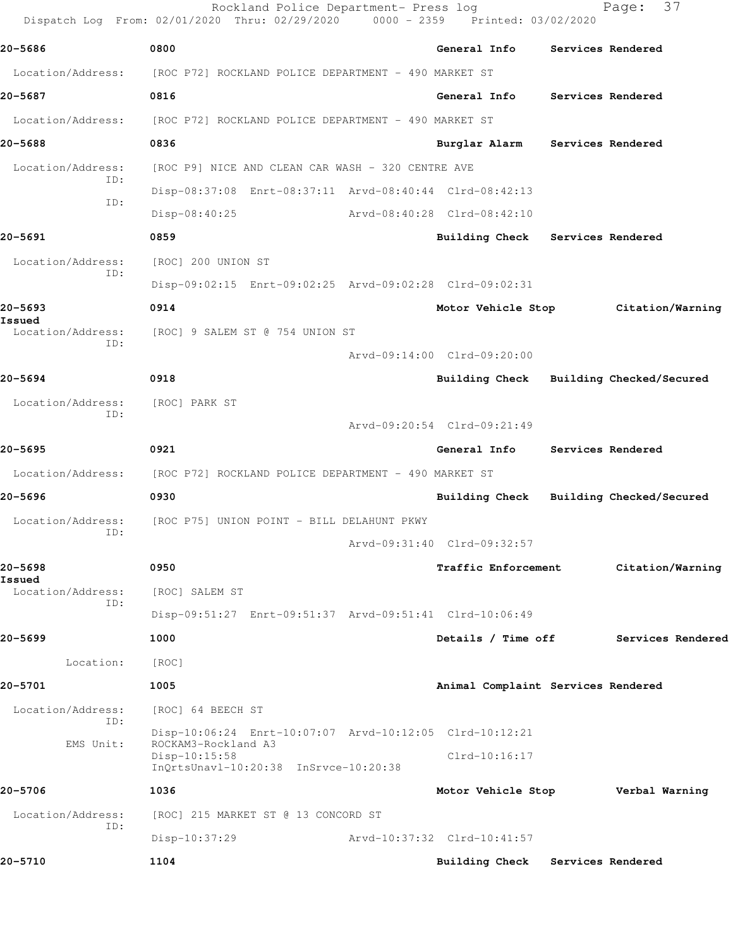| 20-5686                     | 0800                                                    | General Info                       |                                         |
|-----------------------------|---------------------------------------------------------|------------------------------------|-----------------------------------------|
| Location/Address:           | [ROC P72] ROCKLAND POLICE DEPARTMENT - 490 MARKET ST    |                                    | Services Rendered                       |
|                             | 0816                                                    | General Info                       |                                         |
| 20-5687                     |                                                         |                                    | Services Rendered                       |
| Location/Address:           | [ROC P72] ROCKLAND POLICE DEPARTMENT - 490 MARKET ST    |                                    |                                         |
| 20-5688                     | 0836                                                    | Burglar Alarm                      | Services Rendered                       |
| Location/Address:<br>ID:    | [ROC P9] NICE AND CLEAN CAR WASH - 320 CENTRE AVE       |                                    |                                         |
| ID:                         | Disp-08:37:08 Enrt-08:37:11 Arvd-08:40:44 Clrd-08:42:13 |                                    |                                         |
|                             | Disp-08:40:25                                           | Arvd-08:40:28 Clrd-08:42:10        |                                         |
| 20-5691                     | 0859                                                    | Building Check Services Rendered   |                                         |
| Location/Address:<br>ID:    | [ROC] 200 UNION ST                                      |                                    |                                         |
|                             | Disp-09:02:15 Enrt-09:02:25 Arvd-09:02:28 Clrd-09:02:31 |                                    |                                         |
| 20-5693<br>Issued           | 0914                                                    |                                    | Motor Vehicle Stop Citation/Warning     |
| Location/Address:           | [ROC] 9 SALEM ST @ 754 UNION ST                         |                                    |                                         |
| ID:                         |                                                         | Arvd-09:14:00 Clrd-09:20:00        |                                         |
| 20-5694                     | 0918                                                    |                                    | Building Check Building Checked/Secured |
| Location/Address:           | [ROC] PARK ST                                           |                                    |                                         |
| ID:                         |                                                         | Arvd-09:20:54 Clrd-09:21:49        |                                         |
| 20–5695                     | 0921                                                    | <b>General Info</b>                | Services Rendered                       |
| Location/Address:           | [ROC P72] ROCKLAND POLICE DEPARTMENT - 490 MARKET ST    |                                    |                                         |
| 20-5696                     | 0930                                                    | <b>Building Check</b>              | Building Checked/Secured                |
| Location/Address:           | [ROC P75] UNION POINT - BILL DELAHUNT PKWY              |                                    |                                         |
| ID:                         |                                                         | Arvd-09:31:40 Clrd-09:32:57        |                                         |
| 20-5698                     | 0950                                                    | Traffic Enforcement                | Citation/Warning                        |
| Issued<br>Location/Address: | [ROC] SALEM ST                                          |                                    |                                         |
| ID:                         | Disp-09:51:27 Enrt-09:51:37 Arvd-09:51:41 Clrd-10:06:49 |                                    |                                         |
| 20–5699                     | 1000                                                    | Details / Time off                 | Services Rendered                       |
| Location:                   | [ROC]                                                   |                                    |                                         |
| 20-5701                     | 1005                                                    | Animal Complaint Services Rendered |                                         |
| Location/Address:           | [ROC] 64 BEECH ST                                       |                                    |                                         |
| ID:                         | Disp-10:06:24 Enrt-10:07:07 Arvd-10:12:05 Clrd-10:12:21 |                                    |                                         |
| EMS Unit:                   | ROCKAM3-Rockland A3                                     | $Clrd-10:16:17$                    |                                         |
|                             | Disp-10:15:58<br>InQrtsUnavl-10:20:38 InSrvce-10:20:38  |                                    |                                         |
| 20-5706                     | 1036                                                    | Motor Vehicle Stop                 | Verbal Warning                          |
| Location/Address:           | [ROC] 215 MARKET ST @ 13 CONCORD ST                     |                                    |                                         |
| ID:                         | Disp-10:37:29                                           | Arvd-10:37:32 Clrd-10:41:57        |                                         |
|                             |                                                         |                                    |                                         |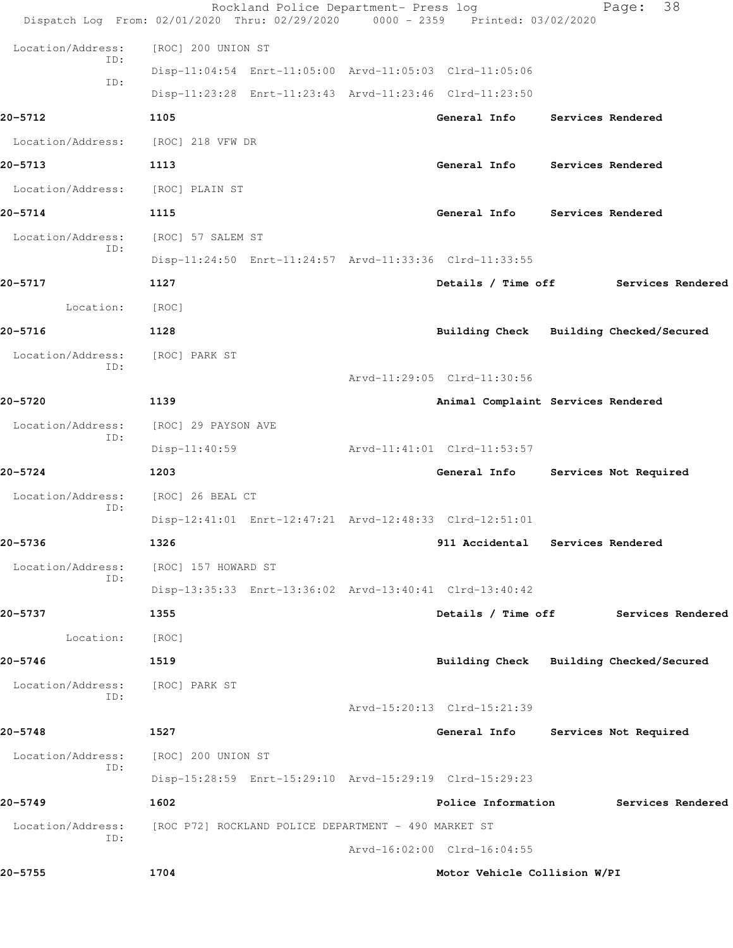|                          | Rockland Police Department- Press log<br>Dispatch Log From: 02/01/2020 Thru: 02/29/2020 0000 - 2359 Printed: 03/02/2020 |                                    | 38<br>Page:                             |
|--------------------------|-------------------------------------------------------------------------------------------------------------------------|------------------------------------|-----------------------------------------|
| Location/Address:        | [ROC] 200 UNION ST                                                                                                      |                                    |                                         |
| ID:                      | Disp-11:04:54 Enrt-11:05:00 Arvd-11:05:03 Clrd-11:05:06                                                                 |                                    |                                         |
| ID:                      | Disp-11:23:28 Enrt-11:23:43 Arvd-11:23:46 Clrd-11:23:50                                                                 |                                    |                                         |
| 20-5712                  | 1105                                                                                                                    | General Info                       | Services Rendered                       |
| Location/Address:        | [ROC] 218 VFW DR                                                                                                        |                                    |                                         |
| 20-5713                  | 1113                                                                                                                    | General Info Services Rendered     |                                         |
| Location/Address:        | [ROC] PLAIN ST                                                                                                          |                                    |                                         |
| 20-5714                  | 1115                                                                                                                    | General Info                       | Services Rendered                       |
| Location/Address:        | [ROC] 57 SALEM ST                                                                                                       |                                    |                                         |
| ID:                      | Disp-11:24:50 Enrt-11:24:57 Arvd-11:33:36 Clrd-11:33:55                                                                 |                                    |                                         |
| 20-5717                  | 1127                                                                                                                    |                                    | Details / Time off Services Rendered    |
| Location:                | [ROC]                                                                                                                   |                                    |                                         |
| 20-5716                  | 1128                                                                                                                    |                                    | Building Check Building Checked/Secured |
| Location/Address:<br>ID: | [ROC] PARK ST                                                                                                           |                                    |                                         |
|                          |                                                                                                                         | Arvd-11:29:05 Clrd-11:30:56        |                                         |
| 20-5720                  | 1139                                                                                                                    | Animal Complaint Services Rendered |                                         |
| Location/Address:<br>ID: | [ROC] 29 PAYSON AVE                                                                                                     |                                    |                                         |
|                          | $Disp-11:40:59$                                                                                                         | Arvd-11:41:01 Clrd-11:53:57        |                                         |
| 20-5724                  | 1203                                                                                                                    | General Info                       | Services Not Required                   |
| Location/Address:<br>ID: | [ROC] 26 BEAL CT                                                                                                        |                                    |                                         |
|                          | Disp-12:41:01 Enrt-12:47:21 Arvd-12:48:33 Clrd-12:51:01                                                                 |                                    |                                         |
| 20-5736                  | 1326                                                                                                                    | 911 Accidental Services Rendered   |                                         |
| Location/Address:<br>ID: | [ROC] 157 HOWARD ST                                                                                                     |                                    |                                         |
|                          | Disp-13:35:33 Enrt-13:36:02 Arvd-13:40:41 Clrd-13:40:42                                                                 |                                    |                                         |
| 20-5737                  | 1355                                                                                                                    | Details / Time off                 | Services Rendered                       |
| Location:                | [ROC]                                                                                                                   |                                    |                                         |
| 20-5746                  | 1519                                                                                                                    |                                    | Building Check Building Checked/Secured |
| Location/Address:<br>ID: | [ROC] PARK ST                                                                                                           |                                    |                                         |
|                          |                                                                                                                         | Arvd-15:20:13 Clrd-15:21:39        |                                         |
| 20-5748                  | 1527                                                                                                                    | General Info                       | Services Not Required                   |
| Location/Address:<br>ID: | [ROC] 200 UNION ST                                                                                                      |                                    |                                         |
|                          | Disp-15:28:59 Enrt-15:29:10 Arvd-15:29:19 Clrd-15:29:23                                                                 |                                    |                                         |
| 20-5749                  | 1602                                                                                                                    | Police Information                 | Services Rendered                       |
| Location/Address:<br>ID: | [ROC P72] ROCKLAND POLICE DEPARTMENT - 490 MARKET ST                                                                    | Arvd-16:02:00 Clrd-16:04:55        |                                         |
| 20-5755                  | 1704                                                                                                                    | Motor Vehicle Collision W/PI       |                                         |
|                          |                                                                                                                         |                                    |                                         |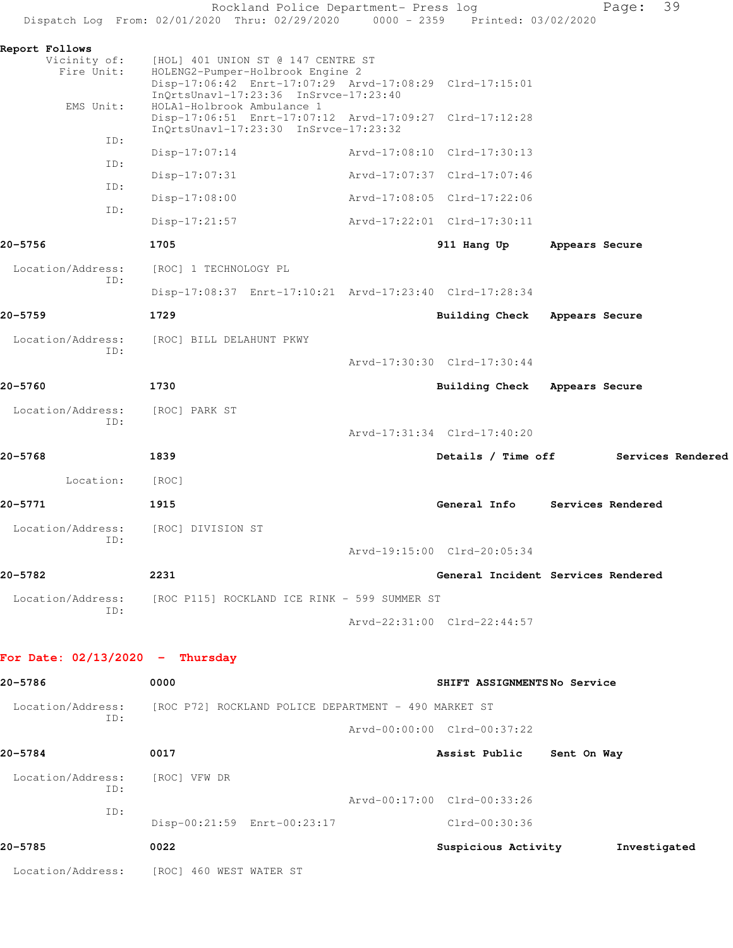|                                   | Rockland Police Department- Press log<br>Dispatch Log From: 02/01/2020 Thru: 02/29/2020 0000 - 2359 Printed: 03/02/2020                                            |                                    |                | 39<br>Page:       |
|-----------------------------------|--------------------------------------------------------------------------------------------------------------------------------------------------------------------|------------------------------------|----------------|-------------------|
| Report Follows<br>Vicinity of:    | [HOL] 401 UNION ST @ 147 CENTRE ST                                                                                                                                 |                                    |                |                   |
| Fire Unit:                        | HOLENG2-Pumper-Holbrook Engine 2<br>Disp-17:06:42 Enrt-17:07:29 Arvd-17:08:29 Clrd-17:15:01<br>InQrtsUnavl-17:23:36 InSrvce-17:23:40<br>HOLA1-Holbrook Ambulance 1 |                                    |                |                   |
| EMS Unit:                         | Disp-17:06:51 Enrt-17:07:12 Arvd-17:09:27 Clrd-17:12:28<br>InQrtsUnavl-17:23:30 InSrvce-17:23:32                                                                   |                                    |                |                   |
| ID:                               | $Disp-17:07:14$                                                                                                                                                    | Arvd-17:08:10 Clrd-17:30:13        |                |                   |
| ID:                               | $Disp-17:07:31$                                                                                                                                                    | Arvd-17:07:37 Clrd-17:07:46        |                |                   |
| ID:                               | $Disp-17:08:00$                                                                                                                                                    | Arvd-17:08:05 Clrd-17:22:06        |                |                   |
| ID:                               | $Disp-17:21:57$                                                                                                                                                    | Arvd-17:22:01 Clrd-17:30:11        |                |                   |
| 20-5756                           | 1705                                                                                                                                                               | 911 Hang Up                        | Appears Secure |                   |
| Location/Address:                 | [ROC] 1 TECHNOLOGY PL                                                                                                                                              |                                    |                |                   |
| ID:                               | Disp-17:08:37 Enrt-17:10:21 Arvd-17:23:40 Clrd-17:28:34                                                                                                            |                                    |                |                   |
| 20–5759                           | 1729                                                                                                                                                               | Building Check Appears Secure      |                |                   |
| Location/Address:                 | [ROC] BILL DELAHUNT PKWY                                                                                                                                           |                                    |                |                   |
| ID:                               |                                                                                                                                                                    | Arvd-17:30:30 Clrd-17:30:44        |                |                   |
|                                   |                                                                                                                                                                    |                                    |                |                   |
| 20-5760                           | 1730                                                                                                                                                               | Building Check Appears Secure      |                |                   |
| Location/Address:<br>ID:          | [ROC] PARK ST                                                                                                                                                      |                                    |                |                   |
|                                   |                                                                                                                                                                    | Arvd-17:31:34 Clrd-17:40:20        |                |                   |
|                                   |                                                                                                                                                                    |                                    |                |                   |
| 20-5768                           | 1839                                                                                                                                                               | Details / Time off                 |                | Services Rendered |
| Location:                         | [ROC]                                                                                                                                                              |                                    |                |                   |
| 20-5771                           | 1915                                                                                                                                                               | General Info                       |                | Services Rendered |
| Location/Address:                 | [ROC] DIVISION ST                                                                                                                                                  |                                    |                |                   |
| ID:                               |                                                                                                                                                                    | Arvd-19:15:00 Clrd-20:05:34        |                |                   |
| 20-5782                           | 2231                                                                                                                                                               | General Incident Services Rendered |                |                   |
| Location/Address:                 | [ROC P115] ROCKLAND ICE RINK - 599 SUMMER ST                                                                                                                       |                                    |                |                   |
| ID:                               |                                                                                                                                                                    | Arvd-22:31:00 Clrd-22:44:57        |                |                   |
| For Date: $02/13/2020 -$ Thursday |                                                                                                                                                                    |                                    |                |                   |
| 20-5786                           | 0000                                                                                                                                                               | SHIFT ASSIGNMENTSNo Service        |                |                   |
| Location/Address:                 | [ROC P72] ROCKLAND POLICE DEPARTMENT - 490 MARKET ST                                                                                                               |                                    |                |                   |
| ID:                               |                                                                                                                                                                    | Arvd-00:00:00 Clrd-00:37:22        |                |                   |
| 20-5784                           | 0017                                                                                                                                                               | Assist Public Sent On Way          |                |                   |
| Location/Address:<br>ID:          | [ROC] VFW DR                                                                                                                                                       |                                    |                |                   |
| ID:                               |                                                                                                                                                                    | Arvd-00:17:00 Clrd-00:33:26        |                |                   |
|                                   | Disp-00:21:59 Enrt-00:23:17                                                                                                                                        | Clrd-00:30:36                      |                |                   |
| 20-5785                           | 0022                                                                                                                                                               | Suspicious Activity                |                | Investigated      |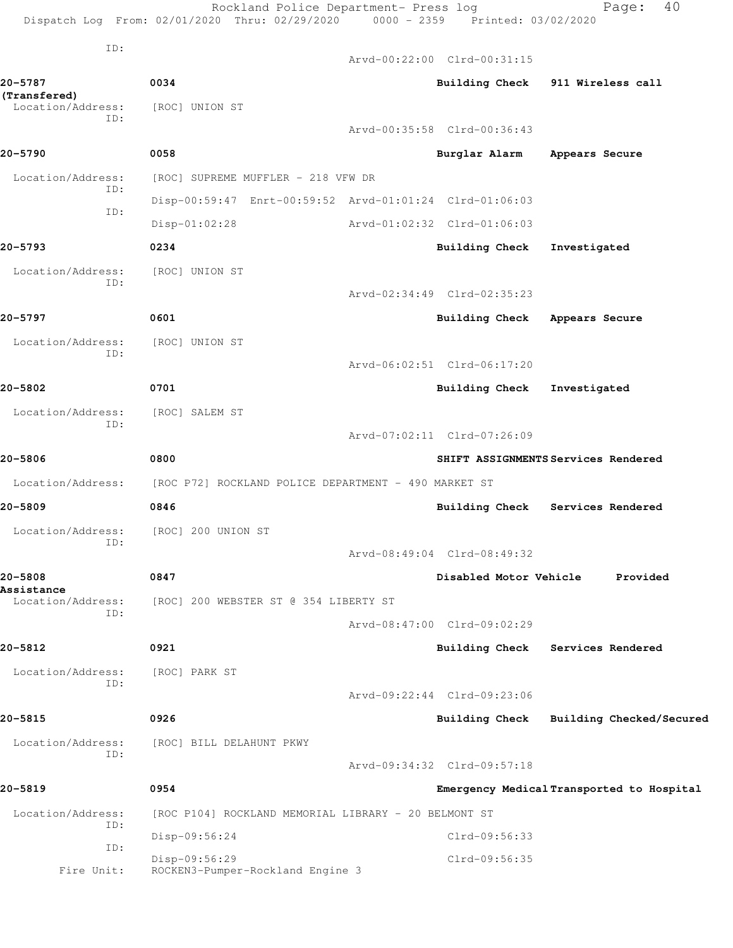Rockland Police Department- Press log Fage: 40 Dispatch Log From: 02/01/2020 Thru: 02/29/2020 0000 - 2359 Printed: 03/02/2020 ID: Arvd-00:22:00 Clrd-00:31:15 **20-5787 0034 Building Check 911 Wireless call (Transfered)**  Location/Address: [ROC] UNION ST ID: Arvd-00:35:58 Clrd-00:36:43 **20-5790 0058 Burglar Alarm Appears Secure** Location/Address: [ROC] SUPREME MUFFLER - 218 VFW DR ID: Disp-00:59:47 Enrt-00:59:52 Arvd-01:01:24 Clrd-01:06:03 ID: Disp-01:02:28 Arvd-01:02:32 Clrd-01:06:03 **20-5793 0234 Building Check Investigated** Location/Address: [ROC] UNION ST ID: Arvd-02:34:49 Clrd-02:35:23 **20-5797 0601 Building Check Appears Secure** Location/Address: [ROC] UNION ST ID: Arvd-06:02:51 Clrd-06:17:20 **20-5802 0701 Building Check Investigated** Location/Address: [ROC] SALEM ST ID: Arvd-07:02:11 Clrd-07:26:09 **20-5806 0800 SHIFT ASSIGNMENTS Services Rendered** Location/Address: [ROC P72] ROCKLAND POLICE DEPARTMENT - 490 MARKET ST **20-5809 0846 Building Check Services Rendered** Location/Address: [ROC] 200 UNION ST ID: Arvd-08:49:04 Clrd-08:49:32 **20-5808 0847 Disabled Motor Vehicle Provided Assistance**  Location/Address: [ROC] 200 WEBSTER ST @ 354 LIBERTY ST ID: Arvd-08:47:00 Clrd-09:02:29 **20-5812 0921 Building Check Services Rendered** Location/Address: [ROC] PARK ST ID: Arvd-09:22:44 Clrd-09:23:06 **20-5815 0926 Building Check Building Checked/Secured** Location/Address: [ROC] BILL DELAHUNT PKWY ID: Arvd-09:34:32 Clrd-09:57:18 **20-5819 0954 Emergency Medical Transported to Hospital** Location/Address: [ROC P104] ROCKLAND MEMORIAL LIBRARY - 20 BELMONT ST ID: Disp-09:56:24 Clrd-09:56:33 ID: Disp-09:56:29 Clrd-09:56:35 Fire Unit: ROCKEN3-Pumper-Rockland Engine 3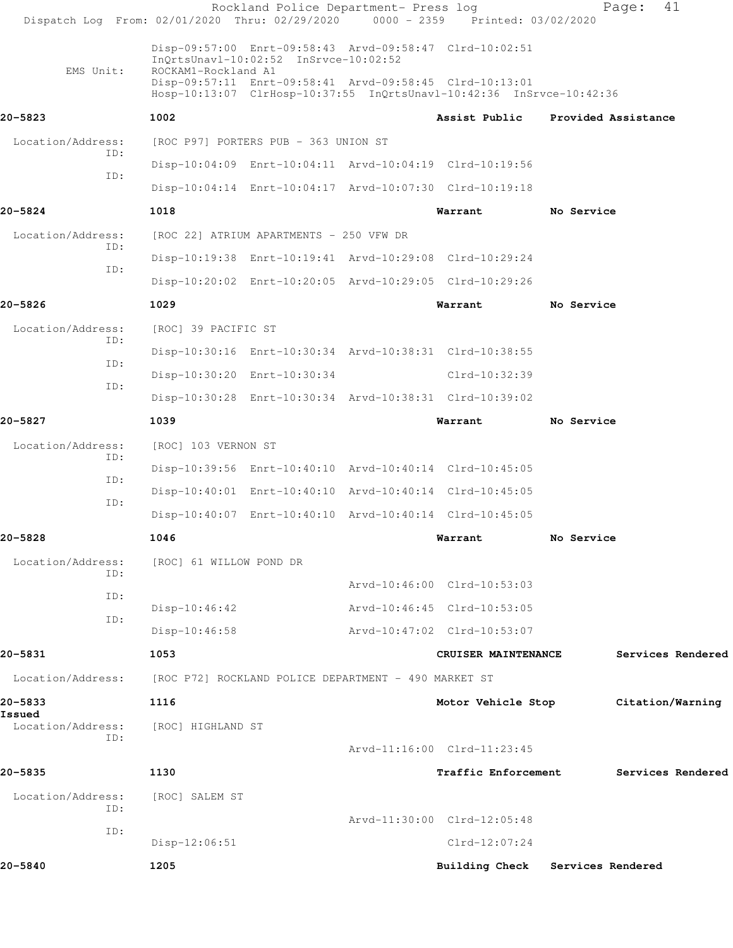| Dispatch Log From: 02/01/2020 Thru: 02/29/2020 0000 - 2359 Printed: 03/02/2020 |                                                      | Rockland Police Department- Press log   |                                                                                                                                 |                   | 41<br>Page:         |  |
|--------------------------------------------------------------------------------|------------------------------------------------------|-----------------------------------------|---------------------------------------------------------------------------------------------------------------------------------|-------------------|---------------------|--|
| EMS Unit:                                                                      | ROCKAM1-Rockland A1                                  | InQrtsUnavl-10:02:52 InSrvce-10:02:52   | Disp-09:57:00 Enrt-09:58:43 Arvd-09:58:47 Clrd-10:02:51                                                                         |                   |                     |  |
|                                                                                |                                                      |                                         | Disp-09:57:11 Enrt-09:58:41 Arvd-09:58:45 Clrd-10:13:01<br>Hosp-10:13:07 ClrHosp-10:37:55 InQrtsUnavl-10:42:36 InSrvce-10:42:36 |                   |                     |  |
| 20-5823                                                                        | 1002                                                 |                                         | Assist Public                                                                                                                   |                   | Provided Assistance |  |
| Location/Address:                                                              |                                                      | [ROC P97] PORTERS PUB - 363 UNION ST    |                                                                                                                                 |                   |                     |  |
| ID:                                                                            |                                                      |                                         | Disp-10:04:09 Enrt-10:04:11 Arvd-10:04:19 Clrd-10:19:56                                                                         |                   |                     |  |
| ID:                                                                            |                                                      |                                         | Disp-10:04:14 Enrt-10:04:17 Arvd-10:07:30 Clrd-10:19:18                                                                         |                   |                     |  |
| 20-5824                                                                        | 1018                                                 |                                         | Warrant                                                                                                                         | No Service        |                     |  |
| Location/Address:<br>ID:                                                       |                                                      | [ROC 22] ATRIUM APARTMENTS - 250 VFW DR |                                                                                                                                 |                   |                     |  |
| ID:                                                                            |                                                      |                                         | Disp-10:19:38 Enrt-10:19:41 Arvd-10:29:08 Clrd-10:29:24                                                                         |                   |                     |  |
|                                                                                |                                                      |                                         | Disp-10:20:02 Enrt-10:20:05 Arvd-10:29:05 Clrd-10:29:26                                                                         |                   |                     |  |
| 20-5826                                                                        | 1029                                                 |                                         | Warrant                                                                                                                         | No Service        |                     |  |
| Location/Address:                                                              | [ROC] 39 PACIFIC ST                                  |                                         |                                                                                                                                 |                   |                     |  |
| ID:                                                                            |                                                      |                                         | Disp-10:30:16 Enrt-10:30:34 Arvd-10:38:31 Clrd-10:38:55                                                                         |                   |                     |  |
| ID:<br>ID:                                                                     |                                                      | Disp-10:30:20 Enrt-10:30:34             | Clrd-10:32:39                                                                                                                   |                   |                     |  |
|                                                                                |                                                      |                                         | Disp-10:30:28 Enrt-10:30:34 Arvd-10:38:31 Clrd-10:39:02                                                                         |                   |                     |  |
| 20-5827                                                                        | 1039                                                 |                                         | Warrant                                                                                                                         | No Service        |                     |  |
| Location/Address:<br>ID:                                                       | [ROC] 103 VERNON ST                                  |                                         |                                                                                                                                 |                   |                     |  |
| ID:                                                                            |                                                      |                                         | Disp-10:39:56 Enrt-10:40:10 Arvd-10:40:14 Clrd-10:45:05                                                                         |                   |                     |  |
| ID:                                                                            |                                                      |                                         | Disp-10:40:01 Enrt-10:40:10 Arvd-10:40:14 Clrd-10:45:05                                                                         |                   |                     |  |
|                                                                                |                                                      |                                         | Disp-10:40:07 Enrt-10:40:10 Arvd-10:40:14 Clrd-10:45:05                                                                         |                   |                     |  |
| 20-5828                                                                        | 1046                                                 |                                         | Warrant                                                                                                                         | No Service        |                     |  |
| Location/Address:<br>ID:                                                       | [ROC] 61 WILLOW POND DR                              |                                         |                                                                                                                                 |                   |                     |  |
| ID:                                                                            |                                                      |                                         | Arvd-10:46:00 Clrd-10:53:03                                                                                                     |                   |                     |  |
| ID:                                                                            | Disp-10:46:42                                        |                                         | Arvd-10:46:45 Clrd-10:53:05                                                                                                     |                   |                     |  |
|                                                                                | $Disp-10:46:58$                                      |                                         | Arvd-10:47:02 Clrd-10:53:07                                                                                                     |                   |                     |  |
| 20-5831                                                                        | 1053                                                 |                                         | CRUISER MAINTENANCE                                                                                                             |                   | Services Rendered   |  |
| Location/Address:                                                              | [ROC P72] ROCKLAND POLICE DEPARTMENT - 490 MARKET ST |                                         |                                                                                                                                 |                   |                     |  |
| 20-5833<br>Issued                                                              | 1116                                                 |                                         | Motor Vehicle Stop                                                                                                              |                   | Citation/Warning    |  |
| Location/Address:<br>ID:                                                       | [ROC] HIGHLAND ST                                    |                                         |                                                                                                                                 |                   |                     |  |
|                                                                                |                                                      |                                         | Arvd-11:16:00 Clrd-11:23:45                                                                                                     |                   |                     |  |
| 20-5835                                                                        | 1130                                                 |                                         | Traffic Enforcement                                                                                                             |                   | Services Rendered   |  |
| Location/Address:<br>ID:                                                       | [ROC] SALEM ST                                       |                                         |                                                                                                                                 |                   |                     |  |
| ID:                                                                            |                                                      |                                         | Arvd-11:30:00 Clrd-12:05:48                                                                                                     |                   |                     |  |
|                                                                                | Disp-12:06:51                                        |                                         | $Clrd-12:07:24$                                                                                                                 |                   |                     |  |
| 20-5840                                                                        | 1205                                                 |                                         | <b>Building Check</b>                                                                                                           | Services Rendered |                     |  |
|                                                                                |                                                      |                                         |                                                                                                                                 |                   |                     |  |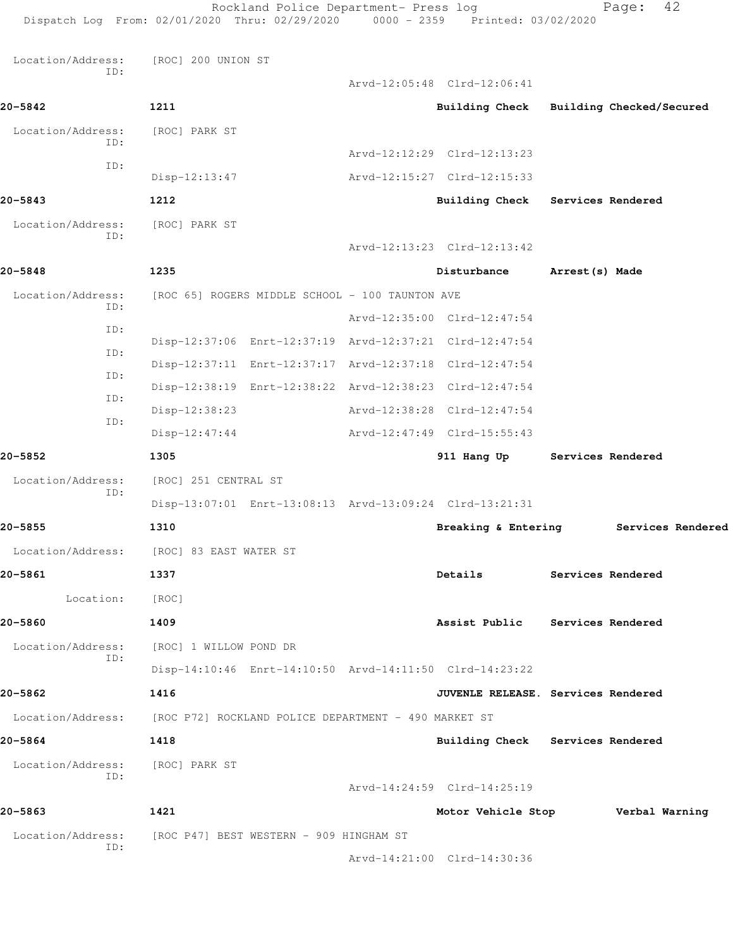Rockland Police Department- Press log Fage: 42 Dispatch Log From: 02/01/2020 Thru: 02/29/2020 0000 - 2359 Printed: 03/02/2020 Location/Address: [ROC] 200 UNION ST ID: Arvd-12:05:48 Clrd-12:06:41 **20-5842 1211 Building Check Building Checked/Secured** Location/Address: [ROC] PARK ST ID: Arvd-12:12:29 Clrd-12:13:23 ID: Disp-12:13:47 Arvd-12:15:27 Clrd-12:15:33 **20-5843 1212 Building Check Services Rendered** Location/Address: [ROC] PARK ST ID: Arvd-12:13:23 Clrd-12:13:42 **20-5848 1235 Disturbance Arrest(s) Made** Location/Address: [ROC 65] ROGERS MIDDLE SCHOOL - 100 TAUNTON AVE ID: Arvd-12:35:00 Clrd-12:47:54 ID: Disp-12:37:06 Enrt-12:37:19 Arvd-12:37:21 Clrd-12:47:54 ID: Disp-12:37:11 Enrt-12:37:17 Arvd-12:37:18 Clrd-12:47:54 ID: Disp-12:38:19 Enrt-12:38:22 Arvd-12:38:23 Clrd-12:47:54 ID: Disp-12:38:23 Arvd-12:38:28 Clrd-12:47:54 ID: Disp-12:47:44 Arvd-12:47:49 Clrd-15:55:43 **20-5852 1305 911 Hang Up Services Rendered** Location/Address: [ROC] 251 CENTRAL ST ID: Disp-13:07:01 Enrt-13:08:13 Arvd-13:09:24 Clrd-13:21:31 **20-5855 1310 Breaking & Entering Services Rendered** Location/Address: [ROC] 83 EAST WATER ST **20-5861 1337 Details Services Rendered** Location: [ROC] **20-5860 1409 Assist Public Services Rendered** Location/Address: [ROC] 1 WILLOW POND DR ID: Disp-14:10:46 Enrt-14:10:50 Arvd-14:11:50 Clrd-14:23:22 **20-5862 1416 JUVENLE RELEASE. Services Rendered** Location/Address: [ROC P72] ROCKLAND POLICE DEPARTMENT - 490 MARKET ST **20-5864 1418 Building Check Services Rendered** Location/Address: [ROC] PARK ST ID: Arvd-14:24:59 Clrd-14:25:19 **20-5863 1421 Motor Vehicle Stop Verbal Warning** Location/Address: [ROC P47] BEST WESTERN - 909 HINGHAM ST ID:

Arvd-14:21:00 Clrd-14:30:36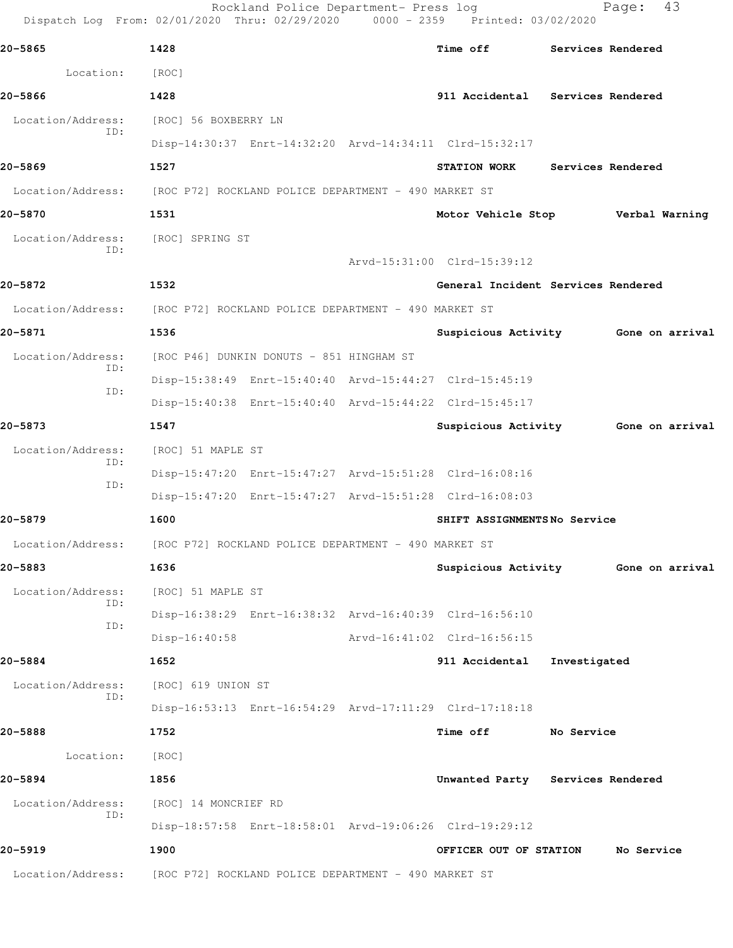| Dispatch Log From: 02/01/2020 Thru: 02/29/2020 0000 - 2359 Printed: 03/02/2020 |                                                      | Rockland Police Department- Press log                |                                                         |              | 43<br>Page:                         |
|--------------------------------------------------------------------------------|------------------------------------------------------|------------------------------------------------------|---------------------------------------------------------|--------------|-------------------------------------|
| 20-5865                                                                        | 1428                                                 |                                                      | Time off                                                |              | Services Rendered                   |
| Location:                                                                      | [ROC]                                                |                                                      |                                                         |              |                                     |
| 20-5866                                                                        | 1428                                                 |                                                      | 911 Accidental                                          |              | Services Rendered                   |
| Location/Address:                                                              | [ROC] 56 BOXBERRY LN                                 |                                                      |                                                         |              |                                     |
| ID:                                                                            |                                                      |                                                      | Disp-14:30:37 Enrt-14:32:20 Arvd-14:34:11 Clrd-15:32:17 |              |                                     |
| 20-5869                                                                        | 1527                                                 |                                                      | <b>STATION WORK</b>                                     |              | Services Rendered                   |
| Location/Address:                                                              | [ROC P72] ROCKLAND POLICE DEPARTMENT - 490 MARKET ST |                                                      |                                                         |              |                                     |
| 20-5870                                                                        | 1531                                                 |                                                      | Motor Vehicle Stop                                      |              | Verbal Warning                      |
| Location/Address:                                                              | [ROC] SPRING ST                                      |                                                      |                                                         |              |                                     |
| TD:                                                                            |                                                      |                                                      | Arvd-15:31:00 Clrd-15:39:12                             |              |                                     |
| 20-5872                                                                        | 1532                                                 |                                                      | General Incident Services Rendered                      |              |                                     |
| Location/Address:                                                              |                                                      | [ROC P72] ROCKLAND POLICE DEPARTMENT - 490 MARKET ST |                                                         |              |                                     |
| 20-5871                                                                        | 1536                                                 |                                                      |                                                         |              | Suspicious Activity 6one on arrival |
| Location/Address:                                                              |                                                      | [ROC P46] DUNKIN DONUTS - 851 HINGHAM ST             |                                                         |              |                                     |
| ID:                                                                            |                                                      |                                                      | Disp-15:38:49 Enrt-15:40:40 Arvd-15:44:27 Clrd-15:45:19 |              |                                     |
| ID:                                                                            |                                                      |                                                      | Disp-15:40:38 Enrt-15:40:40 Arvd-15:44:22 Clrd-15:45:17 |              |                                     |
| 20-5873                                                                        | 1547                                                 |                                                      |                                                         |              | Suspicious Activity 6one on arrival |
| Location/Address:<br>ID:                                                       | [ROC] 51 MAPLE ST                                    |                                                      |                                                         |              |                                     |
| ID:                                                                            |                                                      |                                                      | Disp-15:47:20 Enrt-15:47:27 Arvd-15:51:28 Clrd-16:08:16 |              |                                     |
|                                                                                |                                                      |                                                      | Disp-15:47:20 Enrt-15:47:27 Arvd-15:51:28 Clrd-16:08:03 |              |                                     |
| 20-5879                                                                        | 1600                                                 |                                                      | SHIFT ASSIGNMENTSNo Service                             |              |                                     |
| Location/Address:                                                              | [ROC P72] ROCKLAND POLICE DEPARTMENT - 490 MARKET ST |                                                      |                                                         |              |                                     |
| 20-5883                                                                        | 1636                                                 |                                                      |                                                         |              | Suspicious Activity 6one on arrival |
| Location/Address:<br>ID:                                                       | [ROC] 51 MAPLE ST                                    |                                                      |                                                         |              |                                     |
| ID:                                                                            |                                                      |                                                      | Disp-16:38:29 Enrt-16:38:32 Arvd-16:40:39 Clrd-16:56:10 |              |                                     |
|                                                                                | $Disp-16:40:58$                                      |                                                      | Arvd-16:41:02 Clrd-16:56:15                             |              |                                     |
| 20-5884                                                                        | 1652                                                 |                                                      | 911 Accidental                                          | Investigated |                                     |
| Location/Address:<br>ID:                                                       | [ROC] 619 UNION ST                                   |                                                      |                                                         |              |                                     |
|                                                                                |                                                      |                                                      | Disp-16:53:13 Enrt-16:54:29 Arvd-17:11:29 Clrd-17:18:18 |              |                                     |
| 20-5888                                                                        | 1752                                                 |                                                      | Time off                                                | No Service   |                                     |
| Location:                                                                      | [ROC]                                                |                                                      |                                                         |              |                                     |
| 20-5894                                                                        | 1856                                                 |                                                      | Unwanted Party Services Rendered                        |              |                                     |
| Location/Address:<br>ID:                                                       | [ROC] 14 MONCRIEF RD                                 |                                                      |                                                         |              |                                     |
|                                                                                |                                                      |                                                      | Disp-18:57:58 Enrt-18:58:01 Arvd-19:06:26 Clrd-19:29:12 |              |                                     |
| 20-5919                                                                        | 1900                                                 |                                                      | OFFICER OUT OF STATION                                  |              | No Service                          |
| Location/Address:                                                              |                                                      | [ROC P72] ROCKLAND POLICE DEPARTMENT - 490 MARKET ST |                                                         |              |                                     |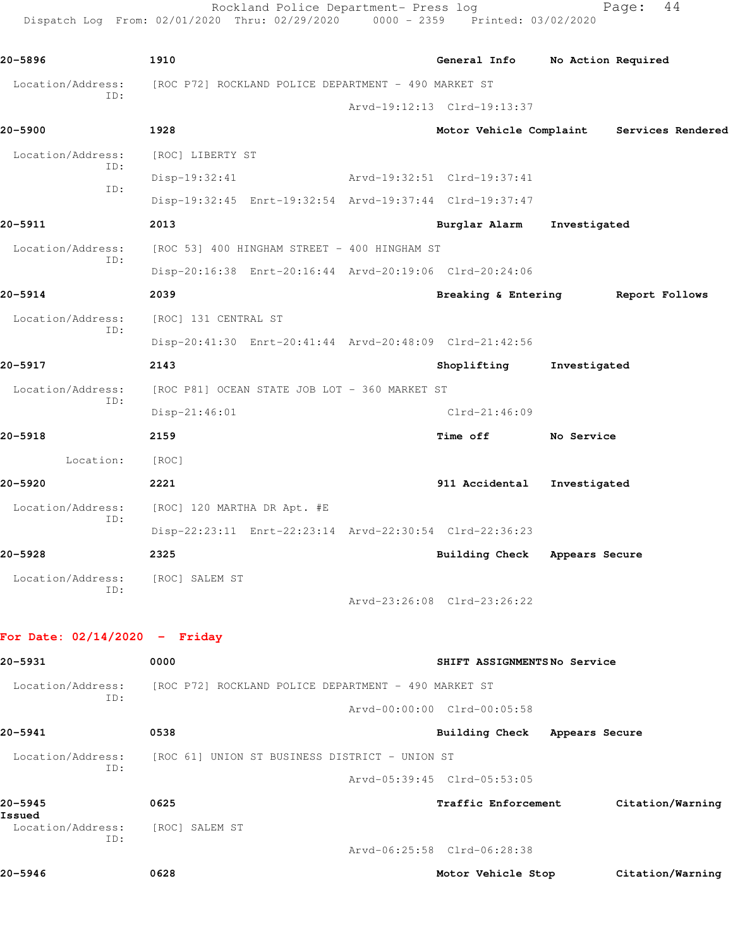Rockland Police Department- Press log entitled Page: 44 Dispatch Log From: 02/01/2020 Thru: 02/29/2020 0000 - 2359 Printed: 03/02/2020

| 20-5896                  | 1910                                                    | General Info                       | No Action Required |                   |
|--------------------------|---------------------------------------------------------|------------------------------------|--------------------|-------------------|
| Location/Address:<br>ID: | [ROC P72] ROCKLAND POLICE DEPARTMENT - 490 MARKET ST    |                                    |                    |                   |
|                          |                                                         | Arvd-19:12:13 Clrd-19:13:37        |                    |                   |
| 20-5900                  | 1928                                                    | Motor Vehicle Complaint            |                    | Services Rendered |
| Location/Address:<br>ID: | [ROC] LIBERTY ST                                        |                                    |                    |                   |
| TD:                      | Disp-19:32:41                                           | Arvd-19:32:51 Clrd-19:37:41        |                    |                   |
|                          | Disp-19:32:45 Enrt-19:32:54 Arvd-19:37:44 Clrd-19:37:47 |                                    |                    |                   |
| 20-5911                  | 2013                                                    | Burglar Alarm                      | Investigated       |                   |
| Location/Address:<br>ID: | [ROC 53] 400 HINGHAM STREET - 400 HINGHAM ST            |                                    |                    |                   |
|                          | Disp-20:16:38 Enrt-20:16:44 Arvd-20:19:06 Clrd-20:24:06 |                                    |                    |                   |
| 20-5914                  | 2039                                                    | Breaking & Entering Report Follows |                    |                   |
| Location/Address:<br>ID: | [ROC] 131 CENTRAL ST                                    |                                    |                    |                   |
|                          | Disp-20:41:30 Enrt-20:41:44 Arvd-20:48:09 Clrd-21:42:56 |                                    |                    |                   |
| 20-5917                  | 2143                                                    | Shoplifting                        | Investigated       |                   |
| Location/Address:<br>TD: | [ROC P81] OCEAN STATE JOB LOT - 360 MARKET ST           |                                    |                    |                   |
|                          | Disp-21:46:01                                           | $Clrd-21:46:09$                    |                    |                   |
| 20-5918                  | 2159                                                    | Time off                           | No Service         |                   |
| Location:                | [ROC]                                                   |                                    |                    |                   |
| 20-5920                  | 2221                                                    | 911 Accidental                     | Investigated       |                   |
| Location/Address:<br>TD: | [ROC] 120 MARTHA DR Apt. #E                             |                                    |                    |                   |
|                          | Disp-22:23:11 Enrt-22:23:14 Arvd-22:30:54 Clrd-22:36:23 |                                    |                    |                   |
| 20-5928                  | 2325                                                    | Building Check Appears Secure      |                    |                   |
| Location/Address:<br>TD: | [ROC] SALEM ST                                          |                                    |                    |                   |
|                          |                                                         | Arvd-23:26:08 Clrd-23:26:22        |                    |                   |

## **For Date: 02/14/2020 - Friday**

| 20-5931                  | 0000                                           | SHIFT ASSIGNMENTSNo Service                          |
|--------------------------|------------------------------------------------|------------------------------------------------------|
| Location/Address:        |                                                | [ROC P72] ROCKLAND POLICE DEPARTMENT - 490 MARKET ST |
| ID:                      |                                                | Arvd-00:00:00 Clrd-00:05:58                          |
| 20-5941                  | 0538                                           | Building Check<br>Appears Secure                     |
| Location/Address:<br>ID: | [ROC 61] UNION ST BUSINESS DISTRICT - UNION ST |                                                      |
|                          |                                                | Arvd-05:39:45 Clrd-05:53:05                          |
| 20-5945<br>Issued        | 0625                                           | Traffic Enforcement<br>Citation/Warning              |
| Location/Address:<br>TD: | [ROC] SALEM ST                                 |                                                      |
|                          |                                                | Arvd-06:25:58 Clrd-06:28:38                          |

**20-5946 0628 Motor Vehicle Stop Citation/Warning**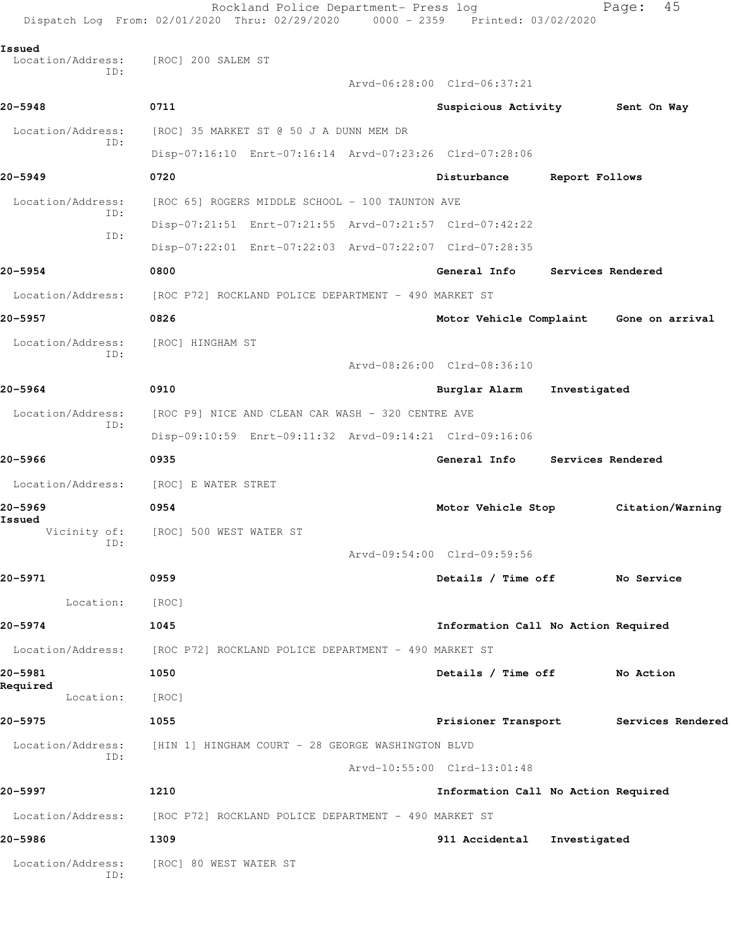|                             | Rockland Police Department- Press log<br>Dispatch Log From: 02/01/2020 Thru: 02/29/2020 0000 - 2359 Printed: 03/02/2020 |                                         |                   | 45<br>Page:       |
|-----------------------------|-------------------------------------------------------------------------------------------------------------------------|-----------------------------------------|-------------------|-------------------|
| Issued<br>Location/Address: | [ROC] 200 SALEM ST                                                                                                      |                                         |                   |                   |
| ID:                         |                                                                                                                         | Arvd-06:28:00 Clrd-06:37:21             |                   |                   |
| 20-5948                     | 0711                                                                                                                    | Suspicious Activity                     |                   | Sent On Way       |
| Location/Address:           | [ROC] 35 MARKET ST @ 50 J A DUNN MEM DR                                                                                 |                                         |                   |                   |
| ID:                         | Disp-07:16:10 Enrt-07:16:14 Arvd-07:23:26 Clrd-07:28:06                                                                 |                                         |                   |                   |
| 20-5949                     | 0720                                                                                                                    | Disturbance                             | Report Follows    |                   |
| Location/Address:           | [ROC 65] ROGERS MIDDLE SCHOOL - 100 TAUNTON AVE                                                                         |                                         |                   |                   |
| ID:                         | Disp-07:21:51 Enrt-07:21:55 Arvd-07:21:57 Clrd-07:42:22                                                                 |                                         |                   |                   |
| ID:                         | Disp-07:22:01 Enrt-07:22:03 Arvd-07:22:07 Clrd-07:28:35                                                                 |                                         |                   |                   |
| 20-5954                     | 0800                                                                                                                    | General Info                            | Services Rendered |                   |
| Location/Address:           | [ROC P72] ROCKLAND POLICE DEPARTMENT - 490 MARKET ST                                                                    |                                         |                   |                   |
| 20–5957                     | 0826                                                                                                                    | Motor Vehicle Complaint Gone on arrival |                   |                   |
| Location/Address:           | [ROC] HINGHAM ST                                                                                                        |                                         |                   |                   |
| ID:                         |                                                                                                                         | Arvd-08:26:00 Clrd-08:36:10             |                   |                   |
| 20-5964                     | 0910                                                                                                                    | Burglar Alarm                           | Investigated      |                   |
| Location/Address:           | [ROC P9] NICE AND CLEAN CAR WASH - 320 CENTRE AVE                                                                       |                                         |                   |                   |
| ID:                         | Disp-09:10:59 Enrt-09:11:32 Arvd-09:14:21 Clrd-09:16:06                                                                 |                                         |                   |                   |
| 20-5966                     | 0935                                                                                                                    | General Info                            | Services Rendered |                   |
| Location/Address:           | [ROC] E WATER STRET                                                                                                     |                                         |                   |                   |
| 20-5969                     | 0954                                                                                                                    | Motor Vehicle Stop                      |                   | Citation/Warning  |
| Issued<br>Vicinity of:      | [ROC] 500 WEST WATER ST                                                                                                 |                                         |                   |                   |
| ID:                         |                                                                                                                         | Arvd-09:54:00 Clrd-09:59:56             |                   |                   |
| 20-5971                     | 0959                                                                                                                    | Details / Time off No Service           |                   |                   |
| Location:                   | [ROC]                                                                                                                   |                                         |                   |                   |
| 20-5974                     | 1045                                                                                                                    | Information Call No Action Required     |                   |                   |
| Location/Address:           | [ROC P72] ROCKLAND POLICE DEPARTMENT - 490 MARKET ST                                                                    |                                         |                   |                   |
| 20-5981                     | 1050                                                                                                                    | Details / Time off No Action            |                   |                   |
| Required<br>Location:       | [ROC]                                                                                                                   |                                         |                   |                   |
| 20-5975                     | 1055                                                                                                                    | Prisioner Transport                     |                   | Services Rendered |
| Location/Address:<br>ID:    | [HIN 1] HINGHAM COURT - 28 GEORGE WASHINGTON BLVD                                                                       |                                         |                   |                   |
|                             |                                                                                                                         | Arvd-10:55:00 Clrd-13:01:48             |                   |                   |
| 20–5997                     | 1210                                                                                                                    | Information Call No Action Required     |                   |                   |
|                             | Location/Address: [ROC P72] ROCKLAND POLICE DEPARTMENT - 490 MARKET ST                                                  |                                         |                   |                   |
| 20-5986                     | 1309                                                                                                                    | 911 Accidental                          | Investigated      |                   |
| Location/Address:<br>ID:    | [ROC] 80 WEST WATER ST                                                                                                  |                                         |                   |                   |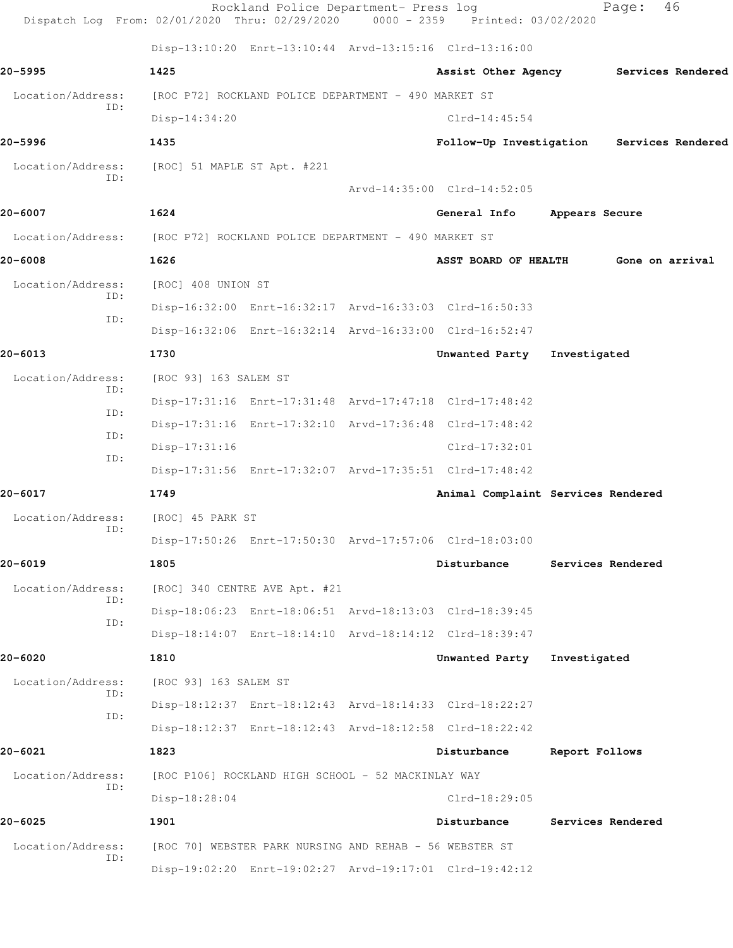| Dispatch Log From: 02/01/2020 Thru: 02/29/2020 0000 - 2359 Printed: 03/02/2020 |                             | Rockland Police Department- Press log                   |                                                         |                | Page:             | 46 |
|--------------------------------------------------------------------------------|-----------------------------|---------------------------------------------------------|---------------------------------------------------------|----------------|-------------------|----|
|                                                                                |                             |                                                         | Disp-13:10:20 Enrt-13:10:44 Arvd-13:15:16 Clrd-13:16:00 |                |                   |    |
| 20–5995                                                                        | 1425                        |                                                         | Assist Other Agency Services Rendered                   |                |                   |    |
| Location/Address:                                                              |                             | [ROC P72] ROCKLAND POLICE DEPARTMENT - 490 MARKET ST    |                                                         |                |                   |    |
| ID:                                                                            | $Disp-14:34:20$             |                                                         | $Clrd-14:45:54$                                         |                |                   |    |
| 20–5996                                                                        | 1435                        |                                                         | Follow-Up Investigation Services Rendered               |                |                   |    |
| Location/Address:                                                              | [ROC] 51 MAPLE ST Apt. #221 |                                                         |                                                         |                |                   |    |
| TD:                                                                            |                             |                                                         | Arvd-14:35:00 Clrd-14:52:05                             |                |                   |    |
| 20-6007                                                                        | 1624                        |                                                         | General Info                                            | Appears Secure |                   |    |
| Location/Address: [ROC P72] ROCKLAND POLICE DEPARTMENT - 490 MARKET ST         |                             |                                                         |                                                         |                |                   |    |
| 20-6008                                                                        | 1626                        |                                                         | ASST BOARD OF HEALTH                                    |                | Gone on arrival   |    |
| Location/Address:                                                              | [ROC] 408 UNION ST          |                                                         |                                                         |                |                   |    |
| ID:                                                                            |                             |                                                         | Disp-16:32:00 Enrt-16:32:17 Arvd-16:33:03 Clrd-16:50:33 |                |                   |    |
| ID:                                                                            |                             |                                                         | Disp-16:32:06 Enrt-16:32:14 Arvd-16:33:00 Clrd-16:52:47 |                |                   |    |
| 20-6013                                                                        | 1730                        |                                                         | Unwanted Party Investigated                             |                |                   |    |
| Location/Address:                                                              | [ROC 93] 163 SALEM ST       |                                                         |                                                         |                |                   |    |
| ID:                                                                            |                             |                                                         | Disp-17:31:16 Enrt-17:31:48 Arvd-17:47:18 Clrd-17:48:42 |                |                   |    |
| ID:                                                                            |                             |                                                         | Disp-17:31:16 Enrt-17:32:10 Arvd-17:36:48 Clrd-17:48:42 |                |                   |    |
| ID:                                                                            | $Disp-17:31:16$             |                                                         | $Clrd-17:32:01$                                         |                |                   |    |
| ID:                                                                            |                             |                                                         | Disp-17:31:56 Enrt-17:32:07 Arvd-17:35:51 Clrd-17:48:42 |                |                   |    |
| 20-6017                                                                        | 1749                        |                                                         | Animal Complaint Services Rendered                      |                |                   |    |
| Location/Address:<br>ID:                                                       | [ROC] 45 PARK ST            |                                                         |                                                         |                |                   |    |
|                                                                                |                             |                                                         | Disp-17:50:26 Enrt-17:50:30 Arvd-17:57:06 Clrd-18:03:00 |                |                   |    |
| 20-6019                                                                        | 1805                        |                                                         | Disturbance                                             |                | Services Rendered |    |
| Location/Address:                                                              |                             | [ROC] 340 CENTRE AVE Apt. #21                           |                                                         |                |                   |    |
| ID:                                                                            |                             |                                                         | Disp-18:06:23 Enrt-18:06:51 Arvd-18:13:03 Clrd-18:39:45 |                |                   |    |
| ID:                                                                            |                             |                                                         | Disp-18:14:07 Enrt-18:14:10 Arvd-18:14:12 Clrd-18:39:47 |                |                   |    |
| 20-6020                                                                        | 1810                        |                                                         | Unwanted Party                                          | Investigated   |                   |    |
| Location/Address:<br>ID:                                                       | [ROC 93] 163 SALEM ST       |                                                         |                                                         |                |                   |    |
| ID:                                                                            |                             |                                                         | Disp-18:12:37 Enrt-18:12:43 Arvd-18:14:33 Clrd-18:22:27 |                |                   |    |
|                                                                                |                             |                                                         | Disp-18:12:37 Enrt-18:12:43 Arvd-18:12:58 Clrd-18:22:42 |                |                   |    |
| 20-6021                                                                        | 1823                        |                                                         | Disturbance                                             | Report Follows |                   |    |
| Location/Address:<br>ID:                                                       |                             | [ROC P106] ROCKLAND HIGH SCHOOL - 52 MACKINLAY WAY      |                                                         |                |                   |    |
|                                                                                | Disp-18:28:04               |                                                         | $Clrd-18:29:05$                                         |                |                   |    |
| 20-6025                                                                        | 1901                        |                                                         | Disturbance                                             |                | Services Rendered |    |
| Location/Address:<br>ID:                                                       |                             | [ROC 70] WEBSTER PARK NURSING AND REHAB - 56 WEBSTER ST |                                                         |                |                   |    |
|                                                                                |                             |                                                         | Disp-19:02:20 Enrt-19:02:27 Arvd-19:17:01 Clrd-19:42:12 |                |                   |    |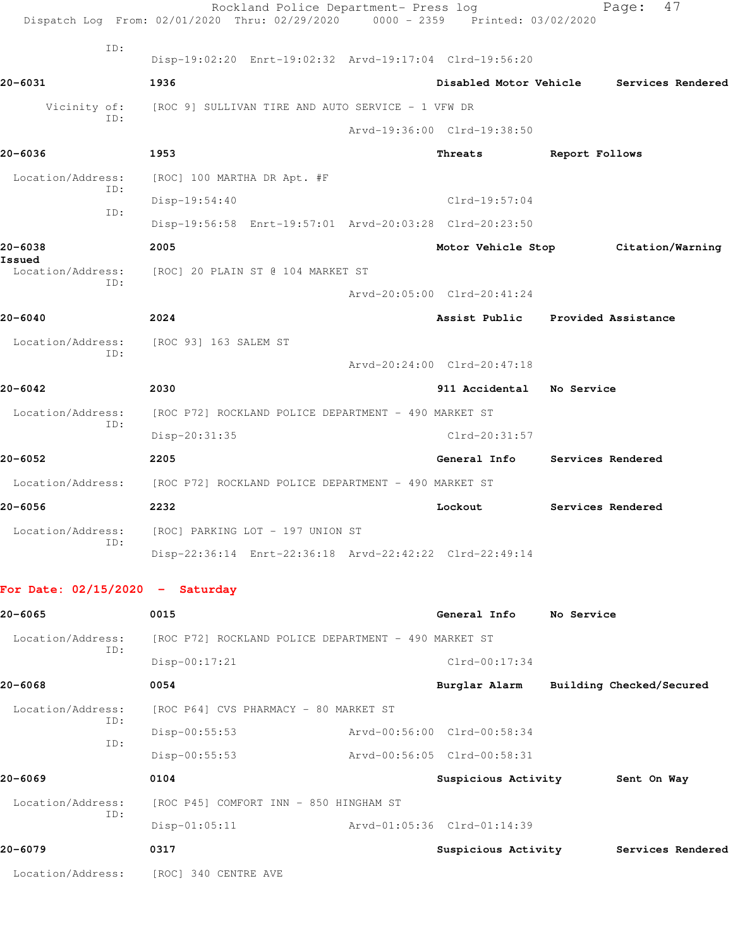|                                   | Rockland Police Department- Press log<br>Dispatch Log From: 02/01/2020 Thru: 02/29/2020 0000 - 2359 Printed: 03/02/2020 |                                   |                | 47<br>Page:                            |
|-----------------------------------|-------------------------------------------------------------------------------------------------------------------------|-----------------------------------|----------------|----------------------------------------|
| ID:                               | Disp-19:02:20 Enrt-19:02:32 Arvd-19:17:04 Clrd-19:56:20                                                                 |                                   |                |                                        |
| 20-6031                           | 1936                                                                                                                    | Disabled Motor Vehicle            |                | Services Rendered                      |
| Vicinity of:                      | [ROC 9] SULLIVAN TIRE AND AUTO SERVICE - 1 VFW DR                                                                       |                                   |                |                                        |
| ID:                               |                                                                                                                         | Arvd-19:36:00 Clrd-19:38:50       |                |                                        |
| 20-6036                           | 1953                                                                                                                    | Threats                           | Report Follows |                                        |
| Location/Address:                 | [ROC] 100 MARTHA DR Apt. #F                                                                                             |                                   |                |                                        |
| ID:                               | $Disp-19:54:40$                                                                                                         | Clrd-19:57:04                     |                |                                        |
| ID:                               | Disp-19:56:58 Enrt-19:57:01 Arvd-20:03:28 Clrd-20:23:50                                                                 |                                   |                |                                        |
| 20-6038<br>Issued                 | 2005                                                                                                                    | Motor Vehicle Stop                |                | Citation/Warning                       |
| Location/Address:<br>ID:          | [ROC] 20 PLAIN ST @ 104 MARKET ST                                                                                       |                                   |                |                                        |
|                                   |                                                                                                                         | Arvd-20:05:00 Clrd-20:41:24       |                |                                        |
| 20-6040                           | 2024                                                                                                                    | Assist Public Provided Assistance |                |                                        |
| Location/Address:                 | [ROC 93] 163 SALEM ST                                                                                                   |                                   |                |                                        |
| ID:                               |                                                                                                                         | Arvd-20:24:00 Clrd-20:47:18       |                |                                        |
| 20-6042                           | 2030                                                                                                                    | 911 Accidental No Service         |                |                                        |
| Location/Address:                 | [ROC P72] ROCKLAND POLICE DEPARTMENT - 490 MARKET ST                                                                    |                                   |                |                                        |
| ID:                               | Disp-20:31:35                                                                                                           | $Clrd-20:31:57$                   |                |                                        |
| 20-6052                           | 2205                                                                                                                    | General Info                      |                | Services Rendered                      |
|                                   | Location/Address: [ROC P72] ROCKLAND POLICE DEPARTMENT - 490 MARKET ST                                                  |                                   |                |                                        |
| 20-6056                           | 2232                                                                                                                    | Lockout                           |                | Services Rendered                      |
|                                   | Location/Address: [ROC] PARKING LOT - 197 UNION ST                                                                      |                                   |                |                                        |
| ID:                               | Disp-22:36:14 Enrt-22:36:18 Arvd-22:42:22 Clrd-22:49:14                                                                 |                                   |                |                                        |
| For Date: $02/15/2020 -$ Saturday |                                                                                                                         |                                   |                |                                        |
| 20-6065                           | 0015                                                                                                                    | General Info No Service           |                |                                        |
| Location/Address:                 | [ROC P72] ROCKLAND POLICE DEPARTMENT - 490 MARKET ST                                                                    |                                   |                |                                        |
| ID:                               | $Disp-00:17:21$                                                                                                         | Clrd-00:17:34                     |                |                                        |
| 20-6068                           | 0054                                                                                                                    |                                   |                | Burglar Alarm Building Checked/Secured |
| Location/Address:                 | [ROC P64] CVS PHARMACY - 80 MARKET ST                                                                                   |                                   |                |                                        |
| ID:                               | $Disp-00:55:53$                                                                                                         | Arvd-00:56:00 Clrd-00:58:34       |                |                                        |
| ID:                               | Disp-00:55:53                                                                                                           | Arvd-00:56:05 Clrd-00:58:31       |                |                                        |
| 20-6069                           | 0104                                                                                                                    | Suspicious Activity               |                | Sent On Way                            |
| Location/Address:                 | [ROC P45] COMFORT INN - 850 HINGHAM ST                                                                                  |                                   |                |                                        |
| ID:                               | $Disp-01:05:11$                                                                                                         | Arvd-01:05:36 Clrd-01:14:39       |                |                                        |
| 20-6079                           | 0317                                                                                                                    |                                   |                | Suspicious Activity Services Rendered  |
| Location/Address:                 | [ROC] 340 CENTRE AVE                                                                                                    |                                   |                |                                        |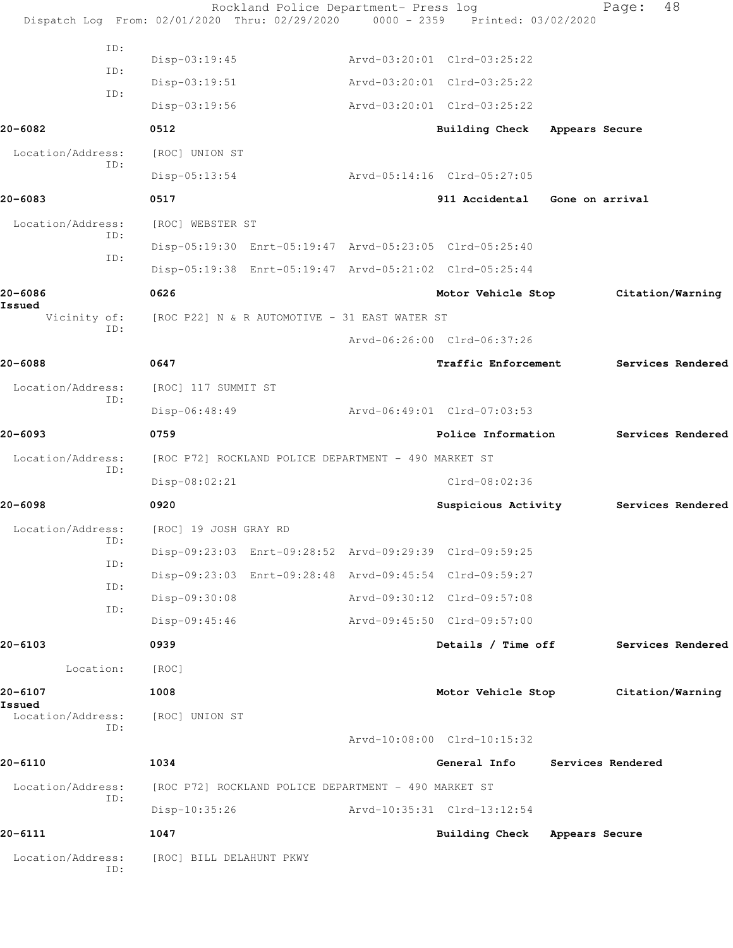|                   |     |                          | Rockland Police Department- Press log                   | Dispatch Log From: 02/01/2020 Thru: 02/29/2020 0000 - 2359 Printed: 03/02/2020 |                 | Page:             | 48                |
|-------------------|-----|--------------------------|---------------------------------------------------------|--------------------------------------------------------------------------------|-----------------|-------------------|-------------------|
|                   | ID: |                          |                                                         |                                                                                |                 |                   |                   |
|                   | ID: | Disp-03:19:45            |                                                         | Arvd-03:20:01 Clrd-03:25:22                                                    |                 |                   |                   |
|                   | ID: | $Disp-03:19:51$          |                                                         | Arvd-03:20:01 Clrd-03:25:22                                                    |                 |                   |                   |
|                   |     | $Disp-03:19:56$          |                                                         | Arvd-03:20:01 Clrd-03:25:22                                                    |                 |                   |                   |
| 20-6082           |     | 0512                     |                                                         | Building Check Appears Secure                                                  |                 |                   |                   |
| Location/Address: | ID: | [ROC] UNION ST           |                                                         |                                                                                |                 |                   |                   |
|                   |     | $Disp-05:13:54$          |                                                         | Arvd-05:14:16 Clrd-05:27:05                                                    |                 |                   |                   |
| 20-6083           |     | 0517                     |                                                         | 911 Accidental                                                                 | Gone on arrival |                   |                   |
| Location/Address: |     | [ROC] WEBSTER ST         |                                                         |                                                                                |                 |                   |                   |
|                   | ID: |                          | Disp-05:19:30 Enrt-05:19:47 Arvd-05:23:05 Clrd-05:25:40 |                                                                                |                 |                   |                   |
|                   | ID: |                          |                                                         | Disp-05:19:38 Enrt-05:19:47 Arvd-05:21:02 Clrd-05:25:44                        |                 |                   |                   |
| 20-6086<br>Issued |     | 0626                     |                                                         | Motor Vehicle Stop                                                             |                 | Citation/Warning  |                   |
| Vicinity of:      | ID: |                          | [ROC P22] N & R AUTOMOTIVE - 31 EAST WATER ST           |                                                                                |                 |                   |                   |
|                   |     |                          |                                                         | Arvd-06:26:00 Clrd-06:37:26                                                    |                 |                   |                   |
| 20-6088           |     | 0647                     |                                                         | Traffic Enforcement                                                            |                 |                   | Services Rendered |
| Location/Address: | ID: | [ROC] 117 SUMMIT ST      |                                                         |                                                                                |                 |                   |                   |
|                   |     | Disp-06:48:49            |                                                         | Arvd-06:49:01 Clrd-07:03:53                                                    |                 |                   |                   |
| 20-6093           |     | 0759                     |                                                         | Police Information                                                             |                 |                   | Services Rendered |
| Location/Address: | ID: |                          | [ROC P72] ROCKLAND POLICE DEPARTMENT - 490 MARKET ST    |                                                                                |                 |                   |                   |
|                   |     | Disp-08:02:21            |                                                         | $Clrd-08:02:36$                                                                |                 |                   |                   |
| 20-6098           |     | 0920                     |                                                         | Suspicious Activity                                                            |                 |                   | Services Rendered |
| Location/Address: |     | [ROC] 19 JOSH GRAY RD    |                                                         |                                                                                |                 |                   |                   |
|                   | ID: |                          | Disp-09:23:03 Enrt-09:28:52 Arvd-09:29:39 Clrd-09:59:25 |                                                                                |                 |                   |                   |
|                   | ID: |                          |                                                         | Disp-09:23:03 Enrt-09:28:48 Arvd-09:45:54 Clrd-09:59:27                        |                 |                   |                   |
|                   | ID: | Disp-09:30:08            |                                                         | Arvd-09:30:12 Clrd-09:57:08                                                    |                 |                   |                   |
|                   | ID: | Disp-09:45:46            |                                                         | Arvd-09:45:50 Clrd-09:57:00                                                    |                 |                   |                   |
| 20-6103           |     | 0939                     |                                                         | Details / Time off                                                             |                 |                   | Services Rendered |
| Location:         |     | [ROC]                    |                                                         |                                                                                |                 |                   |                   |
| 20-6107<br>Issued |     | 1008                     |                                                         | Motor Vehicle Stop                                                             |                 |                   | Citation/Warning  |
| Location/Address: | ID: | [ROC] UNION ST           |                                                         |                                                                                |                 |                   |                   |
|                   |     |                          |                                                         | Arvd-10:08:00 Clrd-10:15:32                                                    |                 |                   |                   |
| 20-6110           |     | 1034                     |                                                         | General Info                                                                   |                 | Services Rendered |                   |
| Location/Address: | ID: |                          | [ROC P72] ROCKLAND POLICE DEPARTMENT - 490 MARKET ST    |                                                                                |                 |                   |                   |
|                   |     | $Disp-10:35:26$          |                                                         | Arvd-10:35:31 Clrd-13:12:54                                                    |                 |                   |                   |
| 20-6111           |     | 1047                     |                                                         | Building Check Appears Secure                                                  |                 |                   |                   |
| Location/Address: | ID: | [ROC] BILL DELAHUNT PKWY |                                                         |                                                                                |                 |                   |                   |
|                   |     |                          |                                                         |                                                                                |                 |                   |                   |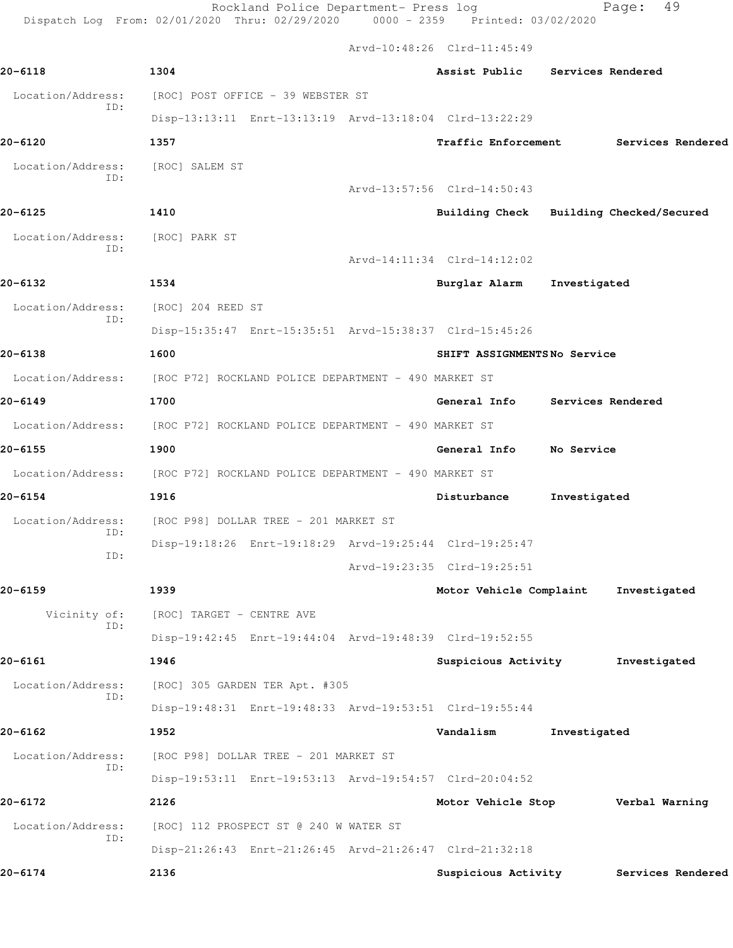Rockland Police Department- Press log entitled and Page: 49 Dispatch Log From: 02/01/2020 Thru: 02/29/2020 0000 - 2359 Printed: 03/02/2020

Arvd-10:48:26 Clrd-11:45:49

| 20-6118                  | 1304                                                                   | Assist Public Services Rendered |              |                                         |
|--------------------------|------------------------------------------------------------------------|---------------------------------|--------------|-----------------------------------------|
| Location/Address:        | [ROC] POST OFFICE - 39 WEBSTER ST                                      |                                 |              |                                         |
| ID:                      | Disp-13:13:11 Enrt-13:13:19 Arvd-13:18:04 Clrd-13:22:29                |                                 |              |                                         |
| 20-6120                  | 1357                                                                   | <b>Traffic Enforcement</b>      |              | Services Rendered                       |
| Location/Address:        | [ROC] SALEM ST                                                         |                                 |              |                                         |
| ID:                      |                                                                        | Arvd-13:57:56 Clrd-14:50:43     |              |                                         |
| 20-6125                  | 1410                                                                   |                                 |              | Building Check Building Checked/Secured |
| Location/Address:        | [ROC] PARK ST                                                          |                                 |              |                                         |
| ID:                      |                                                                        | Arvd-14:11:34 Clrd-14:12:02     |              |                                         |
| 20-6132                  | 1534                                                                   | Burglar Alarm Investigated      |              |                                         |
| Location/Address:        | [ROC] 204 REED ST                                                      |                                 |              |                                         |
| ID:                      | Disp-15:35:47 Enrt-15:35:51 Arvd-15:38:37 Clrd-15:45:26                |                                 |              |                                         |
| 20-6138                  | 1600                                                                   | SHIFT ASSIGNMENTSNo Service     |              |                                         |
|                          | Location/Address: [ROC P72] ROCKLAND POLICE DEPARTMENT - 490 MARKET ST |                                 |              |                                         |
| 20-6149                  | 1700                                                                   | General Info                    |              | Services Rendered                       |
|                          | Location/Address: [ROC P72] ROCKLAND POLICE DEPARTMENT - 490 MARKET ST |                                 |              |                                         |
| 20-6155                  | 1900                                                                   | General Info                    | No Service   |                                         |
| Location/Address:        | [ROC P72] ROCKLAND POLICE DEPARTMENT - 490 MARKET ST                   |                                 |              |                                         |
| 20-6154                  | 1916                                                                   | Disturbance                     | Investigated |                                         |
| Location/Address:<br>ID: | [ROC P98] DOLLAR TREE - 201 MARKET ST                                  |                                 |              |                                         |
| ID:                      | Disp-19:18:26 Enrt-19:18:29 Arvd-19:25:44 Clrd-19:25:47                |                                 |              |                                         |
|                          |                                                                        | Arvd-19:23:35 Clrd-19:25:51     |              |                                         |
| 20-6159                  | 1939                                                                   | Motor Vehicle Complaint         |              | Investigated                            |
| Vicinity of:<br>ID:      | [ROC] TARGET - CENTRE AVE                                              |                                 |              |                                         |
|                          | Disp-19:42:45 Enrt-19:44:04 Arvd-19:48:39 Clrd-19:52:55                |                                 |              |                                         |
| 20-6161                  | 1946                                                                   | Suspicious Activity             |              | Investigated                            |
| Location/Address:<br>ID: | [ROC] 305 GARDEN TER Apt. #305                                         |                                 |              |                                         |
|                          | Disp-19:48:31 Enrt-19:48:33 Arvd-19:53:51 Clrd-19:55:44                |                                 |              |                                         |
| 20-6162                  | 1952                                                                   | Vandalism                       | Investigated |                                         |
| Location/Address:<br>ID: | [ROC P98] DOLLAR TREE - 201 MARKET ST                                  |                                 |              |                                         |
|                          | Disp-19:53:11 Enrt-19:53:13 Arvd-19:54:57 Clrd-20:04:52                |                                 |              |                                         |
| 20-6172                  | 2126                                                                   | Motor Vehicle Stop              |              | Verbal Warning                          |
| Location/Address:<br>ID: | [ROC] 112 PROSPECT ST @ 240 W WATER ST                                 |                                 |              |                                         |
|                          | Disp-21:26:43 Enrt-21:26:45 Arvd-21:26:47 Clrd-21:32:18                |                                 |              |                                         |
| 20-6174                  | 2136                                                                   | Suspicious Activity             |              | Services Rendered                       |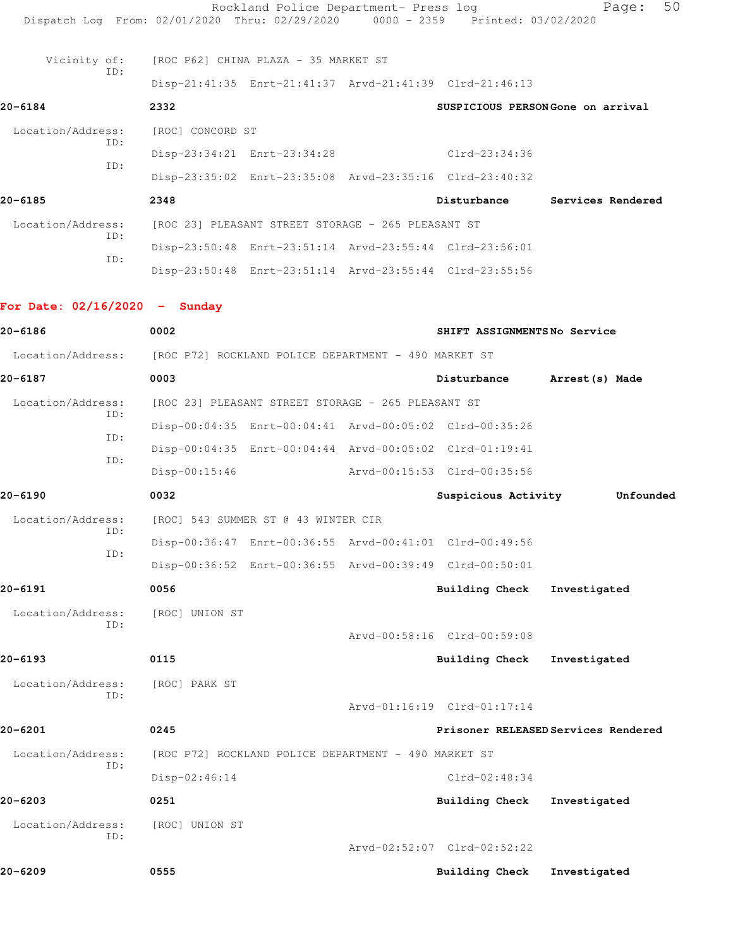| 20-6209                                                                        | 0555                                                 |                                                         |  | <b>Building Check</b>                                   | Investigated                        |
|--------------------------------------------------------------------------------|------------------------------------------------------|---------------------------------------------------------|--|---------------------------------------------------------|-------------------------------------|
| Location/Address:<br>ID:                                                       | [ROC] UNION ST                                       |                                                         |  | Arvd-02:52:07 Clrd-02:52:22                             |                                     |
|                                                                                | 0251                                                 |                                                         |  | Building Check                                          | Investigated                        |
| 20-6203                                                                        | Disp-02:46:14                                        |                                                         |  | Clrd-02:48:34                                           |                                     |
| Location/Address:<br>ID:                                                       |                                                      | [ROC P72] ROCKLAND POLICE DEPARTMENT - 490 MARKET ST    |  |                                                         |                                     |
| 20-6201                                                                        | 0245                                                 |                                                         |  |                                                         | Prisoner RELEASED Services Rendered |
|                                                                                |                                                      |                                                         |  | Arvd-01:16:19 Clrd-01:17:14                             |                                     |
| Location/Address:<br>ID:                                                       | [ROC] PARK ST                                        |                                                         |  |                                                         |                                     |
| 20-6193                                                                        | 0115                                                 |                                                         |  | Building Check                                          | Investigated                        |
|                                                                                |                                                      |                                                         |  | Arvd-00:58:16 Clrd-00:59:08                             |                                     |
| Location/Address:<br>ID:                                                       | [ROC] UNION ST                                       |                                                         |  |                                                         |                                     |
| 20-6191                                                                        | 0056                                                 |                                                         |  | <b>Building Check</b>                                   | Investigated                        |
|                                                                                |                                                      |                                                         |  | Disp-00:36:52 Enrt-00:36:55 Arvd-00:39:49 Clrd-00:50:01 |                                     |
| ID:                                                                            |                                                      | Disp-00:36:47 Enrt-00:36:55 Arvd-00:41:01 Clrd-00:49:56 |  |                                                         |                                     |
| Location/Address:<br>ID:                                                       | [ROC] 543 SUMMER ST @ 43 WINTER CIR                  |                                                         |  |                                                         |                                     |
| 20-6190                                                                        | 0032                                                 |                                                         |  | Suspicious Activity                                     | Unfounded                           |
|                                                                                | $Disp-00:15:46$                                      |                                                         |  | Arvd-00:15:53 Clrd-00:35:56                             |                                     |
| ID:<br>ID:                                                                     |                                                      |                                                         |  | Disp-00:04:35 Enrt-00:04:44 Arvd-00:05:02 Clrd-01:19:41 |                                     |
| ID:                                                                            |                                                      |                                                         |  | Disp-00:04:35 Enrt-00:04:41 Arvd-00:05:02 Clrd-00:35:26 |                                     |
| Location/Address:                                                              | [ROC 23] PLEASANT STREET STORAGE - 265 PLEASANT ST   |                                                         |  |                                                         |                                     |
| 20-6187                                                                        | 0003                                                 |                                                         |  | Disturbance                                             | Arrest(s) Made                      |
| Location/Address:                                                              | [ROC P72] ROCKLAND POLICE DEPARTMENT - 490 MARKET ST |                                                         |  |                                                         |                                     |
| 20-6186                                                                        | 0002                                                 |                                                         |  | SHIFT ASSIGNMENTSNo Service                             |                                     |
| For Date: $02/16/2020 -$ Sunday                                                |                                                      |                                                         |  |                                                         |                                     |
|                                                                                |                                                      |                                                         |  | Disp-23:50:48 Enrt-23:51:14 Arvd-23:55:44 Clrd-23:55:56 |                                     |
| ID:                                                                            |                                                      |                                                         |  | Disp-23:50:48 Enrt-23:51:14 Arvd-23:55:44 Clrd-23:56:01 |                                     |
| Location/Address:<br>ID:                                                       |                                                      | [ROC 23] PLEASANT STREET STORAGE - 265 PLEASANT ST      |  |                                                         |                                     |
| 20-6185                                                                        | 2348                                                 |                                                         |  | Disturbance                                             | Services Rendered                   |
|                                                                                |                                                      |                                                         |  | Disp-23:35:02 Enrt-23:35:08 Arvd-23:35:16 Clrd-23:40:32 |                                     |
| ID:                                                                            |                                                      | Disp-23:34:21 Enrt-23:34:28                             |  | Clrd-23:34:36                                           |                                     |
| Location/Address:<br>ID:                                                       | [ROC] CONCORD ST                                     |                                                         |  |                                                         |                                     |
| 20-6184                                                                        | 2332                                                 |                                                         |  |                                                         | SUSPICIOUS PERSONGone on arrival    |
|                                                                                |                                                      |                                                         |  | Disp-21:41:35 Enrt-21:41:37 Arvd-21:41:39 Clrd-21:46:13 |                                     |
| Vicinity of:<br>ID:                                                            | [ROC P62] CHINA PLAZA - 35 MARKET ST                 |                                                         |  |                                                         |                                     |
| Dispatch Log From: 02/01/2020 Thru: 02/29/2020 0000 - 2359 Printed: 03/02/2020 |                                                      |                                                         |  |                                                         |                                     |
|                                                                                |                                                      | Rockland Police Department- Press log                   |  |                                                         | 50<br>Page:                         |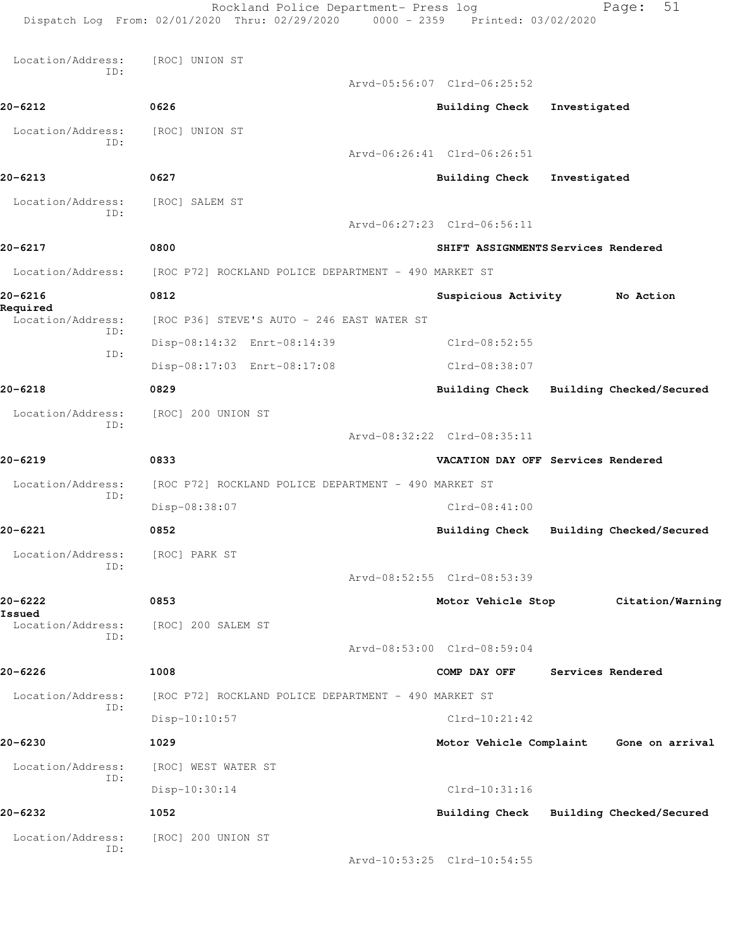Rockland Police Department- Press log Fage: 51 Dispatch Log From: 02/01/2020 Thru: 02/29/2020 0000 - 2359 Printed: 03/02/2020 Location/Address: [ROC] UNION ST ID: Arvd-05:56:07 Clrd-06:25:52 **20-6212 0626 Building Check Investigated** Location/Address: [ROC] UNION ST ID: Arvd-06:26:41 Clrd-06:26:51 **20-6213 0627 Building Check Investigated** Location/Address: [ROC] SALEM ST ID: Arvd-06:27:23 Clrd-06:56:11 **20-6217 0800 SHIFT ASSIGNMENTS Services Rendered** Location/Address: [ROC P72] ROCKLAND POLICE DEPARTMENT - 490 MARKET ST **20-6216 0812 Suspicious Activity No Action Required**  Location/Address: [ROC P36] STEVE'S AUTO - 246 EAST WATER ST ID: Disp-08:14:32 Enrt-08:14:39 Clrd-08:52:55 ID: Disp-08:17:03 Enrt-08:17:08 Clrd-08:38:07 **20-6218 0829 Building Check Building Checked/Secured** Location/Address: [ROC] 200 UNION ST ID: Arvd-08:32:22 Clrd-08:35:11 **20-6219 0833 VACATION DAY OFF Services Rendered** Location/Address: [ROC P72] ROCKLAND POLICE DEPARTMENT - 490 MARKET ST ID: Disp-08:38:07 Clrd-08:41:00 **20-6221 0852 Building Check Building Checked/Secured** Location/Address: [ROC] PARK ST ID: Arvd-08:52:55 Clrd-08:53:39 **20-6222 0853 Motor Vehicle Stop Citation/Warning Issued**  Location/Address: [ROC] 200 SALEM ST ID: Arvd-08:53:00 Clrd-08:59:04 **20-6226 1008 COMP DAY OFF Services Rendered** Location/Address: [ROC P72] ROCKLAND POLICE DEPARTMENT - 490 MARKET ST ID: Disp-10:10:57 Clrd-10:21:42 **20-6230 1029 Motor Vehicle Complaint Gone on arrival** Location/Address: [ROC] WEST WATER ST ID: Disp-10:30:14 Clrd-10:31:16 **20-6232 1052 Building Check Building Checked/Secured** Location/Address: [ROC] 200 UNION ST ID: Arvd-10:53:25 Clrd-10:54:55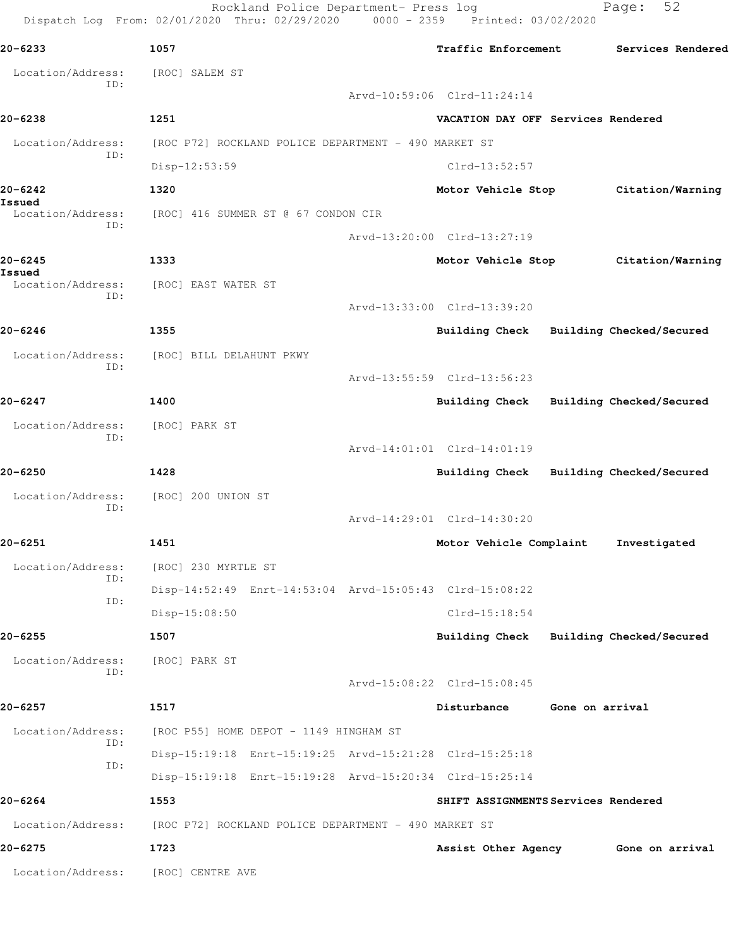|                          | Rockland Police Department- Press log<br>Dispatch Log From: 02/01/2020 Thru: 02/29/2020 0000 - 2359 Printed: 03/02/2020 |                                         |                 | 52<br>Page:       |  |
|--------------------------|-------------------------------------------------------------------------------------------------------------------------|-----------------------------------------|-----------------|-------------------|--|
| 20-6233                  | 1057                                                                                                                    | <b>Traffic Enforcement</b>              |                 | Services Rendered |  |
| Location/Address:<br>ID: | [ROC] SALEM ST                                                                                                          |                                         |                 |                   |  |
|                          |                                                                                                                         | Arvd-10:59:06 Clrd-11:24:14             |                 |                   |  |
| 20-6238                  | 1251                                                                                                                    | VACATION DAY OFF Services Rendered      |                 |                   |  |
| Location/Address:<br>ID: | [ROC P72] ROCKLAND POLICE DEPARTMENT - 490 MARKET ST                                                                    |                                         |                 |                   |  |
|                          | Disp-12:53:59                                                                                                           | $Clrd-13:52:57$                         |                 |                   |  |
| 20-6242<br>Issued        | 1320                                                                                                                    | Motor Vehicle Stop Citation/Warning     |                 |                   |  |
| Location/Address:<br>ID: | [ROC] 416 SUMMER ST @ 67 CONDON CIR                                                                                     |                                         |                 |                   |  |
|                          |                                                                                                                         | Arvd-13:20:00 Clrd-13:27:19             |                 |                   |  |
| 20-6245<br>Issued        | 1333                                                                                                                    | Motor Vehicle Stop Citation/Warning     |                 |                   |  |
| Location/Address:<br>ID: | [ROC] EAST WATER ST                                                                                                     |                                         |                 |                   |  |
|                          |                                                                                                                         | Arvd-13:33:00 Clrd-13:39:20             |                 |                   |  |
| 20-6246                  | 1355                                                                                                                    | Building Check Building Checked/Secured |                 |                   |  |
| Location/Address:<br>ID: | [ROC] BILL DELAHUNT PKWY                                                                                                |                                         |                 |                   |  |
|                          |                                                                                                                         | Arvd-13:55:59 Clrd-13:56:23             |                 |                   |  |
| 20-6247                  | 1400                                                                                                                    | Building Check Building Checked/Secured |                 |                   |  |
| Location/Address:<br>ID: | [ROC] PARK ST                                                                                                           |                                         |                 |                   |  |
|                          |                                                                                                                         | Arvd-14:01:01 Clrd-14:01:19             |                 |                   |  |
| 20-6250                  | 1428                                                                                                                    | Building Check Building Checked/Secured |                 |                   |  |
| Location/Address:<br>ID: | [ROC] 200 UNION ST                                                                                                      |                                         |                 |                   |  |
|                          |                                                                                                                         | Arvd-14:29:01 Clrd-14:30:20             |                 |                   |  |
| $20 - 6251$              | 1451                                                                                                                    | Motor Vehicle Complaint                 |                 | Investigated      |  |
| Location/Address:<br>ID: | [ROC] 230 MYRTLE ST                                                                                                     |                                         |                 |                   |  |
| ID:                      | Disp-14:52:49 Enrt-14:53:04 Arvd-15:05:43 Clrd-15:08:22                                                                 |                                         |                 |                   |  |
|                          | Disp-15:08:50                                                                                                           | $Clrd-15:18:54$                         |                 |                   |  |
| 20-6255                  | 1507                                                                                                                    | Building Check Building Checked/Secured |                 |                   |  |
| Location/Address:<br>ID: | [ROC] PARK ST                                                                                                           |                                         |                 |                   |  |
|                          |                                                                                                                         | Arvd-15:08:22 Clrd-15:08:45             |                 |                   |  |
| 20-6257                  | 1517                                                                                                                    | Disturbance                             | Gone on arrival |                   |  |
| Location/Address:<br>ID: | [ROC P55] HOME DEPOT - 1149 HINGHAM ST                                                                                  |                                         |                 |                   |  |
| ID:                      | Disp-15:19:18 Enrt-15:19:25 Arvd-15:21:28 Clrd-15:25:18                                                                 |                                         |                 |                   |  |
|                          | Disp-15:19:18 Enrt-15:19:28 Arvd-15:20:34 Clrd-15:25:14                                                                 |                                         |                 |                   |  |
| 20-6264                  | 1553                                                                                                                    | SHIFT ASSIGNMENTS Services Rendered     |                 |                   |  |
| Location/Address:        | [ROC P72] ROCKLAND POLICE DEPARTMENT - 490 MARKET ST                                                                    |                                         |                 |                   |  |
| 20-6275                  | 1723                                                                                                                    | Assist Other Agency                     |                 | Gone on arrival   |  |
| Location/Address:        | [ROC] CENTRE AVE                                                                                                        |                                         |                 |                   |  |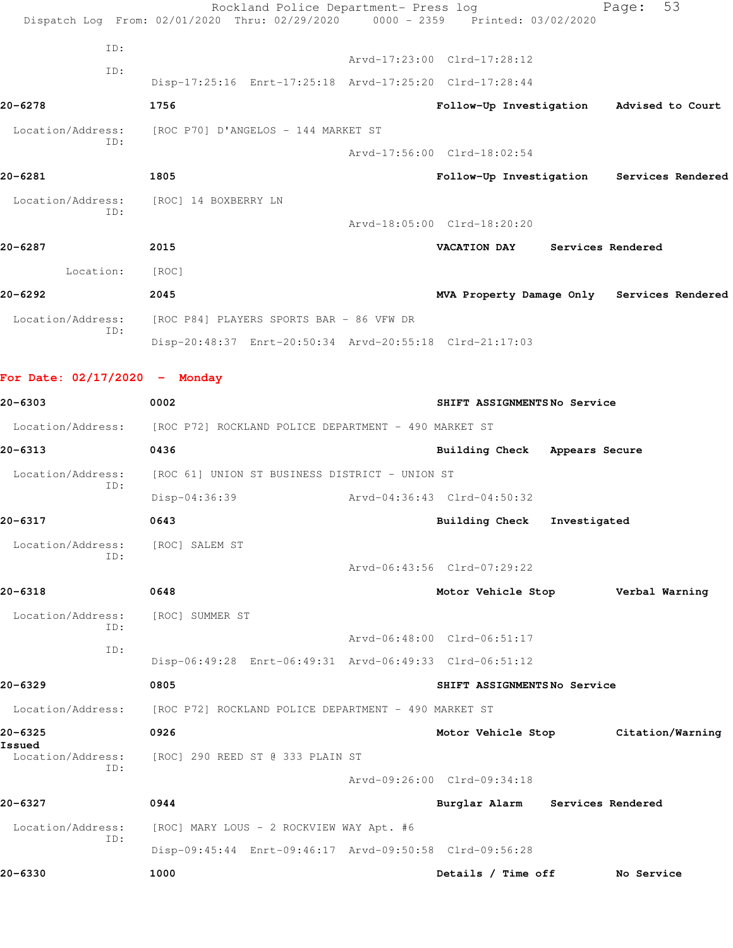| 20-6330                         | 1000                                                                   | Details / Time off              |                   | No Service                                 |
|---------------------------------|------------------------------------------------------------------------|---------------------------------|-------------------|--------------------------------------------|
| ID:                             | Disp-09:45:44 Enrt-09:46:17 Arvd-09:50:58 Clrd-09:56:28                |                                 |                   |                                            |
| Location/Address:               | [ROC] MARY LOUS - 2 ROCKVIEW WAY Apt. #6                               |                                 |                   |                                            |
| 20-6327                         | 0944                                                                   | Burglar Alarm Services Rendered |                   |                                            |
| ID:                             |                                                                        | Arvd-09:26:00 Clrd-09:34:18     |                   |                                            |
| Issued<br>Location/Address:     | [ROC] 290 REED ST @ 333 PLAIN ST                                       |                                 |                   |                                            |
| 20-6325                         | 0926                                                                   | Motor Vehicle Stop              |                   | Citation/Warning                           |
| Location/Address:               | [ROC P72] ROCKLAND POLICE DEPARTMENT - 490 MARKET ST                   |                                 |                   |                                            |
| 20-6329                         | 0805                                                                   | SHIFT ASSIGNMENTSNo Service     |                   |                                            |
| ID:                             | Disp-06:49:28 Enrt-06:49:31 Arvd-06:49:33 Clrd-06:51:12                |                                 |                   |                                            |
| ID:                             |                                                                        | Arvd-06:48:00 Clrd-06:51:17     |                   |                                            |
| Location/Address:               | [ROC] SUMMER ST                                                        |                                 |                   |                                            |
| 20-6318                         | 0648                                                                   | Motor Vehicle Stop              |                   | Verbal Warning                             |
| Location/Address:<br>ID:        | [ROC] SALEM ST                                                         | Arvd-06:43:56 Clrd-07:29:22     |                   |                                            |
| 20-6317                         | 0643                                                                   | <b>Building Check</b>           | Investigated      |                                            |
|                                 | Disp-04:36:39                                                          | Arvd-04:36:43 Clrd-04:50:32     |                   |                                            |
| Location/Address:<br>ID:        | [ROC 61] UNION ST BUSINESS DISTRICT - UNION ST                         |                                 |                   |                                            |
| 20-6313                         | 0436                                                                   | Building Check Appears Secure   |                   |                                            |
|                                 | Location/Address: [ROC P72] ROCKLAND POLICE DEPARTMENT - 490 MARKET ST |                                 |                   |                                            |
| 20-6303                         | 0002                                                                   | SHIFT ASSIGNMENTSNo Service     |                   |                                            |
| For Date: $02/17/2020$ - Monday |                                                                        |                                 |                   |                                            |
|                                 |                                                                        |                                 |                   |                                            |
| ID:                             | Disp-20:48:37 Enrt-20:50:34 Arvd-20:55:18 Clrd-21:17:03                |                                 |                   |                                            |
| Location/Address:               | [ROC P84] PLAYERS SPORTS BAR - 86 VFW DR                               |                                 |                   |                                            |
| 20-6292                         | 2045                                                                   |                                 |                   | MVA Property Damage Only Services Rendered |
| Location:                       | [ROC]                                                                  |                                 |                   |                                            |
| 20-6287                         | 2015                                                                   | <b>VACATION DAY</b>             | Services Rendered |                                            |
| Location/Address:<br>ID:        | [ROC] 14 BOXBERRY LN                                                   | Arvd-18:05:00 Clrd-18:20:20     |                   |                                            |
| 20-6281                         | 1805                                                                   |                                 |                   | Follow-Up Investigation Services Rendered  |
|                                 |                                                                        | Arvd-17:56:00 Clrd-18:02:54     |                   |                                            |
| Location/Address:<br>ID:        | [ROC P70] D'ANGELOS - 144 MARKET ST                                    |                                 |                   |                                            |
| 20-6278                         | 1756                                                                   | Follow-Up Investigation         |                   | Advised to Court                           |
| ID:                             | Disp-17:25:16 Enrt-17:25:18 Arvd-17:25:20 Clrd-17:28:44                |                                 |                   |                                            |
| ID:                             |                                                                        | Arvd-17:23:00 Clrd-17:28:12     |                   |                                            |
|                                 | Dispatch Log From: 02/01/2020 Thru: 02/29/2020                         | 0000 - 2359 Printed: 03/02/2020 |                   |                                            |
|                                 | Rockland Police Department- Press log                                  |                                 |                   | 53<br>Page:                                |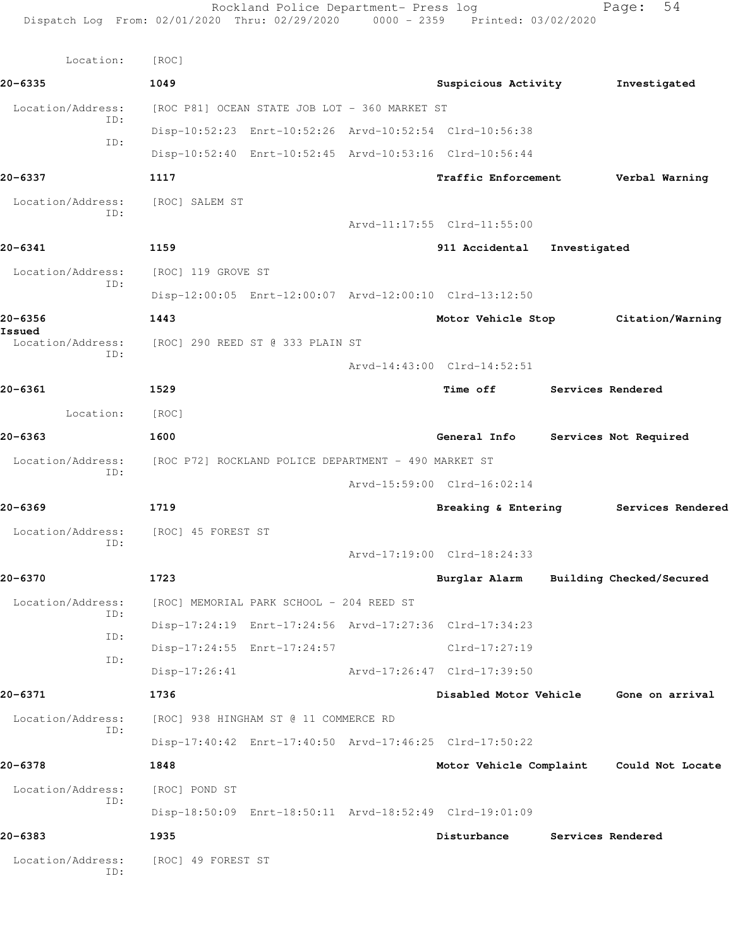Rockland Police Department- Press log Fage: 54 Dispatch Log From: 02/01/2020 Thru: 02/29/2020 0000 - 2359 Printed: 03/02/2020 Location: [ROC] **20-6335 1049 Suspicious Activity Investigated** Location/Address: [ROC P81] OCEAN STATE JOB LOT - 360 MARKET ST ID: Disp-10:52:23 Enrt-10:52:26 Arvd-10:52:54 Clrd-10:56:38 ID: Disp-10:52:40 Enrt-10:52:45 Arvd-10:53:16 Clrd-10:56:44 **20-6337 1117 Traffic Enforcement Verbal Warning** Location/Address: [ROC] SALEM ST ID: Arvd-11:17:55 Clrd-11:55:00 **20-6341 1159 911 Accidental Investigated** Location/Address: [ROC] 119 GROVE ST ID: Disp-12:00:05 Enrt-12:00:07 Arvd-12:00:10 Clrd-13:12:50 **20-6356 1443 Motor Vehicle Stop Citation/Warning Issued**  Location/Address: [ROC] 290 REED ST @ 333 PLAIN ST ID: Arvd-14:43:00 Clrd-14:52:51 **20-6361 1529 Time off Services Rendered** Location: [ROC] **20-6363 1600 General Info Services Not Required** Location/Address: [ROC P72] ROCKLAND POLICE DEPARTMENT - 490 MARKET ST ID: Arvd-15:59:00 Clrd-16:02:14 **20-6369 1719 Breaking & Entering Services Rendered** Location/Address: [ROC] 45 FOREST ST ID: Arvd-17:19:00 Clrd-18:24:33 **20-6370 1723 Burglar Alarm Building Checked/Secured** Location/Address: [ROC] MEMORIAL PARK SCHOOL - 204 REED ST ID: Disp-17:24:19 Enrt-17:24:56 Arvd-17:27:36 Clrd-17:34:23 ID: Disp-17:24:55 Enrt-17:24:57 Clrd-17:27:19 ID: Disp-17:26:41 Arvd-17:26:47 Clrd-17:39:50 **20-6371 1736 Disabled Motor Vehicle Gone on arrival** Location/Address: [ROC] 938 HINGHAM ST @ 11 COMMERCE RD ID: Disp-17:40:42 Enrt-17:40:50 Arvd-17:46:25 Clrd-17:50:22 **20-6378 1848 Motor Vehicle Complaint Could Not Locate** Location/Address: [ROC] POND ST ID: Disp-18:50:09 Enrt-18:50:11 Arvd-18:52:49 Clrd-19:01:09 **20-6383 1935 Disturbance Services Rendered** Location/Address: [ROC] 49 FOREST ST ID: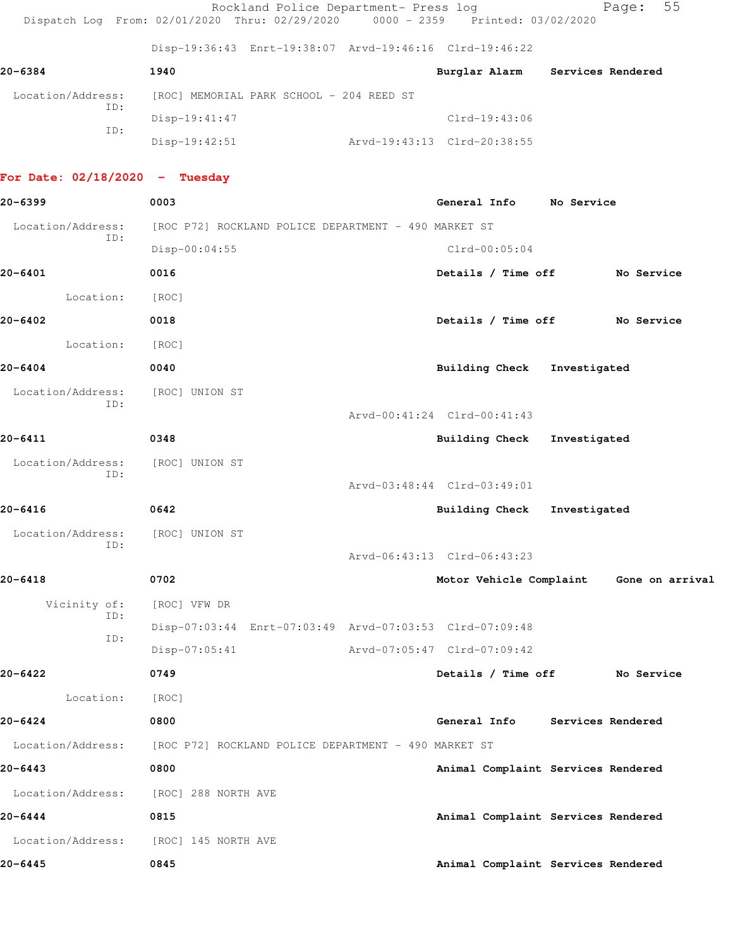|                                  | Rockland Police Department- Press log<br>Dispatch Log From: 02/01/2020 Thru: 02/29/2020 0000 - 2359 Printed: 03/02/2020 |                             | 55<br>Page:                             |
|----------------------------------|-------------------------------------------------------------------------------------------------------------------------|-----------------------------|-----------------------------------------|
|                                  | Disp-19:36:43 Enrt-19:38:07 Arvd-19:46:16 Clrd-19:46:22                                                                 |                             |                                         |
| 20-6384                          | 1940                                                                                                                    | Burglar Alarm               | Services Rendered                       |
| Location/Address:                | [ROC] MEMORIAL PARK SCHOOL - 204 REED ST                                                                                |                             |                                         |
| ID:                              | $Disp-19:41:47$                                                                                                         | $Clrd-19:43:06$             |                                         |
| ID:                              | $Disp-19:42:51$                                                                                                         | Arvd-19:43:13 Clrd-20:38:55 |                                         |
| For Date: $02/18/2020 -$ Tuesday |                                                                                                                         |                             |                                         |
| 20-6399                          | 0003                                                                                                                    | General Info No Service     |                                         |
| Location/Address:                | [ROC P72] ROCKLAND POLICE DEPARTMENT - 490 MARKET ST                                                                    |                             |                                         |
| ID:                              | $Disp-00:04:55$                                                                                                         | $Clrd-00:05:04$             |                                         |
| 20-6401                          | 0016                                                                                                                    | Details / Time off          | No Service                              |
| Location:                        | [ROC]                                                                                                                   |                             |                                         |
| 20-6402                          | 0018                                                                                                                    | Details / Time off          | No Service                              |
| Location:                        | [ROC]                                                                                                                   |                             |                                         |
| 20-6404                          | 0040                                                                                                                    | <b>Building Check</b>       | Investigated                            |
| Location/Address:                | [ROC] UNION ST                                                                                                          |                             |                                         |
| ID:                              |                                                                                                                         | Arvd-00:41:24 Clrd-00:41:43 |                                         |
| 20-6411                          | 0348                                                                                                                    | Building Check              | Investigated                            |
| Location/Address:                | [ROC] UNION ST                                                                                                          |                             |                                         |
| ID:                              |                                                                                                                         | Arvd-03:48:44 Clrd-03:49:01 |                                         |
| 20-6416                          | 0642                                                                                                                    | <b>Building Check</b>       | Investigated                            |
| Location/Address:                | [ROC] UNION ST                                                                                                          |                             |                                         |
| ID:                              |                                                                                                                         | Arvd-06:43:13 Clrd-06:43:23 |                                         |
| 20-6418                          | 0702                                                                                                                    |                             | Motor Vehicle Complaint Gone on arrival |
| Vicinity of:                     | [ROC] VFW DR                                                                                                            |                             |                                         |
| ID:                              | Disp-07:03:44 Enrt-07:03:49 Arvd-07:03:53 Clrd-07:09:48                                                                 |                             |                                         |
| ID:                              | $Disp-07:05:41$                                                                                                         | Arvd-07:05:47 Clrd-07:09:42 |                                         |
| 20-6422                          | 0749                                                                                                                    | Details / Time off          | No Service                              |
| Location:                        | [ROC]                                                                                                                   |                             |                                         |
| 20-6424                          | 0800                                                                                                                    | General Info                | Services Rendered                       |
| Location/Address:                | [ROC P72] ROCKLAND POLICE DEPARTMENT - 490 MARKET ST                                                                    |                             |                                         |
| 20-6443                          | 0800                                                                                                                    |                             | Animal Complaint Services Rendered      |
| Location/Address:                | [ROC] 288 NORTH AVE                                                                                                     |                             |                                         |
| 20-6444                          | 0815                                                                                                                    |                             | Animal Complaint Services Rendered      |
| Location/Address:                | [ROC] 145 NORTH AVE                                                                                                     |                             |                                         |

**20-6445 0845 Animal Complaint Services Rendered**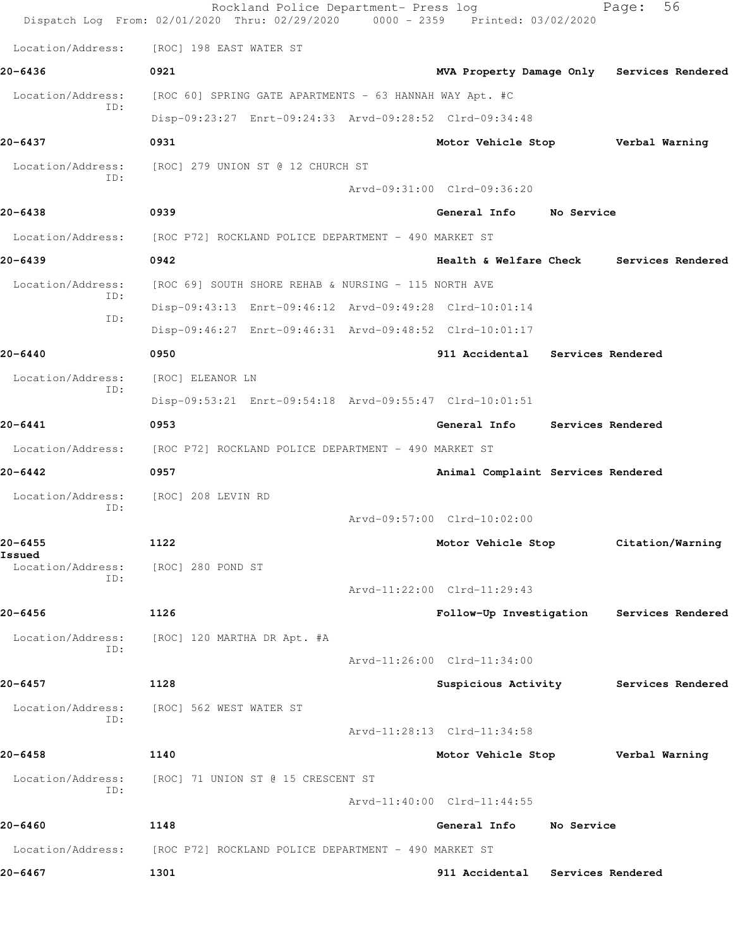|                          | Rockland Police Department- Press log<br>Dispatch Log From: 02/01/2020 Thru: 02/29/2020 0000 - 2359 Printed: 03/02/2020 |                                    |                   | 56<br>Page:                                |
|--------------------------|-------------------------------------------------------------------------------------------------------------------------|------------------------------------|-------------------|--------------------------------------------|
| Location/Address:        | [ROC] 198 EAST WATER ST                                                                                                 |                                    |                   |                                            |
| 20-6436                  | 0921                                                                                                                    |                                    |                   | MVA Property Damage Only Services Rendered |
| Location/Address:        | [ROC 60] SPRING GATE APARTMENTS - 63 HANNAH WAY Apt. #C                                                                 |                                    |                   |                                            |
| ID:                      | Disp-09:23:27 Enrt-09:24:33 Arvd-09:28:52 Clrd-09:34:48                                                                 |                                    |                   |                                            |
| 20-6437                  | 0931                                                                                                                    | Motor Vehicle Stop                 |                   | Verbal Warning                             |
| Location/Address:        | [ROC] 279 UNION ST @ 12 CHURCH ST                                                                                       |                                    |                   |                                            |
| ID:                      |                                                                                                                         | Arvd-09:31:00 Clrd-09:36:20        |                   |                                            |
| 20-6438                  | 0939                                                                                                                    | General Info                       | No Service        |                                            |
| Location/Address:        | [ROC P72] ROCKLAND POLICE DEPARTMENT - 490 MARKET ST                                                                    |                                    |                   |                                            |
| 20-6439                  | 0942                                                                                                                    | Health & Welfare Check             |                   | Services Rendered                          |
| Location/Address:        | [ROC 69] SOUTH SHORE REHAB & NURSING - 115 NORTH AVE                                                                    |                                    |                   |                                            |
| ID:<br>ID:               | Disp-09:43:13 Enrt-09:46:12 Arvd-09:49:28 Clrd-10:01:14                                                                 |                                    |                   |                                            |
|                          | Disp-09:46:27 Enrt-09:46:31 Arvd-09:48:52 Clrd-10:01:17                                                                 |                                    |                   |                                            |
| 20-6440                  | 0950                                                                                                                    | 911 Accidental Services Rendered   |                   |                                            |
| Location/Address:        | [ROC] ELEANOR LN                                                                                                        |                                    |                   |                                            |
| ID:                      | Disp-09:53:21 Enrt-09:54:18 Arvd-09:55:47 Clrd-10:01:51                                                                 |                                    |                   |                                            |
| 20-6441                  | 0953                                                                                                                    | General Info                       | Services Rendered |                                            |
| Location/Address:        | [ROC P72] ROCKLAND POLICE DEPARTMENT - 490 MARKET ST                                                                    |                                    |                   |                                            |
| 20-6442                  | 0957                                                                                                                    | Animal Complaint Services Rendered |                   |                                            |
| Location/Address:<br>ID: | [ROC] 208 LEVIN RD                                                                                                      |                                    |                   |                                            |
|                          |                                                                                                                         | Arvd-09:57:00 Clrd-10:02:00        |                   |                                            |
| $20 - 6455$<br>Issued    | 1122                                                                                                                    | Motor Vehicle Stop                 |                   | Citation/Warning                           |
| Location/Address:<br>ID: | [ROC] 280 POND ST                                                                                                       |                                    |                   |                                            |
|                          |                                                                                                                         | Arvd-11:22:00 Clrd-11:29:43        |                   |                                            |
| $20 - 6456$              | 1126                                                                                                                    |                                    |                   | Follow-Up Investigation Services Rendered  |
| Location/Address:<br>ID: | [ROC] 120 MARTHA DR Apt. #A                                                                                             |                                    |                   |                                            |
|                          |                                                                                                                         | Arvd-11:26:00 Clrd-11:34:00        |                   |                                            |
| 20-6457                  | 1128                                                                                                                    | Suspicious Activity                |                   | Services Rendered                          |
| Location/Address:<br>ID: | [ROC] 562 WEST WATER ST                                                                                                 |                                    |                   |                                            |
|                          |                                                                                                                         | Arvd-11:28:13 Clrd-11:34:58        |                   |                                            |
| 20-6458                  | 1140                                                                                                                    | Motor Vehicle Stop Verbal Warning  |                   |                                            |
| Location/Address:<br>ID: | [ROC] 71 UNION ST @ 15 CRESCENT ST                                                                                      |                                    |                   |                                            |
|                          |                                                                                                                         | Arvd-11:40:00 Clrd-11:44:55        |                   |                                            |
| 20-6460                  | 1148                                                                                                                    | General Info                       | No Service        |                                            |
| Location/Address:        | [ROC P72] ROCKLAND POLICE DEPARTMENT - 490 MARKET ST                                                                    |                                    |                   |                                            |
| 20-6467                  | 1301                                                                                                                    | 911 Accidental Services Rendered   |                   |                                            |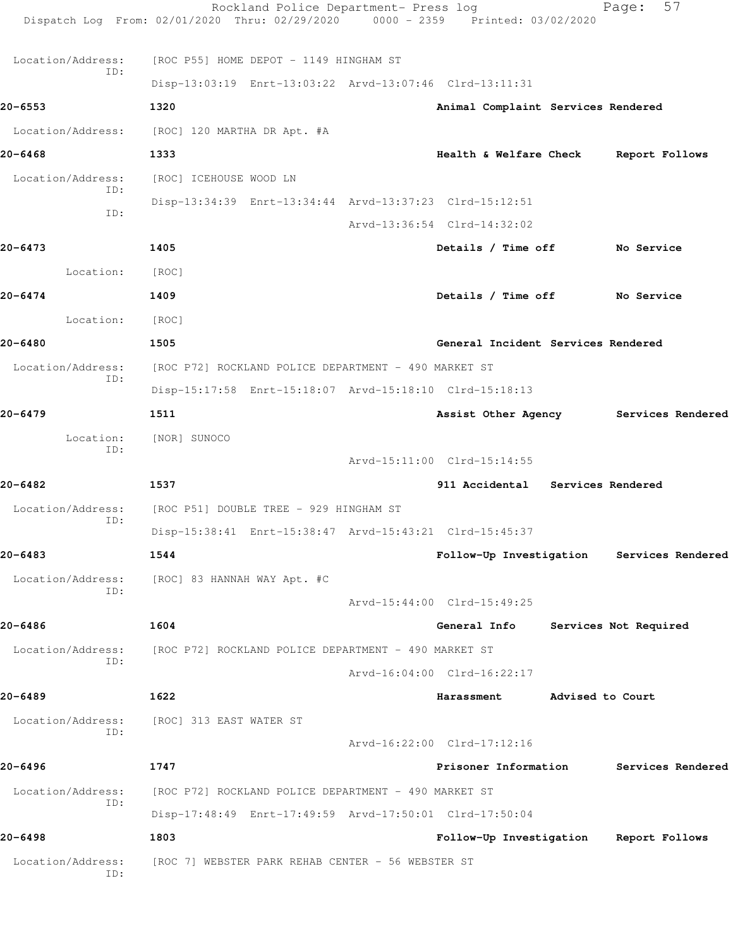| Location/Address:<br>ID: | [ROC 7] WEBSTER PARK REHAB CENTER - 56 WEBSTER ST                                                                       |                                                                 |                  |                                           |
|--------------------------|-------------------------------------------------------------------------------------------------------------------------|-----------------------------------------------------------------|------------------|-------------------------------------------|
| 20-6498                  | 1803                                                                                                                    | Follow-Up Investigation                                         |                  | Report Follows                            |
| ID:                      | Disp-17:48:49 Enrt-17:49:59 Arvd-17:50:01 Clrd-17:50:04                                                                 |                                                                 |                  |                                           |
| Location/Address:        | [ROC P72] ROCKLAND POLICE DEPARTMENT - 490 MARKET ST                                                                    |                                                                 |                  |                                           |
| ID:<br>20-6496           | 1747                                                                                                                    | Arvd-16:22:00 Clrd-17:12:16<br>Prisoner Information             |                  | Services Rendered                         |
| Location/Address:        | [ROC] 313 EAST WATER ST                                                                                                 |                                                                 |                  |                                           |
| 20-6489                  | 1622                                                                                                                    | Harassment                                                      | Advised to Court |                                           |
| Location/Address:<br>ID: | [ROC P72] ROCKLAND POLICE DEPARTMENT - 490 MARKET ST                                                                    | Arvd-16:04:00 Clrd-16:22:17                                     |                  |                                           |
| 20-6486                  | 1604                                                                                                                    | General Info                                                    |                  | Services Not Required                     |
| ID:                      |                                                                                                                         | Arvd-15:44:00 Clrd-15:49:25                                     |                  |                                           |
| Location/Address:        | [ROC] 83 HANNAH WAY Apt. #C                                                                                             |                                                                 |                  |                                           |
| 20-6483                  | 1544                                                                                                                    |                                                                 |                  | Follow-Up Investigation Services Rendered |
| Location/Address:<br>ID: | [ROC P51] DOUBLE TREE - 929 HINGHAM ST<br>Disp-15:38:41 Enrt-15:38:47 Arvd-15:43:21 Clrd-15:45:37                       |                                                                 |                  |                                           |
|                          | 1537                                                                                                                    |                                                                 |                  |                                           |
| 20-6482                  |                                                                                                                         | Arvd-15:11:00 Clrd-15:14:55<br>911 Accidental Services Rendered |                  |                                           |
| Location:<br>ID:         | [NOR] SUNOCO                                                                                                            |                                                                 |                  |                                           |
| 20-6479                  | 1511                                                                                                                    |                                                                 |                  | Assist Other Agency Services Rendered     |
|                          | Disp-15:17:58 Enrt-15:18:07 Arvd-15:18:10 Clrd-15:18:13                                                                 |                                                                 |                  |                                           |
| Location/Address:<br>ID: | [ROC P72] ROCKLAND POLICE DEPARTMENT - 490 MARKET ST                                                                    |                                                                 |                  |                                           |
| 20-6480                  | 1505                                                                                                                    | General Incident Services Rendered                              |                  |                                           |
| Location:                | [ROC]                                                                                                                   |                                                                 |                  |                                           |
| 20-6474                  | 1409                                                                                                                    | Details / Time off No Service                                   |                  |                                           |
| Location:                | [ROC]                                                                                                                   |                                                                 |                  |                                           |
| 20-6473                  | 1405                                                                                                                    | Details / Time off                                              |                  | <b>No Service</b>                         |
| ID:                      |                                                                                                                         | Arvd-13:36:54 Clrd-14:32:02                                     |                  |                                           |
| ID:                      | Disp-13:34:39 Enrt-13:34:44 Arvd-13:37:23 Clrd-15:12:51                                                                 |                                                                 |                  |                                           |
| Location/Address:        | [ROC] ICEHOUSE WOOD LN                                                                                                  |                                                                 |                  |                                           |
| $20 - 6468$              | 1333                                                                                                                    | Health & Welfare Check                                          |                  | Report Follows                            |
| Location/Address:        | [ROC] 120 MARTHA DR Apt. #A                                                                                             |                                                                 |                  |                                           |
| 20-6553                  | 1320                                                                                                                    | Animal Complaint Services Rendered                              |                  |                                           |
| ID:                      | Disp-13:03:19 Enrt-13:03:22 Arvd-13:07:46 Clrd-13:11:31                                                                 |                                                                 |                  |                                           |
| Location/Address:        | [ROC P55] HOME DEPOT - 1149 HINGHAM ST                                                                                  |                                                                 |                  |                                           |
|                          | Rockland Police Department- Press log<br>Dispatch Log From: 02/01/2020 Thru: 02/29/2020 0000 - 2359 Printed: 03/02/2020 |                                                                 |                  | 57<br>Page:                               |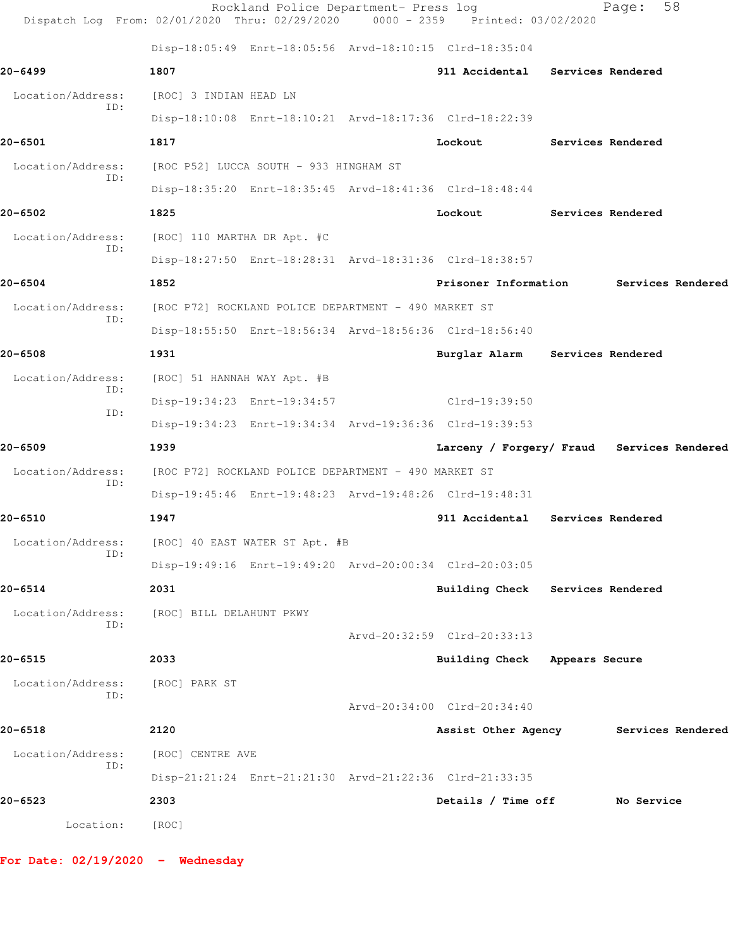|                          | Rockland Police Department- Press log<br>Dispatch Log From: 02/01/2020 Thru: 02/29/2020 | 0000 - 2359 Printed: 03/02/2020            |                          | 58<br>Page:       |  |
|--------------------------|-----------------------------------------------------------------------------------------|--------------------------------------------|--------------------------|-------------------|--|
|                          | Disp-18:05:49 Enrt-18:05:56 Arvd-18:10:15 Clrd-18:35:04                                 |                                            |                          |                   |  |
| 20-6499                  | 1807                                                                                    | 911 Accidental Services Rendered           |                          |                   |  |
| Location/Address:        | [ROC] 3 INDIAN HEAD LN                                                                  |                                            |                          |                   |  |
| ID:                      | Disp-18:10:08 Enrt-18:10:21 Arvd-18:17:36 Clrd-18:22:39                                 |                                            |                          |                   |  |
| 20-6501                  | 1817                                                                                    | Lockout                                    | <b>Services Rendered</b> |                   |  |
| Location/Address:        | [ROC P52] LUCCA SOUTH - 933 HINGHAM ST                                                  |                                            |                          |                   |  |
| ID:                      | Disp-18:35:20 Enrt-18:35:45 Arvd-18:41:36 Clrd-18:48:44                                 |                                            |                          |                   |  |
| 20-6502                  | 1825                                                                                    | Lockout                                    | Services Rendered        |                   |  |
| Location/Address:        | [ROC] 110 MARTHA DR Apt. #C                                                             |                                            |                          |                   |  |
| ID:                      | Disp-18:27:50 Enrt-18:28:31 Arvd-18:31:36 Clrd-18:38:57                                 |                                            |                          |                   |  |
| $20 - 6504$              | 1852                                                                                    | Prisoner Information                       |                          | Services Rendered |  |
| Location/Address:        | [ROC P72] ROCKLAND POLICE DEPARTMENT - 490 MARKET ST                                    |                                            |                          |                   |  |
| ID:                      | Disp-18:55:50 Enrt-18:56:34 Arvd-18:56:36 Clrd-18:56:40                                 |                                            |                          |                   |  |
| 20-6508                  | 1931                                                                                    | Burglar Alarm Services Rendered            |                          |                   |  |
| Location/Address:        | [ROC] 51 HANNAH WAY Apt. #B                                                             |                                            |                          |                   |  |
| ID:<br>ID:               | Disp-19:34:23 Enrt-19:34:57                                                             | $Clrd-19:39:50$                            |                          |                   |  |
|                          | Disp-19:34:23 Enrt-19:34:34 Arvd-19:36:36 Clrd-19:39:53                                 |                                            |                          |                   |  |
| 20-6509                  | 1939                                                                                    | Larceny / Forgery/ Fraud Services Rendered |                          |                   |  |
| Location/Address:<br>ID: | [ROC P72] ROCKLAND POLICE DEPARTMENT - 490 MARKET ST                                    |                                            |                          |                   |  |
|                          | Disp-19:45:46 Enrt-19:48:23 Arvd-19:48:26 Clrd-19:48:31                                 |                                            |                          |                   |  |
| 20-6510                  | 1947                                                                                    | 911 Accidental Services Rendered           |                          |                   |  |
| Location/Address:<br>ID: | [ROC] 40 EAST WATER ST Apt. #B                                                          |                                            |                          |                   |  |
|                          | Disp-19:49:16 Enrt-19:49:20 Arvd-20:00:34 Clrd-20:03:05                                 |                                            |                          |                   |  |
| 20-6514                  | 2031                                                                                    | Building Check Services Rendered           |                          |                   |  |
| Location/Address:<br>ID: | [ROC] BILL DELAHUNT PKWY                                                                |                                            |                          |                   |  |
|                          |                                                                                         | Arvd-20:32:59 Clrd-20:33:13                |                          |                   |  |
| 20-6515                  | 2033                                                                                    | Building Check Appears Secure              |                          |                   |  |
| Location/Address:<br>ID: | [ROC] PARK ST                                                                           |                                            |                          |                   |  |
|                          |                                                                                         | Arvd-20:34:00 Clrd-20:34:40                |                          |                   |  |
| 20-6518                  | 2120                                                                                    | Assist Other Agency                        |                          | Services Rendered |  |
| Location/Address:<br>ID: | [ROC] CENTRE AVE                                                                        |                                            |                          |                   |  |
|                          | Disp-21:21:24 Enrt-21:21:30 Arvd-21:22:36 Clrd-21:33:35                                 |                                            |                          |                   |  |
| 20-6523                  | 2303                                                                                    | Details / Time off                         |                          | No Service        |  |
| Location:                | [ROC]                                                                                   |                                            |                          |                   |  |
|                          |                                                                                         |                                            |                          |                   |  |

**For Date: 02/19/2020 - Wednesday**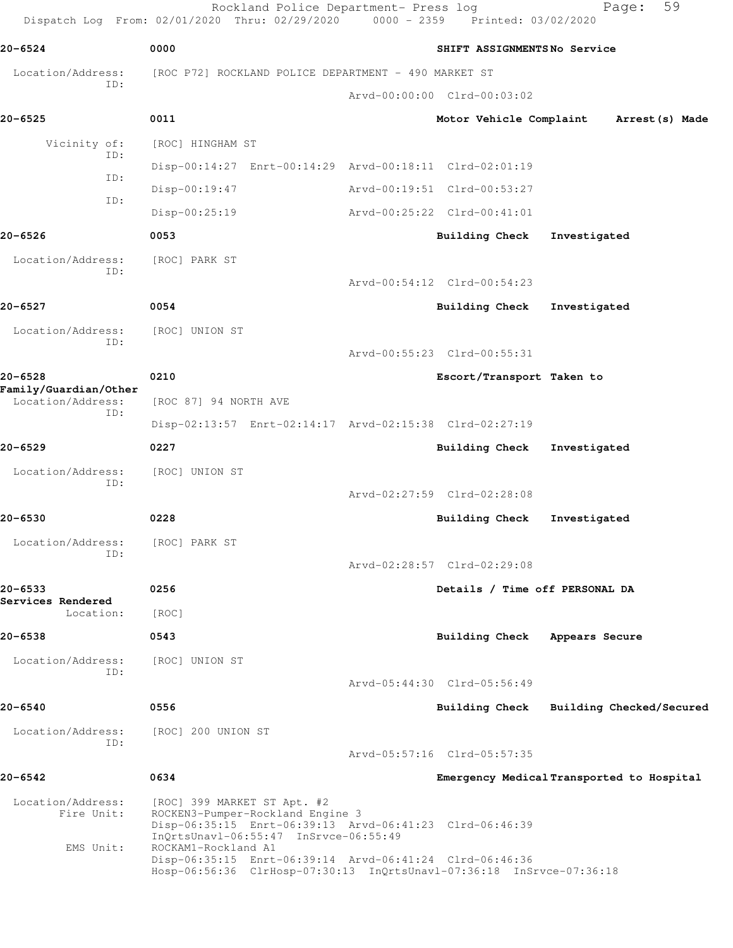|                                      | Rockland Police Department- Press log<br>Dispatch Log From: 02/01/2020 Thru: 02/29/2020 0000 - 2359 Printed: 03/02/2020                                             |                                | 59<br>Page:                               |
|--------------------------------------|---------------------------------------------------------------------------------------------------------------------------------------------------------------------|--------------------------------|-------------------------------------------|
| 20-6524                              | 0000                                                                                                                                                                | SHIFT ASSIGNMENTSNo Service    |                                           |
| Location/Address:<br>ID:             | [ROC P72] ROCKLAND POLICE DEPARTMENT - 490 MARKET ST                                                                                                                |                                |                                           |
|                                      |                                                                                                                                                                     | Arvd-00:00:00 Clrd-00:03:02    |                                           |
| 20-6525                              | 0011                                                                                                                                                                | Motor Vehicle Complaint        | Arrest (s) Made                           |
| Vicinity of:<br>ID:                  | [ROC] HINGHAM ST                                                                                                                                                    |                                |                                           |
| ID:                                  | Disp-00:14:27 Enrt-00:14:29 Arvd-00:18:11 Clrd-02:01:19                                                                                                             |                                |                                           |
| ID:                                  | Disp-00:19:47                                                                                                                                                       | Arvd-00:19:51 Clrd-00:53:27    |                                           |
|                                      | $Disp-00:25:19$                                                                                                                                                     | Arvd-00:25:22 Clrd-00:41:01    |                                           |
| 20-6526                              | 0053                                                                                                                                                                | <b>Building Check</b>          | Investigated                              |
| Location/Address:<br>ID:             | [ROC] PARK ST                                                                                                                                                       |                                |                                           |
|                                      |                                                                                                                                                                     | Arvd-00:54:12 Clrd-00:54:23    |                                           |
| 20-6527                              | 0054                                                                                                                                                                | Building Check                 | Investigated                              |
| Location/Address:<br>ID:             | [ROC] UNION ST                                                                                                                                                      |                                |                                           |
|                                      |                                                                                                                                                                     | Arvd-00:55:23 Clrd-00:55:31    |                                           |
| $20 - 6528$<br>Family/Guardian/Other | 0210                                                                                                                                                                | Escort/Transport Taken to      |                                           |
| Location/Address:<br>ID:             | [ROC 87] 94 NORTH AVE                                                                                                                                               |                                |                                           |
|                                      | Disp-02:13:57 Enrt-02:14:17 Arvd-02:15:38 Clrd-02:27:19                                                                                                             |                                |                                           |
| 20-6529                              | 0227                                                                                                                                                                | Building Check                 | Investigated                              |
| Location/Address:<br>ID:             | [ROC] UNION ST                                                                                                                                                      |                                |                                           |
|                                      |                                                                                                                                                                     | Arvd-02:27:59 Clrd-02:28:08    |                                           |
| 20-6530                              | 0228                                                                                                                                                                | Building Check                 | Investigated                              |
| Location/Address:<br>ID:             | [ROC] PARK ST                                                                                                                                                       |                                |                                           |
|                                      |                                                                                                                                                                     | Arvd-02:28:57 Clrd-02:29:08    |                                           |
| 20-6533<br>Services Rendered         | 0256                                                                                                                                                                | Details / Time off PERSONAL DA |                                           |
| Location:                            | [ROC]                                                                                                                                                               |                                |                                           |
| 20-6538                              | 0543                                                                                                                                                                | Building Check                 | Appears Secure                            |
| Location/Address:                    | [ROC] UNION ST                                                                                                                                                      |                                |                                           |
| ID:                                  |                                                                                                                                                                     | Arvd-05:44:30 Clrd-05:56:49    |                                           |
| 20-6540                              | 0556                                                                                                                                                                | Building Check                 | Building Checked/Secured                  |
| Location/Address:                    | [ROC] 200 UNION ST                                                                                                                                                  |                                |                                           |
| ID:                                  |                                                                                                                                                                     | Arvd-05:57:16 Clrd-05:57:35    |                                           |
| 20-6542                              | 0634                                                                                                                                                                |                                | Emergency Medical Transported to Hospital |
| Location/Address:<br>Fire Unit:      | [ROC] 399 MARKET ST Apt. #2<br>ROCKEN3-Pumper-Rockland Engine 3<br>Disp-06:35:15 Enrt-06:39:13 Arvd-06:41:23 Clrd-06:46:39<br>InQrtsUnavl-06:55:47 InSrvce-06:55:49 |                                |                                           |
| EMS Unit:                            | ROCKAM1-Rockland A1<br>Disp-06:35:15 Enrt-06:39:14 Arvd-06:41:24 Clrd-06:46:36<br>Hosp-06:56:36 ClrHosp-07:30:13 InQrtsUnavl-07:36:18 InSrvce-07:36:18              |                                |                                           |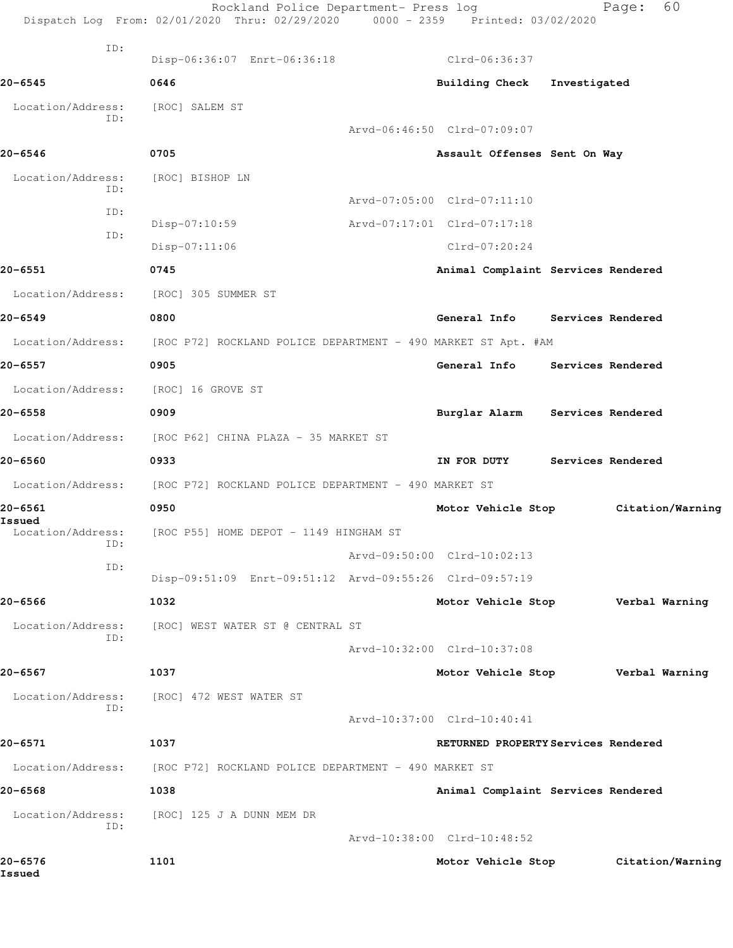|                             | Rockland Police Department- Press log<br>Dispatch Log From: 02/01/2020 Thru: 02/29/2020 0000 - 2359 Printed: 03/02/2020 |                                     |                   | 60<br>Page:      |
|-----------------------------|-------------------------------------------------------------------------------------------------------------------------|-------------------------------------|-------------------|------------------|
| ID:                         | Disp-06:36:07 Enrt-06:36:18                                                                                             | Clrd-06:36:37                       |                   |                  |
| 20-6545                     | 0646                                                                                                                    | Building Check                      | Investigated      |                  |
| Location/Address:           | [ROC] SALEM ST                                                                                                          |                                     |                   |                  |
| ID:                         |                                                                                                                         | Arvd-06:46:50 Clrd-07:09:07         |                   |                  |
| 20-6546                     | 0705                                                                                                                    | Assault Offenses Sent On Way        |                   |                  |
| Location/Address:           | [ROC] BISHOP LN                                                                                                         |                                     |                   |                  |
| ID:                         |                                                                                                                         | Arvd-07:05:00 Clrd-07:11:10         |                   |                  |
| ID:                         | Disp-07:10:59                                                                                                           | Arvd-07:17:01 Clrd-07:17:18         |                   |                  |
| ID:                         | Disp-07:11:06                                                                                                           | $Clrd-07:20:24$                     |                   |                  |
| 20-6551                     | 0745                                                                                                                    | Animal Complaint Services Rendered  |                   |                  |
| Location/Address:           | [ROC] 305 SUMMER ST                                                                                                     |                                     |                   |                  |
| 20-6549                     | 0800                                                                                                                    | General Info Services Rendered      |                   |                  |
| Location/Address:           | [ROC P72] ROCKLAND POLICE DEPARTMENT - 490 MARKET ST Apt. #AM                                                           |                                     |                   |                  |
| 20-6557                     | 0905                                                                                                                    | General Info                        | Services Rendered |                  |
| Location/Address:           | [ROC] 16 GROVE ST                                                                                                       |                                     |                   |                  |
| $20 - 6558$                 | 0909                                                                                                                    | Burglar Alarm Services Rendered     |                   |                  |
| Location/Address:           | [ROC P62] CHINA PLAZA - 35 MARKET ST                                                                                    |                                     |                   |                  |
| 20-6560                     | 0933                                                                                                                    | IN FOR DUTY                         | Services Rendered |                  |
| Location/Address:           | [ROC P72] ROCKLAND POLICE DEPARTMENT - 490 MARKET ST                                                                    |                                     |                   |                  |
| 20-6561                     | 0950                                                                                                                    | Motor Vehicle Stop                  |                   | Citation/Warning |
| Issued<br>Location/Address: | [ROC P55] HOME DEPOT - 1149 HINGHAM ST                                                                                  |                                     |                   |                  |
| ID:                         |                                                                                                                         | Arvd-09:50:00 Clrd-10:02:13         |                   |                  |
| ID:                         | Disp-09:51:09 Enrt-09:51:12 Arvd-09:55:26 Clrd-09:57:19                                                                 |                                     |                   |                  |
| 20-6566                     | 1032                                                                                                                    | Motor Vehicle Stop                  |                   | Verbal Warning   |
| Location/Address:           | [ROC] WEST WATER ST @ CENTRAL ST                                                                                        |                                     |                   |                  |
| ID:                         |                                                                                                                         | Arvd-10:32:00 Clrd-10:37:08         |                   |                  |
| 20-6567                     | 1037                                                                                                                    | Motor Vehicle Stop                  |                   | Verbal Warning   |
| Location/Address:           | [ROC] 472 WEST WATER ST                                                                                                 |                                     |                   |                  |
| ID:                         |                                                                                                                         | Arvd-10:37:00 Clrd-10:40:41         |                   |                  |
| 20-6571                     | 1037                                                                                                                    | RETURNED PROPERTY Services Rendered |                   |                  |
| Location/Address:           | [ROC P72] ROCKLAND POLICE DEPARTMENT - 490 MARKET ST                                                                    |                                     |                   |                  |
| 20-6568                     | 1038                                                                                                                    | Animal Complaint Services Rendered  |                   |                  |
| Location/Address:           | [ROC] 125 J A DUNN MEM DR                                                                                               |                                     |                   |                  |
| ID:                         |                                                                                                                         | Arvd-10:38:00 Clrd-10:48:52         |                   |                  |
| 20-6576<br>Issued           | 1101                                                                                                                    | Motor Vehicle Stop                  |                   | Citation/Warning |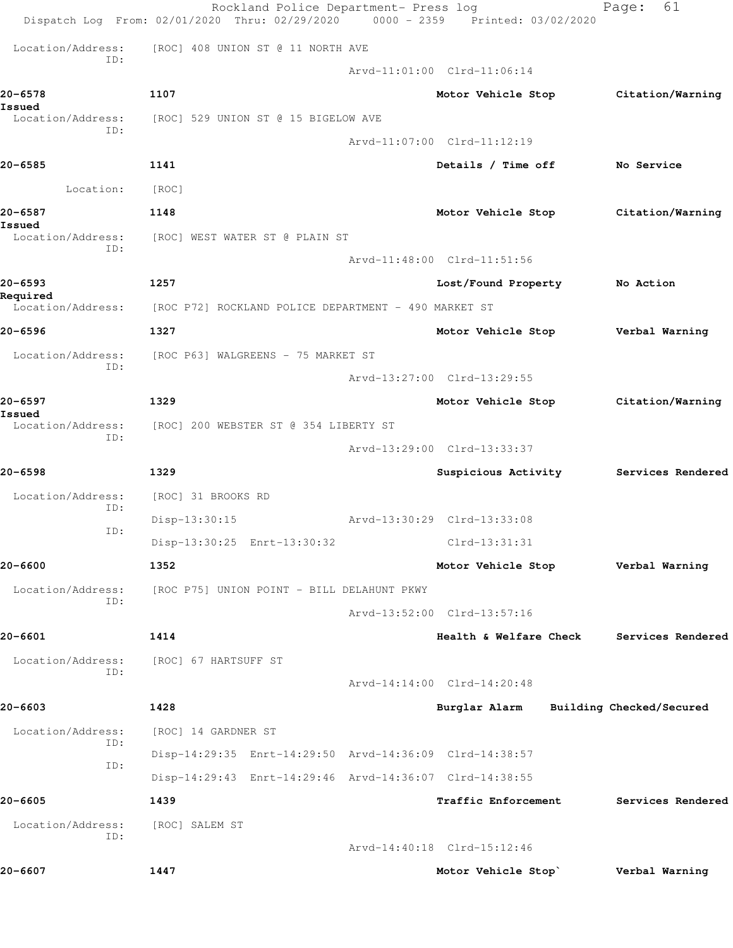|                             | Rockland Police Department- Press log<br>Dispatch Log From: 02/01/2020 Thru: 02/29/2020 | 0000 - 2359 Printed: 03/02/2020   | 61<br>Page:              |
|-----------------------------|-----------------------------------------------------------------------------------------|-----------------------------------|--------------------------|
| Location/Address:           | [ROC] 408 UNION ST @ 11 NORTH AVE                                                       |                                   |                          |
| ID:                         |                                                                                         | Arvd-11:01:00 Clrd-11:06:14       |                          |
| 20-6578<br>Issued           | 1107                                                                                    | Motor Vehicle Stop                | Citation/Warning         |
| Location/Address:<br>ID:    | [ROC] 529 UNION ST @ 15 BIGELOW AVE                                                     |                                   |                          |
|                             |                                                                                         | Arvd-11:07:00 Clrd-11:12:19       |                          |
| 20-6585                     | 1141                                                                                    | Details / Time off                | No Service               |
| Location:                   | [ROC]                                                                                   |                                   |                          |
| 20-6587<br>Issued           | 1148                                                                                    | Motor Vehicle Stop                | Citation/Warning         |
| Location/Address:<br>ID:    | [ROC] WEST WATER ST @ PLAIN ST                                                          |                                   |                          |
|                             |                                                                                         | Arvd-11:48:00 Clrd-11:51:56       |                          |
| 20-6593<br>Required         | 1257                                                                                    | Lost/Found Property               | No Action                |
| Location/Address:           | [ROC P72] ROCKLAND POLICE DEPARTMENT - 490 MARKET ST                                    |                                   |                          |
| 20-6596                     | 1327                                                                                    | Motor Vehicle Stop                | Verbal Warning           |
| Location/Address:<br>ID:    | [ROC P63] WALGREENS - 75 MARKET ST                                                      |                                   |                          |
|                             |                                                                                         | Arvd-13:27:00 Clrd-13:29:55       |                          |
| 20-6597                     | 1329                                                                                    | Motor Vehicle Stop                | Citation/Warning         |
| Issued<br>Location/Address: | [ROC] 200 WEBSTER ST @ 354 LIBERTY ST                                                   |                                   |                          |
| ID:                         |                                                                                         | Arvd-13:29:00 Clrd-13:33:37       |                          |
| 20-6598                     | 1329                                                                                    | Suspicious Activity               | Services Rendered        |
| Location/Address:           | [ROC] 31 BROOKS RD                                                                      |                                   |                          |
| ID:                         | $Disp-13:30:15$                                                                         | Arvd-13:30:29 Clrd-13:33:08       |                          |
| ID:                         | Disp-13:30:25 Enrt-13:30:32                                                             | Clrd-13:31:31                     |                          |
| 20-6600                     | 1352                                                                                    | Motor Vehicle Stop Verbal Warning |                          |
| Location/Address:           | [ROC P75] UNION POINT - BILL DELAHUNT PKWY                                              |                                   |                          |
| ID:                         |                                                                                         | Arvd-13:52:00 Clrd-13:57:16       |                          |
| 20-6601                     | 1414                                                                                    | Health & Welfare Check            | Services Rendered        |
| Location/Address:           | [ROC] 67 HARTSUFF ST                                                                    |                                   |                          |
| ID:                         |                                                                                         | Arvd-14:14:00 Clrd-14:20:48       |                          |
| 20-6603                     | 1428                                                                                    | Burglar Alarm                     | Building Checked/Secured |
| Location/Address:           | [ROC] 14 GARDNER ST                                                                     |                                   |                          |
| ID:                         | Disp-14:29:35 Enrt-14:29:50 Arvd-14:36:09 Clrd-14:38:57                                 |                                   |                          |
| ID:                         | Disp-14:29:43 Enrt-14:29:46 Arvd-14:36:07 Clrd-14:38:55                                 |                                   |                          |
| 20-6605                     | 1439                                                                                    | Traffic Enforcement               | Services Rendered        |
| Location/Address:           | [ROC] SALEM ST                                                                          |                                   |                          |
| ID:                         |                                                                                         | Arvd-14:40:18 Clrd-15:12:46       |                          |
| 20-6607                     | 1447                                                                                    | Motor Vehicle Stop`               | Verbal Warning           |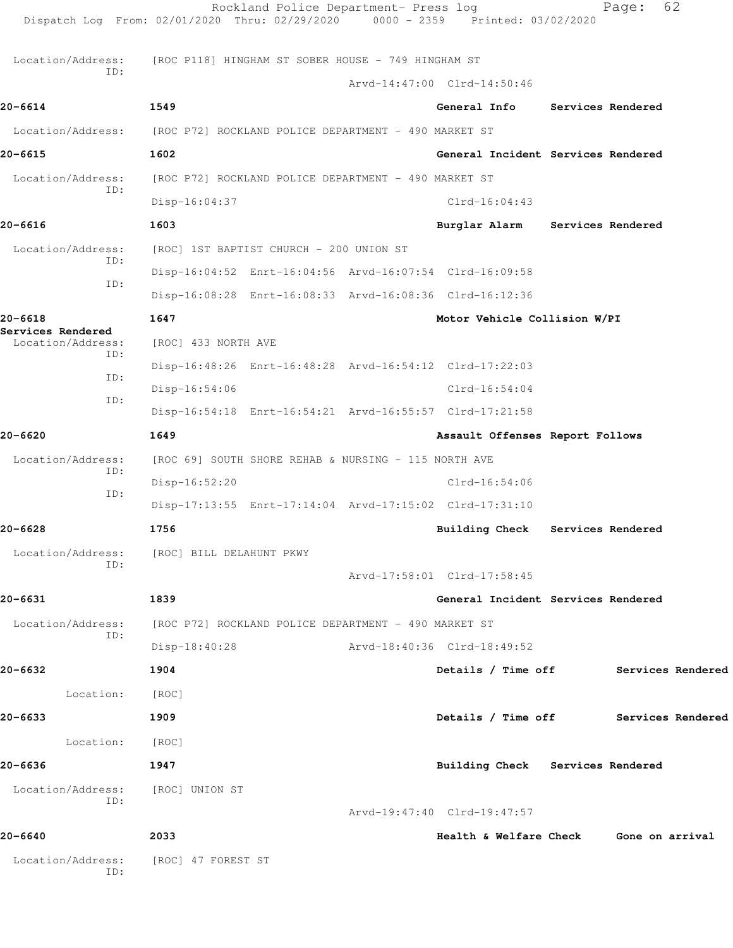|                                  | Dispatch Log From: 02/01/2020 Thru: 02/29/2020                         | 0000 - 2359 Printed: 03/02/2020 |                                    |                                        |
|----------------------------------|------------------------------------------------------------------------|---------------------------------|------------------------------------|----------------------------------------|
| Location/Address:<br>TD:         | [ROC P118] HINGHAM ST SOBER HOUSE - 749 HINGHAM ST                     |                                 |                                    |                                        |
|                                  |                                                                        | Arvd-14:47:00 Clrd-14:50:46     |                                    |                                        |
| $20 - 6614$                      | 1549                                                                   |                                 | General Info Services Rendered     |                                        |
|                                  | Location/Address: [ROC P72] ROCKLAND POLICE DEPARTMENT - 490 MARKET ST |                                 |                                    |                                        |
| 20-6615                          | 1602                                                                   |                                 | General Incident Services Rendered |                                        |
| Location/Address:<br>ID:         | [ROC P72] ROCKLAND POLICE DEPARTMENT - 490 MARKET ST                   |                                 |                                    |                                        |
|                                  | $Disp-16:04:37$                                                        | $Clrd-16:04:43$                 |                                    |                                        |
| 20-6616                          | 1603                                                                   |                                 | Burglar Alarm Services Rendered    |                                        |
| Location/Address:<br>ID:         | [ROC] 1ST BAPTIST CHURCH - 200 UNION ST                                |                                 |                                    |                                        |
| ID:                              | Disp-16:04:52 Enrt-16:04:56 Arvd-16:07:54 Clrd-16:09:58                |                                 |                                    |                                        |
|                                  | Disp-16:08:28 Enrt-16:08:33 Arvd-16:08:36 Clrd-16:12:36                |                                 |                                    |                                        |
| $20 - 6618$<br>Services Rendered | 1647                                                                   |                                 | Motor Vehicle Collision W/PI       |                                        |
| Location/Address:<br>ID:         | [ROC] 433 NORTH AVE                                                    |                                 |                                    |                                        |
| ID:                              | Disp-16:48:26 Enrt-16:48:28 Arvd-16:54:12 Clrd-17:22:03                |                                 |                                    |                                        |
| ID:                              | $Disp-16:54:06$                                                        | $Clrd-16:54:04$                 |                                    |                                        |
|                                  | Disp-16:54:18 Enrt-16:54:21 Arvd-16:55:57 Clrd-17:21:58                |                                 |                                    |                                        |
| $20 - 6620$                      | 1649                                                                   |                                 | Assault Offenses Report Follows    |                                        |
| Location/Address:<br>ID:         | [ROC 69] SOUTH SHORE REHAB & NURSING - 115 NORTH AVE                   |                                 |                                    |                                        |
| ID:                              | Disp-16:52:20                                                          | $Clrd-16:54:06$                 |                                    |                                        |
|                                  | Disp-17:13:55 Enrt-17:14:04 Arvd-17:15:02 Clrd-17:31:10                |                                 |                                    |                                        |
| 20-6628                          | 1756                                                                   | <b>Building Check</b>           | Services Rendered                  |                                        |
| ID:                              | Location/Address: [ROC] BILL DELAHUNT PKWY                             |                                 |                                    |                                        |
|                                  |                                                                        | Arvd-17:58:01 Clrd-17:58:45     |                                    |                                        |
| 20-6631                          | 1839                                                                   |                                 | General Incident Services Rendered |                                        |
| Location/Address:<br>ID:         | [ROC P72] ROCKLAND POLICE DEPARTMENT - 490 MARKET ST                   |                                 |                                    |                                        |
|                                  | $Disp-18:40:28$                                                        | Arvd-18:40:36 Clrd-18:49:52     |                                    |                                        |
| 20-6632                          | 1904                                                                   |                                 |                                    | Details / Time off Services Rendered   |
| Location:                        | [ROC]                                                                  |                                 |                                    |                                        |
| 20-6633                          | 1909                                                                   |                                 |                                    | Details / Time off Services Rendered   |
| Location: [ROC]                  |                                                                        |                                 |                                    |                                        |
| 20-6636                          | 1947                                                                   |                                 | Building Check Services Rendered   |                                        |
| Location/Address:<br>ID:         | [ROC] UNION ST                                                         |                                 |                                    |                                        |
|                                  |                                                                        | Arvd-19:47:40 Clrd-19:47:57     |                                    |                                        |
| 20-6640                          | 2033                                                                   |                                 |                                    | Health & Welfare Check Gone on arrival |
| Location/Address:<br>ID:         | [ROC] 47 FOREST ST                                                     |                                 |                                    |                                        |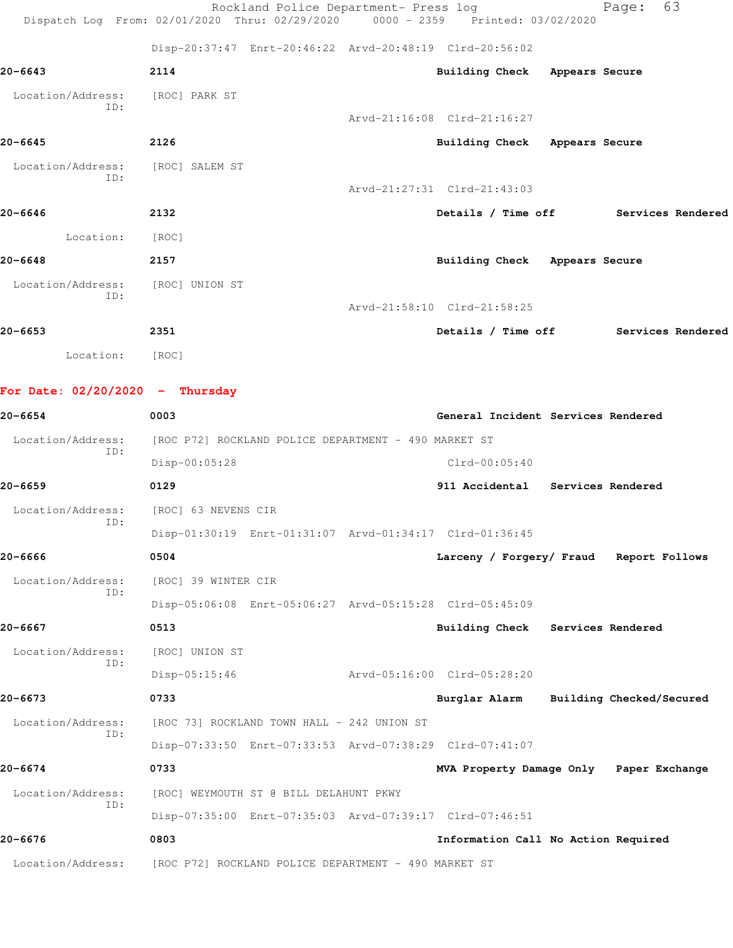|                                   | Rockland Police Department- Press log<br>Dispatch Log From: 02/01/2020 Thru: 02/29/2020 0000 - 2359 Printed: 03/02/2020 |                                         | - 63<br>Page:                        |
|-----------------------------------|-------------------------------------------------------------------------------------------------------------------------|-----------------------------------------|--------------------------------------|
|                                   | Disp-20:37:47 Enrt-20:46:22 Arvd-20:48:19 Clrd-20:56:02                                                                 |                                         |                                      |
| 20-6643                           | 2114                                                                                                                    | Building Check Appears Secure           |                                      |
| Location/Address:                 | [ROC] PARK ST                                                                                                           |                                         |                                      |
| ID:                               |                                                                                                                         | Arvd-21:16:08 Clrd-21:16:27             |                                      |
| 20-6645                           | 2126                                                                                                                    | Building Check Appears Secure           |                                      |
| Location/Address:                 | [ROC] SALEM ST                                                                                                          |                                         |                                      |
| ID:                               |                                                                                                                         | Arvd-21:27:31 Clrd-21:43:03             |                                      |
| 20-6646                           | 2132                                                                                                                    |                                         | Details / Time off Services Rendered |
| Location:                         | [ROC]                                                                                                                   |                                         |                                      |
| 20-6648                           | 2157                                                                                                                    | Building Check Appears Secure           |                                      |
| Location/Address:                 | [ROC] UNION ST                                                                                                          |                                         |                                      |
| ID:                               |                                                                                                                         | Arvd-21:58:10 Clrd-21:58:25             |                                      |
| 20-6653                           | 2351                                                                                                                    |                                         | Details / Time off Services Rendered |
| Location: [ROC]                   |                                                                                                                         |                                         |                                      |
| For Date: $02/20/2020 -$ Thursday |                                                                                                                         |                                         |                                      |
| 20-6654                           | 0003                                                                                                                    | General Incident Services Rendered      |                                      |
| Location/Address:                 | [ROC P72] ROCKLAND POLICE DEPARTMENT - 490 MARKET ST                                                                    |                                         |                                      |
| ID:                               | $Disp-00:05:28$                                                                                                         | $Clrd-00:05:40$                         |                                      |
| 20-6659                           | 0129                                                                                                                    | 911 Accidental Services Rendered        |                                      |
| Location/Address:                 | [ROC] 63 NEVENS CIR                                                                                                     |                                         |                                      |
| ID:                               | Disp-01:30:19 Enrt-01:31:07 Arvd-01:34:17 Clrd-01:36:45                                                                 |                                         |                                      |
| 20-6666                           | 0504                                                                                                                    | Larceny / Forgery/ Fraud Report Follows |                                      |
| Location/Address:                 | [ROC] 39 WINTER CIR                                                                                                     |                                         |                                      |
| ID:                               | Disp-05:06:08 Enrt-05:06:27 Arvd-05:15:28 Clrd-05:45:09                                                                 |                                         |                                      |
| 20-6667                           | 0513                                                                                                                    | Building Check Services Rendered        |                                      |
| Location/Address:                 | [ROC] UNION ST                                                                                                          |                                         |                                      |
| ID:                               | $Disp-05:15:46$                                                                                                         | Arvd-05:16:00 Clrd-05:28:20             |                                      |
| 20-6673                           | 0733                                                                                                                    | Burglar Alarm                           | Building Checked/Secured             |
| Location/Address:                 | [ROC 73] ROCKLAND TOWN HALL - 242 UNION ST                                                                              |                                         |                                      |
| ID:                               | Disp-07:33:50 Enrt-07:33:53 Arvd-07:38:29 Clrd-07:41:07                                                                 |                                         |                                      |
| 20-6674                           | 0733                                                                                                                    | MVA Property Damage Only Paper Exchange |                                      |
| Location/Address:                 | [ROC] WEYMOUTH ST @ BILL DELAHUNT PKWY                                                                                  |                                         |                                      |
| ID:                               | Disp-07:35:00 Enrt-07:35:03 Arvd-07:39:17 Clrd-07:46:51                                                                 |                                         |                                      |
| 20-6676                           | 0803                                                                                                                    | Information Call No Action Required     |                                      |
| Location/Address:                 | [ROC P72] ROCKLAND POLICE DEPARTMENT - 490 MARKET ST                                                                    |                                         |                                      |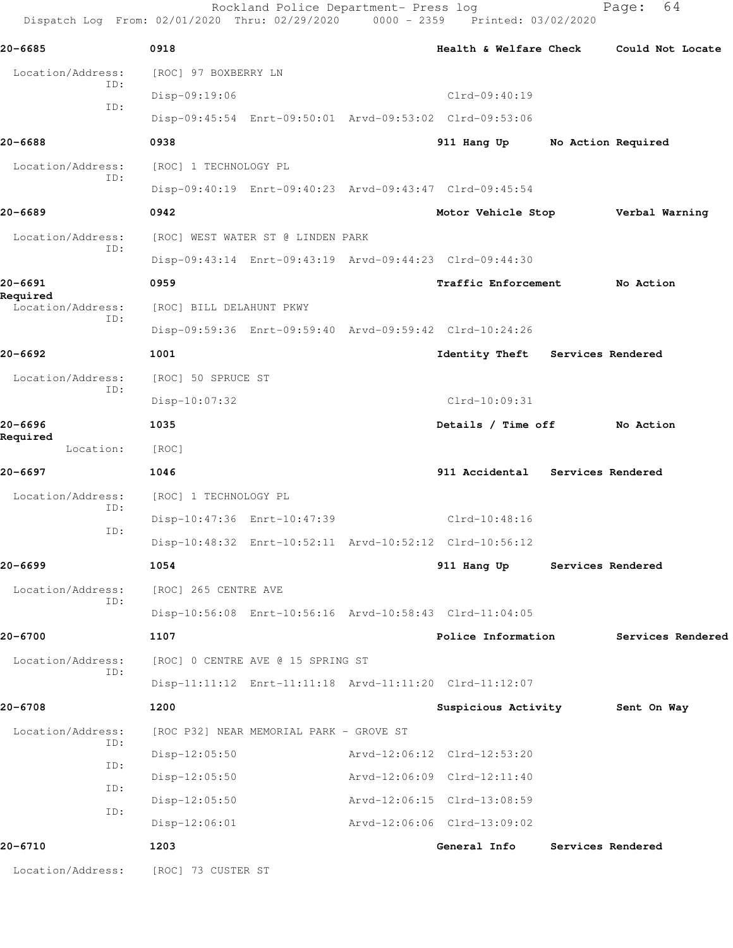Rockland Police Department- Press log Fage: 64 Dispatch Log From: 02/01/2020 Thru: 02/29/2020 0000 - 2359 Printed: 03/02/2020 **20-6685 0918 Health & Welfare Check Could Not Locate** Location/Address: [ROC] 97 BOXBERRY LN ID: Disp-09:19:06 Clrd-09:40:19 ID: Disp-09:45:54 Enrt-09:50:01 Arvd-09:53:02 Clrd-09:53:06 **20-6688 0938 911 Hang Up No Action Required** Location/Address: [ROC] 1 TECHNOLOGY PL ID: Disp-09:40:19 Enrt-09:40:23 Arvd-09:43:47 Clrd-09:45:54 **20-6689 0942 Motor Vehicle Stop Verbal Warning** Location/Address: [ROC] WEST WATER ST @ LINDEN PARK ID: Disp-09:43:14 Enrt-09:43:19 Arvd-09:44:23 Clrd-09:44:30 **20-6691 0959 Traffic Enforcement No Action Required**  Location/Address: [ROC] BILL DELAHUNT PKWY ID: Disp-09:59:36 Enrt-09:59:40 Arvd-09:59:42 Clrd-10:24:26 **20-6692 1001 Identity Theft Services Rendered** Location/Address: [ROC] 50 SPRUCE ST ID: Disp-10:07:32 Clrd-10:09:31 **20-6696 1035 Details / Time off No Action Required**  Location: [ROC] **20-6697 1046 911 Accidental Services Rendered** Location/Address: [ROC] 1 TECHNOLOGY PL ID: Disp-10:47:36 Enrt-10:47:39 Clrd-10:48:16 ID: Disp-10:48:32 Enrt-10:52:11 Arvd-10:52:12 Clrd-10:56:12 **20-6699 1054 911 Hang Up Services Rendered** Location/Address: [ROC] 265 CENTRE AVE ID: Disp-10:56:08 Enrt-10:56:16 Arvd-10:58:43 Clrd-11:04:05 **20-6700 1107 Police Information Services Rendered** Location/Address: [ROC] 0 CENTRE AVE @ 15 SPRING ST ID: Disp-11:11:12 Enrt-11:11:18 Arvd-11:11:20 Clrd-11:12:07 **20-6708 1200 Suspicious Activity Sent On Way** Location/Address: [ROC P32] NEAR MEMORIAL PARK - GROVE ST ID: Disp-12:05:50 Arvd-12:06:12 Clrd-12:53:20 ID: Disp-12:05:50 Arvd-12:06:09 Clrd-12:11:40 ID: Disp-12:05:50 Arvd-12:06:15 Clrd-13:08:59 ID: Disp-12:06:01 Arvd-12:06:06 Clrd-13:09:02 **20-6710 1203 General Info Services Rendered** Location/Address: [ROC] 73 CUSTER ST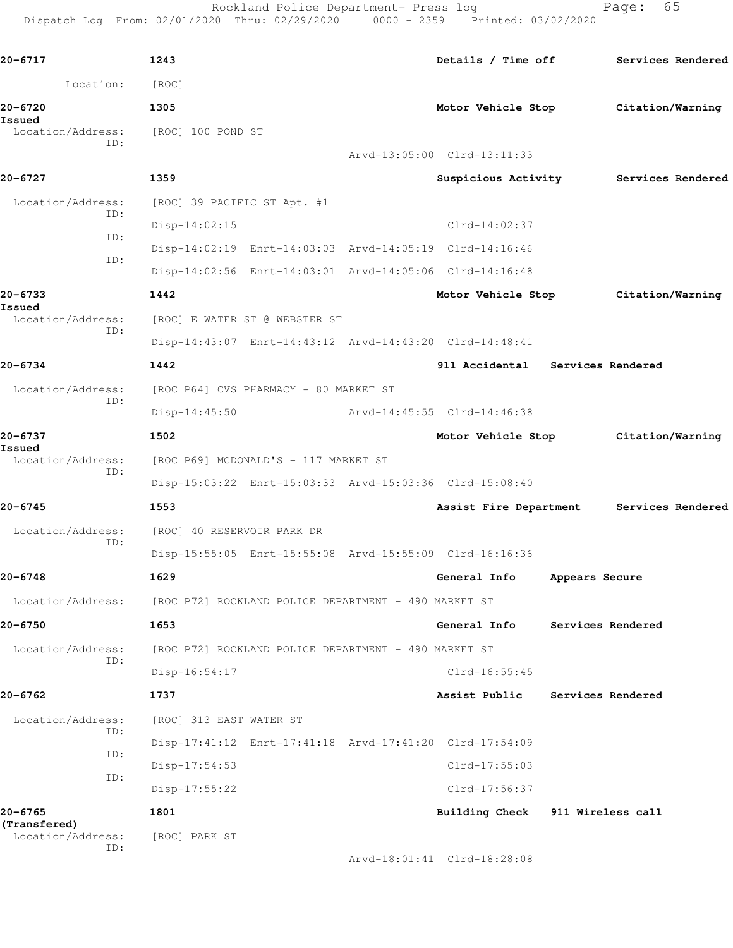Rockland Police Department- Press log entitled and Page: 65

Dispatch Log From: 02/01/2020 Thru: 02/29/2020 0000 - 2359 Printed: 03/02/2020

| 20-6717                           | 1243                                                    | Details / Time off                    |                   | Services Rendered |  |
|-----------------------------------|---------------------------------------------------------|---------------------------------------|-------------------|-------------------|--|
| Location:                         | [ROC]                                                   |                                       |                   |                   |  |
| 20-6720                           | 1305                                                    | Motor Vehicle Stop                    |                   | Citation/Warning  |  |
| Issued<br>Location/Address:       | [ROC] 100 POND ST                                       |                                       |                   |                   |  |
| ID:                               |                                                         | Arvd-13:05:00 Clrd-13:11:33           |                   |                   |  |
| 20-6727                           | 1359                                                    | Suspicious Activity Services Rendered |                   |                   |  |
| Location/Address:                 | [ROC] 39 PACIFIC ST Apt. #1                             |                                       |                   |                   |  |
| ID:<br>ID:                        | $Disp-14:02:15$                                         | Clrd-14:02:37                         |                   |                   |  |
| ID:                               | Disp-14:02:19 Enrt-14:03:03 Arvd-14:05:19 Clrd-14:16:46 |                                       |                   |                   |  |
|                                   | Disp-14:02:56 Enrt-14:03:01 Arvd-14:05:06 Clrd-14:16:48 |                                       |                   |                   |  |
| 20-6733                           | 1442                                                    | Motor Vehicle Stop                    |                   | Citation/Warning  |  |
| Issued<br>Location/Address:       | [ROC] E WATER ST @ WEBSTER ST                           |                                       |                   |                   |  |
| ID:                               | Disp-14:43:07 Enrt-14:43:12 Arvd-14:43:20 Clrd-14:48:41 |                                       |                   |                   |  |
| 20-6734                           | 1442                                                    | 911 Accidental Services Rendered      |                   |                   |  |
| Location/Address:                 | [ROC P64] CVS PHARMACY - 80 MARKET ST                   |                                       |                   |                   |  |
| ID:                               | $Disp-14:45:50$                                         | Arvd-14:45:55 Clrd-14:46:38           |                   |                   |  |
| 20-6737                           | 1502                                                    | Motor Vehicle Stop                    |                   | Citation/Warning  |  |
| Issued<br>Location/Address:       | [ROC P69] MCDONALD'S - 117 MARKET ST                    |                                       |                   |                   |  |
| ID:                               | Disp-15:03:22 Enrt-15:03:33 Arvd-15:03:36 Clrd-15:08:40 |                                       |                   |                   |  |
| $20 - 6745$                       | 1553                                                    | Assist Fire Department                |                   | Services Rendered |  |
| Location/Address:                 | [ROC] 40 RESERVOIR PARK DR                              |                                       |                   |                   |  |
| ID:                               | Disp-15:55:05 Enrt-15:55:08 Arvd-15:55:09 Clrd-16:16:36 |                                       |                   |                   |  |
| 20-6748                           | 1629                                                    | General Info                          | Appears Secure    |                   |  |
| Location/Address:                 | [ROC P72] ROCKLAND POLICE DEPARTMENT - 490 MARKET ST    |                                       |                   |                   |  |
| 20-6750                           | 1653                                                    | General Info                          |                   | Services Rendered |  |
| Location/Address:                 | [ROC P72] ROCKLAND POLICE DEPARTMENT - 490 MARKET ST    |                                       |                   |                   |  |
| ID:                               | $Disp-16:54:17$                                         | $Clrd-16:55:45$                       |                   |                   |  |
| 20-6762                           | 1737                                                    | Assist Public                         |                   | Services Rendered |  |
| Location/Address:                 | [ROC] 313 EAST WATER ST                                 |                                       |                   |                   |  |
| ID:                               | Disp-17:41:12 Enrt-17:41:18 Arvd-17:41:20 Clrd-17:54:09 |                                       |                   |                   |  |
| ID:                               | $Disp-17:54:53$                                         | Clrd-17:55:03                         |                   |                   |  |
| ID:                               | $Disp-17:55:22$                                         | Clrd-17:56:37                         |                   |                   |  |
| 20-6765                           | 1801                                                    | <b>Building Check</b>                 | 911 Wireless call |                   |  |
| (Transfered)<br>Location/Address: | [ROC] PARK ST                                           |                                       |                   |                   |  |
| ID:                               |                                                         | Arvd-18:01:41 Clrd-18:28:08           |                   |                   |  |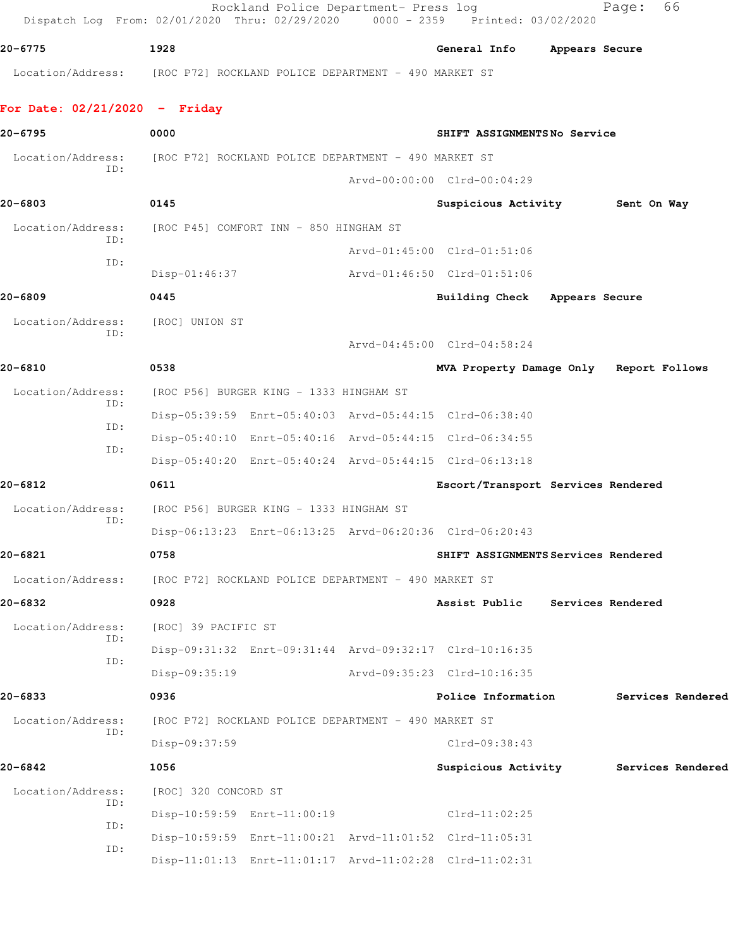Rockland Police Department- Press log extending Page: 66 Dispatch Log From: 02/01/2020 Thru: 02/29/2020 0000 - 2359 Printed: 03/02/2020 **20-6775 1928 General Info Appears Secure** Location/Address: [ROC P72] ROCKLAND POLICE DEPARTMENT - 490 MARKET ST **For Date: 02/21/2020 - Friday 20-6795 0000 SHIFT ASSIGNMENTS No Service** Location/Address: [ROC P72] ROCKLAND POLICE DEPARTMENT - 490 MARKET ST ID: Arvd-00:00:00 Clrd-00:04:29 **20-6803 0145 Suspicious Activity Sent On Way** Location/Address: [ROC P45] COMFORT INN - 850 HINGHAM ST ID: Arvd-01:45:00 Clrd-01:51:06 ID: Disp-01:46:37 Arvd-01:46:50 Clrd-01:51:06 **20-6809 0445 Building Check Appears Secure** Location/Address: [ROC] UNION ST ID: Arvd-04:45:00 Clrd-04:58:24 **20-6810 0538 MVA Property Damage Only Report Follows** Location/Address: [ROC P56] BURGER KING - 1333 HINGHAM ST ID: Disp-05:39:59 Enrt-05:40:03 Arvd-05:44:15 Clrd-06:38:40 ID: Disp-05:40:10 Enrt-05:40:16 Arvd-05:44:15 Clrd-06:34:55 ID: Disp-05:40:20 Enrt-05:40:24 Arvd-05:44:15 Clrd-06:13:18 **20-6812 0611 Escort/Transport Services Rendered** Location/Address: [ROC P56] BURGER KING - 1333 HINGHAM ST ID: Disp-06:13:23 Enrt-06:13:25 Arvd-06:20:36 Clrd-06:20:43 **20-6821 0758 SHIFT ASSIGNMENTS Services Rendered** Location/Address: [ROC P72] ROCKLAND POLICE DEPARTMENT - 490 MARKET ST **20-6832 0928 Assist Public Services Rendered** Location/Address: [ROC] 39 PACIFIC ST ID: Disp-09:31:32 Enrt-09:31:44 Arvd-09:32:17 Clrd-10:16:35 ID: Disp-09:35:19 Arvd-09:35:23 Clrd-10:16:35 **20-6833 0936 Police Information Services Rendered** Location/Address: [ROC P72] ROCKLAND POLICE DEPARTMENT - 490 MARKET ST ID: Disp-09:37:59 Clrd-09:38:43 **20-6842 1056 Suspicious Activity Services Rendered** Location/Address: [ROC] 320 CONCORD ST ID: Disp-10:59:59 Enrt-11:00:19 Clrd-11:02:25 ID: Disp-10:59:59 Enrt-11:00:21 Arvd-11:01:52 Clrd-11:05:31 ID: Disp-11:01:13 Enrt-11:01:17 Arvd-11:02:28 Clrd-11:02:31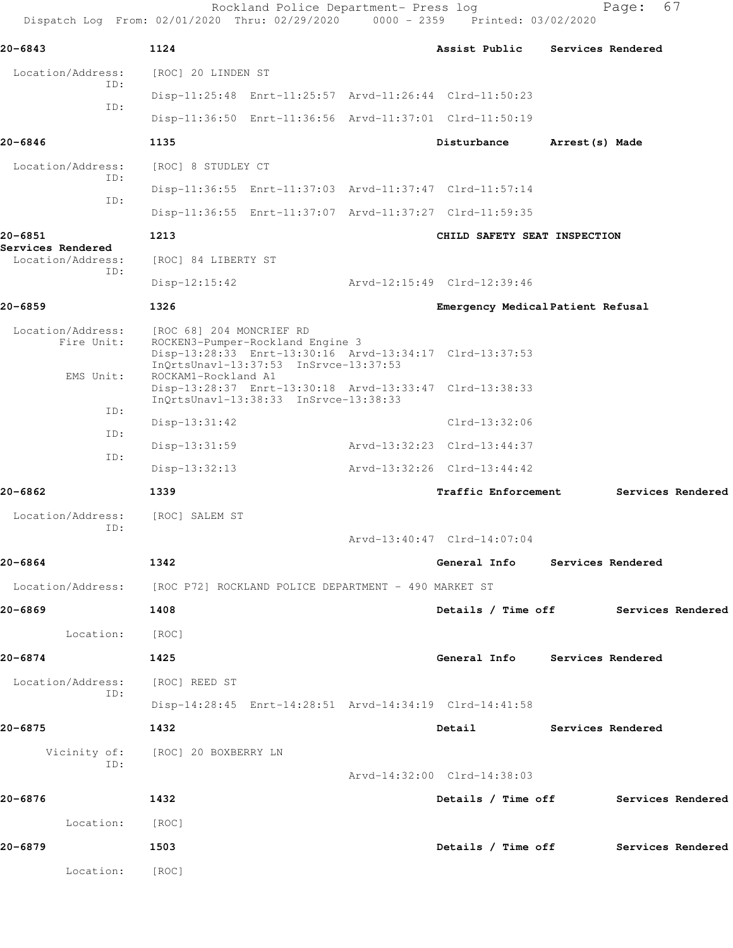| Dispatch Log From: 02/01/2020 Thru: 02/29/2020 0000 - 2359 Printed: 03/02/2020 |                                                 | Rockland Police Department- Press log                                     |                                                         |                 | 67<br>Page:       |  |
|--------------------------------------------------------------------------------|-------------------------------------------------|---------------------------------------------------------------------------|---------------------------------------------------------|-----------------|-------------------|--|
| 20-6843                                                                        | 1124                                            |                                                                           | Assist Public                                           |                 | Services Rendered |  |
| Location/Address:<br>ID:                                                       | [ROC] 20 LINDEN ST                              |                                                                           |                                                         |                 |                   |  |
| ID:                                                                            |                                                 |                                                                           | Disp-11:25:48 Enrt-11:25:57 Arvd-11:26:44 Clrd-11:50:23 |                 |                   |  |
|                                                                                |                                                 |                                                                           | Disp-11:36:50 Enrt-11:36:56 Arvd-11:37:01 Clrd-11:50:19 |                 |                   |  |
| 20-6846                                                                        | 1135                                            |                                                                           | Disturbance                                             | Arrest (s) Made |                   |  |
| Location/Address:<br>TD:                                                       | [ROC] 8 STUDLEY CT                              |                                                                           |                                                         |                 |                   |  |
|                                                                                |                                                 |                                                                           | Disp-11:36:55 Enrt-11:37:03 Arvd-11:37:47 Clrd-11:57:14 |                 |                   |  |
| ID:                                                                            |                                                 |                                                                           | Disp-11:36:55 Enrt-11:37:07 Arvd-11:37:27 Clrd-11:59:35 |                 |                   |  |
| 20-6851                                                                        | 1213                                            |                                                                           | CHILD SAFETY SEAT INSPECTION                            |                 |                   |  |
| Services Rendered<br>Location/Address:                                         | [ROC] 84 LIBERTY ST                             |                                                                           |                                                         |                 |                   |  |
| ID:                                                                            | $Disp-12:15:42$                                 |                                                                           | Arvd-12:15:49 Clrd-12:39:46                             |                 |                   |  |
| 20-6859                                                                        | 1326                                            |                                                                           | Emergency Medical Patient Refusal                       |                 |                   |  |
| Location/Address:<br>Fire Unit:<br>EMS Unit:                                   | [ROC 68] 204 MONCRIEF RD<br>ROCKAM1-Rockland A1 | ROCKEN3-Pumper-Rockland Engine 3<br>InQrtsUnavl-13:37:53 InSrvce-13:37:53 | Disp-13:28:33 Enrt-13:30:16 Arvd-13:34:17 Clrd-13:37:53 |                 |                   |  |
|                                                                                |                                                 | InQrtsUnavl-13:38:33 InSrvce-13:38:33                                     | Disp-13:28:37 Enrt-13:30:18 Arvd-13:33:47 Clrd-13:38:33 |                 |                   |  |
| ID:                                                                            | $Disp-13:31:42$                                 |                                                                           | $Clrd-13:32:06$                                         |                 |                   |  |
| ID:                                                                            | $Disp-13:31:59$                                 |                                                                           | Arvd-13:32:23 Clrd-13:44:37                             |                 |                   |  |
| ID:                                                                            | $Disp-13:32:13$                                 |                                                                           | Arvd-13:32:26 Clrd-13:44:42                             |                 |                   |  |
| 20-6862                                                                        | 1339                                            |                                                                           | Traffic Enforcement                                     |                 | Services Rendered |  |
| Location/Address:<br>ID:                                                       | [ROC] SALEM ST                                  |                                                                           |                                                         |                 |                   |  |
|                                                                                |                                                 |                                                                           | Arvd-13:40:47 Clrd-14:07:04                             |                 |                   |  |
| 20-6864                                                                        | 1342                                            |                                                                           | General Info Services Rendered                          |                 |                   |  |
| Location/Address: [ROC P72] ROCKLAND POLICE DEPARTMENT - 490 MARKET ST         |                                                 |                                                                           |                                                         |                 |                   |  |
| 20-6869                                                                        | 1408                                            |                                                                           | Details / Time off Services Rendered                    |                 |                   |  |
| Location:                                                                      | [ROC]                                           |                                                                           |                                                         |                 |                   |  |
| 20-6874                                                                        | 1425                                            |                                                                           | General Info Services Rendered                          |                 |                   |  |
| Location/Address:<br>ID:                                                       | [ROC] REED ST                                   |                                                                           |                                                         |                 |                   |  |
|                                                                                |                                                 |                                                                           | Disp-14:28:45 Enrt-14:28:51 Arvd-14:34:19 Clrd-14:41:58 |                 |                   |  |
| 20-6875                                                                        | 1432                                            |                                                                           | Detail Services Rendered                                |                 |                   |  |
| ID:                                                                            | Vicinity of: [ROC] 20 BOXBERRY LN               |                                                                           |                                                         |                 |                   |  |
|                                                                                |                                                 |                                                                           | Arvd-14:32:00 Clrd-14:38:03                             |                 |                   |  |
| 20-6876                                                                        | 1432                                            |                                                                           | Details / Time off Services Rendered                    |                 |                   |  |
| Location:                                                                      | [ROC]                                           |                                                                           |                                                         |                 |                   |  |
| 20-6879                                                                        | 1503                                            |                                                                           | Details / Time off Services Rendered                    |                 |                   |  |
| Location:                                                                      | [ROC]                                           |                                                                           |                                                         |                 |                   |  |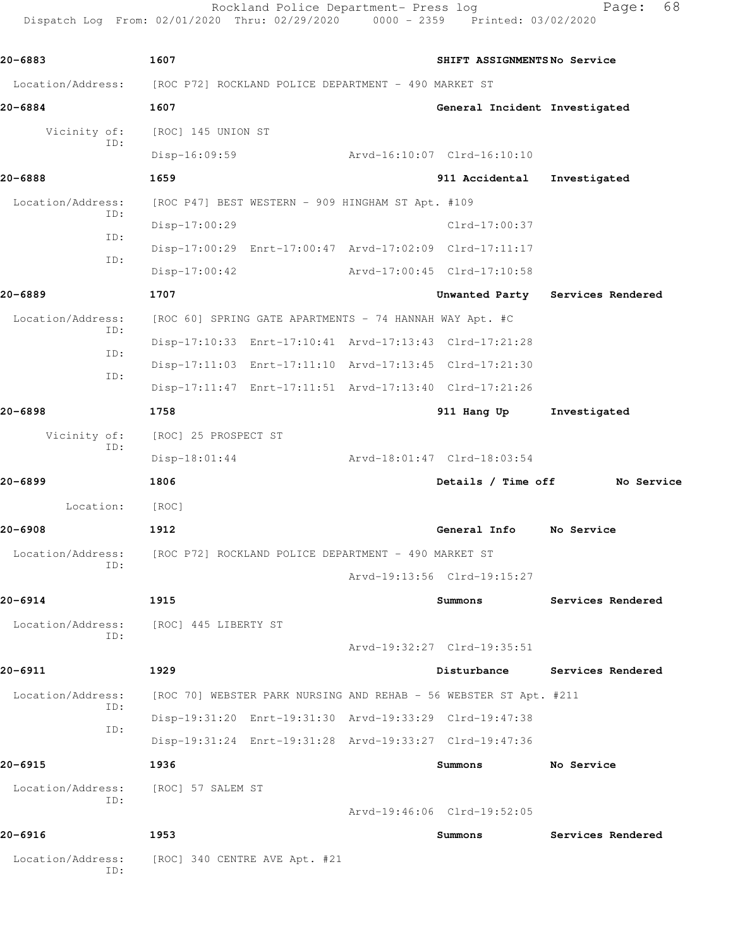Rockland Police Department- Press log Fage: 68 Dispatch Log From: 02/01/2020 Thru: 02/29/2020 0000 - 2359 Printed: 03/02/2020

Location/Address: [ROC P72] ROCKLAND POLICE DEPARTMENT - 490 MARKET ST

**20-6883 1607 SHIFT ASSIGNMENTS No Service**

ID:

**20-6884 1607 General Incident Investigated** Vicinity of: [ROC] 145 UNION ST ID: Disp-16:09:59 Arvd-16:10:07 Clrd-16:10:10 **20-6888 1659 911 Accidental Investigated** Location/Address: [ROC P47] BEST WESTERN - 909 HINGHAM ST Apt. #109 ID: Disp-17:00:29 Clrd-17:00:37 ID: Disp-17:00:29 Enrt-17:00:47 Arvd-17:02:09 Clrd-17:11:17 ID: Disp-17:00:42 Arvd-17:00:45 Clrd-17:10:58 **20-6889 1707 Unwanted Party Services Rendered** Location/Address: [ROC 60] SPRING GATE APARTMENTS - 74 HANNAH WAY Apt. #C ID: Disp-17:10:33 Enrt-17:10:41 Arvd-17:13:43 Clrd-17:21:28 ID: Disp-17:11:03 Enrt-17:11:10 Arvd-17:13:45 Clrd-17:21:30 ID: Disp-17:11:47 Enrt-17:11:51 Arvd-17:13:40 Clrd-17:21:26 **20-6898 1758 911 Hang Up Investigated** Vicinity of: [ROC] 25 PROSPECT ST ID: Disp-18:01:44 Arvd-18:01:47 Clrd-18:03:54 **20-6899 1806 Details / Time off No Service** Location: [ROC] **20-6908 1912 General Info No Service** Location/Address: [ROC P72] ROCKLAND POLICE DEPARTMENT - 490 MARKET ST ID: Arvd-19:13:56 Clrd-19:15:27 **20-6914 1915 Summons Services Rendered** Location/Address: [ROC] 445 LIBERTY ST ID: Arvd-19:32:27 Clrd-19:35:51 **20-6911 1929 Disturbance Services Rendered** Location/Address: [ROC 70] WEBSTER PARK NURSING AND REHAB - 56 WEBSTER ST Apt. #211 ID: Disp-19:31:20 Enrt-19:31:30 Arvd-19:33:29 Clrd-19:47:38 ID: Disp-19:31:24 Enrt-19:31:28 Arvd-19:33:27 Clrd-19:47:36 **20-6915 1936 Summons No Service** Location/Address: [ROC] 57 SALEM ST ID: Arvd-19:46:06 Clrd-19:52:05 **20-6916 1953 Summons Services Rendered** Location/Address: [ROC] 340 CENTRE AVE Apt. #21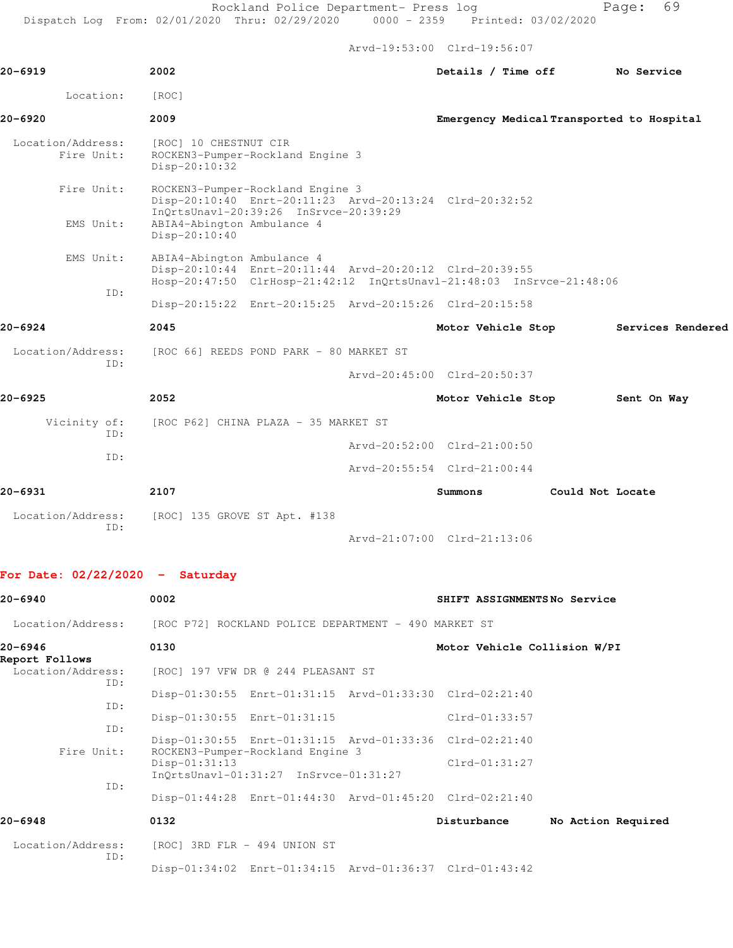|                                   |                                                                                                                                                                                     | $ALVQ - L9:00:00$ $CLLQ - L9:00:07$ |                             |                  |                                           |  |
|-----------------------------------|-------------------------------------------------------------------------------------------------------------------------------------------------------------------------------------|-------------------------------------|-----------------------------|------------------|-------------------------------------------|--|
| 20-6919                           | 2002                                                                                                                                                                                |                                     | Details / Time off          |                  | No Service                                |  |
| Location:                         | [ROC]                                                                                                                                                                               |                                     |                             |                  |                                           |  |
| 20-6920                           | 2009                                                                                                                                                                                |                                     |                             |                  | Emergency Medical Transported to Hospital |  |
| Location/Address:<br>Fire Unit:   | [ROC] 10 CHESTNUT CIR<br>ROCKEN3-Pumper-Rockland Engine 3<br>Disp-20:10:32                                                                                                          |                                     |                             |                  |                                           |  |
| Fire Unit:<br>EMS Unit:           | ROCKEN3-Pumper-Rockland Engine 3<br>Disp-20:10:40 Enrt-20:11:23 Arvd-20:13:24 Clrd-20:32:52<br>InQrtsUnavl-20:39:26 InSrvce-20:39:29<br>ABIA4-Abington Ambulance 4<br>Disp-20:10:40 |                                     |                             |                  |                                           |  |
| EMS Unit:                         | ABIA4-Abington Ambulance 4<br>Disp-20:10:44 Enrt-20:11:44 Arvd-20:20:12 Clrd-20:39:55<br>Hosp-20:47:50 ClrHosp-21:42:12 InQrtsUnavl-21:48:03 InSrvce-21:48:06                       |                                     |                             |                  |                                           |  |
| TD:                               | Disp-20:15:22 Enrt-20:15:25 Arvd-20:15:26 Clrd-20:15:58                                                                                                                             |                                     |                             |                  |                                           |  |
| 20-6924                           | 2045                                                                                                                                                                                |                                     | Motor Vehicle Stop          |                  | Services Rendered                         |  |
| Location/Address:                 | [ROC 66] REEDS POND PARK - 80 MARKET ST                                                                                                                                             |                                     |                             |                  |                                           |  |
| ID:                               |                                                                                                                                                                                     | Arvd-20:45:00 Clrd-20:50:37         |                             |                  |                                           |  |
| 20-6925                           | 2052                                                                                                                                                                                |                                     | Motor Vehicle Stop          |                  | Sent On Way                               |  |
| Vicinity of:<br>TD:               | [ROC P62] CHINA PLAZA - 35 MARKET ST                                                                                                                                                |                                     |                             |                  |                                           |  |
| ID:                               |                                                                                                                                                                                     | Arvd-20:52:00 Clrd-21:00:50         |                             |                  |                                           |  |
|                                   |                                                                                                                                                                                     | Arvd-20:55:54 Clrd-21:00:44         |                             |                  |                                           |  |
| 20-6931                           | 2107                                                                                                                                                                                |                                     | Summons                     | Could Not Locate |                                           |  |
| Location/Address:<br>ID:          | $[ROC]$ 135 GROVE ST Apt. #138                                                                                                                                                      | Arvd-21:07:00 Clrd-21:13:06         |                             |                  |                                           |  |
| For Date: $02/22/2020 -$ Saturday |                                                                                                                                                                                     |                                     |                             |                  |                                           |  |
| 20-6940                           | 0002                                                                                                                                                                                |                                     | SHIFT ASSIGNMENTSNo Service |                  |                                           |  |

|                                            | Location/Address: [ROC P72] ROCKLAND POLICE DEPARTMENT - 490 MARKET ST                      |                                   |
|--------------------------------------------|---------------------------------------------------------------------------------------------|-----------------------------------|
| 20-6946                                    | 0130                                                                                        | Motor Vehicle Collision W/PI      |
| Report Follows<br>Location/Address:<br>ID: | [ROC] 197 VFW DR @ 244 PLEASANT ST                                                          |                                   |
| ID:                                        | Disp-01:30:55 Enrt-01:31:15 Arvd-01:33:30 Clrd-02:21:40                                     |                                   |
| ID:                                        | Disp-01:30:55 Enrt-01:31:15                                                                 | $Clrd-01:33:57$                   |
| Fire Unit:                                 | Disp-01:30:55 Enrt-01:31:15 Arvd-01:33:36 Clrd-02:21:40<br>ROCKEN3-Pumper-Rockland Engine 3 |                                   |
| ID:                                        | $Disp-01:31:13$                                                                             | $Clrd-01:31:27$                   |
|                                            | Disp-01:44:28 Enrt-01:44:30 Arvd-01:45:20 Clrd-02:21:40                                     |                                   |
| 20-6948                                    | 0132                                                                                        | Disturbance<br>No Action Required |
| Location/Address:<br>ID:                   | [ROC] 3RD FLR - 494 UNION ST                                                                |                                   |
|                                            | Disp-01:34:02 Enrt-01:34:15 Arvd-01:36:37 Clrd-01:43:42                                     |                                   |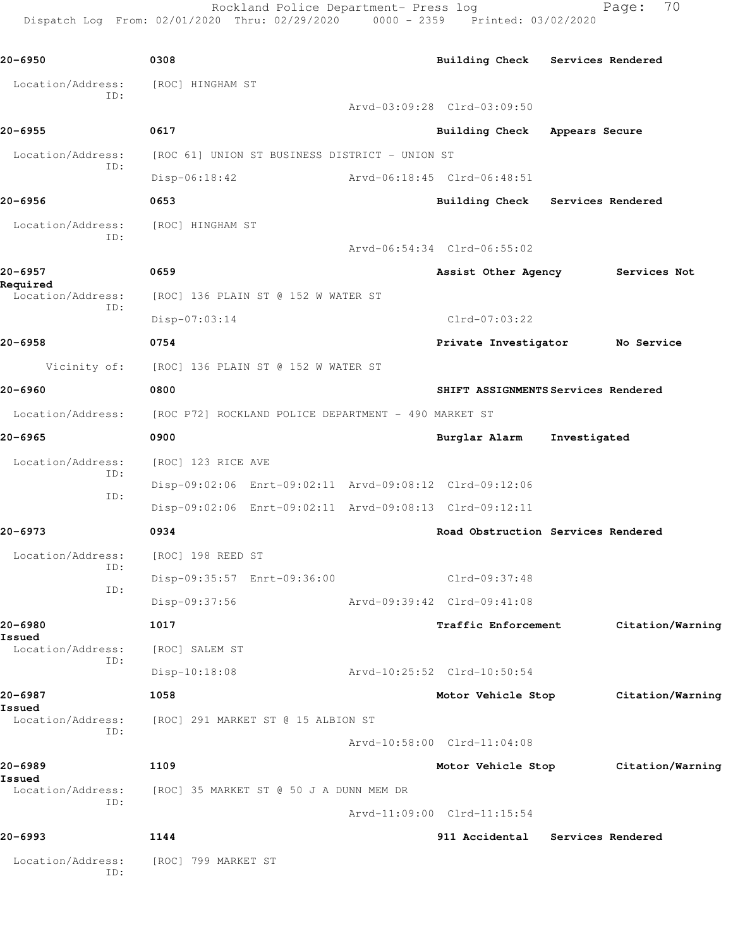Rockland Police Department- Press log Fage: 70 Dispatch Log From: 02/01/2020 Thru: 02/29/2020 0000 - 2359 Printed: 03/02/2020

**20-6950 0308 Building Check Services Rendered** Location/Address: [ROC] HINGHAM ST ID: Arvd-03:09:28 Clrd-03:09:50 **20-6955 0617 Building Check Appears Secure** Location/Address: [ROC 61] UNION ST BUSINESS DISTRICT - UNION ST ID: Disp-06:18:42 Arvd-06:18:45 Clrd-06:48:51 **20-6956 0653 Building Check Services Rendered** Location/Address: [ROC] HINGHAM ST ID: Arvd-06:54:34 Clrd-06:55:02 **20-6957 0659 Assist Other Agency Services Not Required**  [ROC] 136 PLAIN ST @ 152 W WATER ST ID: Disp-07:03:14 Clrd-07:03:22 **20-6958 0754 Private Investigator No Service** Vicinity of: [ROC] 136 PLAIN ST @ 152 W WATER ST **20-6960 0800 SHIFT ASSIGNMENTS Services Rendered** Location/Address: [ROC P72] ROCKLAND POLICE DEPARTMENT - 490 MARKET ST **20-6965 0900 Burglar Alarm Investigated** Location/Address: [ROC] 123 RICE AVE ID: Disp-09:02:06 Enrt-09:02:11 Arvd-09:08:12 Clrd-09:12:06 ID: Disp-09:02:06 Enrt-09:02:11 Arvd-09:08:13 Clrd-09:12:11 **20-6973 0934 Road Obstruction Services Rendered** Location/Address: [ROC] 198 REED ST ID: Disp-09:35:57 Enrt-09:36:00 Clrd-09:37:48 ID: Disp-09:37:56 Arvd-09:39:42 Clrd-09:41:08 **20-6980 1017 Traffic Enforcement Citation/Warning Issued**  Location/Address: [ROC] SALEM ST ID: Disp-10:18:08 Arvd-10:25:52 Clrd-10:50:54 **20-6987 1058 Motor Vehicle Stop Citation/Warning Issued**  Location/Address: [ROC] 291 MARKET ST @ 15 ALBION ST ID: Arvd-10:58:00 Clrd-11:04:08 **20-6989 1109 Motor Vehicle Stop Citation/Warning Issued**  Location/Address: [ROC] 35 MARKET ST @ 50 J A DUNN MEM DR ID: Arvd-11:09:00 Clrd-11:15:54 **20-6993 1144 911 Accidental Services Rendered** Location/Address: [ROC] 799 MARKET ST ID: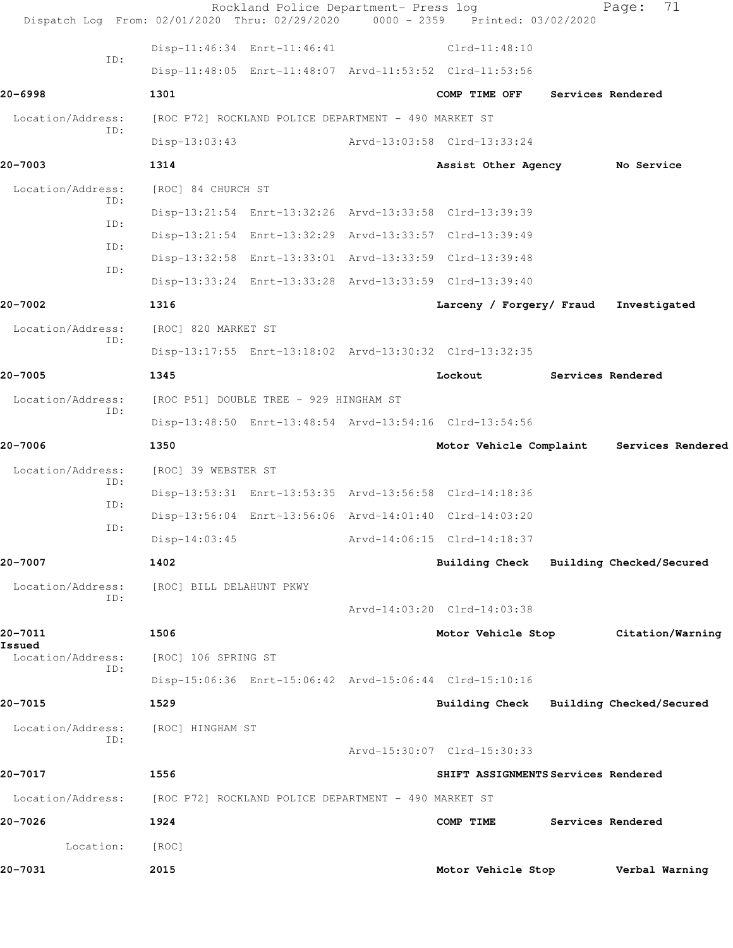| Dispatch Log From: 02/01/2020 Thru: 02/29/2020 0000 - 2359 Printed: 03/02/2020 |                                                      | Rockland Police Department- Press log |                                                         | 71<br>Page:       |  |
|--------------------------------------------------------------------------------|------------------------------------------------------|---------------------------------------|---------------------------------------------------------|-------------------|--|
|                                                                                |                                                      | Disp-11:46:34 Enrt-11:46:41           | $Clrd-11:48:10$                                         |                   |  |
| ID:                                                                            |                                                      |                                       | Disp-11:48:05 Enrt-11:48:07 Arvd-11:53:52 Clrd-11:53:56 |                   |  |
| 20-6998                                                                        | 1301                                                 |                                       | COMP TIME OFF                                           | Services Rendered |  |
| Location/Address:                                                              | [ROC P72] ROCKLAND POLICE DEPARTMENT - 490 MARKET ST |                                       |                                                         |                   |  |
| ID:                                                                            | $Disp-13:03:43$                                      |                                       | Arvd-13:03:58 Clrd-13:33:24                             |                   |  |
| 20-7003                                                                        | 1314                                                 |                                       | Assist Other Agency No Service                          |                   |  |
| Location/Address:<br>ID:                                                       | [ROC] 84 CHURCH ST                                   |                                       |                                                         |                   |  |
|                                                                                |                                                      |                                       | Disp-13:21:54 Enrt-13:32:26 Arvd-13:33:58 Clrd-13:39:39 |                   |  |
| ID:<br>ID:                                                                     |                                                      |                                       | Disp-13:21:54 Enrt-13:32:29 Arvd-13:33:57 Clrd-13:39:49 |                   |  |
| ID:                                                                            |                                                      |                                       | Disp-13:32:58 Enrt-13:33:01 Arvd-13:33:59 Clrd-13:39:48 |                   |  |
|                                                                                |                                                      |                                       | Disp-13:33:24 Enrt-13:33:28 Arvd-13:33:59 Clrd-13:39:40 |                   |  |
| 20-7002                                                                        | 1316                                                 |                                       | Larceny / Forgery/ Fraud                                | Investigated      |  |
| Location/Address:                                                              | [ROC] 820 MARKET ST                                  |                                       |                                                         |                   |  |
| ID:                                                                            |                                                      |                                       | Disp-13:17:55 Enrt-13:18:02 Arvd-13:30:32 Clrd-13:32:35 |                   |  |
| 20-7005                                                                        | 1345                                                 |                                       | Lockout                                                 | Services Rendered |  |
| Location/Address:<br>ID:                                                       | [ROC P51] DOUBLE TREE - 929 HINGHAM ST               |                                       |                                                         |                   |  |
|                                                                                |                                                      |                                       | Disp-13:48:50 Enrt-13:48:54 Arvd-13:54:16 Clrd-13:54:56 |                   |  |
| 20-7006                                                                        | 1350                                                 |                                       | Motor Vehicle Complaint Services Rendered               |                   |  |
| Location/Address:<br>ID:                                                       | [ROC] 39 WEBSTER ST                                  |                                       |                                                         |                   |  |
| ID:                                                                            |                                                      |                                       | Disp-13:53:31 Enrt-13:53:35 Arvd-13:56:58 Clrd-14:18:36 |                   |  |
| ID:                                                                            |                                                      |                                       | Disp-13:56:04 Enrt-13:56:06 Arvd-14:01:40 Clrd-14:03:20 |                   |  |
|                                                                                |                                                      |                                       | Disp-14:03:45 Arvd-14:06:15 Clrd-14:18:37               |                   |  |
| 20-7007                                                                        | 1402                                                 |                                       | Building Check Building Checked/Secured                 |                   |  |
| Location/Address:<br>ID:                                                       | [ROC] BILL DELAHUNT PKWY                             |                                       |                                                         |                   |  |
|                                                                                |                                                      |                                       | Arvd-14:03:20 Clrd-14:03:38                             |                   |  |
| 20-7011<br>Issued                                                              | 1506                                                 |                                       | Motor Vehicle Stop                                      | Citation/Warning  |  |
| Location/Address:<br>ID:                                                       | [ROC] 106 SPRING ST                                  |                                       |                                                         |                   |  |
|                                                                                |                                                      |                                       | Disp-15:06:36 Enrt-15:06:42 Arvd-15:06:44 Clrd-15:10:16 |                   |  |
| 20-7015                                                                        | 1529                                                 |                                       | Building Check Building Checked/Secured                 |                   |  |
| Location/Address:<br>ID:                                                       | [ROC] HINGHAM ST                                     |                                       |                                                         |                   |  |
|                                                                                |                                                      |                                       | Arvd-15:30:07 Clrd-15:30:33                             |                   |  |
| 20-7017                                                                        | 1556                                                 |                                       | SHIFT ASSIGNMENTS Services Rendered                     |                   |  |
| Location/Address:                                                              | [ROC P72] ROCKLAND POLICE DEPARTMENT - 490 MARKET ST |                                       |                                                         |                   |  |
| 20-7026                                                                        | 1924                                                 |                                       | COMP TIME                                               | Services Rendered |  |
| Location:                                                                      | [ROC]                                                |                                       |                                                         |                   |  |
| 20-7031                                                                        | 2015                                                 |                                       | Motor Vehicle Stop                                      | Verbal Warning    |  |
|                                                                                |                                                      |                                       |                                                         |                   |  |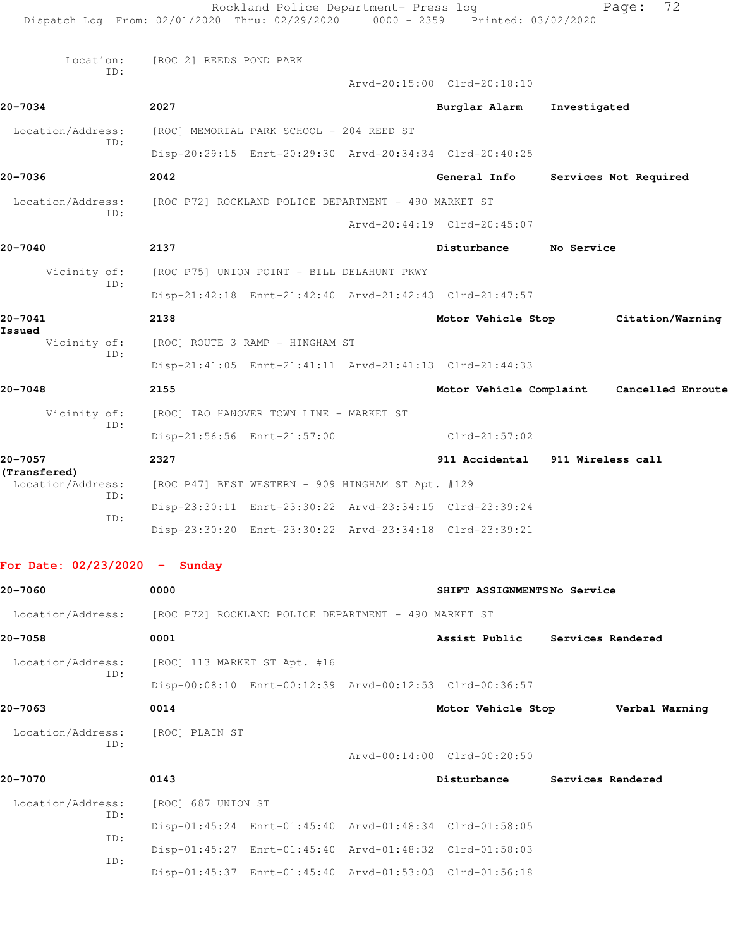|                                   | Rockland Police Department- Press log<br>Dispatch Log From: 02/01/2020 Thru: 02/29/2020             | $0000 - 2359$ | Printed: 03/02/2020              |              | 72<br>Page:                               |
|-----------------------------------|-----------------------------------------------------------------------------------------------------|---------------|----------------------------------|--------------|-------------------------------------------|
| Location:<br>ID:                  | [ROC 2] REEDS POND PARK                                                                             |               |                                  |              |                                           |
| 20-7034                           | 2027                                                                                                |               | Arvd-20:15:00 Clrd-20:18:10      |              |                                           |
|                                   |                                                                                                     |               | Burglar Alarm                    | Investigated |                                           |
| Location/Address:<br>ID:          | [ROC] MEMORIAL PARK SCHOOL - 204 REED ST<br>Disp-20:29:15 Enrt-20:29:30 Arvd-20:34:34 Clrd-20:40:25 |               |                                  |              |                                           |
| 20-7036                           | 2042                                                                                                |               | General Info                     |              | Services Not Required                     |
| Location/Address:                 | [ROC P72] ROCKLAND POLICE DEPARTMENT - 490 MARKET ST                                                |               |                                  |              |                                           |
| ID:                               |                                                                                                     |               | Arvd-20:44:19 Clrd-20:45:07      |              |                                           |
| 20-7040                           | 2137                                                                                                |               | Disturbance                      | No Service   |                                           |
| Vicinity of:                      | [ROC P75] UNION POINT - BILL DELAHUNT PKWY                                                          |               |                                  |              |                                           |
| ID:                               | Disp-21:42:18 Enrt-21:42:40 Arvd-21:42:43 Clrd-21:47:57                                             |               |                                  |              |                                           |
| 20-7041                           | 2138                                                                                                |               |                                  |              | Motor Vehicle Stop Citation/Warning       |
| Issued<br>Vicinity of:            | [ROC] ROUTE 3 RAMP - HINGHAM ST                                                                     |               |                                  |              |                                           |
| ID:                               | Disp-21:41:05 Enrt-21:41:11 Arvd-21:41:13 Clrd-21:44:33                                             |               |                                  |              |                                           |
| 20-7048                           | 2155                                                                                                |               |                                  |              | Motor Vehicle Complaint Cancelled Enroute |
| Vicinity of:                      | [ROC] IAO HANOVER TOWN LINE - MARKET ST                                                             |               |                                  |              |                                           |
| ID:                               | Disp-21:56:56 Enrt-21:57:00                                                                         |               | Clrd-21:57:02                    |              |                                           |
| 20-7057                           | 2327                                                                                                |               | 911 Accidental 911 Wireless call |              |                                           |
| (Transfered)<br>Location/Address: | [ROC P47] BEST WESTERN - 909 HINGHAM ST Apt. #129                                                   |               |                                  |              |                                           |
| ID:                               | Disp-23:30:11 Enrt-23:30:22 Arvd-23:34:15 Clrd-23:39:24                                             |               |                                  |              |                                           |
| ID:                               | Disp-23:30:20 Enrt-23:30:22 Arvd-23:34:18 Clrd-23:39:21                                             |               |                                  |              |                                           |
| For Date: $02/23/2020 -$ Sunday   |                                                                                                     |               |                                  |              |                                           |
| 20-7060                           | 0000                                                                                                |               | SHIFT ASSIGNMENTSNo Service      |              |                                           |
| Location/Address:                 | [ROC P72] ROCKLAND POLICE DEPARTMENT - 490 MARKET ST                                                |               |                                  |              |                                           |
| 20-7058                           | 0001                                                                                                |               | Assist Public Services Rendered  |              |                                           |
| Location/Address:                 | [ROC] 113 MARKET ST Apt. #16                                                                        |               |                                  |              |                                           |
| ID:                               | Disp-00:08:10 Enrt-00:12:39 Arvd-00:12:53 Clrd-00:36:57                                             |               |                                  |              |                                           |
| 20-7063                           | 0014                                                                                                |               | Motor Vehicle Stop               |              | Verbal Warning                            |
| Location/Address:                 | [ROC] PLAIN ST                                                                                      |               |                                  |              |                                           |
| ID:                               |                                                                                                     |               | Arvd-00:14:00 Clrd-00:20:50      |              |                                           |
| 20-7070                           | 0143                                                                                                |               | Disturbance                      |              | <b>Services Rendered</b>                  |
| Location/Address:                 | [ROC] 687 UNION ST                                                                                  |               |                                  |              |                                           |
| ID:<br>ID:                        | Disp-01:45:24 Enrt-01:45:40 Arvd-01:48:34 Clrd-01:58:05                                             |               |                                  |              |                                           |

 Disp-01:45:27 Enrt-01:45:40 Arvd-01:48:32 Clrd-01:58:03 ID:

Disp-01:45:37 Enrt-01:45:40 Arvd-01:53:03 Clrd-01:56:18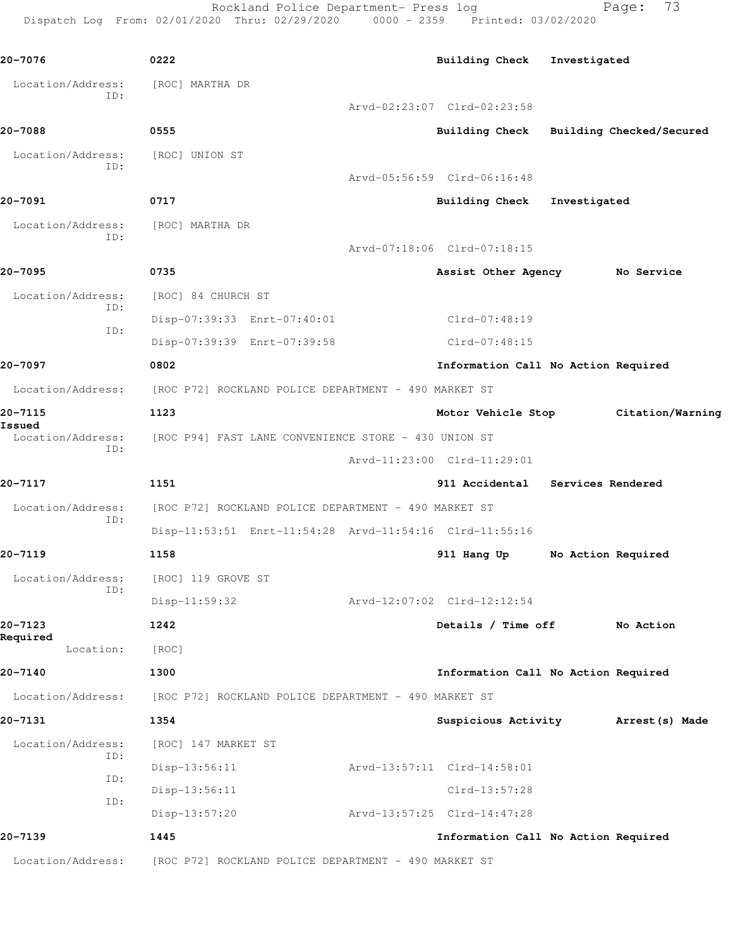Rockland Police Department- Press log Fage: 73 Dispatch Log From: 02/01/2020 Thru: 02/29/2020 0000 - 2359 Printed: 03/02/2020

**20-7076 0222 Building Check Investigated** Location/Address: [ROC] MARTHA DR ID: Arvd-02:23:07 Clrd-02:23:58 **20-7088 0555 Building Check Building Checked/Secured** Location/Address: [ROC] UNION ST ID: Arvd-05:56:59 Clrd-06:16:48 **20-7091 0717 Building Check Investigated** Location/Address: [ROC] MARTHA DR ID: Arvd-07:18:06 Clrd-07:18:15 **20-7095 0735 Assist Other Agency No Service** Location/Address: [ROC] 84 CHURCH ST ID: Disp-07:39:33 Enrt-07:40:01 Clrd-07:48:19 ID: Disp-07:39:39 Enrt-07:39:58 Clrd-07:48:15 **20-7097 0802 Information Call No Action Required** Location/Address: [ROC P72] ROCKLAND POLICE DEPARTMENT - 490 MARKET ST **20-7115 1123 Motor Vehicle Stop Citation/Warning Issued**  Location/Address: [ROC P94] FAST LANE CONVENIENCE STORE - 430 UNION ST ID: Arvd-11:23:00 Clrd-11:29:01 **20-7117 1151 911 Accidental Services Rendered** Location/Address: [ROC P72] ROCKLAND POLICE DEPARTMENT - 490 MARKET ST ID: Disp-11:53:51 Enrt-11:54:28 Arvd-11:54:16 Clrd-11:55:16 **20-7119 1158 911 Hang Up No Action Required** Location/Address: [ROC] 119 GROVE ST ID: Disp-11:59:32 Arvd-12:07:02 Clrd-12:12:54 **20-7123 1242 Details / Time off No Action Required**  Location: [ROC] **20-7140 1300 Information Call No Action Required** Location/Address: [ROC P72] ROCKLAND POLICE DEPARTMENT - 490 MARKET ST **20-7131 1354 Suspicious Activity Arrest(s) Made** Location/Address: [ROC] 147 MARKET ST ID: Disp-13:56:11 Arvd-13:57:11 Clrd-14:58:01 ID: Disp-13:56:11 Clrd-13:57:28 ID: Disp-13:57:20 Arvd-13:57:25 Clrd-14:47:28 **20-7139 1445 Information Call No Action Required** Location/Address: [ROC P72] ROCKLAND POLICE DEPARTMENT - 490 MARKET ST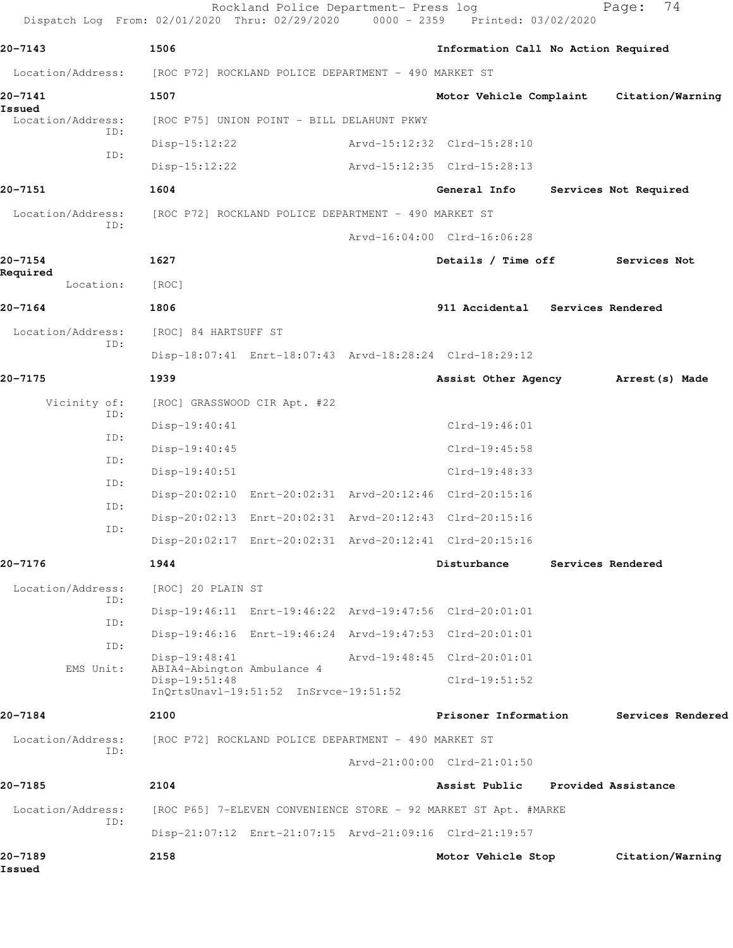| 20-7143<br>1506<br>Information Call No Action Required<br>Location/Address: [ROC P72] ROCKLAND POLICE DEPARTMENT - 490 MARKET ST<br>20-7141<br>1507<br>Motor Vehicle Complaint Citation/Warning<br>Issued<br>Location/Address:<br>[ROC P75] UNION POINT - BILL DELAHUNT PKWY<br>ID:<br>$Disp-15:12:22$<br>Arvd-15:12:32 Clrd-15:28:10<br>ID:<br>$Disp-15:12:22$<br>Arvd-15:12:35 Clrd-15:28:13<br>20-7151<br>1604<br>General Info<br>Services Not Required<br>Location/Address:<br>[ROC P72] ROCKLAND POLICE DEPARTMENT - 490 MARKET ST<br>ID:<br>Arvd-16:04:00 Clrd-16:06:28<br>20-7154<br>1627<br>Details / Time off<br>Services Not<br>Required<br>Location:<br>[ROC]<br>20-7164<br>1806<br>911 Accidental Services Rendered<br>Location/Address:<br>[ROC] 84 HARTSUFF ST<br>ID:<br>Disp-18:07:41 Enrt-18:07:43 Arvd-18:28:24 Clrd-18:29:12<br>20-7175<br>1939<br>Assist Other Agency Marrest (s) Made<br>Vicinity of:<br>[ROC] GRASSWOOD CIR Apt. #22<br>ID:<br>Disp-19:40:41<br>$Clrd-19:46:01$<br>ID:<br>Disp-19:40:45<br>Clrd-19:45:58<br>ID:<br>$Disp-19:40:51$<br>$Clrd-19:48:33$<br>ID:<br>Disp-20:02:10 Enrt-20:02:31 Arvd-20:12:46 Clrd-20:15:16<br>ID:<br>Disp-20:02:13 Enrt-20:02:31 Arvd-20:12:43 Clrd-20:15:16<br>ID:<br>Disp-20:02:17 Enrt-20:02:31 Arvd-20:12:41 Clrd-20:15:16<br>1944<br>20-7176<br>Disturbance<br>Services Rendered<br>Location/Address:<br>[ROC] 20 PLAIN ST<br>ID:<br>Disp-19:46:11 Enrt-19:46:22 Arvd-19:47:56 Clrd-20:01:01<br>ID:<br>Disp-19:46:16 Enrt-19:46:24 Arvd-19:47:53 Clrd-20:01:01<br>ID:<br>Disp-19:48:41<br>Arvd-19:48:45 Clrd-20:01:01<br>ABIA4-Abington Ambulance 4<br>EMS Unit:<br>Disp-19:51:48<br>$Clrd-19:51:52$<br>InQrtsUnavl-19:51:52 InSrvce-19:51:52<br>20-7184<br>Prisoner Information<br>2100<br>Location/Address:<br>[ROC P72] ROCKLAND POLICE DEPARTMENT - 490 MARKET ST<br>ID:<br>Arvd-21:00:00 Clrd-21:01:50<br>20-7185<br>2104<br>Assist Public<br>Provided Assistance<br>Location/Address:<br>[ROC P65] 7-ELEVEN CONVENIENCE STORE - 92 MARKET ST Apt. #MARKE<br>ID:<br>Disp-21:07:12 Enrt-21:07:15 Arvd-21:09:16 Clrd-21:19:57<br>20-7189<br>2158<br>Motor Vehicle Stop<br>Issued | Dispatch Log From: 02/01/2020 Thru: 02/29/2020 0000 - 2359 Printed: 03/02/2020 | Rockland Police Department- Press log |  | 74<br>Page:       |
|------------------------------------------------------------------------------------------------------------------------------------------------------------------------------------------------------------------------------------------------------------------------------------------------------------------------------------------------------------------------------------------------------------------------------------------------------------------------------------------------------------------------------------------------------------------------------------------------------------------------------------------------------------------------------------------------------------------------------------------------------------------------------------------------------------------------------------------------------------------------------------------------------------------------------------------------------------------------------------------------------------------------------------------------------------------------------------------------------------------------------------------------------------------------------------------------------------------------------------------------------------------------------------------------------------------------------------------------------------------------------------------------------------------------------------------------------------------------------------------------------------------------------------------------------------------------------------------------------------------------------------------------------------------------------------------------------------------------------------------------------------------------------------------------------------------------------------------------------------------------------------------------------------------------------------------------------------------------------------------------------------------------------------------------------------------------------------------------------------------------------------------------------------|--------------------------------------------------------------------------------|---------------------------------------|--|-------------------|
|                                                                                                                                                                                                                                                                                                                                                                                                                                                                                                                                                                                                                                                                                                                                                                                                                                                                                                                                                                                                                                                                                                                                                                                                                                                                                                                                                                                                                                                                                                                                                                                                                                                                                                                                                                                                                                                                                                                                                                                                                                                                                                                                                            |                                                                                |                                       |  |                   |
|                                                                                                                                                                                                                                                                                                                                                                                                                                                                                                                                                                                                                                                                                                                                                                                                                                                                                                                                                                                                                                                                                                                                                                                                                                                                                                                                                                                                                                                                                                                                                                                                                                                                                                                                                                                                                                                                                                                                                                                                                                                                                                                                                            |                                                                                |                                       |  |                   |
|                                                                                                                                                                                                                                                                                                                                                                                                                                                                                                                                                                                                                                                                                                                                                                                                                                                                                                                                                                                                                                                                                                                                                                                                                                                                                                                                                                                                                                                                                                                                                                                                                                                                                                                                                                                                                                                                                                                                                                                                                                                                                                                                                            |                                                                                |                                       |  |                   |
|                                                                                                                                                                                                                                                                                                                                                                                                                                                                                                                                                                                                                                                                                                                                                                                                                                                                                                                                                                                                                                                                                                                                                                                                                                                                                                                                                                                                                                                                                                                                                                                                                                                                                                                                                                                                                                                                                                                                                                                                                                                                                                                                                            |                                                                                |                                       |  |                   |
|                                                                                                                                                                                                                                                                                                                                                                                                                                                                                                                                                                                                                                                                                                                                                                                                                                                                                                                                                                                                                                                                                                                                                                                                                                                                                                                                                                                                                                                                                                                                                                                                                                                                                                                                                                                                                                                                                                                                                                                                                                                                                                                                                            |                                                                                |                                       |  |                   |
|                                                                                                                                                                                                                                                                                                                                                                                                                                                                                                                                                                                                                                                                                                                                                                                                                                                                                                                                                                                                                                                                                                                                                                                                                                                                                                                                                                                                                                                                                                                                                                                                                                                                                                                                                                                                                                                                                                                                                                                                                                                                                                                                                            |                                                                                |                                       |  |                   |
|                                                                                                                                                                                                                                                                                                                                                                                                                                                                                                                                                                                                                                                                                                                                                                                                                                                                                                                                                                                                                                                                                                                                                                                                                                                                                                                                                                                                                                                                                                                                                                                                                                                                                                                                                                                                                                                                                                                                                                                                                                                                                                                                                            |                                                                                |                                       |  |                   |
|                                                                                                                                                                                                                                                                                                                                                                                                                                                                                                                                                                                                                                                                                                                                                                                                                                                                                                                                                                                                                                                                                                                                                                                                                                                                                                                                                                                                                                                                                                                                                                                                                                                                                                                                                                                                                                                                                                                                                                                                                                                                                                                                                            |                                                                                |                                       |  |                   |
|                                                                                                                                                                                                                                                                                                                                                                                                                                                                                                                                                                                                                                                                                                                                                                                                                                                                                                                                                                                                                                                                                                                                                                                                                                                                                                                                                                                                                                                                                                                                                                                                                                                                                                                                                                                                                                                                                                                                                                                                                                                                                                                                                            |                                                                                |                                       |  |                   |
|                                                                                                                                                                                                                                                                                                                                                                                                                                                                                                                                                                                                                                                                                                                                                                                                                                                                                                                                                                                                                                                                                                                                                                                                                                                                                                                                                                                                                                                                                                                                                                                                                                                                                                                                                                                                                                                                                                                                                                                                                                                                                                                                                            |                                                                                |                                       |  |                   |
|                                                                                                                                                                                                                                                                                                                                                                                                                                                                                                                                                                                                                                                                                                                                                                                                                                                                                                                                                                                                                                                                                                                                                                                                                                                                                                                                                                                                                                                                                                                                                                                                                                                                                                                                                                                                                                                                                                                                                                                                                                                                                                                                                            |                                                                                |                                       |  |                   |
|                                                                                                                                                                                                                                                                                                                                                                                                                                                                                                                                                                                                                                                                                                                                                                                                                                                                                                                                                                                                                                                                                                                                                                                                                                                                                                                                                                                                                                                                                                                                                                                                                                                                                                                                                                                                                                                                                                                                                                                                                                                                                                                                                            |                                                                                |                                       |  |                   |
|                                                                                                                                                                                                                                                                                                                                                                                                                                                                                                                                                                                                                                                                                                                                                                                                                                                                                                                                                                                                                                                                                                                                                                                                                                                                                                                                                                                                                                                                                                                                                                                                                                                                                                                                                                                                                                                                                                                                                                                                                                                                                                                                                            |                                                                                |                                       |  |                   |
|                                                                                                                                                                                                                                                                                                                                                                                                                                                                                                                                                                                                                                                                                                                                                                                                                                                                                                                                                                                                                                                                                                                                                                                                                                                                                                                                                                                                                                                                                                                                                                                                                                                                                                                                                                                                                                                                                                                                                                                                                                                                                                                                                            |                                                                                |                                       |  |                   |
|                                                                                                                                                                                                                                                                                                                                                                                                                                                                                                                                                                                                                                                                                                                                                                                                                                                                                                                                                                                                                                                                                                                                                                                                                                                                                                                                                                                                                                                                                                                                                                                                                                                                                                                                                                                                                                                                                                                                                                                                                                                                                                                                                            |                                                                                |                                       |  |                   |
|                                                                                                                                                                                                                                                                                                                                                                                                                                                                                                                                                                                                                                                                                                                                                                                                                                                                                                                                                                                                                                                                                                                                                                                                                                                                                                                                                                                                                                                                                                                                                                                                                                                                                                                                                                                                                                                                                                                                                                                                                                                                                                                                                            |                                                                                |                                       |  |                   |
|                                                                                                                                                                                                                                                                                                                                                                                                                                                                                                                                                                                                                                                                                                                                                                                                                                                                                                                                                                                                                                                                                                                                                                                                                                                                                                                                                                                                                                                                                                                                                                                                                                                                                                                                                                                                                                                                                                                                                                                                                                                                                                                                                            |                                                                                |                                       |  |                   |
|                                                                                                                                                                                                                                                                                                                                                                                                                                                                                                                                                                                                                                                                                                                                                                                                                                                                                                                                                                                                                                                                                                                                                                                                                                                                                                                                                                                                                                                                                                                                                                                                                                                                                                                                                                                                                                                                                                                                                                                                                                                                                                                                                            |                                                                                |                                       |  |                   |
|                                                                                                                                                                                                                                                                                                                                                                                                                                                                                                                                                                                                                                                                                                                                                                                                                                                                                                                                                                                                                                                                                                                                                                                                                                                                                                                                                                                                                                                                                                                                                                                                                                                                                                                                                                                                                                                                                                                                                                                                                                                                                                                                                            |                                                                                |                                       |  |                   |
|                                                                                                                                                                                                                                                                                                                                                                                                                                                                                                                                                                                                                                                                                                                                                                                                                                                                                                                                                                                                                                                                                                                                                                                                                                                                                                                                                                                                                                                                                                                                                                                                                                                                                                                                                                                                                                                                                                                                                                                                                                                                                                                                                            |                                                                                |                                       |  |                   |
|                                                                                                                                                                                                                                                                                                                                                                                                                                                                                                                                                                                                                                                                                                                                                                                                                                                                                                                                                                                                                                                                                                                                                                                                                                                                                                                                                                                                                                                                                                                                                                                                                                                                                                                                                                                                                                                                                                                                                                                                                                                                                                                                                            |                                                                                |                                       |  |                   |
|                                                                                                                                                                                                                                                                                                                                                                                                                                                                                                                                                                                                                                                                                                                                                                                                                                                                                                                                                                                                                                                                                                                                                                                                                                                                                                                                                                                                                                                                                                                                                                                                                                                                                                                                                                                                                                                                                                                                                                                                                                                                                                                                                            |                                                                                |                                       |  |                   |
|                                                                                                                                                                                                                                                                                                                                                                                                                                                                                                                                                                                                                                                                                                                                                                                                                                                                                                                                                                                                                                                                                                                                                                                                                                                                                                                                                                                                                                                                                                                                                                                                                                                                                                                                                                                                                                                                                                                                                                                                                                                                                                                                                            |                                                                                |                                       |  |                   |
|                                                                                                                                                                                                                                                                                                                                                                                                                                                                                                                                                                                                                                                                                                                                                                                                                                                                                                                                                                                                                                                                                                                                                                                                                                                                                                                                                                                                                                                                                                                                                                                                                                                                                                                                                                                                                                                                                                                                                                                                                                                                                                                                                            |                                                                                |                                       |  |                   |
|                                                                                                                                                                                                                                                                                                                                                                                                                                                                                                                                                                                                                                                                                                                                                                                                                                                                                                                                                                                                                                                                                                                                                                                                                                                                                                                                                                                                                                                                                                                                                                                                                                                                                                                                                                                                                                                                                                                                                                                                                                                                                                                                                            |                                                                                |                                       |  |                   |
|                                                                                                                                                                                                                                                                                                                                                                                                                                                                                                                                                                                                                                                                                                                                                                                                                                                                                                                                                                                                                                                                                                                                                                                                                                                                                                                                                                                                                                                                                                                                                                                                                                                                                                                                                                                                                                                                                                                                                                                                                                                                                                                                                            |                                                                                |                                       |  |                   |
|                                                                                                                                                                                                                                                                                                                                                                                                                                                                                                                                                                                                                                                                                                                                                                                                                                                                                                                                                                                                                                                                                                                                                                                                                                                                                                                                                                                                                                                                                                                                                                                                                                                                                                                                                                                                                                                                                                                                                                                                                                                                                                                                                            |                                                                                |                                       |  |                   |
|                                                                                                                                                                                                                                                                                                                                                                                                                                                                                                                                                                                                                                                                                                                                                                                                                                                                                                                                                                                                                                                                                                                                                                                                                                                                                                                                                                                                                                                                                                                                                                                                                                                                                                                                                                                                                                                                                                                                                                                                                                                                                                                                                            |                                                                                |                                       |  |                   |
|                                                                                                                                                                                                                                                                                                                                                                                                                                                                                                                                                                                                                                                                                                                                                                                                                                                                                                                                                                                                                                                                                                                                                                                                                                                                                                                                                                                                                                                                                                                                                                                                                                                                                                                                                                                                                                                                                                                                                                                                                                                                                                                                                            |                                                                                |                                       |  | Services Rendered |
|                                                                                                                                                                                                                                                                                                                                                                                                                                                                                                                                                                                                                                                                                                                                                                                                                                                                                                                                                                                                                                                                                                                                                                                                                                                                                                                                                                                                                                                                                                                                                                                                                                                                                                                                                                                                                                                                                                                                                                                                                                                                                                                                                            |                                                                                |                                       |  |                   |
|                                                                                                                                                                                                                                                                                                                                                                                                                                                                                                                                                                                                                                                                                                                                                                                                                                                                                                                                                                                                                                                                                                                                                                                                                                                                                                                                                                                                                                                                                                                                                                                                                                                                                                                                                                                                                                                                                                                                                                                                                                                                                                                                                            |                                                                                |                                       |  |                   |
|                                                                                                                                                                                                                                                                                                                                                                                                                                                                                                                                                                                                                                                                                                                                                                                                                                                                                                                                                                                                                                                                                                                                                                                                                                                                                                                                                                                                                                                                                                                                                                                                                                                                                                                                                                                                                                                                                                                                                                                                                                                                                                                                                            |                                                                                |                                       |  |                   |
|                                                                                                                                                                                                                                                                                                                                                                                                                                                                                                                                                                                                                                                                                                                                                                                                                                                                                                                                                                                                                                                                                                                                                                                                                                                                                                                                                                                                                                                                                                                                                                                                                                                                                                                                                                                                                                                                                                                                                                                                                                                                                                                                                            |                                                                                |                                       |  |                   |
|                                                                                                                                                                                                                                                                                                                                                                                                                                                                                                                                                                                                                                                                                                                                                                                                                                                                                                                                                                                                                                                                                                                                                                                                                                                                                                                                                                                                                                                                                                                                                                                                                                                                                                                                                                                                                                                                                                                                                                                                                                                                                                                                                            |                                                                                |                                       |  |                   |
|                                                                                                                                                                                                                                                                                                                                                                                                                                                                                                                                                                                                                                                                                                                                                                                                                                                                                                                                                                                                                                                                                                                                                                                                                                                                                                                                                                                                                                                                                                                                                                                                                                                                                                                                                                                                                                                                                                                                                                                                                                                                                                                                                            |                                                                                |                                       |  | Citation/Warning  |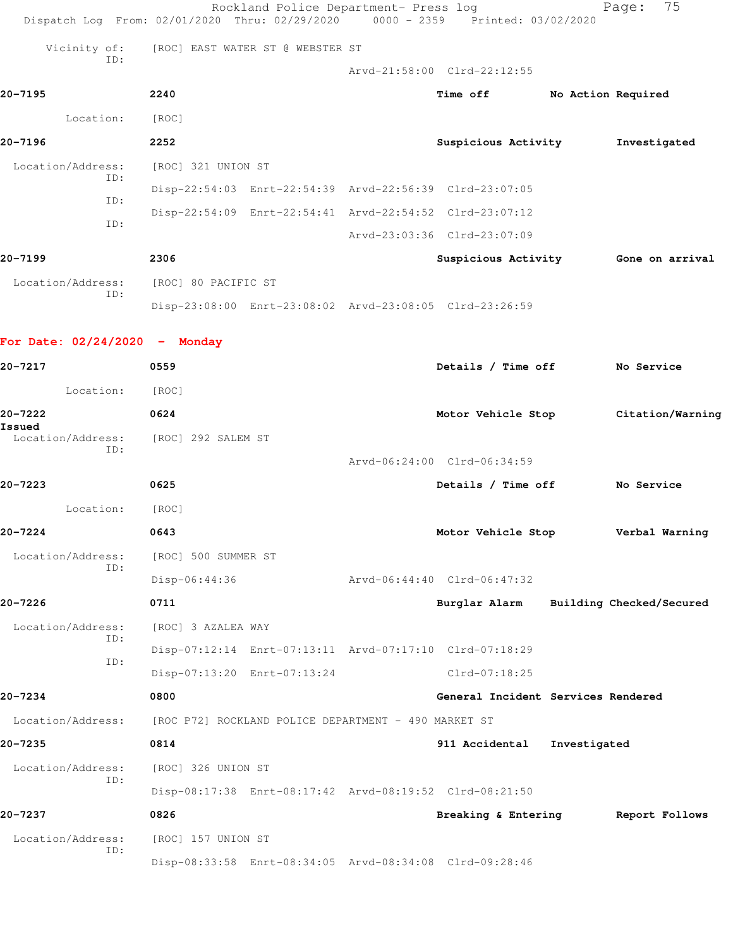|                                 | Rockland Police Department- Press log<br>Dispatch Log From: 02/01/2020 Thru: 02/29/2020 0000 - 2359 Printed: 03/02/2020 |                                        | 75<br>Page:        |
|---------------------------------|-------------------------------------------------------------------------------------------------------------------------|----------------------------------------|--------------------|
| Vicinity of:                    | [ROC] EAST WATER ST @ WEBSTER ST                                                                                        |                                        |                    |
| ID:                             |                                                                                                                         | Arvd-21:58:00 Clrd-22:12:55            |                    |
| 20-7195                         | 2240                                                                                                                    | <b>Time off</b>                        | No Action Required |
| Location: [ROC]                 |                                                                                                                         |                                        |                    |
| $20 - 7196$                     | 2252                                                                                                                    | Suspicious Activity                    | Investigated       |
| Location/Address:               | [ROC] 321 UNION ST                                                                                                      |                                        |                    |
| ID:                             | Disp-22:54:03 Enrt-22:54:39 Arvd-22:56:39 Clrd-23:07:05                                                                 |                                        |                    |
| ID:                             | Disp-22:54:09 Enrt-22:54:41 Arvd-22:54:52 Clrd-23:07:12                                                                 |                                        |                    |
| ID:                             |                                                                                                                         | Arvd-23:03:36 Clrd-23:07:09            |                    |
| 20-7199                         | 2306                                                                                                                    | Suspicious Activity Gone on arrival    |                    |
| Location/Address:               | [ROC] 80 PACIFIC ST                                                                                                     |                                        |                    |
| ID:                             | Disp-23:08:00 Enrt-23:08:02 Arvd-23:08:05 Clrd-23:26:59                                                                 |                                        |                    |
| For Date: $02/24/2020 -$ Monday |                                                                                                                         |                                        |                    |
| 20-7217                         | 0559                                                                                                                    | Details / Time off                     | No Service         |
| Location: [ROC]                 |                                                                                                                         |                                        |                    |
| 20-7222                         | 0624                                                                                                                    | Motor Vehicle Stop                     | Citation/Warning   |
| Issued<br>Location/Address:     | [ROC] 292 SALEM ST                                                                                                      |                                        |                    |
| ID:                             |                                                                                                                         | Arvd-06:24:00 Clrd-06:34:59            |                    |
| 20-7223                         | 0625                                                                                                                    | Details / Time off                     | No Service         |
| Location:                       | [ROC]                                                                                                                   |                                        |                    |
| 20-7224                         | 0643                                                                                                                    | Motor Vehicle Stop                     | Verbal Warning     |
| Location/Address:               | [ROC] 500 SUMMER ST                                                                                                     |                                        |                    |
| ID:                             | Disp-06:44:36                                                                                                           | Arvd-06:44:40 Clrd-06:47:32            |                    |
| 20-7226                         | 0711                                                                                                                    | Burglar Alarm Building Checked/Secured |                    |
| Location/Address:               | [ROC] 3 AZALEA WAY                                                                                                      |                                        |                    |
| ID:                             | Disp-07:12:14 Enrt-07:13:11 Arvd-07:17:10 Clrd-07:18:29                                                                 |                                        |                    |
| ID:                             | Disp-07:13:20 Enrt-07:13:24                                                                                             | Clrd-07:18:25                          |                    |
| 20-7234                         | 0800                                                                                                                    | General Incident Services Rendered     |                    |
|                                 | Location/Address: [ROC P72] ROCKLAND POLICE DEPARTMENT - 490 MARKET ST                                                  |                                        |                    |
| $20 - 7235$                     | 0814                                                                                                                    | 911 Accidental                         | Investigated       |
| Location/Address:               | [ROC] 326 UNION ST                                                                                                      |                                        |                    |
| TD:                             | Disp-08:17:38 Enrt-08:17:42 Arvd-08:19:52 Clrd-08:21:50                                                                 |                                        |                    |
| 20-7237                         | 0826                                                                                                                    | Breaking & Entering Report Follows     |                    |
| Location/Address:<br>ID:        | [ROC] 157 UNION ST                                                                                                      |                                        |                    |
|                                 | Disp-08:33:58 Enrt-08:34:05 Arvd-08:34:08 Clrd-09:28:46                                                                 |                                        |                    |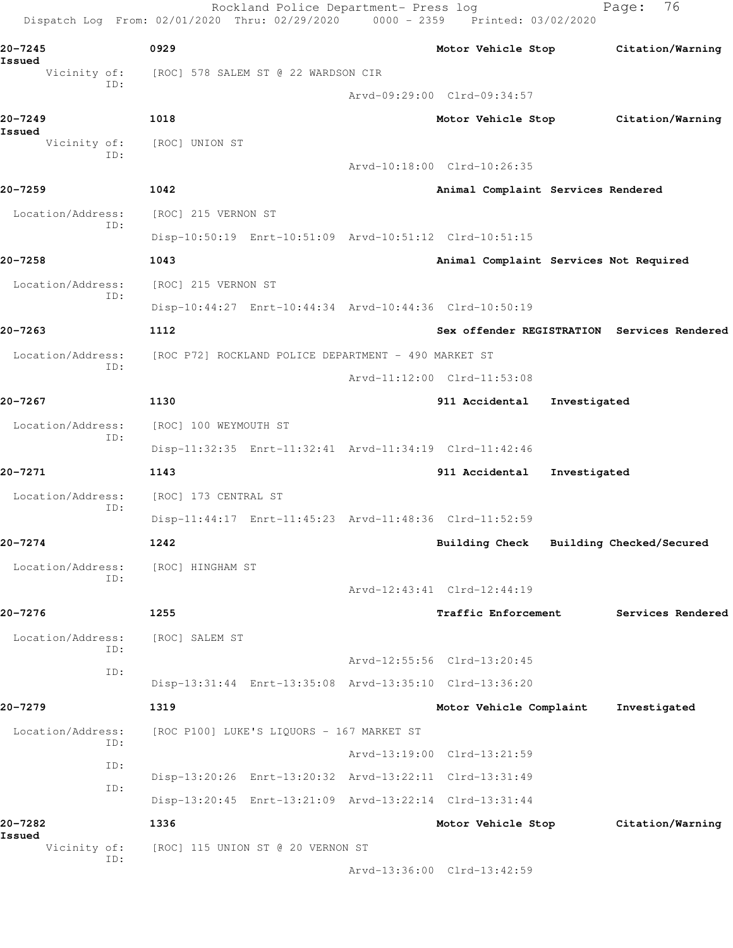|                          | Dispatch Log From: 02/01/2020 Thru: 02/29/2020 0000 - 2359 Printed: 03/02/2020 |                                             |                          |
|--------------------------|--------------------------------------------------------------------------------|---------------------------------------------|--------------------------|
| 20-7245<br>Issued        | 0929                                                                           | Motor Vehicle Stop Citation/Warning         |                          |
| Vicinity of:<br>ID:      | [ROC] 578 SALEM ST @ 22 WARDSON CIR                                            |                                             |                          |
|                          |                                                                                | Arvd-09:29:00 Clrd-09:34:57                 |                          |
| $20 - 7249$<br>Issued    | 1018                                                                           | Motor Vehicle Stop Citation/Warning         |                          |
| Vicinity of:<br>ID:      | [ROC] UNION ST                                                                 |                                             |                          |
|                          |                                                                                | Arvd-10:18:00 Clrd-10:26:35                 |                          |
| 20-7259                  | 1042                                                                           | Animal Complaint Services Rendered          |                          |
| Location/Address:<br>ID: | [ROC] 215 VERNON ST                                                            |                                             |                          |
|                          | Disp-10:50:19 Enrt-10:51:09 Arvd-10:51:12 Clrd-10:51:15                        |                                             |                          |
| 20-7258                  | 1043                                                                           | Animal Complaint Services Not Required      |                          |
| Location/Address:<br>ID: | [ROC] 215 VERNON ST                                                            |                                             |                          |
|                          | Disp-10:44:27 Enrt-10:44:34 Arvd-10:44:36 Clrd-10:50:19                        |                                             |                          |
| 20-7263                  | 1112                                                                           | Sex offender REGISTRATION Services Rendered |                          |
| Location/Address:<br>ID: | [ROC P72] ROCKLAND POLICE DEPARTMENT - 490 MARKET ST                           |                                             |                          |
|                          |                                                                                | Arvd-11:12:00 Clrd-11:53:08                 |                          |
| 20-7267                  | 1130                                                                           | 911 Accidental Investigated                 |                          |
| Location/Address:<br>ID: | [ROC] 100 WEYMOUTH ST                                                          |                                             |                          |
|                          | Disp-11:32:35 Enrt-11:32:41 Arvd-11:34:19 Clrd-11:42:46                        |                                             |                          |
| 20-7271                  | 1143                                                                           | 911 Accidental<br>Investigated              |                          |
| Location/Address:<br>ID: | [ROC] 173 CENTRAL ST                                                           |                                             |                          |
|                          | Disp-11:44:17 Enrt-11:45:23 Arvd-11:48:36 Clrd-11:52:59                        |                                             |                          |
| $20 - 7274$              | 1242                                                                           | <b>Building Check</b>                       | Building Checked/Secured |
| Location/Address:<br>ID: | [ROC] HINGHAM ST                                                               |                                             |                          |
|                          |                                                                                | Arvd-12:43:41 Clrd-12:44:19                 |                          |
| 20-7276                  | 1255                                                                           | <b>Traffic Enforcement</b>                  | Services Rendered        |
| Location/Address:<br>ID: | [ROC] SALEM ST                                                                 |                                             |                          |
| ID:                      |                                                                                | Arvd-12:55:56 Clrd-13:20:45                 |                          |
|                          | Disp-13:31:44 Enrt-13:35:08 Arvd-13:35:10 Clrd-13:36:20                        |                                             |                          |
| 20-7279                  | 1319                                                                           | Motor Vehicle Complaint                     | Investigated             |
| Location/Address:<br>ID: | [ROC P100] LUKE'S LIQUORS - 167 MARKET ST                                      |                                             |                          |
| ID:                      |                                                                                | Arvd-13:19:00 Clrd-13:21:59                 |                          |
| ID:                      | Disp-13:20:26 Enrt-13:20:32 Arvd-13:22:11 Clrd-13:31:49                        |                                             |                          |
|                          | Disp-13:20:45 Enrt-13:21:09 Arvd-13:22:14 Clrd-13:31:44                        |                                             |                          |
| 20-7282<br>Issued        | 1336                                                                           | Motor Vehicle Stop                          | Citation/Warning         |
| Vicinity of:<br>ID:      | [ROC] 115 UNION ST @ 20 VERNON ST                                              |                                             |                          |
|                          |                                                                                | Arvd-13:36:00 Clrd-13:42:59                 |                          |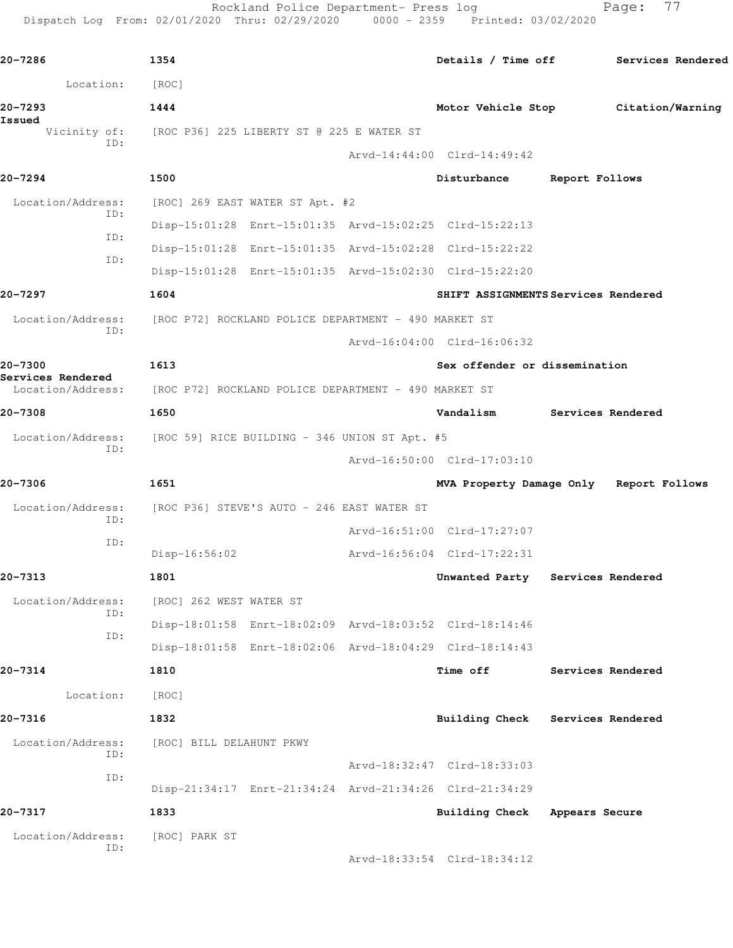Rockland Police Department- Press log Fage: 77

Dispatch Log From: 02/01/2020 Thru: 02/29/2020 0000 - 2359 Printed: 03/02/2020

**20-7286 1354 Details / Time off Services Rendered** Location: [ROC] **20-7293 1444 Motor Vehicle Stop Citation/Warning Issued**  [ROC P36] 225 LIBERTY ST @ 225 E WATER ST ID: Arvd-14:44:00 Clrd-14:49:42 **20-7294 1500 Disturbance Report Follows** Location/Address: [ROC] 269 EAST WATER ST Apt. #2 ID: Disp-15:01:28 Enrt-15:01:35 Arvd-15:02:25 Clrd-15:22:13 ID: Disp-15:01:28 Enrt-15:01:35 Arvd-15:02:28 Clrd-15:22:22 ID: Disp-15:01:28 Enrt-15:01:35 Arvd-15:02:30 Clrd-15:22:20 **20-7297 1604 SHIFT ASSIGNMENTS Services Rendered** Location/Address: [ROC P72] ROCKLAND POLICE DEPARTMENT - 490 MARKET ST ID: Arvd-16:04:00 Clrd-16:06:32 **20-7300 1613 Sex offender or dissemination Services Rendered**  [ROC P72] ROCKLAND POLICE DEPARTMENT - 490 MARKET ST **20-7308 1650 Vandalism Services Rendered** Location/Address: [ROC 59] RICE BUILDING - 346 UNION ST Apt. #5 ID: Arvd-16:50:00 Clrd-17:03:10 **20-7306 1651 MVA Property Damage Only Report Follows** Location/Address: [ROC P36] STEVE'S AUTO - 246 EAST WATER ST ID: Arvd-16:51:00 Clrd-17:27:07 ID: Disp-16:56:02 Arvd-16:56:04 Clrd-17:22:31 **20-7313 1801 Unwanted Party Services Rendered** Location/Address: [ROC] 262 WEST WATER ST ID: Disp-18:01:58 Enrt-18:02:09 Arvd-18:03:52 Clrd-18:14:46 ID: Disp-18:01:58 Enrt-18:02:06 Arvd-18:04:29 Clrd-18:14:43 **20-7314 1810 Time off Services Rendered** Location: [ROC] **20-7316 1832 Building Check Services Rendered** Location/Address: [ROC] BILL DELAHUNT PKWY ID: Arvd-18:32:47 Clrd-18:33:03 ID: Disp-21:34:17 Enrt-21:34:24 Arvd-21:34:26 Clrd-21:34:29 **20-7317 1833 Building Check Appears Secure** Location/Address: [ROC] PARK ST ID: Arvd-18:33:54 Clrd-18:34:12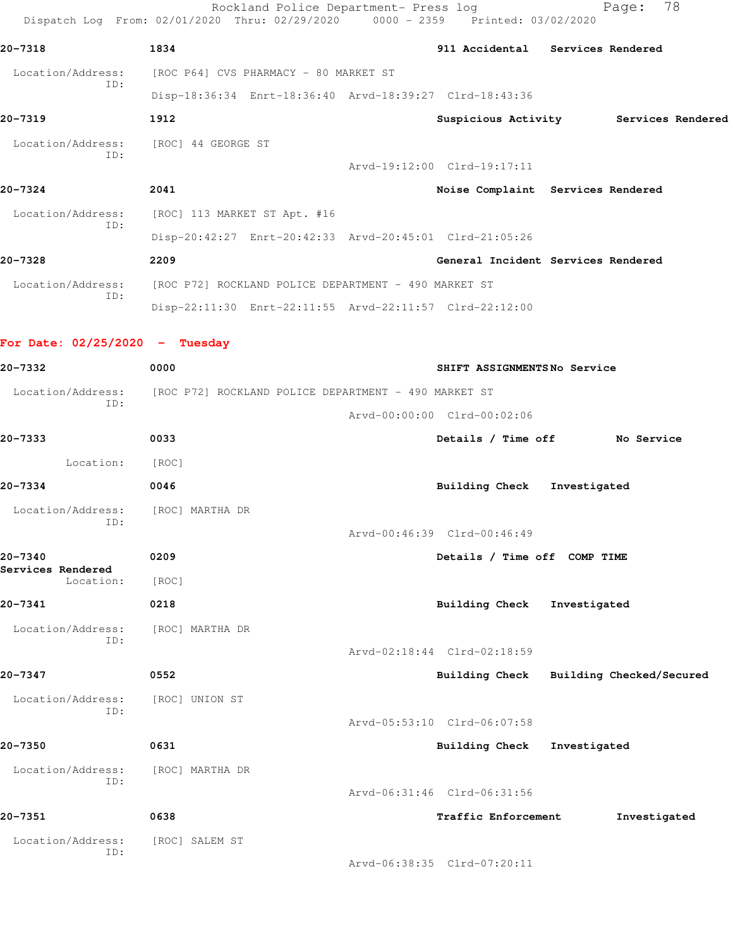Rockland Police Department- Press log Fage: 78 Dispatch Log From: 02/01/2020 Thru: 02/29/2020 0000 - 2359 Printed: 03/02/2020 **20-7318 1834 911 Accidental Services Rendered** Location/Address: [ROC P64] CVS PHARMACY - 80 MARKET ST ID: Disp-18:36:34 Enrt-18:36:40 Arvd-18:39:27 Clrd-18:43:36 **20-7319 1912 Suspicious Activity Services Rendered** Location/Address: [ROC] 44 GEORGE ST ID: Arvd-19:12:00 Clrd-19:17:11 **20-7324 2041 Noise Complaint Services Rendered** Location/Address: [ROC] 113 MARKET ST Apt. #16 ID: Disp-20:42:27 Enrt-20:42:33 Arvd-20:45:01 Clrd-21:05:26 **20-7328 2209 General Incident Services Rendered** Location/Address: [ROC P72] ROCKLAND POLICE DEPARTMENT - 490 MARKET ST ID: Disp-22:11:30 Enrt-22:11:55 Arvd-22:11:57 Clrd-22:12:00 **For Date: 02/25/2020 - Tuesday 20-7332 0000 SHIFT ASSIGNMENTS No Service** Location/Address: [ROC P72] ROCKLAND POLICE DEPARTMENT - 490 MARKET ST ID: Arvd-00:00:00 Clrd-00:02:06 **20-7333 0033 Details / Time off No Service** Location: [ROC] **20-7334 0046 Building Check Investigated** Location/Address: [ROC] MARTHA DR ID: Arvd-00:46:39 Clrd-00:46:49 **20-7340 0209 Details / Time off COMP TIME Services Rendered**  Location: [ROC] **20-7341 0218 Building Check Investigated** Location/Address: [ROC] MARTHA DR ID: Arvd-02:18:44 Clrd-02:18:59 **20-7347 0552 Building Check Building Checked/Secured** Location/Address: [ROC] UNION ST ID: Arvd-05:53:10 Clrd-06:07:58 **20-7350 0631 Building Check Investigated** Location/Address: [ROC] MARTHA DR ID: Arvd-06:31:46 Clrd-06:31:56 **20-7351 0638 Traffic Enforcement Investigated** Location/Address: [ROC] SALEM ST ID: Arvd-06:38:35 Clrd-07:20:11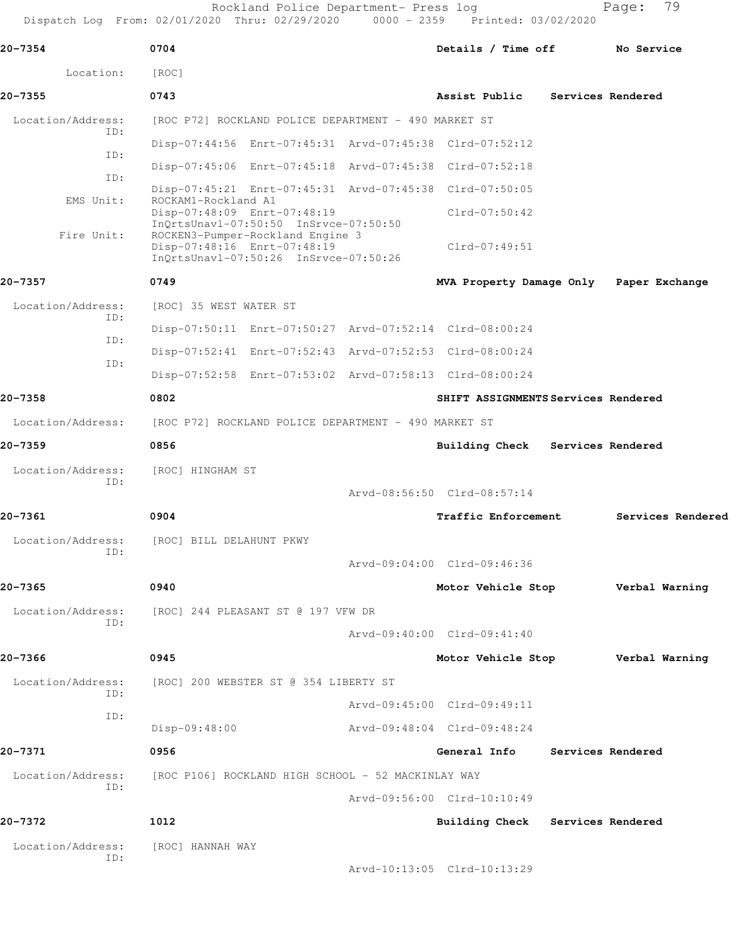Rockland Police Department- Press log Fage: 79 Dispatch Log From: 02/01/2020 Thru: 02/29/2020 0000 - 2359 Printed: 03/02/2020

**20-7354 0704 Details / Time off No Service** Location: [ROC] **20-7355 0743 Assist Public Services Rendered** Location/Address: [ROC P72] ROCKLAND POLICE DEPARTMENT - 490 MARKET ST ID: Disp-07:44:56 Enrt-07:45:31 Arvd-07:45:38 Clrd-07:52:12 ID: Disp-07:45:06 Enrt-07:45:18 Arvd-07:45:38 Clrd-07:52:18 ID: Disp-07:45:21 Enrt-07:45:31 Arvd-07:45:38 Clrd-07:50:05<br>EMS Unit: ROCKAM1-Rockland A1 ROCKAM1-Rockland A1 Disp-07:48:09 Enrt-07:48:19 Clrd-07:50:42 InQrtsUnavl-07:50:50 InSrvce-07:50:50 Fire Unit: ROCKEN3-Pumper-Rockland Engine 3 Disp-07:48:16 Enrt-07:48:19 Clrd-07:49:51 InQrtsUnavl-07:50:26 InSrvce-07:50:26 **20-7357 0749 MVA Property Damage Only Paper Exchange** Location/Address: [ROC] 35 WEST WATER ST ID: Disp-07:50:11 Enrt-07:50:27 Arvd-07:52:14 Clrd-08:00:24 ID: Disp-07:52:41 Enrt-07:52:43 Arvd-07:52:53 Clrd-08:00:24 ID: Disp-07:52:58 Enrt-07:53:02 Arvd-07:58:13 Clrd-08:00:24 **20-7358 0802 SHIFT ASSIGNMENTS Services Rendered** Location/Address: [ROC P72] ROCKLAND POLICE DEPARTMENT - 490 MARKET ST **20-7359 0856 Building Check Services Rendered** Location/Address: [ROC] HINGHAM ST ID: Arvd-08:56:50 Clrd-08:57:14 **20-7361 0904 Traffic Enforcement Services Rendered** Location/Address: [ROC] BILL DELAHUNT PKWY ID: Arvd-09:04:00 Clrd-09:46:36 **20-7365 0940 Motor Vehicle Stop Verbal Warning** Location/Address: [ROC] 244 PLEASANT ST @ 197 VFW DR ID: Arvd-09:40:00 Clrd-09:41:40 **20-7366 0945 Motor Vehicle Stop Verbal Warning** Location/Address: [ROC] 200 WEBSTER ST @ 354 LIBERTY ST ID: Arvd-09:45:00 Clrd-09:49:11 ID: Disp-09:48:00 Arvd-09:48:04 Clrd-09:48:24 **20-7371 0956 General Info Services Rendered** Location/Address: [ROC P106] ROCKLAND HIGH SCHOOL - 52 MACKINLAY WAY ID: Arvd-09:56:00 Clrd-10:10:49 **20-7372 1012 Building Check Services Rendered** Location/Address: [ROC] HANNAH WAY ID: Arvd-10:13:05 Clrd-10:13:29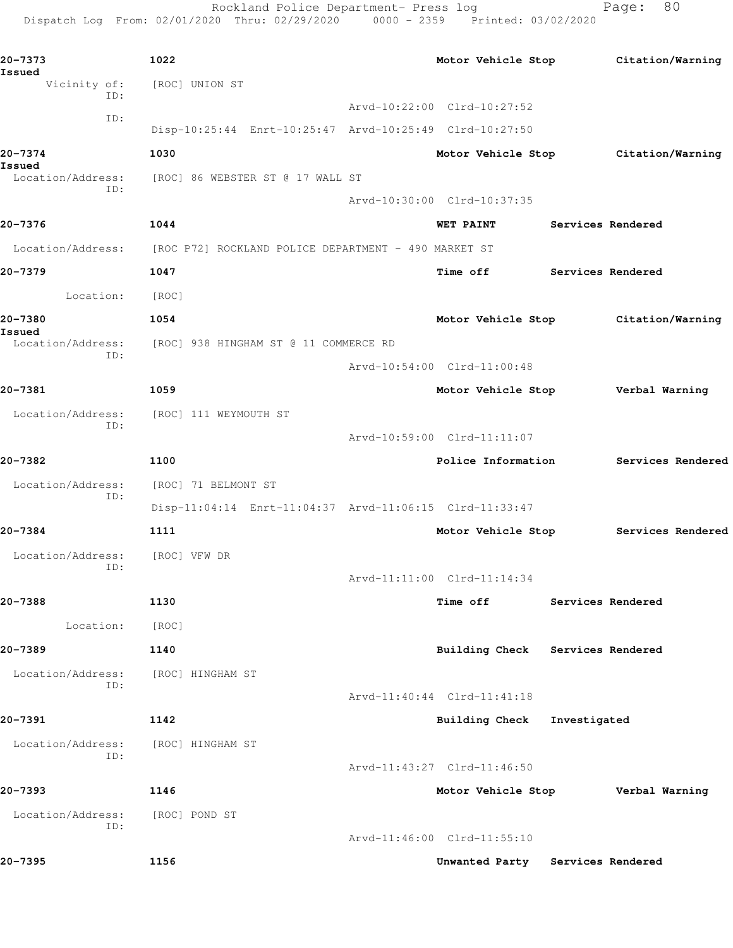Rockland Police Department- Press log Fage: 80 Dispatch Log From: 02/01/2020 Thru: 02/29/2020 0000 - 2359 Printed: 03/02/2020

**20-7373 1022 Motor Vehicle Stop Citation/Warning Issued** Vicinity of: [ROC] UNION ST ID: Arvd-10:22:00 Clrd-10:27:52 ID: Disp-10:25:44 Enrt-10:25:47 Arvd-10:25:49 Clrd-10:27:50 **20-7374 1030 Motor Vehicle Stop Citation/Warning Issued**  Location/Address: [ROC] 86 WEBSTER ST @ 17 WALL ST ID: Arvd-10:30:00 Clrd-10:37:35 **20-7376 1044 WET PAINT Services Rendered** Location/Address: [ROC P72] ROCKLAND POLICE DEPARTMENT - 490 MARKET ST **20-7379 1047 Time off Services Rendered** Location: [ROC] **20-7380 1054 Motor Vehicle Stop Citation/Warning Issued**  [ROC] 938 HINGHAM ST @ 11 COMMERCE RD ID: Arvd-10:54:00 Clrd-11:00:48 **20-7381 1059 Motor Vehicle Stop Verbal Warning** Location/Address: [ROC] 111 WEYMOUTH ST ID: Arvd-10:59:00 Clrd-11:11:07 **20-7382 1100 Police Information Services Rendered** Location/Address: [ROC] 71 BELMONT ST ID: Disp-11:04:14 Enrt-11:04:37 Arvd-11:06:15 Clrd-11:33:47 **20-7384 1111 Motor Vehicle Stop Services Rendered** Location/Address: [ROC] VFW DR ID: Arvd-11:11:00 Clrd-11:14:34 **20-7388 1130 Time off Services Rendered** Location: [ROC] **20-7389 1140 Building Check Services Rendered** Location/Address: [ROC] HINGHAM ST ID: Arvd-11:40:44 Clrd-11:41:18 **20-7391 1142 Building Check Investigated** Location/Address: [ROC] HINGHAM ST ID: Arvd-11:43:27 Clrd-11:46:50 **20-7393 1146 Motor Vehicle Stop Verbal Warning** Location/Address: [ROC] POND ST ID: Arvd-11:46:00 Clrd-11:55:10 **20-7395 1156 Unwanted Party Services Rendered**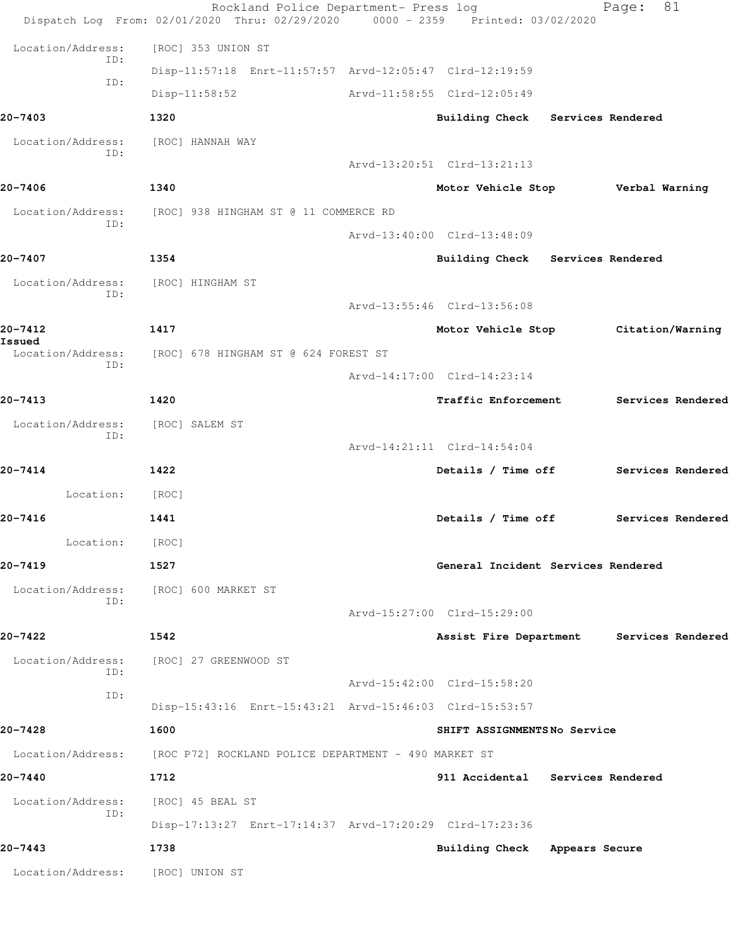|                          | Rockland Police Department- Press log<br>Dispatch Log From: 02/01/2020 Thru: 02/29/2020 0000 - 2359 Printed: 03/02/2020 |                                          | 81<br>Page:       |  |
|--------------------------|-------------------------------------------------------------------------------------------------------------------------|------------------------------------------|-------------------|--|
| Location/Address:        | [ROC] 353 UNION ST                                                                                                      |                                          |                   |  |
| ID:                      | Disp-11:57:18 Enrt-11:57:57 Arvd-12:05:47 Clrd-12:19:59                                                                 |                                          |                   |  |
| ID:                      | $Disp-11:58:52$                                                                                                         | Arvd-11:58:55 Clrd-12:05:49              |                   |  |
| 20-7403                  | 1320                                                                                                                    | Building Check Services Rendered         |                   |  |
| Location/Address:        | [ROC] HANNAH WAY                                                                                                        |                                          |                   |  |
| ID:                      |                                                                                                                         | Arvd-13:20:51 Clrd-13:21:13              |                   |  |
| 20-7406                  | 1340                                                                                                                    | Motor Vehicle Stop Verbal Warning        |                   |  |
| Location/Address:<br>ID: | [ROC] 938 HINGHAM ST @ 11 COMMERCE RD                                                                                   |                                          |                   |  |
|                          |                                                                                                                         | Arvd-13:40:00 Clrd-13:48:09              |                   |  |
| 20-7407                  | 1354                                                                                                                    | Building Check Services Rendered         |                   |  |
| Location/Address:<br>ID: | [ROC] HINGHAM ST                                                                                                        |                                          |                   |  |
|                          |                                                                                                                         | Arvd-13:55:46 Clrd-13:56:08              |                   |  |
| 20-7412<br>Issued        | 1417                                                                                                                    | Motor Vehicle Stop Citation/Warning      |                   |  |
| Location/Address:<br>ID: | [ROC] 678 HINGHAM ST @ 624 FOREST ST                                                                                    |                                          |                   |  |
|                          |                                                                                                                         | Arvd-14:17:00 Clrd-14:23:14              |                   |  |
| 20-7413                  | 1420                                                                                                                    | <b>Traffic Enforcement</b>               | Services Rendered |  |
| Location/Address:<br>ID: | [ROC] SALEM ST                                                                                                          |                                          |                   |  |
|                          |                                                                                                                         | Arvd-14:21:11 Clrd-14:54:04              |                   |  |
| 20-7414                  | 1422                                                                                                                    | Details / Time off Services Rendered     |                   |  |
| Location:                | [ROC]                                                                                                                   |                                          |                   |  |
| $20 - 7416$              | 1441                                                                                                                    | Details / Time off                       | Services Rendered |  |
| Location:                | [ROC]                                                                                                                   |                                          |                   |  |
| 20-7419                  | 1527                                                                                                                    | General Incident Services Rendered       |                   |  |
| Location/Address:<br>ID: | [ROC] 600 MARKET ST                                                                                                     |                                          |                   |  |
|                          |                                                                                                                         | Arvd-15:27:00 Clrd-15:29:00              |                   |  |
| 20-7422                  | 1542                                                                                                                    | Assist Fire Department Services Rendered |                   |  |
| Location/Address:<br>ID: | [ROC] 27 GREENWOOD ST                                                                                                   |                                          |                   |  |
| ID:                      |                                                                                                                         | Arvd-15:42:00 Clrd-15:58:20              |                   |  |
|                          | Disp-15:43:16 Enrt-15:43:21 Arvd-15:46:03 Clrd-15:53:57                                                                 |                                          |                   |  |
| 20-7428                  | 1600                                                                                                                    | SHIFT ASSIGNMENTSNo Service              |                   |  |
| Location/Address:        | [ROC P72] ROCKLAND POLICE DEPARTMENT - 490 MARKET ST                                                                    |                                          |                   |  |
| 20-7440                  | 1712                                                                                                                    | 911 Accidental Services Rendered         |                   |  |
| Location/Address:<br>ID: | [ROC] 45 BEAL ST                                                                                                        |                                          |                   |  |
|                          | Disp-17:13:27 Enrt-17:14:37 Arvd-17:20:29 Clrd-17:23:36                                                                 |                                          |                   |  |
| 20-7443                  | 1738                                                                                                                    | Building Check Appears Secure            |                   |  |
| Location/Address:        | [ROC] UNION ST                                                                                                          |                                          |                   |  |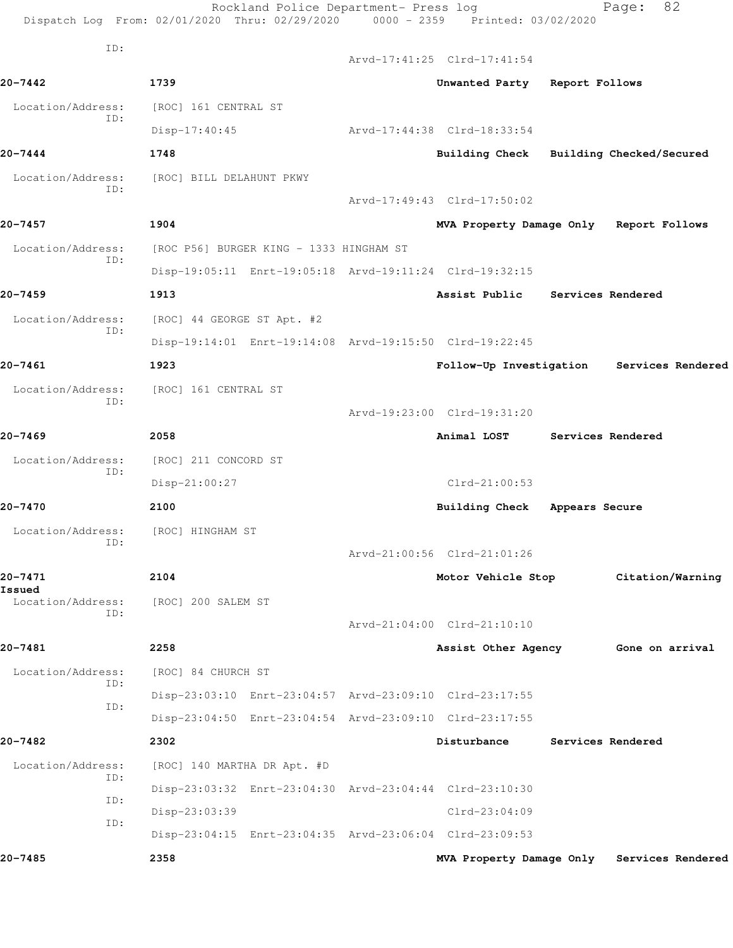|                             | Rockland Police Department- Press log<br>Dispatch Log From: 02/01/2020 Thru: 02/29/2020 0000 - 2359 Printed: 03/02/2020 |                                         |                   | 82<br>Page:                                |
|-----------------------------|-------------------------------------------------------------------------------------------------------------------------|-----------------------------------------|-------------------|--------------------------------------------|
| ID:                         |                                                                                                                         | Arvd-17:41:25 Clrd-17:41:54             |                   |                                            |
| $20 - 7442$                 | 1739                                                                                                                    | Unwanted Party Report Follows           |                   |                                            |
| Location/Address:           | [ROC] 161 CENTRAL ST                                                                                                    |                                         |                   |                                            |
| ID:                         | Disp-17:40:45                                                                                                           | Arvd-17:44:38 Clrd-18:33:54             |                   |                                            |
| $20 - 7444$                 | 1748                                                                                                                    | Building Check Building Checked/Secured |                   |                                            |
| Location/Address:           | [ROC] BILL DELAHUNT PKWY                                                                                                |                                         |                   |                                            |
| ID:                         |                                                                                                                         | Arvd-17:49:43 Clrd-17:50:02             |                   |                                            |
| $20 - 7457$                 | 1904                                                                                                                    | MVA Property Damage Only Report Follows |                   |                                            |
| Location/Address:           | [ROC P56] BURGER KING - 1333 HINGHAM ST                                                                                 |                                         |                   |                                            |
| ID:                         | Disp-19:05:11 Enrt-19:05:18 Arvd-19:11:24 Clrd-19:32:15                                                                 |                                         |                   |                                            |
| $20 - 7459$                 | 1913                                                                                                                    | Assist Public Services Rendered         |                   |                                            |
| Location/Address:           | [ROC] 44 GEORGE ST Apt. #2                                                                                              |                                         |                   |                                            |
| ID:                         | Disp-19:14:01 Enrt-19:14:08 Arvd-19:15:50 Clrd-19:22:45                                                                 |                                         |                   |                                            |
| $20 - 7461$                 | 1923                                                                                                                    | Follow-Up Investigation                 |                   | Services Rendered                          |
| Location/Address:           | [ROC] 161 CENTRAL ST                                                                                                    |                                         |                   |                                            |
| ID:                         |                                                                                                                         | Arvd-19:23:00 Clrd-19:31:20             |                   |                                            |
| $20 - 7469$                 | 2058                                                                                                                    | Animal LOST                             | Services Rendered |                                            |
| Location/Address:           | [ROC] 211 CONCORD ST                                                                                                    |                                         |                   |                                            |
| ID:                         | $Disp-21:00:27$                                                                                                         | $Clrd-21:00:53$                         |                   |                                            |
| 20-7470                     | 2100                                                                                                                    | Building Check                          | Appears Secure    |                                            |
| Location/Address:           | [ROC] HINGHAM ST                                                                                                        |                                         |                   |                                            |
| ID:                         |                                                                                                                         | Arvd-21:00:56 Clrd-21:01:26             |                   |                                            |
| $20 - 7471$                 | 2104                                                                                                                    | Motor Vehicle Stop                      |                   | Citation/Warning                           |
| Issued<br>Location/Address: | [ROC] 200 SALEM ST                                                                                                      |                                         |                   |                                            |
| ID:                         |                                                                                                                         | Arvd-21:04:00 Clrd-21:10:10             |                   |                                            |
| 20-7481                     | 2258                                                                                                                    | Assist Other Agency                     |                   | Gone on arrival                            |
| Location/Address:           | [ROC] 84 CHURCH ST                                                                                                      |                                         |                   |                                            |
| ID:                         | Disp-23:03:10 Enrt-23:04:57 Arvd-23:09:10 Clrd-23:17:55                                                                 |                                         |                   |                                            |
| ID:                         | Disp-23:04:50 Enrt-23:04:54 Arvd-23:09:10 Clrd-23:17:55                                                                 |                                         |                   |                                            |
| 20-7482                     | 2302                                                                                                                    | Disturbance                             | Services Rendered |                                            |
| Location/Address:           | [ROC] 140 MARTHA DR Apt. #D                                                                                             |                                         |                   |                                            |
| ID:<br>ID:                  | Disp-23:03:32 Enrt-23:04:30 Arvd-23:04:44 Clrd-23:10:30                                                                 |                                         |                   |                                            |
| ID:                         | Disp-23:03:39                                                                                                           | $Clrd-23:04:09$                         |                   |                                            |
|                             | Disp-23:04:15 Enrt-23:04:35 Arvd-23:06:04 Clrd-23:09:53                                                                 |                                         |                   |                                            |
| $20 - 7485$                 | 2358                                                                                                                    |                                         |                   | MVA Property Damage Only Services Rendered |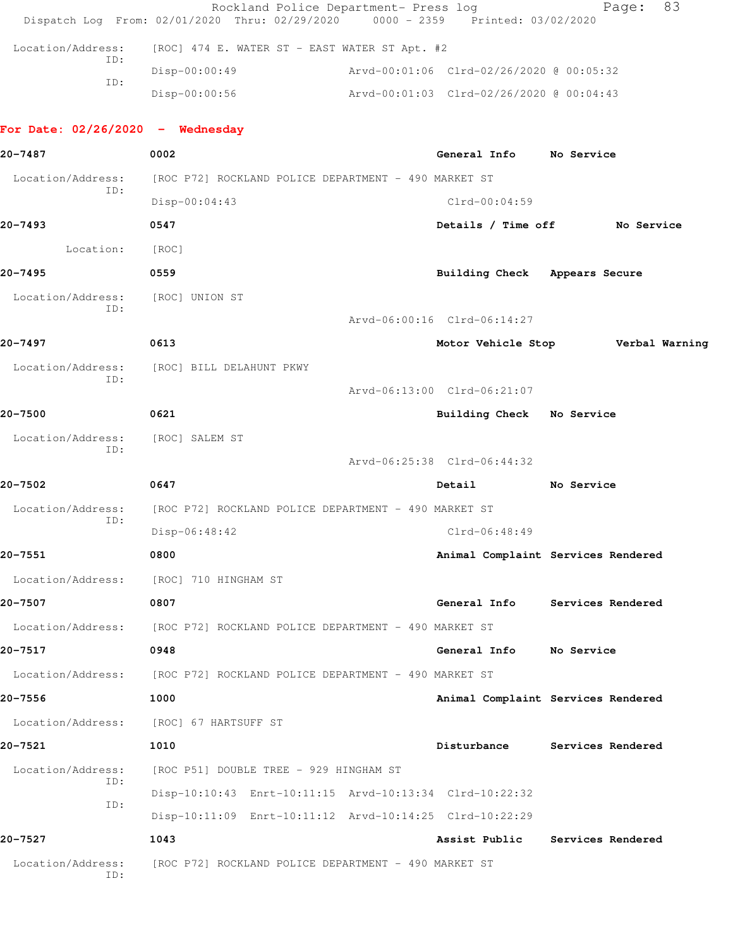|                                    | Rockland Police Department- Press log<br>Dispatch Log From: 02/01/2020 Thru: 02/29/2020 0000 - 2359 Printed: 03/02/2020 |                                          | 83<br>Page:                              |
|------------------------------------|-------------------------------------------------------------------------------------------------------------------------|------------------------------------------|------------------------------------------|
| Location/Address:                  | [ROC] 474 E. WATER ST - EAST WATER ST Apt. #2                                                                           |                                          |                                          |
| ID:                                | $Disp-00:00:49$                                                                                                         | Arvd-00:01:06 Clrd-02/26/2020 @ 00:05:32 |                                          |
| ID:                                | $Disp-00:00:56$                                                                                                         |                                          |                                          |
| For Date: $02/26/2020 -$ Wednesday |                                                                                                                         |                                          |                                          |
| 20-7487                            | 0002                                                                                                                    | General Info No Service                  |                                          |
| Location/Address:                  | [ROC P72] ROCKLAND POLICE DEPARTMENT - 490 MARKET ST                                                                    |                                          |                                          |
| ID:                                | $Disp-00:04:43$                                                                                                         | $Clrd-00:04:59$                          |                                          |
| 20-7493                            | 0547                                                                                                                    |                                          | Details / Time off No Service            |
| Location:                          | [ROC]                                                                                                                   |                                          |                                          |
| 20-7495                            | 0559                                                                                                                    | Building Check Appears Secure            |                                          |
| Location/Address:<br>ID:           | [ROC] UNION ST                                                                                                          |                                          |                                          |
|                                    |                                                                                                                         | Arvd-06:00:16 Clrd-06:14:27              |                                          |
| 20-7497                            | 0613                                                                                                                    |                                          | Motor Vehicle Stop <b>Werbal Warning</b> |
| Location/Address:<br>ID:           | [ROC] BILL DELAHUNT PKWY                                                                                                |                                          |                                          |
|                                    |                                                                                                                         | Arvd-06:13:00 Clrd-06:21:07              |                                          |
| 20-7500                            | 0621                                                                                                                    | Building Check No Service                |                                          |
| Location/Address:<br>ID:           | [ROC] SALEM ST                                                                                                          |                                          |                                          |
|                                    |                                                                                                                         | Arvd-06:25:38 Clrd-06:44:32              |                                          |
| 20-7502                            | 0647                                                                                                                    | Detail                                   | No Service                               |
| Location/Address:<br>ID:           | [ROC P72] ROCKLAND POLICE DEPARTMENT - 490 MARKET ST                                                                    |                                          |                                          |
|                                    | $Disp-06:48:42$                                                                                                         | $Clrd-06:48:49$                          |                                          |
| 20-7551                            | 0800                                                                                                                    |                                          | Animal Complaint Services Rendered       |
|                                    | Location/Address: [ROC] 710 HINGHAM ST                                                                                  |                                          |                                          |
| 20-7507                            | 0807                                                                                                                    |                                          | General Info Services Rendered           |
| Location/Address:                  | [ROC P72] ROCKLAND POLICE DEPARTMENT - 490 MARKET ST                                                                    |                                          |                                          |
| 20-7517                            | 0948                                                                                                                    | General Info                             | No Service                               |
|                                    | Location/Address: [ROC P72] ROCKLAND POLICE DEPARTMENT - 490 MARKET ST                                                  |                                          |                                          |
| 20-7556                            | 1000                                                                                                                    |                                          | Animal Complaint Services Rendered       |
|                                    | Location/Address: [ROC] 67 HARTSUFF ST                                                                                  |                                          |                                          |
| 20-7521                            | 1010                                                                                                                    | Disturbance                              | Services Rendered                        |
| Location/Address:                  | [ROC P51] DOUBLE TREE - 929 HINGHAM ST                                                                                  |                                          |                                          |
| ID:<br>ID:                         | Disp-10:10:43 Enrt-10:11:15 Arvd-10:13:34 Clrd-10:22:32                                                                 |                                          |                                          |
|                                    | Disp-10:11:09 Enrt-10:11:12 Arvd-10:14:25 Clrd-10:22:29                                                                 |                                          |                                          |
| 20-7527                            | 1043                                                                                                                    | Assist Public                            | Services Rendered                        |
| Location/Address:<br>ID:           | [ROC P72] ROCKLAND POLICE DEPARTMENT - 490 MARKET ST                                                                    |                                          |                                          |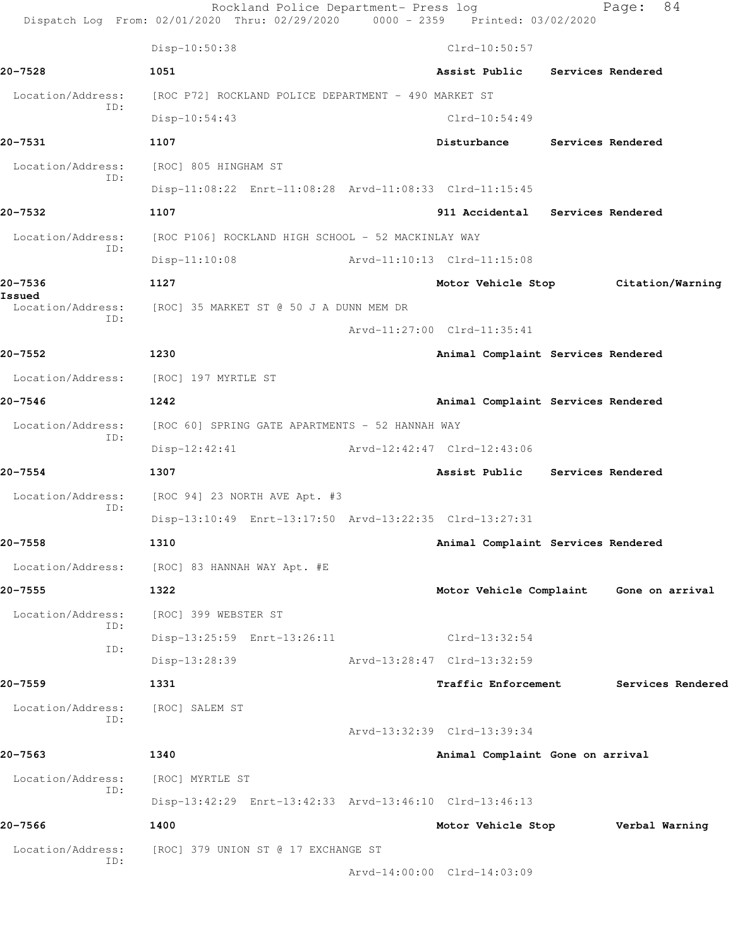|                          | Rockland Police Department- Press log<br>Dispatch Log From: 02/01/2020 Thru: 02/29/2020 0000 - 2359 Printed: 03/02/2020 |                                    | 84<br>Page:                             |
|--------------------------|-------------------------------------------------------------------------------------------------------------------------|------------------------------------|-----------------------------------------|
|                          | Disp-10:50:38                                                                                                           | $Clrd-10:50:57$                    |                                         |
| 20-7528                  | 1051                                                                                                                    | Assist Public Services Rendered    |                                         |
| Location/Address:        | [ROC P72] ROCKLAND POLICE DEPARTMENT - 490 MARKET ST                                                                    |                                    |                                         |
| ID:                      | Disp-10:54:43                                                                                                           | $Clrd-10:54:49$                    |                                         |
| 20-7531                  | 1107                                                                                                                    | Disturbance Services Rendered      |                                         |
| Location/Address:        | [ROC] 805 HINGHAM ST                                                                                                    |                                    |                                         |
| ID:                      | Disp-11:08:22 Enrt-11:08:28 Arvd-11:08:33 Clrd-11:15:45                                                                 |                                    |                                         |
| 20-7532                  | 1107                                                                                                                    | 911 Accidental Services Rendered   |                                         |
| Location/Address:        | [ROC P106] ROCKLAND HIGH SCHOOL - 52 MACKINLAY WAY                                                                      |                                    |                                         |
| ID:                      | $Disp-11:10:08$                                                                                                         | Arvd-11:10:13 Clrd-11:15:08        |                                         |
| 20-7536                  | 1127                                                                                                                    |                                    | Motor Vehicle Stop Citation/Warning     |
| Issued                   | Location/Address: [ROC] 35 MARKET ST @ 50 J A DUNN MEM DR                                                               |                                    |                                         |
| ID:                      |                                                                                                                         | Arvd-11:27:00 Clrd-11:35:41        |                                         |
| 20–7552                  | 1230                                                                                                                    | Animal Complaint Services Rendered |                                         |
|                          | Location/Address: [ROC] 197 MYRTLE ST                                                                                   |                                    |                                         |
| 20-7546                  | 1242                                                                                                                    | Animal Complaint Services Rendered |                                         |
| Location/Address:        | [ROC 60] SPRING GATE APARTMENTS - 52 HANNAH WAY                                                                         |                                    |                                         |
| ID:                      | $Disp-12:42:41$                                                                                                         | Arvd-12:42:47 Clrd-12:43:06        |                                         |
| 20-7554                  | 1307                                                                                                                    | Assist Public Services Rendered    |                                         |
| Location/Address:        | [ROC 94] 23 NORTH AVE Apt. #3                                                                                           |                                    |                                         |
| ID:                      | Disp-13:10:49 Enrt-13:17:50 Arvd-13:22:35 Clrd-13:27:31                                                                 |                                    |                                         |
| $20 - 7558$              | 1310                                                                                                                    | Animal Complaint Services Rendered |                                         |
| Location/Address:        | [ROC] 83 HANNAH WAY Apt. #E                                                                                             |                                    |                                         |
| 20-7555                  | 1322                                                                                                                    |                                    | Motor Vehicle Complaint Gone on arrival |
| Location/Address:        | [ROC] 399 WEBSTER ST                                                                                                    |                                    |                                         |
| ID:                      | Disp-13:25:59 Enrt-13:26:11                                                                                             | Clrd-13:32:54                      |                                         |
| ID:                      | Disp-13:28:39                                                                                                           | Arvd-13:28:47 Clrd-13:32:59        |                                         |
| 20-7559                  | 1331                                                                                                                    | <b>Traffic Enforcement</b>         | Services Rendered                       |
| Location/Address:<br>ID: | [ROC] SALEM ST                                                                                                          |                                    |                                         |
|                          |                                                                                                                         | Arvd-13:32:39 Clrd-13:39:34        |                                         |
| 20-7563                  | 1340                                                                                                                    | Animal Complaint Gone on arrival   |                                         |
| Location/Address:<br>ID: | [ROC] MYRTLE ST                                                                                                         |                                    |                                         |
|                          | Disp-13:42:29 Enrt-13:42:33 Arvd-13:46:10 Clrd-13:46:13                                                                 |                                    |                                         |
| 20-7566                  | 1400                                                                                                                    | Motor Vehicle Stop Verbal Warning  |                                         |
| Location/Address:<br>ID: | [ROC] 379 UNION ST @ 17 EXCHANGE ST                                                                                     |                                    |                                         |
|                          |                                                                                                                         | Arvd-14:00:00 Clrd-14:03:09        |                                         |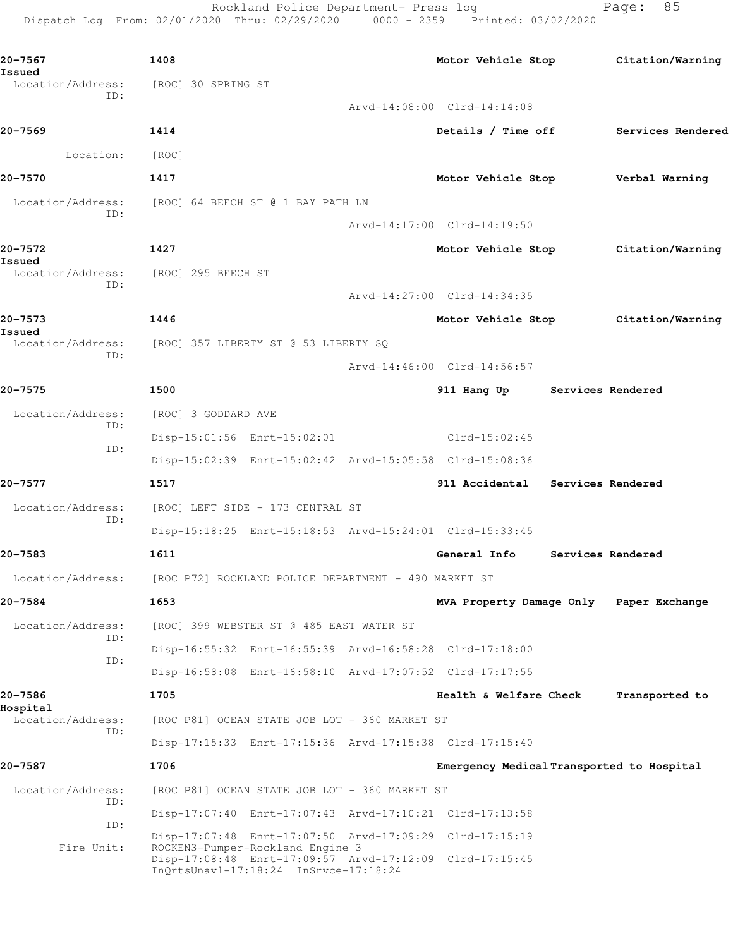Rockland Police Department- Press log Fage: 85 Dispatch Log From: 02/01/2020 Thru: 02/29/2020 0000 - 2359 Printed: 03/02/2020

**20-7567 1408 Motor Vehicle Stop Citation/Warning Issued**  [ROC] 30 SPRING ST ID: Arvd-14:08:00 Clrd-14:14:08 **20-7569 1414 Details / Time off Services Rendered** Location: [ROC] **20-7570 1417 Motor Vehicle Stop Verbal Warning** Location/Address: [ROC] 64 BEECH ST @ 1 BAY PATH LN ID: Arvd-14:17:00 Clrd-14:19:50 **20-7572 1427 Motor Vehicle Stop Citation/Warning Issued**  Location/Address: [ROC] 295 BEECH ST ID: Arvd-14:27:00 Clrd-14:34:35 **20-7573 1446 Motor Vehicle Stop Citation/Warning Issued**  Location/Address: [ROC] 357 LIBERTY ST @ 53 LIBERTY SQ ID: Arvd-14:46:00 Clrd-14:56:57 **20-7575 1500 911 Hang Up Services Rendered** Location/Address: [ROC] 3 GODDARD AVE ID: Disp-15:01:56 Enrt-15:02:01 Clrd-15:02:45 ID: Disp-15:02:39 Enrt-15:02:42 Arvd-15:05:58 Clrd-15:08:36 **20-7577 1517 911 Accidental Services Rendered** Location/Address: [ROC] LEFT SIDE - 173 CENTRAL ST ID: Disp-15:18:25 Enrt-15:18:53 Arvd-15:24:01 Clrd-15:33:45 **20-7583 1611 General Info Services Rendered** Location/Address: [ROC P72] ROCKLAND POLICE DEPARTMENT - 490 MARKET ST **20-7584 1653 MVA Property Damage Only Paper Exchange** Location/Address: [ROC] 399 WEBSTER ST @ 485 EAST WATER ST ID: Disp-16:55:32 Enrt-16:55:39 Arvd-16:58:28 Clrd-17:18:00 ID: Disp-16:58:08 Enrt-16:58:10 Arvd-17:07:52 Clrd-17:17:55 **20-7586 1705 Health & Welfare Check Transported to Hospital**  Location/Address: [ROC P81] OCEAN STATE JOB LOT - 360 MARKET ST ID: Disp-17:15:33 Enrt-17:15:36 Arvd-17:15:38 Clrd-17:15:40 **20-7587 1706 Emergency Medical Transported to Hospital** Location/Address: [ROC P81] OCEAN STATE JOB LOT - 360 MARKET ST ID: Disp-17:07:40 Enrt-17:07:43 Arvd-17:10:21 Clrd-17:13:58 ID: Disp-17:07:48 Enrt-17:07:50 Arvd-17:09:29 Clrd-17:15:19 Fire Unit: ROCKEN3-Pumper-Rockland Engine 3 Disp-17:08:48 Enrt-17:09:57 Arvd-17:12:09 Clrd-17:15:45 InQrtsUnavl-17:18:24 InSrvce-17:18:24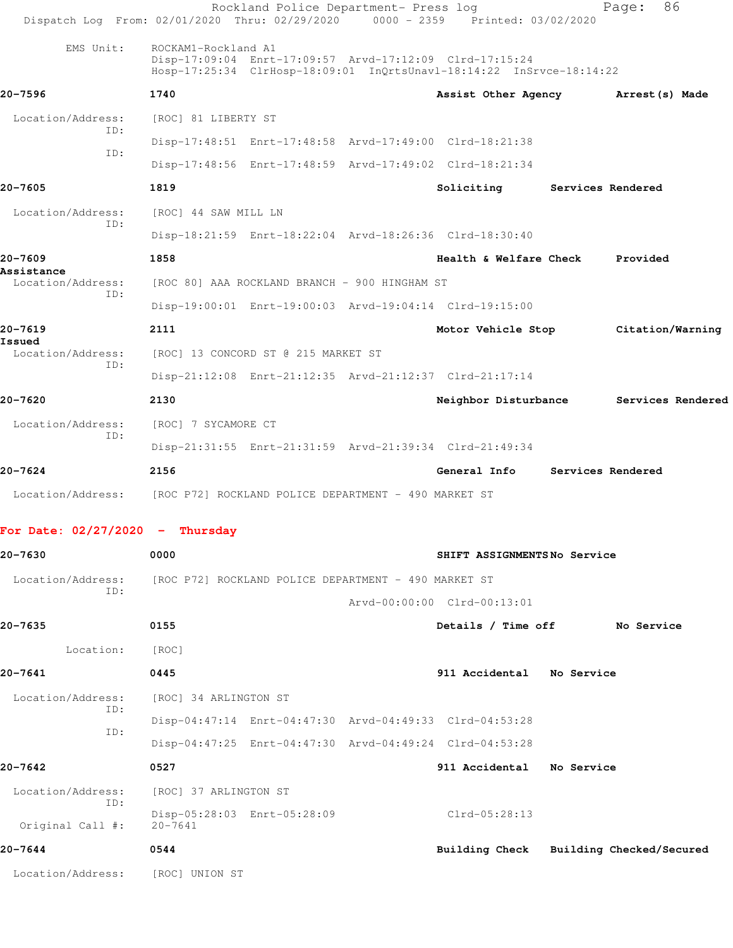|                                    | Rockland Police Department- Press log<br>Dispatch Log From: 02/01/2020 Thru: 02/29/2020 0000 - 2359 Printed: 03/02/2020                                |                                         |                   | 86<br>Page:       |  |
|------------------------------------|--------------------------------------------------------------------------------------------------------------------------------------------------------|-----------------------------------------|-------------------|-------------------|--|
| EMS Unit:                          | ROCKAM1-Rockland A1<br>Disp-17:09:04 Enrt-17:09:57 Arvd-17:12:09 Clrd-17:15:24<br>Hosp-17:25:34 ClrHosp-18:09:01 InQrtsUnavl-18:14:22 InSrvce-18:14:22 |                                         |                   |                   |  |
| 20-7596                            | 1740                                                                                                                                                   | Assist Other Agency                     |                   | Arrest (s) Made   |  |
| Location/Address:                  | [ROC] 81 LIBERTY ST                                                                                                                                    |                                         |                   |                   |  |
| ID:<br>TD:                         | Disp-17:48:51 Enrt-17:48:58 Arvd-17:49:00 Clrd-18:21:38                                                                                                |                                         |                   |                   |  |
|                                    | Disp-17:48:56 Enrt-17:48:59 Arvd-17:49:02 Clrd-18:21:34                                                                                                |                                         |                   |                   |  |
| 20-7605                            | 1819                                                                                                                                                   | Soliciting                              | Services Rendered |                   |  |
| Location/Address:<br>ID:           | [ROC] 44 SAW MILL LN                                                                                                                                   |                                         |                   |                   |  |
|                                    | Disp-18:21:59 Enrt-18:22:04 Arvd-18:26:36 Clrd-18:30:40                                                                                                |                                         |                   |                   |  |
| 20-7609<br>Assistance              | 1858                                                                                                                                                   | Health & Welfare Check                  |                   | Provided          |  |
| Location/Address:<br>ID:           | [ROC 80] AAA ROCKLAND BRANCH - 900 HINGHAM ST                                                                                                          |                                         |                   |                   |  |
|                                    | Disp-19:00:01 Enrt-19:00:03 Arvd-19:04:14 Clrd-19:15:00                                                                                                |                                         |                   |                   |  |
| 20-7619                            | 2111                                                                                                                                                   | Motor Vehicle Stop                      |                   | Citation/Warning  |  |
| Issued<br>Location/Address:<br>ID: | [ROC] 13 CONCORD ST @ 215 MARKET ST                                                                                                                    |                                         |                   |                   |  |
|                                    | Disp-21:12:08 Enrt-21:12:35 Arvd-21:12:37 Clrd-21:17:14                                                                                                |                                         |                   |                   |  |
| 20-7620                            | 2130                                                                                                                                                   | Neighbor Disturbance                    |                   | Services Rendered |  |
| Location/Address:<br>ID:           | [ROC] 7 SYCAMORE CT                                                                                                                                    |                                         |                   |                   |  |
|                                    | Disp-21:31:55 Enrt-21:31:59 Arvd-21:39:34 Clrd-21:49:34                                                                                                |                                         |                   |                   |  |
| 20-7624                            | 2156                                                                                                                                                   | General Info                            | Services Rendered |                   |  |
|                                    | Location/Address: [ROC P72] ROCKLAND POLICE DEPARTMENT - 490 MARKET ST                                                                                 |                                         |                   |                   |  |
| For Date: $02/27/2020 -$ Thursday  |                                                                                                                                                        |                                         |                   |                   |  |
| 20-7630                            | 0000                                                                                                                                                   | SHIFT ASSIGNMENTSNo Service             |                   |                   |  |
| Location/Address:                  | [ROC P72] ROCKLAND POLICE DEPARTMENT - 490 MARKET ST                                                                                                   |                                         |                   |                   |  |
| ID:                                |                                                                                                                                                        | Arvd-00:00:00 Clrd-00:13:01             |                   |                   |  |
| 20-7635                            | 0155                                                                                                                                                   | Details / Time off No Service           |                   |                   |  |
| Location:                          | [ROC]                                                                                                                                                  |                                         |                   |                   |  |
| 20-7641                            | 0445                                                                                                                                                   | 911 Accidental No Service               |                   |                   |  |
| Location/Address:                  | [ROC] 34 ARLINGTON ST                                                                                                                                  |                                         |                   |                   |  |
| ID:                                | Disp-04:47:14 Enrt-04:47:30 Arvd-04:49:33 Clrd-04:53:28                                                                                                |                                         |                   |                   |  |
| ID:                                | Disp-04:47:25 Enrt-04:47:30 Arvd-04:49:24 Clrd-04:53:28                                                                                                |                                         |                   |                   |  |
| 20-7642                            | 0527                                                                                                                                                   | 911 Accidental No Service               |                   |                   |  |
| Location/Address:                  | [ROC] 37 ARLINGTON ST                                                                                                                                  |                                         |                   |                   |  |
| ID:<br>Original Call #:            | Disp-05:28:03 Enrt-05:28:09<br>$20 - 7641$                                                                                                             | Clrd-05:28:13                           |                   |                   |  |
| 20-7644                            | 0544                                                                                                                                                   | Building Check Building Checked/Secured |                   |                   |  |
| Location/Address: [ROC] UNION ST   |                                                                                                                                                        |                                         |                   |                   |  |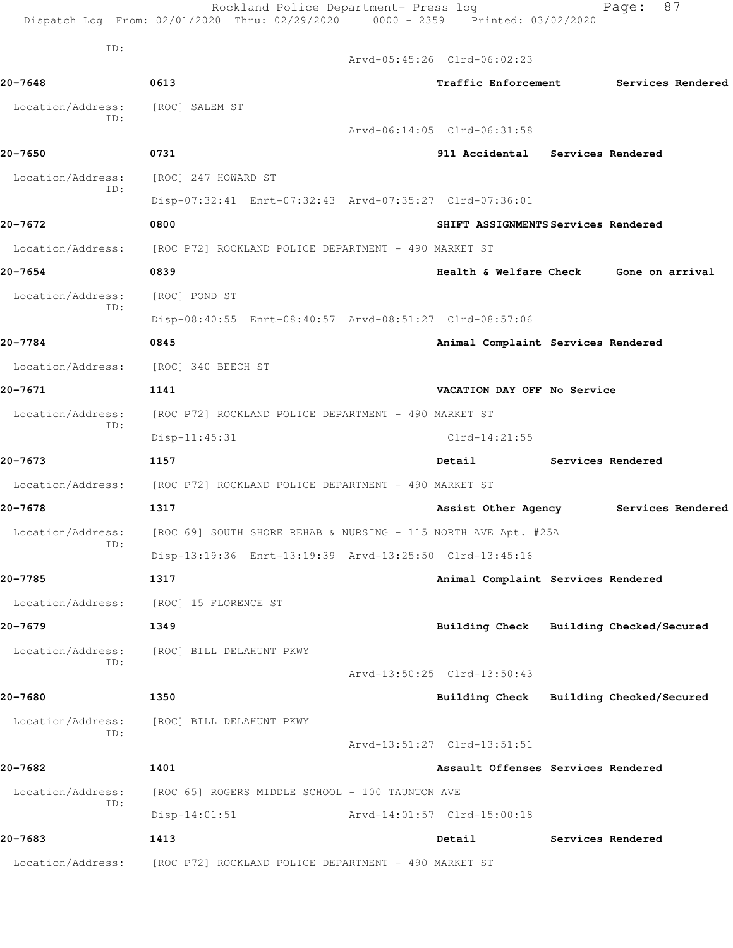|                   | Rockland Police Department- Press log<br>Dispatch Log From: 02/01/2020 Thru: 02/29/2020 0000 - 2359 Printed: 03/02/2020 |                                         |                   | 87<br>Page:       |  |
|-------------------|-------------------------------------------------------------------------------------------------------------------------|-----------------------------------------|-------------------|-------------------|--|
| ID:               |                                                                                                                         | Arvd-05:45:26 Clrd-06:02:23             |                   |                   |  |
| 20-7648           | 0613                                                                                                                    | Traffic Enforcement Services Rendered   |                   |                   |  |
| Location/Address: | [ROC] SALEM ST                                                                                                          |                                         |                   |                   |  |
| ID:               |                                                                                                                         | Arvd-06:14:05 Clrd-06:31:58             |                   |                   |  |
| 20-7650           | 0731                                                                                                                    | 911 Accidental Services Rendered        |                   |                   |  |
| Location/Address: | [ROC] 247 HOWARD ST                                                                                                     |                                         |                   |                   |  |
| ID:               | Disp-07:32:41 Enrt-07:32:43 Arvd-07:35:27 Clrd-07:36:01                                                                 |                                         |                   |                   |  |
| 20-7672           | 0800                                                                                                                    | SHIFT ASSIGNMENTS Services Rendered     |                   |                   |  |
|                   | Location/Address: [ROC P72] ROCKLAND POLICE DEPARTMENT - 490 MARKET ST                                                  |                                         |                   |                   |  |
| 20-7654           | 0839                                                                                                                    | Health & Welfare Check Gone on arrival  |                   |                   |  |
| Location/Address: | [ROC] POND ST                                                                                                           |                                         |                   |                   |  |
| ID:               | Disp-08:40:55 Enrt-08:40:57 Arvd-08:51:27 Clrd-08:57:06                                                                 |                                         |                   |                   |  |
| 20-7784           | 0845                                                                                                                    | Animal Complaint Services Rendered      |                   |                   |  |
| Location/Address: | [ROC] 340 BEECH ST                                                                                                      |                                         |                   |                   |  |
| 20-7671           | 1141                                                                                                                    | VACATION DAY OFF No Service             |                   |                   |  |
| Location/Address: | [ROC P72] ROCKLAND POLICE DEPARTMENT - 490 MARKET ST                                                                    |                                         |                   |                   |  |
| ID:               | $Disp-11:45:31$                                                                                                         | $Clrd-14:21:55$                         |                   |                   |  |
| 20-7673           | 1157                                                                                                                    | Detail                                  | Services Rendered |                   |  |
|                   | Location/Address: [ROC P72] ROCKLAND POLICE DEPARTMENT - 490 MARKET ST                                                  |                                         |                   |                   |  |
| 20-7678           | 1317                                                                                                                    | Assist Other Agency Services Rendered   |                   |                   |  |
|                   | Location/Address: [ROC 69] SOUTH SHORE REHAB & NURSING - 115 NORTH AVE Apt. #25A                                        |                                         |                   |                   |  |
| ID:               | Disp-13:19:36 Enrt-13:19:39 Arvd-13:25:50 Clrd-13:45:16                                                                 |                                         |                   |                   |  |
| 20-7785           | 1317                                                                                                                    | Animal Complaint Services Rendered      |                   |                   |  |
| Location/Address: | [ROC] 15 FLORENCE ST                                                                                                    |                                         |                   |                   |  |
| 20-7679           | 1349                                                                                                                    | Building Check Building Checked/Secured |                   |                   |  |
| Location/Address: | [ROC] BILL DELAHUNT PKWY                                                                                                |                                         |                   |                   |  |
| ID:               |                                                                                                                         | Arvd-13:50:25 Clrd-13:50:43             |                   |                   |  |
| 20-7680           | 1350                                                                                                                    | Building Check Building Checked/Secured |                   |                   |  |
| Location/Address: | [ROC] BILL DELAHUNT PKWY                                                                                                |                                         |                   |                   |  |
| ID:               |                                                                                                                         | Arvd-13:51:27 Clrd-13:51:51             |                   |                   |  |
| 20-7682           | 1401                                                                                                                    | Assault Offenses Services Rendered      |                   |                   |  |
| Location/Address: | [ROC 65] ROGERS MIDDLE SCHOOL - 100 TAUNTON AVE                                                                         |                                         |                   |                   |  |
| ID:               | $Disp-14:01:51$                                                                                                         | Arvd-14:01:57 Clrd-15:00:18             |                   |                   |  |
| 20-7683           | 1413                                                                                                                    | Detail                                  |                   | Services Rendered |  |
| Location/Address: | [ROC P72] ROCKLAND POLICE DEPARTMENT - 490 MARKET ST                                                                    |                                         |                   |                   |  |
|                   |                                                                                                                         |                                         |                   |                   |  |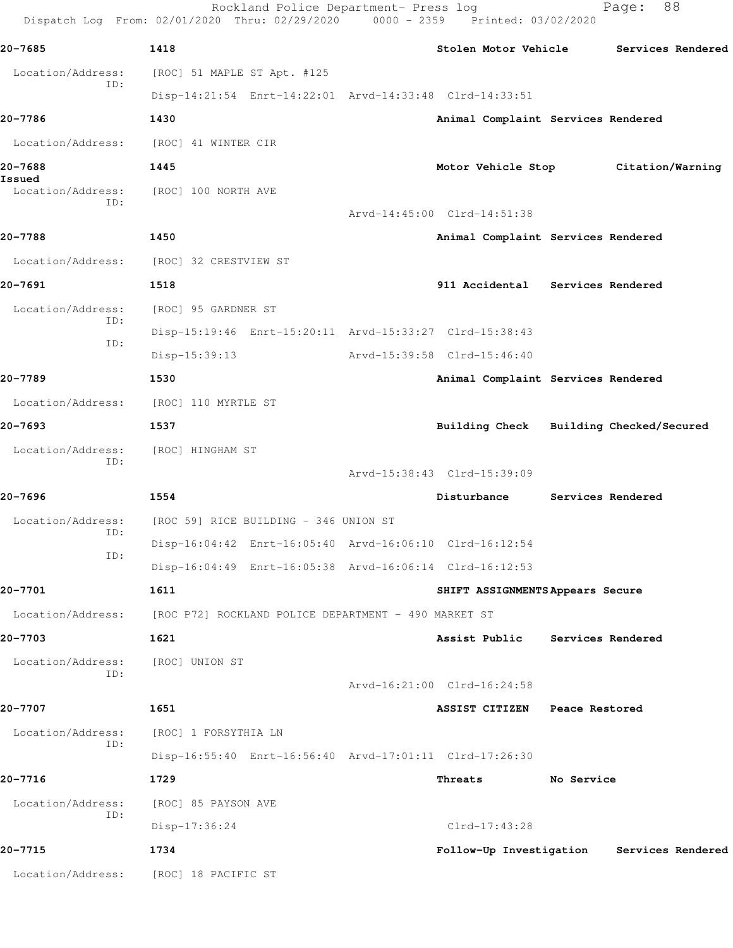|                             | Rockland Police Department- Press log<br>Dispatch Log From: 02/01/2020 Thru: 02/29/2020 0000 - 2359 Printed: 03/02/2020 |                                           |                   | 88<br>Page:       |  |
|-----------------------------|-------------------------------------------------------------------------------------------------------------------------|-------------------------------------------|-------------------|-------------------|--|
| 20-7685                     | 1418                                                                                                                    | Stolen Motor Vehicle                      |                   | Services Rendered |  |
| Location/Address:           | [ROC] 51 MAPLE ST Apt. #125                                                                                             |                                           |                   |                   |  |
| ID:                         | Disp-14:21:54 Enrt-14:22:01 Arvd-14:33:48 Clrd-14:33:51                                                                 |                                           |                   |                   |  |
| 20-7786                     | 1430                                                                                                                    | Animal Complaint Services Rendered        |                   |                   |  |
| Location/Address:           | [ROC] 41 WINTER CIR                                                                                                     |                                           |                   |                   |  |
| 20-7688                     | 1445                                                                                                                    | Motor Vehicle Stop                        |                   | Citation/Warning  |  |
| Issued<br>Location/Address: | [ROC] 100 NORTH AVE                                                                                                     |                                           |                   |                   |  |
| ID:                         |                                                                                                                         | Arvd-14:45:00 Clrd-14:51:38               |                   |                   |  |
| 20-7788                     | 1450                                                                                                                    | Animal Complaint Services Rendered        |                   |                   |  |
| Location/Address:           | [ROC] 32 CRESTVIEW ST                                                                                                   |                                           |                   |                   |  |
| 20-7691                     | 1518                                                                                                                    | 911 Accidental Services Rendered          |                   |                   |  |
| Location/Address:           | [ROC] 95 GARDNER ST                                                                                                     |                                           |                   |                   |  |
| ID:                         | Disp-15:19:46 Enrt-15:20:11 Arvd-15:33:27 Clrd-15:38:43                                                                 |                                           |                   |                   |  |
| ID:                         | Disp-15:39:13                                                                                                           | Arvd-15:39:58 Clrd-15:46:40               |                   |                   |  |
| 20-7789                     | 1530                                                                                                                    | Animal Complaint Services Rendered        |                   |                   |  |
| Location/Address:           | [ROC] 110 MYRTLE ST                                                                                                     |                                           |                   |                   |  |
| 20-7693                     | 1537                                                                                                                    | Building Check Building Checked/Secured   |                   |                   |  |
| Location/Address:           | [ROC] HINGHAM ST                                                                                                        |                                           |                   |                   |  |
| ID:                         |                                                                                                                         | Arvd-15:38:43 Clrd-15:39:09               |                   |                   |  |
| 20-7696                     | 1554                                                                                                                    | Disturbance                               |                   | Services Rendered |  |
| Location/Address:<br>ID:    | [ROC 59] RICE BUILDING - 346 UNION ST                                                                                   |                                           |                   |                   |  |
| ID:                         | Disp-16:04:42 Enrt-16:05:40 Arvd-16:06:10 Clrd-16:12:54                                                                 |                                           |                   |                   |  |
|                             | Disp-16:04:49 Enrt-16:05:38 Arvd-16:06:14 Clrd-16:12:53                                                                 |                                           |                   |                   |  |
| 20-7701                     | 1611                                                                                                                    | SHIFT ASSIGNMENTS Appears Secure          |                   |                   |  |
| Location/Address:           | [ROC P72] ROCKLAND POLICE DEPARTMENT - 490 MARKET ST                                                                    |                                           |                   |                   |  |
| 20-7703                     | 1621                                                                                                                    | Assist Public                             | Services Rendered |                   |  |
| Location/Address:<br>TD:    | [ROC] UNION ST                                                                                                          |                                           |                   |                   |  |
|                             |                                                                                                                         | Arvd-16:21:00 Clrd-16:24:58               |                   |                   |  |
| 20-7707                     | 1651                                                                                                                    | <b>ASSIST CITIZEN</b>                     | Peace Restored    |                   |  |
| Location/Address:<br>ID:    | [ROC] 1 FORSYTHIA LN                                                                                                    |                                           |                   |                   |  |
|                             | Disp-16:55:40 Enrt-16:56:40 Arvd-17:01:11 Clrd-17:26:30                                                                 |                                           |                   |                   |  |
| 20-7716                     | 1729                                                                                                                    | Threats                                   | No Service        |                   |  |
| Location/Address:<br>ID:    | [ROC] 85 PAYSON AVE                                                                                                     |                                           |                   |                   |  |
|                             | $Disp-17:36:24$                                                                                                         | $Clrd-17:43:28$                           |                   |                   |  |
| 20-7715                     | 1734                                                                                                                    | Follow-Up Investigation Services Rendered |                   |                   |  |
| Location/Address:           | [ROC] 18 PACIFIC ST                                                                                                     |                                           |                   |                   |  |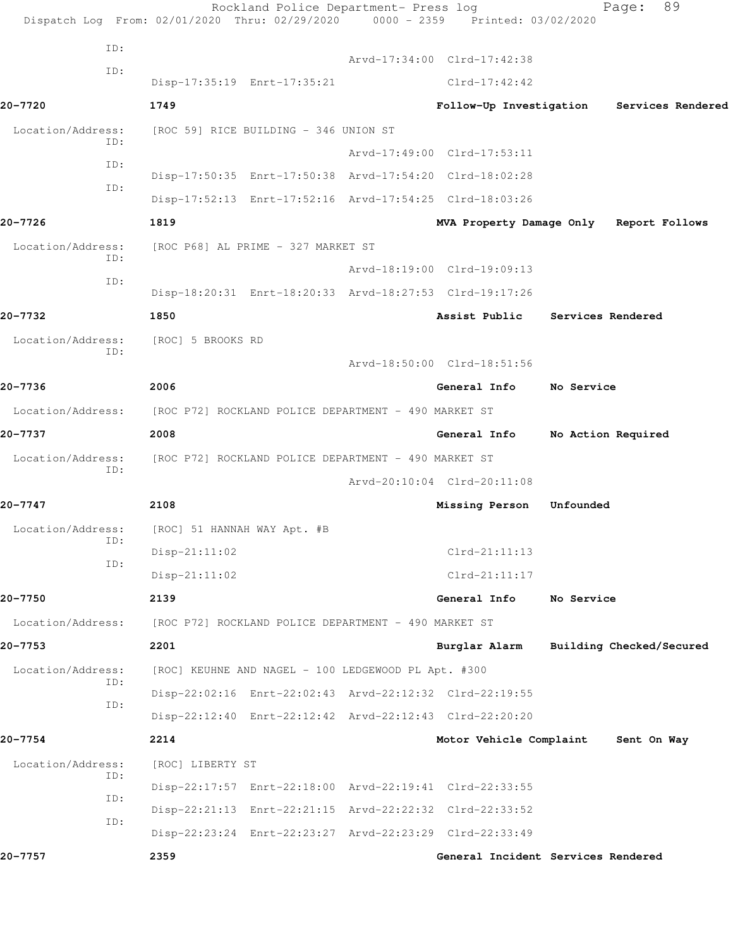|                          | Rockland Police Department- Press log<br>Dispatch Log From: 02/01/2020 Thru: 02/29/2020 0000 - 2359 Printed: 03/02/2020 |                                           |                   | 89<br>Page:              |  |
|--------------------------|-------------------------------------------------------------------------------------------------------------------------|-------------------------------------------|-------------------|--------------------------|--|
| ID:                      |                                                                                                                         |                                           |                   |                          |  |
| ID:                      |                                                                                                                         | Arvd-17:34:00 Clrd-17:42:38               |                   |                          |  |
|                          | Disp-17:35:19 Enrt-17:35:21                                                                                             | $Clrd-17:42:42$                           |                   |                          |  |
| 20-7720                  | 1749                                                                                                                    | Follow-Up Investigation Services Rendered |                   |                          |  |
| Location/Address:<br>ID: | [ROC 59] RICE BUILDING - 346 UNION ST                                                                                   |                                           |                   |                          |  |
| ID:                      |                                                                                                                         | Arvd-17:49:00 Clrd-17:53:11               |                   |                          |  |
| ID:                      | Disp-17:50:35 Enrt-17:50:38 Arvd-17:54:20 Clrd-18:02:28                                                                 |                                           |                   |                          |  |
|                          | Disp-17:52:13 Enrt-17:52:16 Arvd-17:54:25 Clrd-18:03:26                                                                 |                                           |                   |                          |  |
| 20-7726                  | 1819                                                                                                                    | MVA Property Damage Only Report Follows   |                   |                          |  |
| Location/Address:<br>ID: | [ROC P68] AL PRIME - 327 MARKET ST                                                                                      |                                           |                   |                          |  |
| ID:                      |                                                                                                                         | Arvd-18:19:00 Clrd-19:09:13               |                   |                          |  |
|                          | Disp-18:20:31 Enrt-18:20:33 Arvd-18:27:53 Clrd-19:17:26                                                                 |                                           |                   |                          |  |
| 20-7732                  | 1850                                                                                                                    | Assist Public                             | Services Rendered |                          |  |
| Location/Address:<br>ID: | [ROC] 5 BROOKS RD                                                                                                       |                                           |                   |                          |  |
|                          |                                                                                                                         | Arvd-18:50:00 Clrd-18:51:56               |                   |                          |  |
| 20-7736                  | 2006                                                                                                                    | General Info                              | No Service        |                          |  |
| Location/Address:        | [ROC P72] ROCKLAND POLICE DEPARTMENT - 490 MARKET ST                                                                    |                                           |                   |                          |  |
| 20-7737                  | 2008                                                                                                                    | General Info                              |                   | No Action Required       |  |
| Location/Address:<br>ID: | [ROC P72] ROCKLAND POLICE DEPARTMENT - 490 MARKET ST                                                                    |                                           |                   |                          |  |
|                          |                                                                                                                         | Arvd-20:10:04 Clrd-20:11:08               |                   |                          |  |
| 20-7747                  | 2108                                                                                                                    | Missing Person                            | Unfounded         |                          |  |
| Location/Address:        | [ROC] 51 HANNAH WAY Apt. #B                                                                                             |                                           |                   |                          |  |
| ID:<br>ID:               | $Disp-21:11:02$                                                                                                         | $Clrd-21:11:13$                           |                   |                          |  |
|                          | $Disp-21:11:02$                                                                                                         | $Clrd-21:11:17$                           |                   |                          |  |
| 20-7750                  | 2139                                                                                                                    | General Info                              | No Service        |                          |  |
| Location/Address:        | [ROC P72] ROCKLAND POLICE DEPARTMENT - 490 MARKET ST                                                                    |                                           |                   |                          |  |
| 20-7753                  | 2201                                                                                                                    | Burglar Alarm                             |                   | Building Checked/Secured |  |
| Location/Address:        | [ROC] KEUHNE AND NAGEL - 100 LEDGEWOOD PL Apt. #300                                                                     |                                           |                   |                          |  |
| ID:                      | Disp-22:02:16 Enrt-22:02:43 Arvd-22:12:32 Clrd-22:19:55                                                                 |                                           |                   |                          |  |
| ID:                      | Disp-22:12:40 Enrt-22:12:42 Arvd-22:12:43 Clrd-22:20:20                                                                 |                                           |                   |                          |  |
| 20-7754                  | 2214                                                                                                                    | Motor Vehicle Complaint                   |                   | Sent On Way              |  |
| Location/Address:        | [ROC] LIBERTY ST                                                                                                        |                                           |                   |                          |  |
| ID:                      | Disp-22:17:57 Enrt-22:18:00 Arvd-22:19:41 Clrd-22:33:55                                                                 |                                           |                   |                          |  |
| ID:<br>ID:               | Disp-22:21:13 Enrt-22:21:15 Arvd-22:22:32 Clrd-22:33:52                                                                 |                                           |                   |                          |  |
|                          | Disp-22:23:24 Enrt-22:23:27 Arvd-22:23:29 Clrd-22:33:49                                                                 |                                           |                   |                          |  |
| 20-7757                  | 2359                                                                                                                    | General Incident Services Rendered        |                   |                          |  |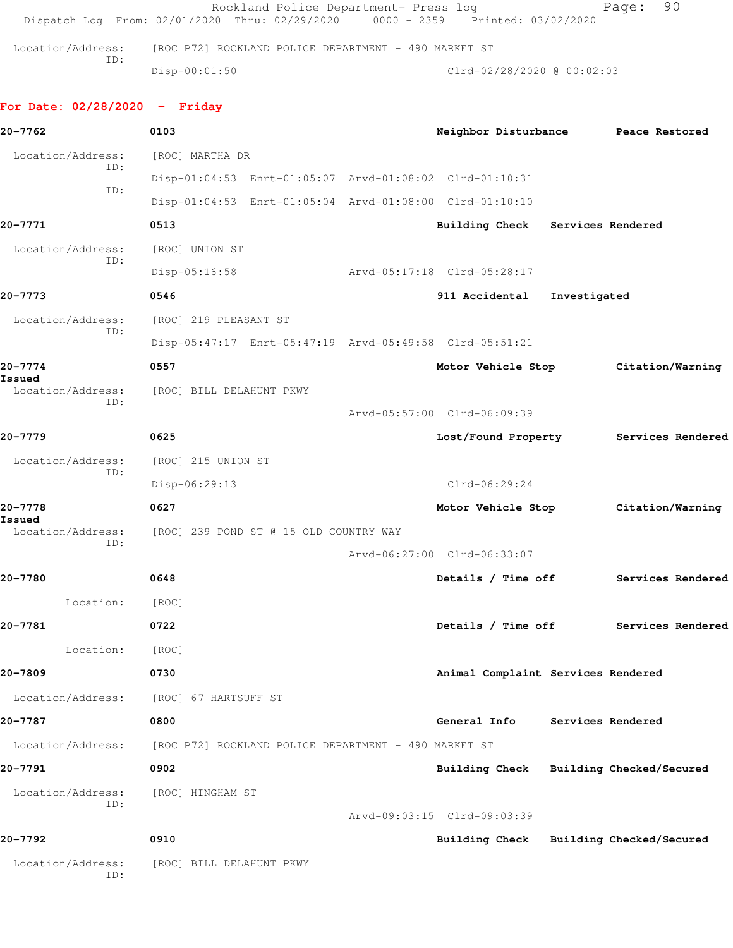|                                 | Rockland Police Department- Press log<br>Dispatch Log From: 02/01/2020 Thru: 02/29/2020 0000 - 2359 Printed: 03/02/2020 |                                         |              | 90<br>Page:                          |
|---------------------------------|-------------------------------------------------------------------------------------------------------------------------|-----------------------------------------|--------------|--------------------------------------|
| Location/Address:               | [ROC P72] ROCKLAND POLICE DEPARTMENT - 490 MARKET ST                                                                    |                                         |              |                                      |
| ID:                             | $Disp-00:01:50$                                                                                                         | Clrd-02/28/2020 @ 00:02:03              |              |                                      |
| For Date: $02/28/2020 -$ Friday |                                                                                                                         |                                         |              |                                      |
| 20-7762                         | 0103                                                                                                                    | Neighbor Disturbance Peace Restored     |              |                                      |
| Location/Address:               | [ROC] MARTHA DR                                                                                                         |                                         |              |                                      |
| ID:<br>ID:                      | Disp-01:04:53 Enrt-01:05:07 Arvd-01:08:02 Clrd-01:10:31                                                                 |                                         |              |                                      |
|                                 | Disp-01:04:53 Enrt-01:05:04 Arvd-01:08:00 Clrd-01:10:10                                                                 |                                         |              |                                      |
| 20-7771                         | 0513                                                                                                                    | Building Check Services Rendered        |              |                                      |
| Location/Address:               | [ROC] UNION ST                                                                                                          |                                         |              |                                      |
| ID:                             | $Disp-05:16:58$                                                                                                         | Arvd-05:17:18 Clrd-05:28:17             |              |                                      |
| 20-7773                         | 0546                                                                                                                    | 911 Accidental                          | Investigated |                                      |
| Location/Address:               | [ROC] 219 PLEASANT ST                                                                                                   |                                         |              |                                      |
| ID:                             | Disp-05:47:17 Enrt-05:47:19 Arvd-05:49:58 Clrd-05:51:21                                                                 |                                         |              |                                      |
| 20-7774                         | 0557                                                                                                                    | Motor Vehicle Stop                      |              | Citation/Warning                     |
| Issued<br>Location/Address:     | [ROC] BILL DELAHUNT PKWY                                                                                                |                                         |              |                                      |
| ID:                             |                                                                                                                         | Arvd-05:57:00 Clrd-06:09:39             |              |                                      |
| 20-7779                         | 0625                                                                                                                    | Lost/Found Property                     |              | Services Rendered                    |
| Location/Address:               | [ROC] 215 UNION ST                                                                                                      |                                         |              |                                      |
| ID:                             | Disp-06:29:13                                                                                                           | $Clrd-06:29:24$                         |              |                                      |
| 20-7778                         | 0627                                                                                                                    | Motor Vehicle Stop                      |              | Citation/Warning                     |
| Issued<br>Location/Address:     | [ROC] 239 POND ST @ 15 OLD COUNTRY WAY                                                                                  |                                         |              |                                      |
| ID:                             |                                                                                                                         | Arvd-06:27:00 Clrd-06:33:07             |              |                                      |
| 20-7780                         | 0648                                                                                                                    |                                         |              | Details / Time off Services Rendered |
| Location:                       | [ROC]                                                                                                                   |                                         |              |                                      |
| 20-7781                         | 0722                                                                                                                    |                                         |              | Details / Time off Services Rendered |
| Location:                       | [ROC]                                                                                                                   |                                         |              |                                      |
| 20-7809                         | 0730                                                                                                                    | Animal Complaint Services Rendered      |              |                                      |
|                                 | Location/Address: [ROC] 67 HARTSUFF ST                                                                                  |                                         |              |                                      |
| 20-7787                         | 0800                                                                                                                    | General Info Services Rendered          |              |                                      |
|                                 | Location/Address: [ROC P72] ROCKLAND POLICE DEPARTMENT - 490 MARKET ST                                                  |                                         |              |                                      |
| 20-7791                         | 0902                                                                                                                    | Building Check Building Checked/Secured |              |                                      |
| Location/Address:               | [ROC] HINGHAM ST                                                                                                        |                                         |              |                                      |
| ID:                             |                                                                                                                         | Arvd-09:03:15 Clrd-09:03:39             |              |                                      |
| 20-7792                         | 0910                                                                                                                    | Building Check Building Checked/Secured |              |                                      |
| Location/Address:<br>ID:        | [ROC] BILL DELAHUNT PKWY                                                                                                |                                         |              |                                      |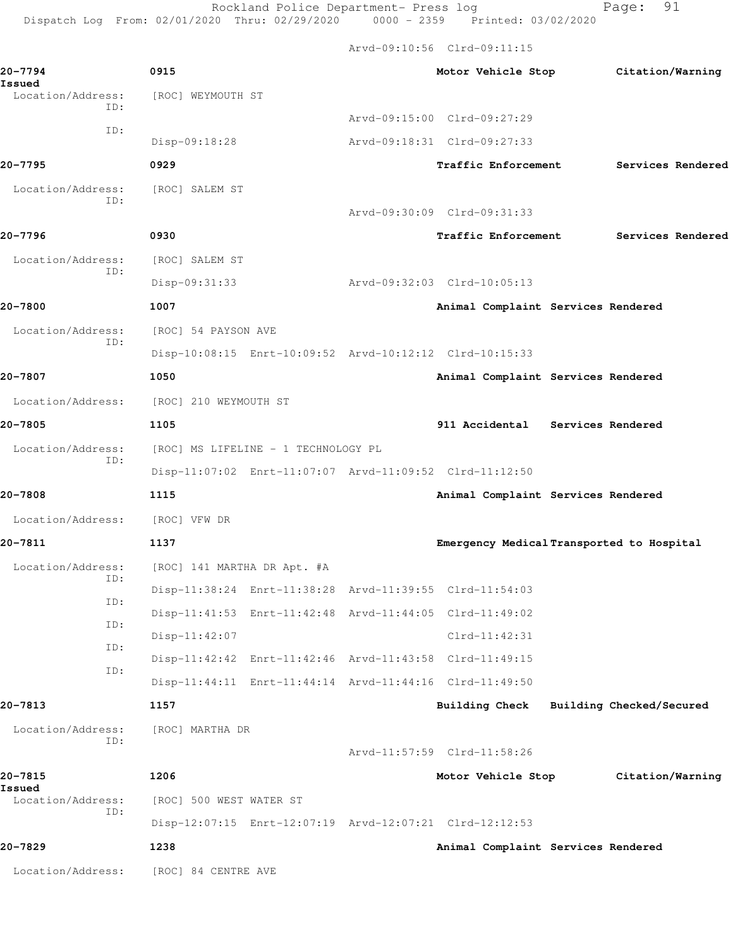Rockland Police Department- Press log entitled Page: 91 Dispatch Log From: 02/01/2020 Thru: 02/29/2020 0000 - 2359 Printed: 03/02/2020

Arvd-09:10:56 Clrd-09:11:15

| 20-7794<br>Issued           | 0915                                |                                                         |                             |  | Motor Vehicle Stop                 |  | Citation/Warning                          |  |
|-----------------------------|-------------------------------------|---------------------------------------------------------|-----------------------------|--|------------------------------------|--|-------------------------------------------|--|
| Location/Address:<br>ID:    | [ROC] WEYMOUTH ST                   |                                                         |                             |  |                                    |  |                                           |  |
| ID:                         |                                     |                                                         | Arvd-09:15:00 Clrd-09:27:29 |  |                                    |  |                                           |  |
|                             | Disp-09:18:28                       |                                                         | Arvd-09:18:31 Clrd-09:27:33 |  |                                    |  |                                           |  |
| 20-7795                     | 0929                                |                                                         |                             |  | Traffic Enforcement                |  | Services Rendered                         |  |
| Location/Address:<br>ID:    | [ROC] SALEM ST                      |                                                         |                             |  |                                    |  |                                           |  |
|                             |                                     |                                                         | Arvd-09:30:09 Clrd-09:31:33 |  |                                    |  |                                           |  |
| 20-7796                     | 0930                                |                                                         |                             |  | Traffic Enforcement                |  | Services Rendered                         |  |
| Location/Address:<br>ID:    | [ROC] SALEM ST                      |                                                         |                             |  |                                    |  |                                           |  |
|                             | Disp-09:31:33                       |                                                         | Arvd-09:32:03 Clrd-10:05:13 |  |                                    |  |                                           |  |
| 20-7800                     | 1007                                |                                                         |                             |  | Animal Complaint Services Rendered |  |                                           |  |
| Location/Address:           | [ROC] 54 PAYSON AVE                 |                                                         |                             |  |                                    |  |                                           |  |
| ID:                         |                                     | Disp-10:08:15 Enrt-10:09:52 Arvd-10:12:12 Clrd-10:15:33 |                             |  |                                    |  |                                           |  |
| 20-7807                     | 1050                                |                                                         |                             |  | Animal Complaint Services Rendered |  |                                           |  |
| Location/Address:           | [ROC] 210 WEYMOUTH ST               |                                                         |                             |  |                                    |  |                                           |  |
| 20-7805                     | 1105                                |                                                         |                             |  | 911 Accidental Services Rendered   |  |                                           |  |
| Location/Address:<br>ID:    | [ROC] MS LIFELINE - 1 TECHNOLOGY PL |                                                         |                             |  |                                    |  |                                           |  |
|                             |                                     | Disp-11:07:02 Enrt-11:07:07 Arvd-11:09:52 Clrd-11:12:50 |                             |  |                                    |  |                                           |  |
| 20-7808                     | 1115                                |                                                         |                             |  | Animal Complaint Services Rendered |  |                                           |  |
| Location/Address:           | [ROC] VFW DR                        |                                                         |                             |  |                                    |  |                                           |  |
| 20-7811                     | 1137                                |                                                         |                             |  |                                    |  | Emergency Medical Transported to Hospital |  |
| Location/Address:           | [ROC] 141 MARTHA DR Apt. #A         |                                                         |                             |  |                                    |  |                                           |  |
| ID:                         |                                     | Disp-11:38:24 Enrt-11:38:28 Arvd-11:39:55 Clrd-11:54:03 |                             |  |                                    |  |                                           |  |
| ID:                         |                                     | Disp-11:41:53 Enrt-11:42:48 Arvd-11:44:05 Clrd-11:49:02 |                             |  |                                    |  |                                           |  |
| ID:                         | $Disp-11:42:07$                     |                                                         |                             |  | $Clrd-11:42:31$                    |  |                                           |  |
| ID:                         |                                     | Disp-11:42:42 Enrt-11:42:46 Arvd-11:43:58 Clrd-11:49:15 |                             |  |                                    |  |                                           |  |
| ID:                         |                                     | Disp-11:44:11 Enrt-11:44:14 Arvd-11:44:16 Clrd-11:49:50 |                             |  |                                    |  |                                           |  |
| 20-7813                     | 1157                                |                                                         |                             |  |                                    |  | Building Check Building Checked/Secured   |  |
| Location/Address:           | [ROC] MARTHA DR                     |                                                         |                             |  |                                    |  |                                           |  |
| ID:                         |                                     |                                                         | Arvd-11:57:59 Clrd-11:58:26 |  |                                    |  |                                           |  |
| 20-7815                     | 1206                                |                                                         |                             |  | Motor Vehicle Stop                 |  | Citation/Warning                          |  |
| Issued<br>Location/Address: |                                     | [ROC] 500 WEST WATER ST                                 |                             |  |                                    |  |                                           |  |
| ID:                         |                                     | Disp-12:07:15 Enrt-12:07:19 Arvd-12:07:21 Clrd-12:12:53 |                             |  |                                    |  |                                           |  |
| 20-7829                     | 1238                                |                                                         |                             |  | Animal Complaint Services Rendered |  |                                           |  |
| Location/Address:           |                                     |                                                         |                             |  |                                    |  |                                           |  |
|                             | [ROC] 84 CENTRE AVE                 |                                                         |                             |  |                                    |  |                                           |  |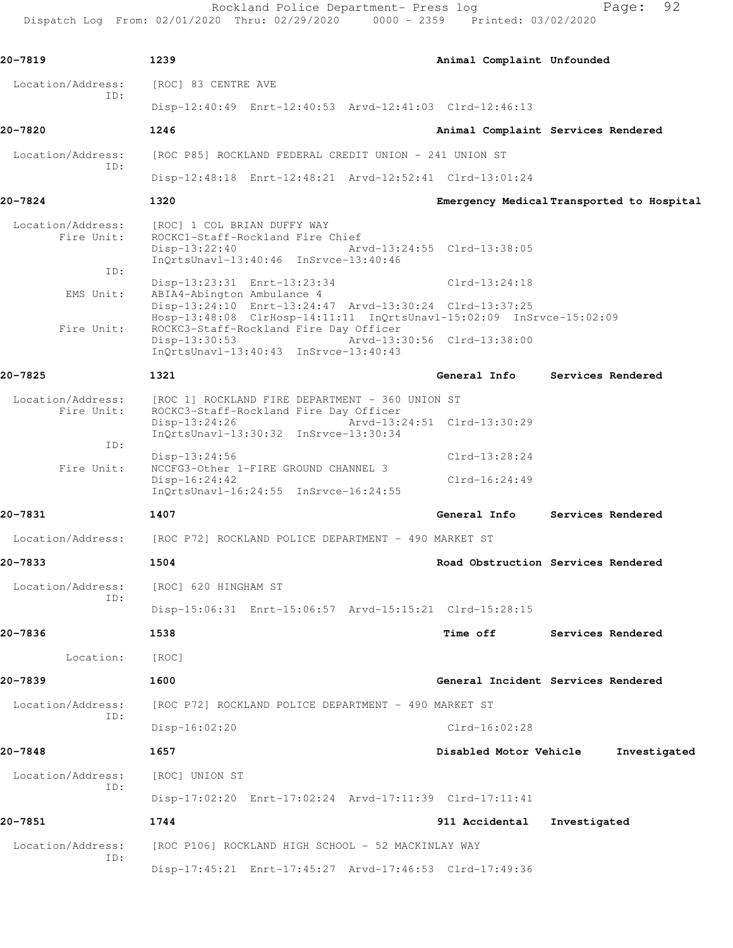Rockland Police Department- Press log entitled and Page: 92

Dispatch Log From: 02/01/2020 Thru: 02/29/2020 0000 - 2359 Printed: 03/02/2020

| 20-7819                                | 1239                                                                                                                                                                      | Animal Complaint Unfounded  |                                           |
|----------------------------------------|---------------------------------------------------------------------------------------------------------------------------------------------------------------------------|-----------------------------|-------------------------------------------|
| Location/Address:                      | [ROC] 83 CENTRE AVE                                                                                                                                                       |                             |                                           |
| ID:                                    | Disp-12:40:49 Enrt-12:40:53 Arvd-12:41:03 Clrd-12:46:13                                                                                                                   |                             |                                           |
| 20-7820                                | 1246                                                                                                                                                                      |                             | Animal Complaint Services Rendered        |
| Location/Address:                      | [ROC P85] ROCKLAND FEDERAL CREDIT UNION - 241 UNION ST                                                                                                                    |                             |                                           |
| TD:                                    | Disp-12:48:18 Enrt-12:48:21 Arvd-12:52:41 Clrd-13:01:24                                                                                                                   |                             |                                           |
| 20-7824                                | 1320                                                                                                                                                                      |                             | Emergency Medical Transported to Hospital |
| Location/Address:<br>Fire Unit:<br>ID: | [ROC] 1 COL BRIAN DUFFY WAY<br>ROCKC1-Staff-Rockland Fire Chief<br>$Disp-13:22:40$<br>$InQrtsUnav1-13:40:46$ $InSrvce-13:40:46$                                           | Arvd-13:24:55 Clrd-13:38:05 |                                           |
| EMS Unit:                              | Disp-13:23:31 Enrt-13:23:34<br>ABIA4-Abington Ambulance 4                                                                                                                 | $Clrd-13:24:18$             |                                           |
| Fire Unit:                             | Disp-13:24:10 Enrt-13:24:47 Arvd-13:30:24 Clrd-13:37:25<br>Hosp-13:48:08 ClrHosp-14:11:11 InQrtsUnavl-15:02:09 InSrvce-15:02:09<br>ROCKC3-Staff-Rockland Fire Day Officer |                             |                                           |
|                                        | Disp-13:30:53<br>InQrtsUnavl-13:40:43 InSrvce-13:40:43                                                                                                                    | Arvd-13:30:56 Clrd-13:38:00 |                                           |
| 20-7825                                | 1321                                                                                                                                                                      |                             | General Info Services Rendered            |
| Location/Address:<br>Fire Unit:        | [ROC 1] ROCKLAND FIRE DEPARTMENT - 360 UNION ST<br>ROCKC3-Staff-Rockland Fire Day Officer                                                                                 |                             |                                           |
|                                        | $Disp-13:24:26$<br>InQrtsUnavl-13:30:32 InSrvce-13:30:34                                                                                                                  | Arvd-13:24:51 Clrd-13:30:29 |                                           |
| ID:                                    | Disp-13:24:56                                                                                                                                                             | $Clrd-13:28:24$             |                                           |
| Fire Unit:                             | NCCFG3-Other 1-FIRE GROUND CHANNEL 3<br>$Disp-16:24:42$<br>$InQrtsUnav1-16:24:55$ $InSrvce-16:24:55$                                                                      | $Clrd-16:24:49$             |                                           |
| 20-7831                                | 1407                                                                                                                                                                      | General Info                | Services Rendered                         |
| Location/Address:                      | [ROC P72] ROCKLAND POLICE DEPARTMENT - 490 MARKET ST                                                                                                                      |                             |                                           |
| 20-7833                                | 1504                                                                                                                                                                      |                             | Road Obstruction Services Rendered        |
| Location/Address:                      | [ROC] 620 HINGHAM ST                                                                                                                                                      |                             |                                           |
| ID:                                    | Disp-15:06:31 Enrt-15:06:57 Arvd-15:15:21 Clrd-15:28:15                                                                                                                   |                             |                                           |
| 20-7836                                | 1538                                                                                                                                                                      | <b>Time off</b>             | Services Rendered                         |
| Location:                              | [ROC]                                                                                                                                                                     |                             |                                           |
| 20-7839                                | 1600                                                                                                                                                                      |                             | General Incident Services Rendered        |
| Location/Address:                      | [ROC P72] ROCKLAND POLICE DEPARTMENT - 490 MARKET ST                                                                                                                      |                             |                                           |
| ID:                                    | Disp-16:02:20                                                                                                                                                             | $Clrd-16:02:28$             |                                           |
| 20-7848                                | 1657                                                                                                                                                                      | Disabled Motor Vehicle      | Investigated                              |
| Location/Address:                      | [ROC] UNION ST                                                                                                                                                            |                             |                                           |
| ID:                                    | Disp-17:02:20 Enrt-17:02:24 Arvd-17:11:39 Clrd-17:11:41                                                                                                                   |                             |                                           |
| 20-7851                                | 1744                                                                                                                                                                      | 911 Accidental              | Investigated                              |
| Location/Address:                      | [ROC P106] ROCKLAND HIGH SCHOOL - 52 MACKINLAY WAY                                                                                                                        |                             |                                           |
| ID:                                    | Disp-17:45:21 Enrt-17:45:27 Arvd-17:46:53 Clrd-17:49:36                                                                                                                   |                             |                                           |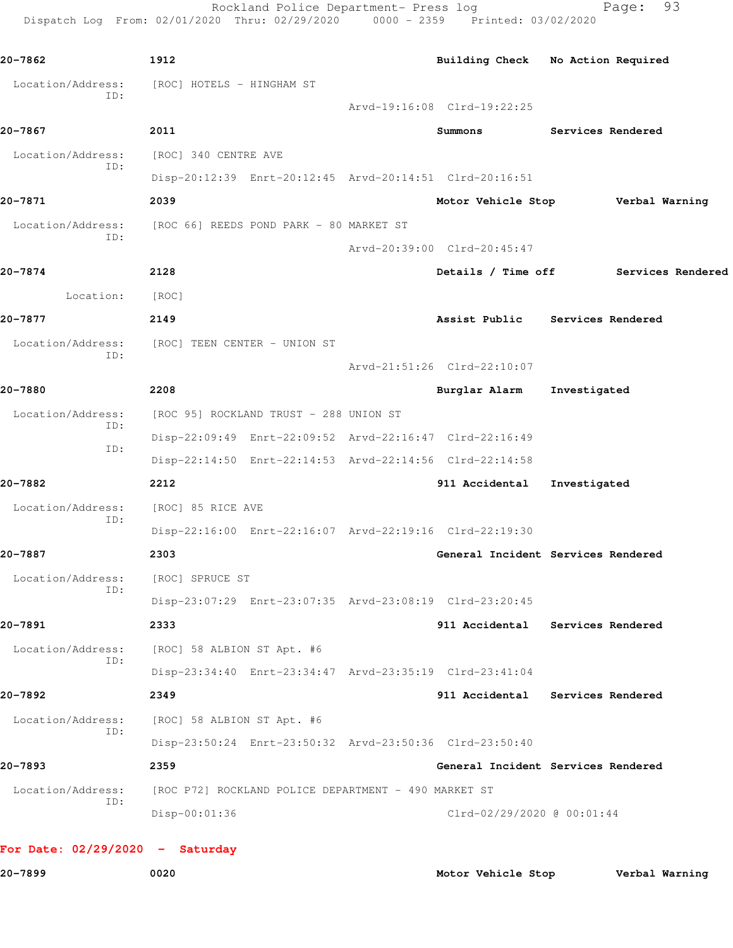Dispatch Log From: 02/01/2020 Thru: 02/29/2020 0000 - 2359 Printed: 03/02/2020 **20-7862 1912 Building Check No Action Required** Location/Address: [ROC] HOTELS - HINGHAM ST ID: Arvd-19:16:08 Clrd-19:22:25 **20-7867 2011 Summons Services Rendered** Location/Address: [ROC] 340 CENTRE AVE ID: Disp-20:12:39 Enrt-20:12:45 Arvd-20:14:51 Clrd-20:16:51 **20-7871 2039 Motor Vehicle Stop Verbal Warning** Location/Address: [ROC 66] REEDS POND PARK - 80 MARKET ST ID: Arvd-20:39:00 Clrd-20:45:47 **20-7874 2128 Details / Time off Services Rendered** Location: [ROC] **20-7877 2149 Assist Public Services Rendered** Location/Address: [ROC] TEEN CENTER - UNION ST ID: Arvd-21:51:26 Clrd-22:10:07 **20-7880 2208 Burglar Alarm Investigated** Location/Address: [ROC 95] ROCKLAND TRUST - 288 UNION ST ID: Disp-22:09:49 Enrt-22:09:52 Arvd-22:16:47 Clrd-22:16:49 ID: Disp-22:14:50 Enrt-22:14:53 Arvd-22:14:56 Clrd-22:14:58 **20-7882 2212 911 Accidental Investigated** Location/Address: [ROC] 85 RICE AVE ID: Disp-22:16:00 Enrt-22:16:07 Arvd-22:19:16 Clrd-22:19:30 **20-7887 2303 General Incident Services Rendered** Location/Address: [ROC] SPRUCE ST ID: Disp-23:07:29 Enrt-23:07:35 Arvd-23:08:19 Clrd-23:20:45 **20-7891 2333 911 Accidental Services Rendered** Location/Address: [ROC] 58 ALBION ST Apt. #6 ID: Disp-23:34:40 Enrt-23:34:47 Arvd-23:35:19 Clrd-23:41:04 **20-7892 2349 911 Accidental Services Rendered** Location/Address: [ROC] 58 ALBION ST Apt. #6 ID: Disp-23:50:24 Enrt-23:50:32 Arvd-23:50:36 Clrd-23:50:40 **20-7893 2359 General Incident Services Rendered** Location/Address: [ROC P72] ROCKLAND POLICE DEPARTMENT - 490 MARKET ST ID: Disp-00:01:36 Clrd-02/29/2020 @ 00:01:44

Rockland Police Department- Press log Fage: 93

```
For Date: 02/29/2020 - Saturday
```
**20-7899 0020 Motor Vehicle Stop Verbal Warning**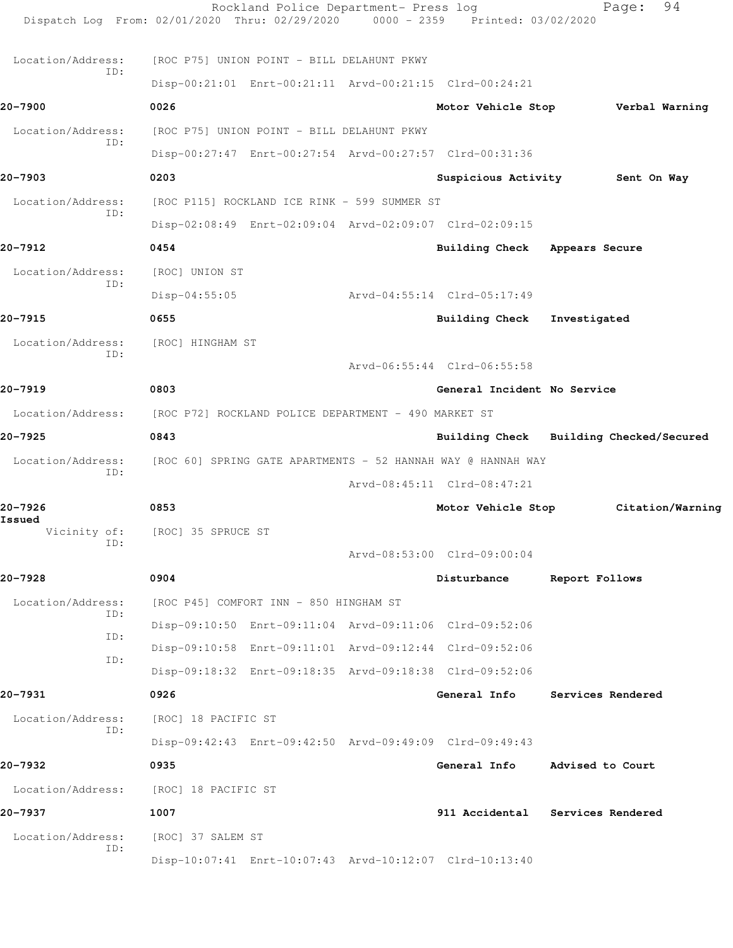| Dispatch Log From: 02/01/2020 Thru: 02/29/2020 0000 - 2359 Printed: 03/02/2020 |                                                              | Rockland Police Department- Press log |                                                         | 94<br>Page:                             |
|--------------------------------------------------------------------------------|--------------------------------------------------------------|---------------------------------------|---------------------------------------------------------|-----------------------------------------|
| Location/Address:                                                              | [ROC P75] UNION POINT - BILL DELAHUNT PKWY                   |                                       |                                                         |                                         |
| TD:                                                                            |                                                              |                                       | Disp-00:21:01 Enrt-00:21:11 Arvd-00:21:15 Clrd-00:24:21 |                                         |
| 20-7900                                                                        | 0026                                                         |                                       |                                                         | Motor Vehicle Stop Verbal Warning       |
| Location/Address:                                                              | [ROC P75] UNION POINT - BILL DELAHUNT PKWY                   |                                       |                                                         |                                         |
| ID:                                                                            |                                                              |                                       | Disp-00:27:47 Enrt-00:27:54 Arvd-00:27:57 Clrd-00:31:36 |                                         |
| 20-7903                                                                        | 0203                                                         |                                       |                                                         | Suspicious Activity Sent On Way         |
| Location/Address:                                                              | [ROC P115] ROCKLAND ICE RINK - 599 SUMMER ST                 |                                       |                                                         |                                         |
| ID:                                                                            |                                                              |                                       | Disp-02:08:49 Enrt-02:09:04 Arvd-02:09:07 Clrd-02:09:15 |                                         |
| 20-7912                                                                        | 0454                                                         |                                       | Building Check Appears Secure                           |                                         |
| Location/Address:                                                              | [ROC] UNION ST                                               |                                       |                                                         |                                         |
| ID:                                                                            | $Disp-04:55:05$                                              |                                       | Arvd-04:55:14 Clrd-05:17:49                             |                                         |
| 20-7915                                                                        | 0655                                                         |                                       | <b>Building Check</b>                                   | Investigated                            |
| Location/Address:                                                              | [ROC] HINGHAM ST                                             |                                       |                                                         |                                         |
| ID:                                                                            |                                                              |                                       | Arvd-06:55:44 Clrd-06:55:58                             |                                         |
| 20-7919                                                                        | 0803                                                         |                                       | General Incident No Service                             |                                         |
| Location/Address:                                                              | [ROC P72] ROCKLAND POLICE DEPARTMENT - 490 MARKET ST         |                                       |                                                         |                                         |
| 20-7925                                                                        | 0843                                                         |                                       |                                                         | Building Check Building Checked/Secured |
| Location/Address:                                                              | [ROC 60] SPRING GATE APARTMENTS - 52 HANNAH WAY @ HANNAH WAY |                                       |                                                         |                                         |
| TD:                                                                            |                                                              |                                       | Arvd-08:45:11 Clrd-08:47:21                             |                                         |
| 20-7926                                                                        | 0853                                                         |                                       | Motor Vehicle Stop                                      | Citation/Warning                        |
| Issued                                                                         | Vicinity of: [ROC] 35 SPRUCE ST                              |                                       |                                                         |                                         |
| ID:                                                                            |                                                              |                                       | Arvd-08:53:00 Clrd-09:00:04                             |                                         |
| 20-7928                                                                        | 0904                                                         |                                       | Disturbance                                             | Report Follows                          |
| Location/Address:                                                              | [ROC P45] COMFORT INN - 850 HINGHAM ST                       |                                       |                                                         |                                         |
| ID:                                                                            |                                                              |                                       | Disp-09:10:50 Enrt-09:11:04 Arvd-09:11:06 Clrd-09:52:06 |                                         |
| ID:                                                                            |                                                              |                                       | Disp-09:10:58 Enrt-09:11:01 Arvd-09:12:44 Clrd-09:52:06 |                                         |
| ID:                                                                            |                                                              |                                       | Disp-09:18:32 Enrt-09:18:35 Arvd-09:18:38 Clrd-09:52:06 |                                         |
| 20-7931                                                                        | 0926                                                         |                                       | General Info                                            | Services Rendered                       |
| Location/Address:                                                              | [ROC] 18 PACIFIC ST                                          |                                       |                                                         |                                         |
| ID:                                                                            |                                                              |                                       | Disp-09:42:43 Enrt-09:42:50 Arvd-09:49:09 Clrd-09:49:43 |                                         |
| 20-7932                                                                        | 0935                                                         |                                       | General Info                                            | Advised to Court                        |
| Location/Address:                                                              | [ROC] 18 PACIFIC ST                                          |                                       |                                                         |                                         |
| 20-7937                                                                        | 1007                                                         |                                       |                                                         | 911 Accidental Services Rendered        |
| Location/Address:                                                              | [ROC] 37 SALEM ST                                            |                                       |                                                         |                                         |
| ID:                                                                            |                                                              |                                       | Disp-10:07:41 Enrt-10:07:43 Arvd-10:12:07 Clrd-10:13:40 |                                         |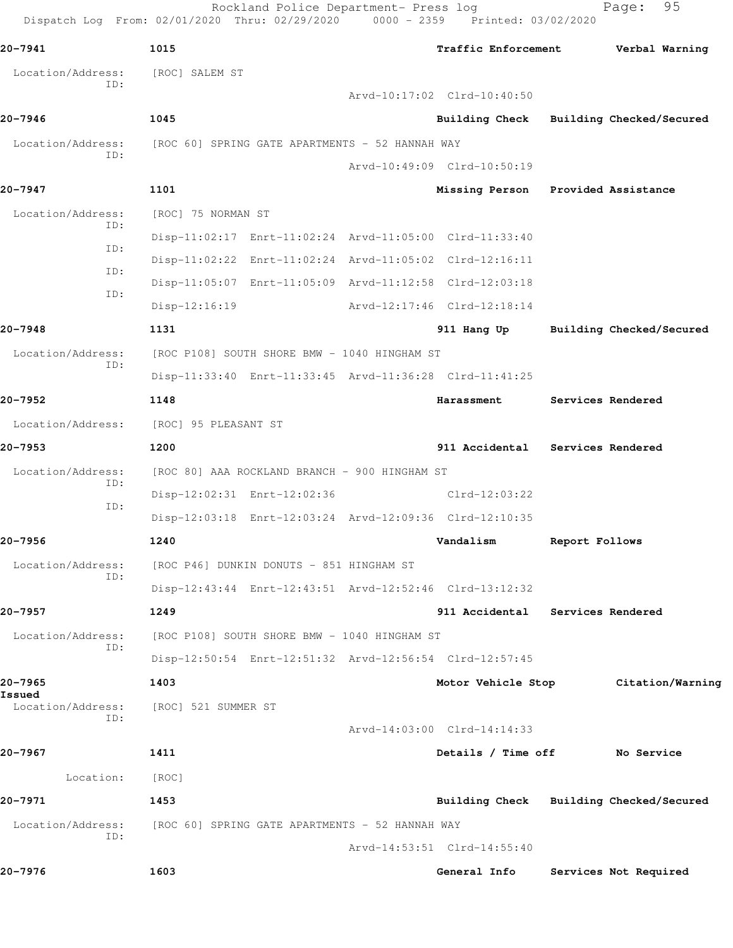|                             | Dispatch Log From: 02/01/2020 Thru: 02/29/2020 0000 - 2359 Printed: 03/02/2020 |  |                                         |                |                          |
|-----------------------------|--------------------------------------------------------------------------------|--|-----------------------------------------|----------------|--------------------------|
| 20-7941                     | 1015                                                                           |  | Traffic Enforcement                     | Verbal Warning |                          |
| Location/Address:           | [ROC] SALEM ST                                                                 |  |                                         |                |                          |
| ID:                         |                                                                                |  | Arvd-10:17:02 Clrd-10:40:50             |                |                          |
| 20-7946                     | 1045                                                                           |  | Building Check Building Checked/Secured |                |                          |
| Location/Address:           | [ROC 60] SPRING GATE APARTMENTS - 52 HANNAH WAY                                |  |                                         |                |                          |
| ID:                         |                                                                                |  | Arvd-10:49:09 Clrd-10:50:19             |                |                          |
| 20-7947                     | 1101                                                                           |  | Missing Person Provided Assistance      |                |                          |
| Location/Address:           | [ROC] 75 NORMAN ST                                                             |  |                                         |                |                          |
| ID:                         | Disp-11:02:17 Enrt-11:02:24 Arvd-11:05:00 Clrd-11:33:40                        |  |                                         |                |                          |
| ID:                         | Disp-11:02:22 Enrt-11:02:24 Arvd-11:05:02 Clrd-12:16:11                        |  |                                         |                |                          |
| ID:                         | Disp-11:05:07 Enrt-11:05:09 Arvd-11:12:58 Clrd-12:03:18                        |  |                                         |                |                          |
| ID:                         | $Disp-12:16:19$                                                                |  | Arvd-12:17:46 Clrd-12:18:14             |                |                          |
| 20-7948                     | 1131                                                                           |  | 911 Hang Up                             |                | Building Checked/Secured |
| Location/Address:           | [ROC P108] SOUTH SHORE BMW - 1040 HINGHAM ST                                   |  |                                         |                |                          |
| ID:                         | Disp-11:33:40 Enrt-11:33:45 Arvd-11:36:28 Clrd-11:41:25                        |  |                                         |                |                          |
| 20-7952                     | 1148                                                                           |  | Harassment                              |                | Services Rendered        |
| Location/Address:           | [ROC] 95 PLEASANT ST                                                           |  |                                         |                |                          |
| 20-7953                     | 1200                                                                           |  | 911 Accidental Services Rendered        |                |                          |
| Location/Address:           | [ROC 80] AAA ROCKLAND BRANCH - 900 HINGHAM ST                                  |  |                                         |                |                          |
| ID:                         | Disp-12:02:31 Enrt-12:02:36                                                    |  | Clrd-12:03:22                           |                |                          |
| ID:                         | Disp-12:03:18 Enrt-12:03:24 Arvd-12:09:36 Clrd-12:10:35                        |  |                                         |                |                          |
| 20-7956                     | 1240                                                                           |  | Vandalism                               | Report Follows |                          |
| Location/Address:           | [ROC P46] DUNKIN DONUTS - 851 HINGHAM ST                                       |  |                                         |                |                          |
| ID:                         | Disp-12:43:44 Enrt-12:43:51 Arvd-12:52:46 Clrd-13:12:32                        |  |                                         |                |                          |
| 20-7957                     | 1249                                                                           |  | 911 Accidental Services Rendered        |                |                          |
| Location/Address:           | [ROC P108] SOUTH SHORE BMW - 1040 HINGHAM ST                                   |  |                                         |                |                          |
| ID:                         | Disp-12:50:54 Enrt-12:51:32 Arvd-12:56:54 Clrd-12:57:45                        |  |                                         |                |                          |
| 20-7965                     | 1403                                                                           |  | Motor Vehicle Stop                      |                | Citation/Warning         |
| Issued<br>Location/Address: | [ROC] 521 SUMMER ST                                                            |  |                                         |                |                          |
| ID:                         |                                                                                |  | Arvd-14:03:00 Clrd-14:14:33             |                |                          |
| 20-7967                     | 1411                                                                           |  | Details / Time off                      |                | No Service               |
| Location:                   | [ROC]                                                                          |  |                                         |                |                          |
| 20-7971                     | 1453                                                                           |  | Building Check Building Checked/Secured |                |                          |
| Location/Address:           | [ROC 60] SPRING GATE APARTMENTS - 52 HANNAH WAY                                |  |                                         |                |                          |
| ID:                         |                                                                                |  | Arvd-14:53:51 Clrd-14:55:40             |                |                          |
| 20-7976                     | 1603                                                                           |  | General Info                            |                | Services Not Required    |

Rockland Police Department- Press log entitled and Page: 95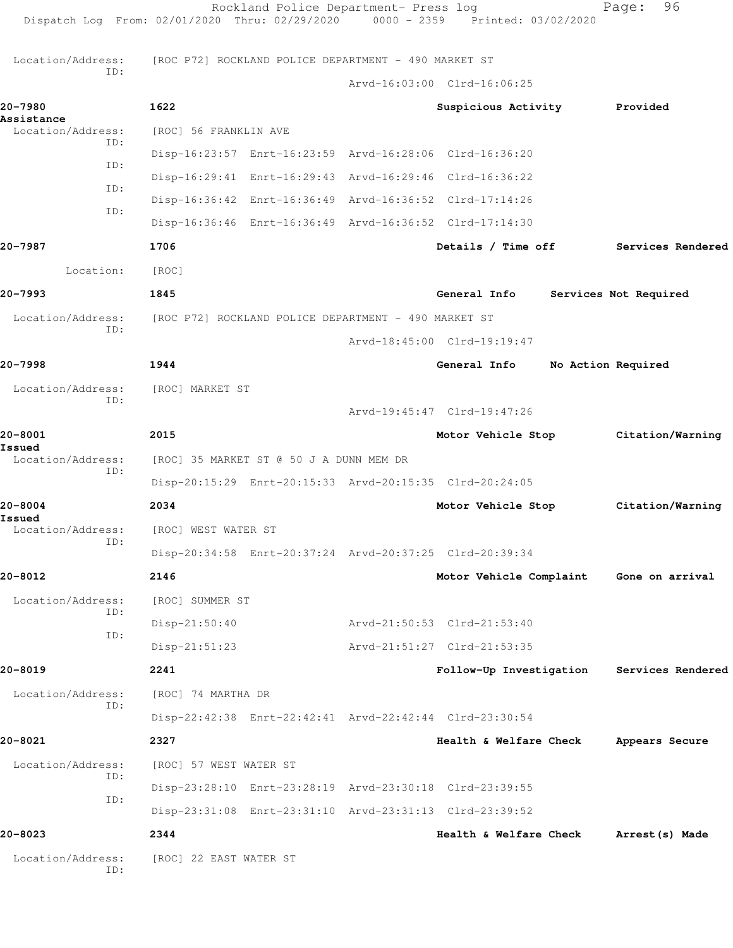|                                 | Rockland Police Department- Press log<br>Dispatch Log From: 02/01/2020 Thru: 02/29/2020 0000 - 2359 Printed: 03/02/2020 |                             |                    | 96<br>Page:           |
|---------------------------------|-------------------------------------------------------------------------------------------------------------------------|-----------------------------|--------------------|-----------------------|
| Location/Address:               | [ROC P72] ROCKLAND POLICE DEPARTMENT - 490 MARKET ST                                                                    |                             |                    |                       |
| ID:                             |                                                                                                                         | Arvd-16:03:00 Clrd-16:06:25 |                    |                       |
| 20-7980                         | 1622                                                                                                                    | Suspicious Activity         |                    | Provided              |
| Assistance<br>Location/Address: | [ROC] 56 FRANKLIN AVE                                                                                                   |                             |                    |                       |
| ID:                             | Disp-16:23:57 Enrt-16:23:59 Arvd-16:28:06 Clrd-16:36:20                                                                 |                             |                    |                       |
| ID:<br>ID:                      | Disp-16:29:41 Enrt-16:29:43 Arvd-16:29:46 Clrd-16:36:22                                                                 |                             |                    |                       |
| ID:                             | Disp-16:36:42 Enrt-16:36:49 Arvd-16:36:52 Clrd-17:14:26                                                                 |                             |                    |                       |
|                                 | Disp-16:36:46 Enrt-16:36:49 Arvd-16:36:52 Clrd-17:14:30                                                                 |                             |                    |                       |
| 20-7987                         | 1706                                                                                                                    | Details / Time off          |                    | Services Rendered     |
| Location:                       | [ROC]                                                                                                                   |                             |                    |                       |
| 20-7993                         | 1845                                                                                                                    | General Info                |                    | Services Not Required |
| Location/Address:               | [ROC P72] ROCKLAND POLICE DEPARTMENT - 490 MARKET ST                                                                    |                             |                    |                       |
| ID:                             |                                                                                                                         | Arvd-18:45:00 Clrd-19:19:47 |                    |                       |
| 20-7998                         | 1944                                                                                                                    | General Info                | No Action Required |                       |
| Location/Address:               | [ROC] MARKET ST                                                                                                         |                             |                    |                       |
| ID:                             |                                                                                                                         | Arvd-19:45:47 Clrd-19:47:26 |                    |                       |
| 20-8001<br>Issued               | 2015                                                                                                                    | Motor Vehicle Stop          |                    | Citation/Warning      |
| Location/Address:<br>ID:        | [ROC] 35 MARKET ST @ 50 J A DUNN MEM DR                                                                                 |                             |                    |                       |
|                                 | Disp-20:15:29 Enrt-20:15:33 Arvd-20:15:35 Clrd-20:24:05                                                                 |                             |                    |                       |
| 20-8004<br>Issued               | 2034                                                                                                                    | Motor Vehicle Stop          |                    | Citation/Warning      |
| Location/Address:<br>ID:        | [ROC] WEST WATER ST                                                                                                     |                             |                    |                       |
|                                 | Disp-20:34:58 Enrt-20:37:24 Arvd-20:37:25 Clrd-20:39:34                                                                 |                             |                    |                       |
| 20-8012                         | 2146                                                                                                                    | Motor Vehicle Complaint     |                    | Gone on arrival       |
| Location/Address:<br>ID:        | [ROC] SUMMER ST                                                                                                         |                             |                    |                       |
| ID:                             | $Disp-21:50:40$                                                                                                         | Arvd-21:50:53 Clrd-21:53:40 |                    |                       |
|                                 | $Disp-21:51:23$                                                                                                         | Arvd-21:51:27 Clrd-21:53:35 |                    |                       |
| 20-8019                         | 2241                                                                                                                    | Follow-Up Investigation     |                    | Services Rendered     |
| Location/Address:<br>ID:        | [ROC] 74 MARTHA DR                                                                                                      |                             |                    |                       |
|                                 | Disp-22:42:38 Enrt-22:42:41 Arvd-22:42:44 Clrd-23:30:54                                                                 |                             |                    |                       |
| 20-8021                         | 2327                                                                                                                    | Health & Welfare Check      |                    | Appears Secure        |
| Location/Address:               | [ROC] 57 WEST WATER ST                                                                                                  |                             |                    |                       |
| ID:                             | Disp-23:28:10 Enrt-23:28:19 Arvd-23:30:18 Clrd-23:39:55                                                                 |                             |                    |                       |
| ID:                             | Disp-23:31:08 Enrt-23:31:10 Arvd-23:31:13 Clrd-23:39:52                                                                 |                             |                    |                       |
| 20-8023                         | 2344                                                                                                                    | Health & Welfare Check      |                    | Arrest (s) Made       |
| Location/Address:<br>ID:        | [ROC] 22 EAST WATER ST                                                                                                  |                             |                    |                       |